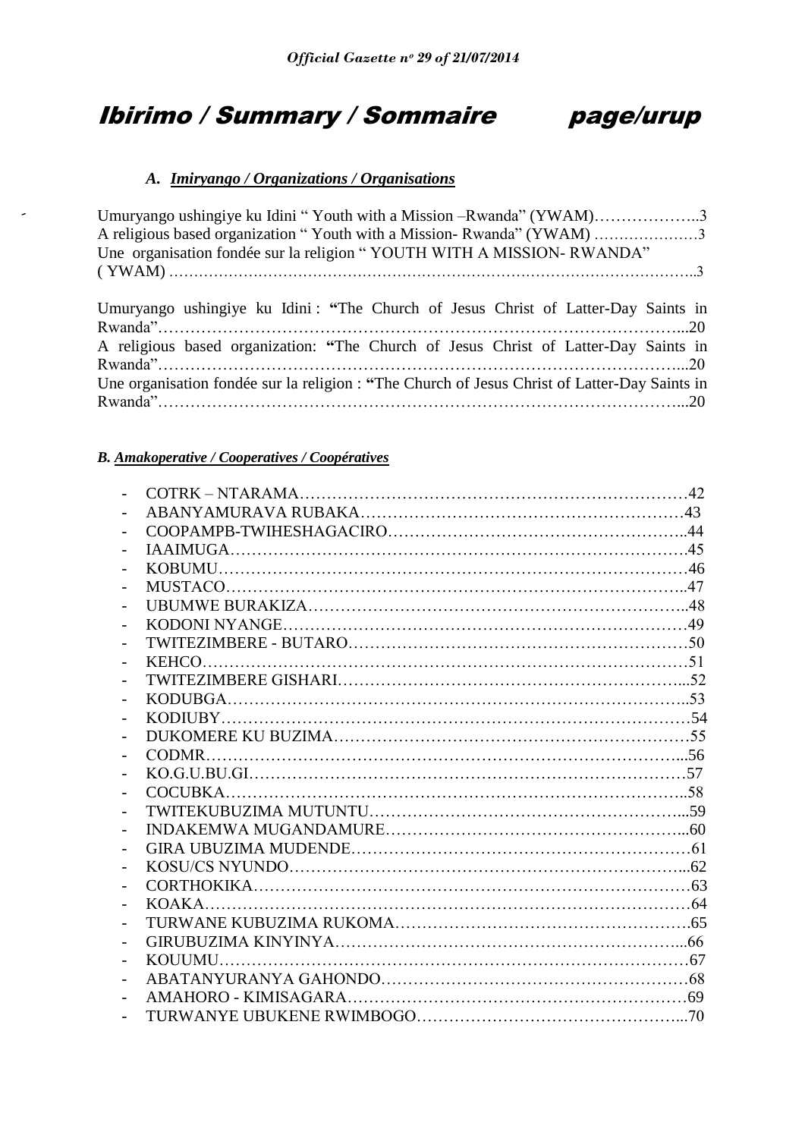# Ibirimo / Summary / Sommaire page/urup



# *A. Imiryango / Organizations / Organisations*

| Umuryango ushingiye ku Idini "Youth with a Mission –Rwanda" (YWAM)3                           |  |
|-----------------------------------------------------------------------------------------------|--|
| A religious based organization "Youth with a Mission-Rwanda" (YWAM) 3                         |  |
| Une organisation fondée sur la religion "YOUTH WITH A MISSION-RWANDA"                         |  |
|                                                                                               |  |
|                                                                                               |  |
| Umuryango ushingiye ku Idini: "The Church of Jesus Christ of Latter-Day Saints in             |  |
|                                                                                               |  |
| A religious based organization: "The Church of Jesus Christ of Latter-Day Saints in           |  |
|                                                                                               |  |
| Une organisation fondée sur la religion : "The Church of Jesus Christ of Latter-Day Saints in |  |
|                                                                                               |  |
|                                                                                               |  |

# *B. Amakoperative / Cooperatives / Coopératives*

| $KODUBGA \dots 53$ |  |
|--------------------|--|
|                    |  |
|                    |  |
|                    |  |
|                    |  |
|                    |  |
|                    |  |
|                    |  |
|                    |  |
|                    |  |
|                    |  |
|                    |  |
|                    |  |
|                    |  |
|                    |  |
|                    |  |
|                    |  |
|                    |  |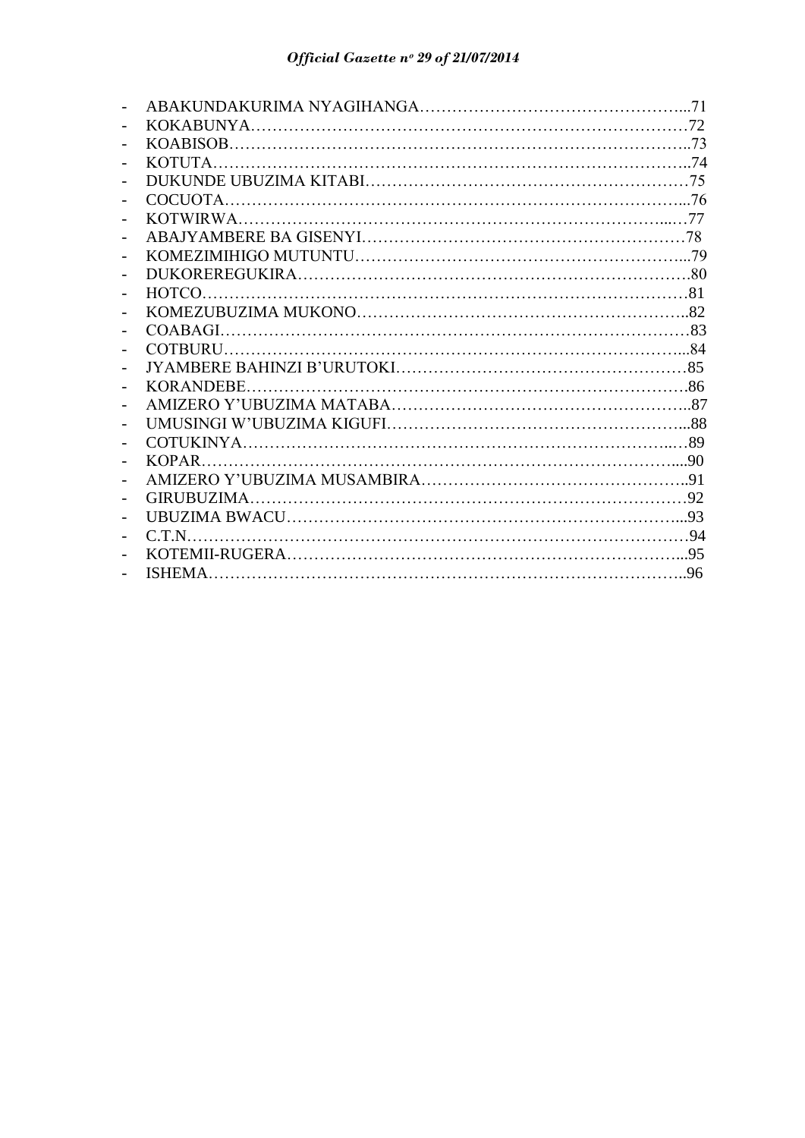| $\overline{\phantom{0}}$ |  |
|--------------------------|--|
| $\overline{\phantom{a}}$ |  |
| $\overline{\phantom{0}}$ |  |
|                          |  |
|                          |  |
|                          |  |
|                          |  |
|                          |  |
| $\overline{\phantom{a}}$ |  |
|                          |  |
|                          |  |
|                          |  |
|                          |  |
|                          |  |
|                          |  |
|                          |  |
|                          |  |
|                          |  |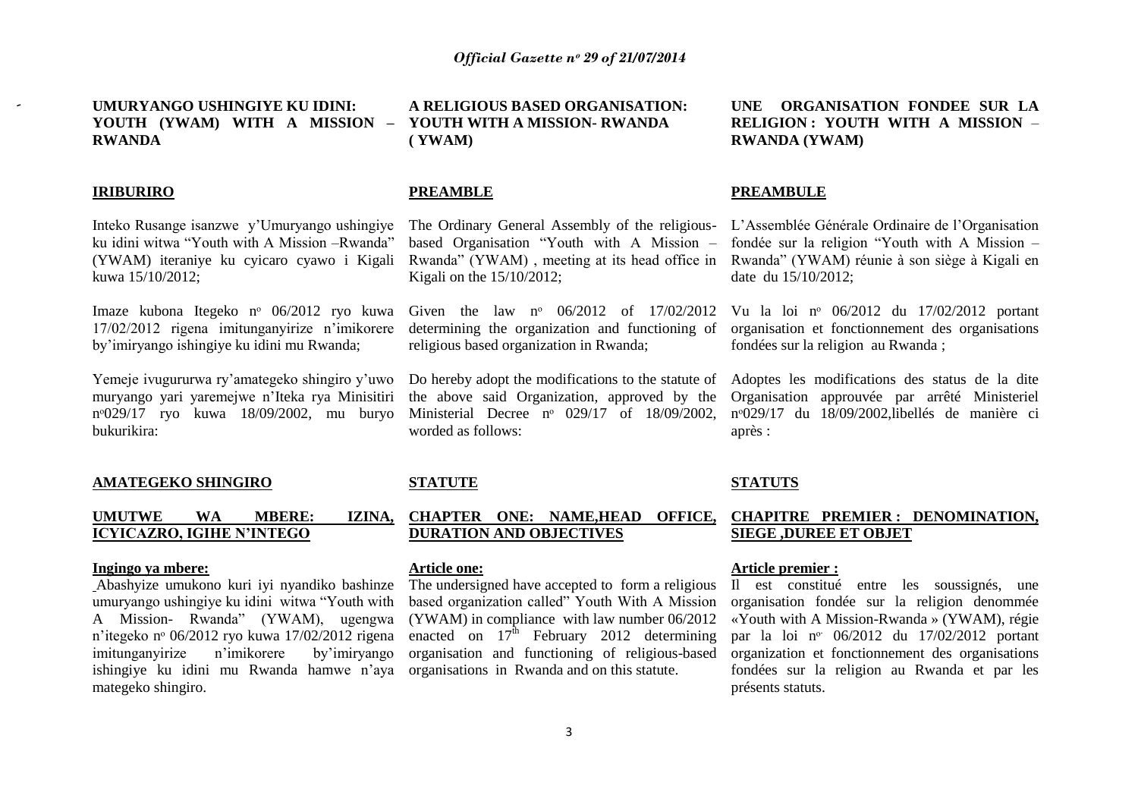**UMURYANGO USHINGIYE KU IDINI: YOUTH (YWAM) WITH A MISSION – RWANDA ( YWAM)**

# **IRIBURIRO**

Inteko Rusange isanzwe y"Umuryango ushingiye ku idini witwa "Youth with A Mission –Rwanda" (YWAM) iteraniye ku cyicaro cyawo i Kigali kuwa 15/10/2012;

Imaze kubona Itegeko nᵒ 06/2012 ryo kuwa 17/02/2012 rigena imitunganyirize n"imikorere by"imiryango ishingiye ku idini mu Rwanda;

Yemeje ivugururwa ry"amategeko shingiro y"uwo muryango yari yaremejwe n"Iteka rya Minisitiri nᵒ029/17 ryo kuwa 18/09/2002, mu buryo bukurikira:

#### **AMATEGEKO SHINGIRO**

# **UMUTWE WA MBERE: IZINA, ICYICAZRO, IGIHE N'INTEGO**

#### **Ingingo ya mbere:**

Abashyize umukono kuri iyi nyandiko bashinze umuryango ushingiye ku idini witwa "Youth with A Mission- Rwanda" (YWAM), ugengwa n"itegeko nᵒ 06/2012 ryo kuwa 17/02/2012 rigena imitunganyirize n"imikorere by"imiryango ishingiye ku idini mu Rwanda hamwe n"aya mategeko shingiro.

**A RELIGIOUS BASED ORGANISATION: YOUTH WITH A MISSION- RWANDA**

# **PREAMBLE**

The Ordinary General Assembly of the religiousbased Organisation "Youth with A Mission – Rwanda" (YWAM) , meeting at its head office in Kigali on the 15/10/2012;

Given the law nº 06/2012 of 17/02/2012 determining the organization and functioning of religious based organization in Rwanda;

Do hereby adopt the modifications to the statute of the above said Organization, approved by the Ministerial Decree nº 029/17 of 18/09/2002, worded as follows:

# **STATUTE**

# **CHAPTER ONE: NAME,HEAD OFFICE, DURATION AND OBJECTIVES**

# **Article one:**

The undersigned have accepted to form a religious based organization called" Youth With A Mission (YWAM) in compliance with law number 06/2012 enacted on  $17^{\text{th}}$  February 2012 determining organisation and functioning of religious-based organisations in Rwanda and on this statute.

**UNE ORGANISATION FONDEE SUR LA RELIGION : YOUTH WITH A MISSION** – **RWANDA (YWAM)**

# **PREAMBULE**

L"Assemblée Générale Ordinaire de l"Organisation fondée sur la religion "Youth with A Mission – Rwanda" (YWAM) réunie à son siège à Kigali en date du 15/10/2012;

Vu la loi nᵒ 06/2012 du 17/02/2012 portant organisation et fonctionnement des organisations fondées sur la religion au Rwanda ;

Adoptes les modifications des status de la dite Organisation approuvée par arrêté Ministeriel nᵒ029/17 du 18/09/2002,libellés de manière ci après :

## **STATUTS**

# **CHAPITRE PREMIER : DENOMINATION, SIEGE ,DUREE ET OBJET**

# **Article premier :**

Il est constitué entre les soussignés, une organisation fondée sur la religion denommée «Youth with A Mission-Rwanda » (YWAM), régie par la loi nº 06/2012 du 17/02/2012 portant organization et fonctionnement des organisations fondées sur la religion au Rwanda et par les présents statuts.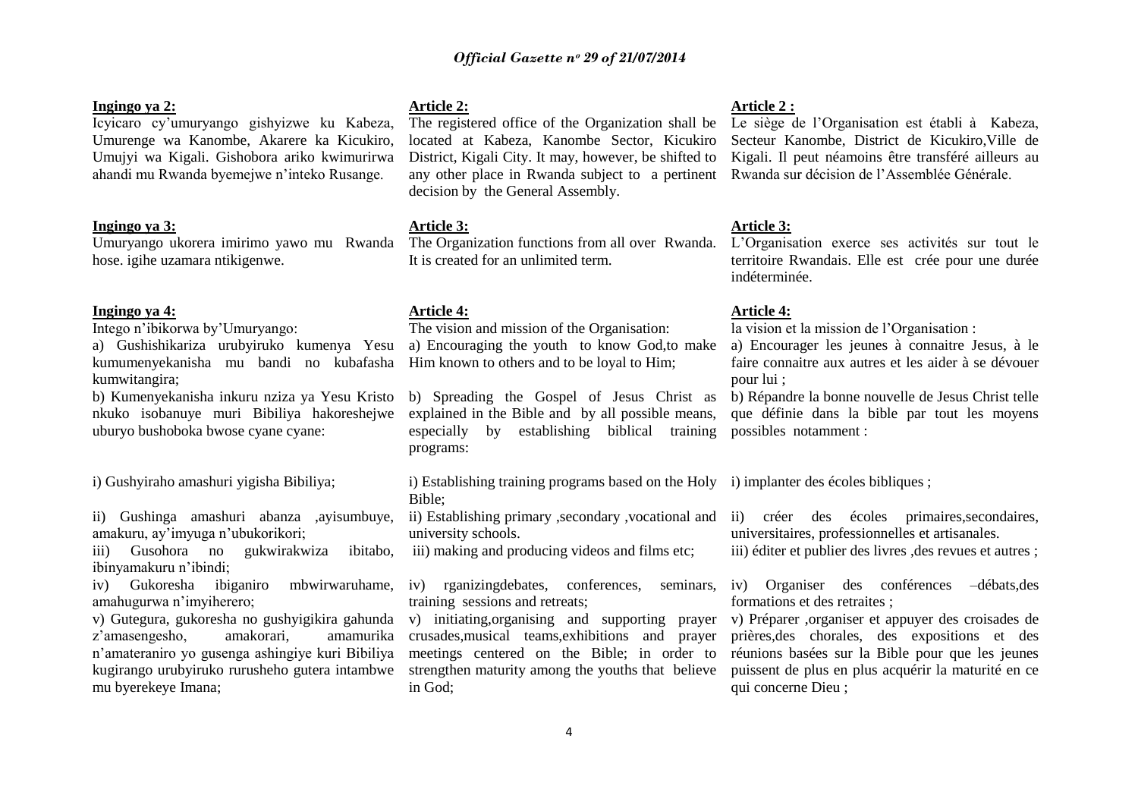# **Ingingo ya 2:**

# Icyicaro cy"umuryango gishyizwe ku Kabeza, Umurenge wa Kanombe, Akarere ka Kicukiro, Umujyi wa Kigali. Gishobora ariko kwimurirwa ahandi mu Rwanda byemejwe n"inteko Rusange.

# **Ingingo ya 3:**

Umuryango ukorera imirimo yawo mu Rwanda hose. igihe uzamara ntikigenwe.

## **Ingingo ya 4:**

Intego n"ibikorwa by"Umuryango:

a) Gushishikariza urubyiruko kumenya Yesu kumumenyekanisha mu bandi no kubafasha kumwitangira;

b) Kumenyekanisha inkuru nziza ya Yesu Kristo nkuko isobanuye muri Bibiliya hakoreshejwe uburyo bushoboka bwose cyane cyane:

i) Gushyiraho amashuri yigisha Bibiliya;

ii) Gushinga amashuri abanza ,ayisumbuye, amakuru, ay"imyuga n"ubukorikori;

iii) Gusohora no gukwirakwiza ibitabo, ibinyamakuru n"ibindi;

iv) Gukoresha ibiganiro mbwirwaruhame, amahugurwa n"imyiherero;

v) Gutegura, gukoresha no gushyigikira gahunda z"amasengesho, amakorari, amamurika n"amateraniro yo gusenga ashingiye kuri Bibiliya kugirango urubyiruko rurusheho gutera intambwe mu byerekeye Imana;

# **Article 2:**

The registered office of the Organization shall be Le siège de l"Organisation est établi à Kabeza, located at Kabeza, Kanombe Sector, Kicukiro District, Kigali City. It may, however, be shifted to any other place in Rwanda subject to a pertinent Rwanda sur décision de l"Assemblée Générale. decision by the General Assembly.

# **Article 3:**

The Organization functions from all over Rwanda. It is created for an unlimited term.

# **Article 4:**

The vision and mission of the Organisation: a) Encouraging the youth to know God,to make Him known to others and to be loyal to Him;

b) Spreading the Gospel of Jesus Christ as explained in the Bible and by all possible means, especially by establishing biblical training possibles notamment : programs:

i) Establishing training programs based on the Holy i) implanter des écoles bibliques ; Bible;

ii) Establishing primary ,secondary ,vocational and university schools.

iii) making and producing videos and films etc;

iv) rganizingdebates, conferences, seminars, iv) Organiser des conférences –débats,des training sessions and retreats;

v) initiating,organising and supporting prayer v) Préparer ,organiser et appuyer des croisades de crusades,musical teams,exhibitions and prayer meetings centered on the Bible; in order to strengthen maturity among the youths that believe in God;

#### **Article 2 :**

Secteur Kanombe, District de Kicukiro,Ville de Kigali. Il peut néamoins être transféré ailleurs au

# **Article 3:**

L"Organisation exerce ses activités sur tout le territoire Rwandais. Elle est crée pour une durée indéterminée.

#### **Article 4:**

la vision et la mission de l"Organisation :

a) Encourager les jeunes à connaitre Jesus, à le faire connaitre aux autres et les aider à se dévouer pour lui ;

b) Répandre la bonne nouvelle de Jesus Christ telle que définie dans la bible par tout les moyens

ii) créer des écoles primaires,secondaires, universitaires, professionnelles et artisanales.

iii) éditer et publier des livres , des revues et autres ;

formations et des retraites ;

prières,des chorales, des expositions et des réunions basées sur la Bible pour que les jeunes puissent de plus en plus acquérir la maturité en ce qui concerne Dieu ;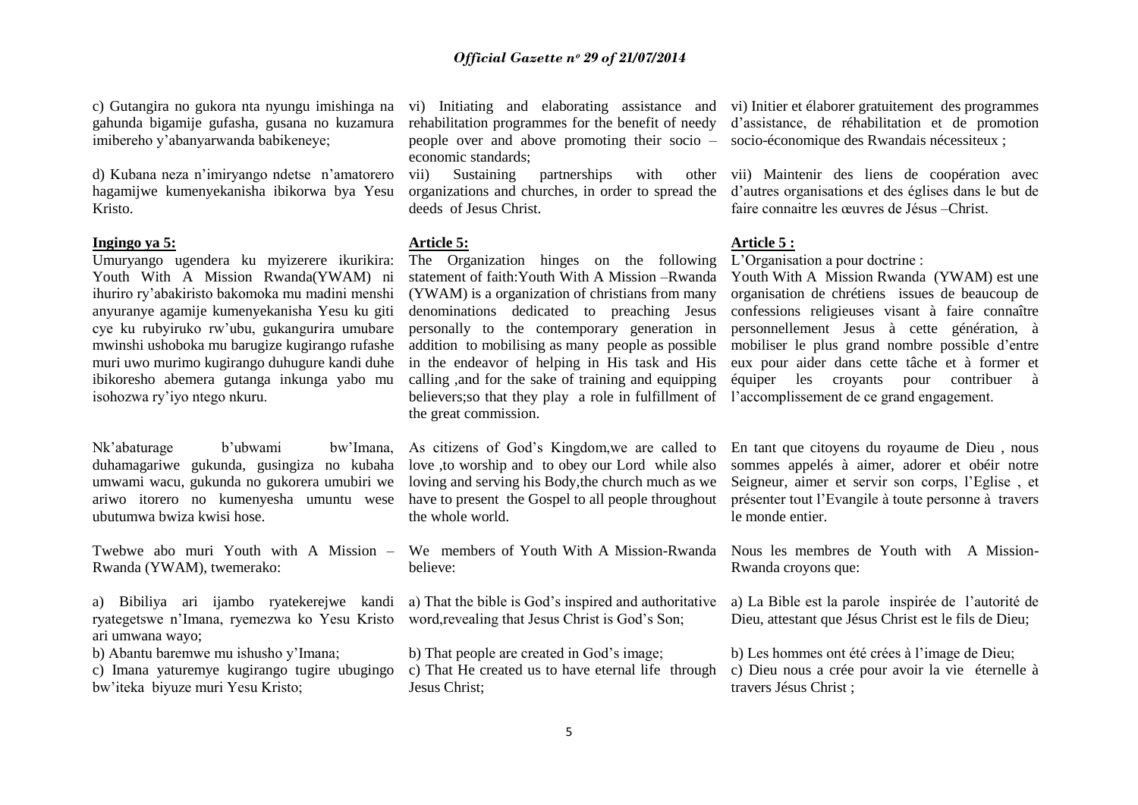c) Gutangira no gukora nta nyungu imishinga na gahunda bigamije gufasha, gusana no kuzamura imibereho y"abanyarwanda babikeneye;

d) Kubana neza n"imiryango ndetse n"amatorero hagamijwe kumenyekanisha ibikorwa bya Yesu Kristo.

# **Ingingo ya 5:**

Umuryango ugendera ku myizerere ikurikira: Youth With A Mission Rwanda(YWAM) ni ihuriro ry"abakiristo bakomoka mu madini menshi anyuranye agamije kumenyekanisha Yesu ku giti cye ku rubyiruko rw"ubu, gukangurira umubare mwinshi ushoboka mu barugize kugirango rufashe muri uwo murimo kugirango duhugure kandi duhe ibikoresho abemera gutanga inkunga yabo mu isohozwa ry"iyo ntego nkuru.

Nk"abaturage b"ubwami bw"Imana, duhamagariwe gukunda, gusingiza no kubaha umwami wacu, gukunda no gukorera umubiri we ariwo itorero no kumenyesha umuntu wese ubutumwa bwiza kwisi hose.

Rwanda (YWAM), twemerako:

a) Bibiliya ari ijambo ryatekerejwe kandi ryategetswe n"Imana, ryemezwa ko Yesu Kristo word,revealing that Jesus Christ is God"s Son; ari umwana wayo;

b) Abantu baremwe mu ishusho y"Imana;

c) Imana yaturemye kugirango tugire ubugingo bw"iteka biyuze muri Yesu Kristo;

rehabilitation programmes for the benefit of needy people over and above promoting their socio – socio-économique des Rwandais nécessiteux ; economic standards;

vii) Sustaining partnerships with other deeds of Jesus Christ.

#### **Article 5:**

The Organization hinges on the following statement of faith:Youth With A Mission –Rwanda (YWAM) is a organization of christians from many denominations dedicated to preaching Jesus personally to the contemporary generation in addition to mobilising as many people as possible in the endeavor of helping in His task and His calling ,and for the sake of training and equipping believers;so that they play a role in fulfillment of l"accomplissement de ce grand engagement. the great commission.

As citizens of God"s Kingdom,we are called to love ,to worship and to obey our Lord while also loving and serving his Body,the church much as we have to present the Gospel to all people throughout the whole world.

Twebwe abo muri Youth with A Mission – We members of Youth With A Mission-Rwanda Nous les membres de Youth with A Missionbelieve:

a) That the bible is God"s inspired and authoritative

b) That people are created in God"s image;

c) That He created us to have eternal life through Jesus Christ;

vi) Initiating and elaborating assistance and vi) Initier et élaborer gratuitement des programmes d"assistance, de réhabilitation et de promotion

organizations and churches, in order to spread the d"autres organisations et des églises dans le but de vii) Maintenir des liens de coopération avec faire connaitre les œuvres de Jésus –Christ.

# **Article 5 :**

L"Organisation a pour doctrine :

Youth With A Mission Rwanda (YWAM) est une organisation de chrétiens issues de beaucoup de confessions religieuses visant à faire connaître personnellement Jesus à cette génération, à mobiliser le plus grand nombre possible d"entre eux pour aider dans cette tâche et à former et équiper les croyants pour contribuer à

En tant que citoyens du royaume de Dieu , nous sommes appelés à aimer, adorer et obéir notre Seigneur, aimer et servir son corps, l"Eglise , et présenter tout l"Evangile à toute personne à travers le monde entier.

Rwanda croyons que:

a) La Bible est la parole inspirée de l"autorité de Dieu, attestant que Jésus Christ est le fils de Dieu;

b) Les hommes ont été crées à l"image de Dieu; c) Dieu nous a crée pour avoir la vie éternelle à travers Jésus Christ ;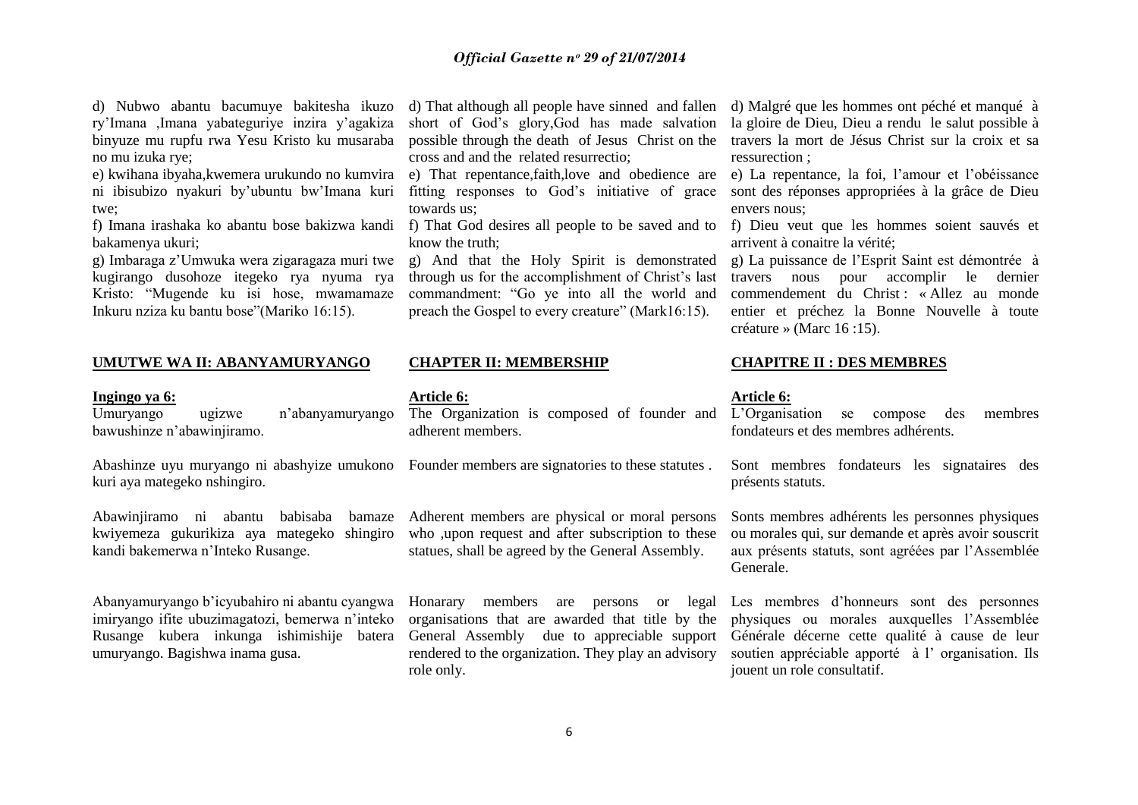d) Nubwo abantu bacumuye bakitesha ikuzo ry"Imana ,Imana yabateguriye inzira y"agakiza binyuze mu rupfu rwa Yesu Kristo ku musaraba no mu izuka rye;

e) kwihana ibyaha,kwemera urukundo no kumvira ni ibisubizo nyakuri by"ubuntu bw"Imana kuri twe;

f) Imana irashaka ko abantu bose bakizwa kandi bakamenya ukuri;

g) Imbaraga z"Umwuka wera zigaragaza muri twe kugirango dusohoze itegeko rya nyuma rya Kristo: "Mugende ku isi hose, mwamamaze Inkuru nziza ku bantu bose"(Mariko 16:15).

# **UMUTWE WA II: ABANYAMURYANGO**

#### **Ingingo ya 6:**

Umuryango ugizwe n"abanyamuryango bawushinze n"abawinjiramo.

Abashinze uyu muryango ni abashyize umukono kuri aya mategeko nshingiro.

Abawinjiramo ni abantu babisaba bamaze kwiyemeza gukurikiza aya mategeko shingiro kandi bakemerwa n"Inteko Rusange.

Abanyamuryango b"icyubahiro ni abantu cyangwa imiryango ifite ubuzimagatozi, bemerwa n"inteko Rusange kubera inkunga ishimishije batera umuryango. Bagishwa inama gusa.

short of God"s glory,God has made salvation cross and and the related resurrectio;

e) That repentance,faith,love and obedience are fitting responses to God"s initiative of grace towards us;

know the truth;

g) And that the Holy Spirit is demonstrated through us for the accomplishment of Christ"s last commandment: "Go ye into all the world and preach the Gospel to every creature" (Mark16:15).

# **CHAPTER II: MEMBERSHIP**

# **Article 6:**

The Organization is composed of founder and adherent members.

Founder members are signatories to these statutes .

Adherent members are physical or moral persons who , upon request and after subscription to these statues, shall be agreed by the General Assembly.

Honarary members are persons or legal organisations that are awarded that title by the General Assembly due to appreciable support rendered to the organization. They play an advisory role only.

d) That although all people have sinned and fallen d) Malgré que les hommes ont péché et manqué à possible through the death of Jesus Christ on the travers la mort de Jésus Christ sur la croix et sa la gloire de Dieu, Dieu a rendu le salut possible à ressurection ;

> e) La repentance, la foi, l"amour et l"obéissance sont des réponses appropriées à la grâce de Dieu envers nous;

f) That God desires all people to be saved and to f) Dieu veut que les hommes soient sauvés et arrivent à conaitre la vérité;

> g) La puissance de l"Esprit Saint est démontrée à travers nous pour accomplir le dernier commendement du Christ : « Allez au monde entier et préchez la Bonne Nouvelle à toute créature » (Marc 16 :15).

## **CHAPITRE II : DES MEMBRES**

# **Article 6:**

L"Organisation se compose des membres fondateurs et des membres adhérents.

Sont membres fondateurs les signataires des présents statuts.

Sonts membres adhérents les personnes physiques ou morales qui, sur demande et après avoir souscrit aux présents statuts, sont agréées par l"Assemblée Generale.

Les membres d"honneurs sont des personnes physiques ou morales auxquelles l"Assemblée Générale décerne cette qualité à cause de leur soutien appréciable apporté à l'organisation. Ils jouent un role consultatif.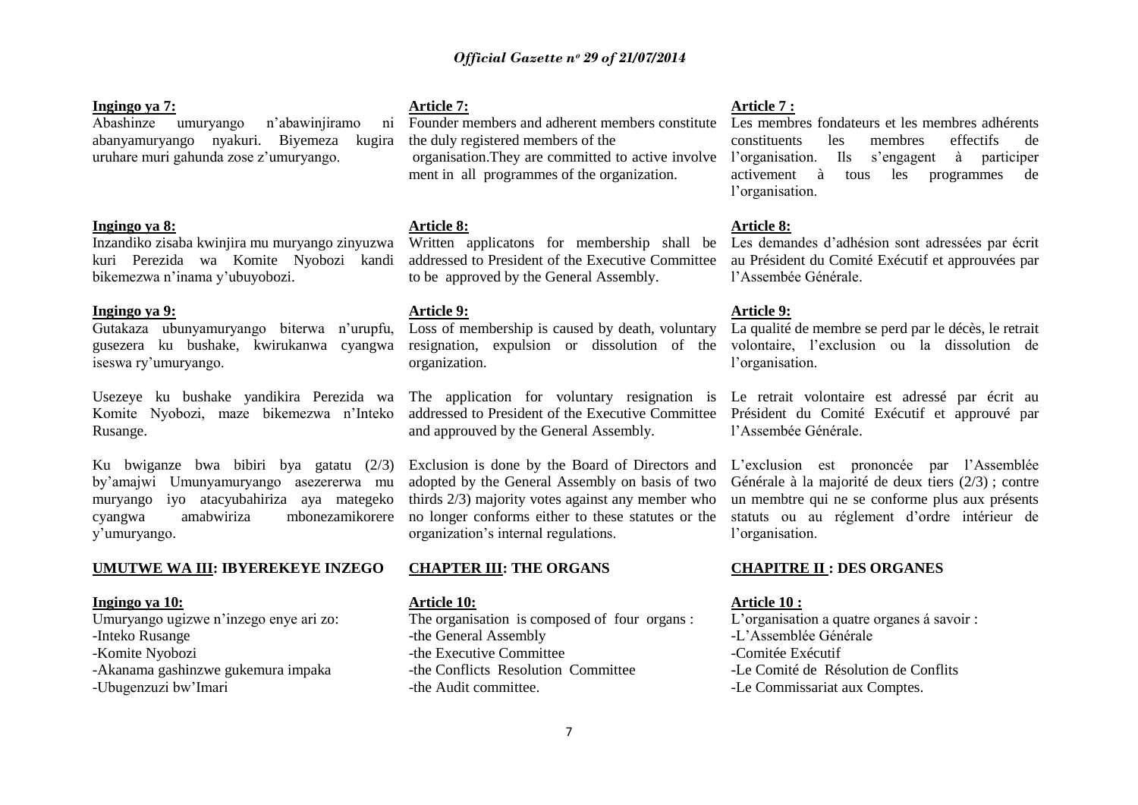# **Ingingo ya 7:**

Abashinze umuryango n"abawinjiramo ni abanyamuryango nyakuri. Biyemeza kugira uruhare muri gahunda zose z"umuryango.

# **Ingingo ya 8:**

Inzandiko zisaba kwinjira mu muryango zinyuzwa kuri Perezida wa Komite Nyobozi kandi bikemezwa n"inama y"ubuyobozi.

#### **Ingingo ya 9:**

Gutakaza ubunyamuryango biterwa n"urupfu, gusezera ku bushake, kwirukanwa cyangwa iseswa ry"umuryango.

Usezeye ku bushake yandikira Perezida wa Komite Nyobozi, maze bikemezwa n"Inteko Rusange.

Ku bwiganze bwa bibiri bya gatatu (2/3) by"amajwi Umunyamuryango asezererwa mu muryango iyo atacyubahiriza aya mategeko cyangwa amabwiriza mbonezamikorere y"umuryango.

#### **UMUTWE WA III: IBYEREKEYE INZEGO**

# **Ingingo ya 10:**

Umuryango ugizwe n"inzego enye ari zo:

- -Inteko Rusange
- -Komite Nyobozi
- -Akanama gashinzwe gukemura impaka
- -Ubugenzuzi bw"Imari

# **Article 7:**

Founder members and adherent members constitute the duly registered members of the ment in all programmes of the organization.

# **Article 8:**

addressed to President of the Executive Committee au Président du Comité Exécutif et approuvées par to be approved by the General Assembly.

# **Article 9:**

organization.

The application for voluntary resignation is Le retrait volontaire est adressé par écrit au and approuved by the General Assembly.

Exclusion is done by the Board of Directors and adopted by the General Assembly on basis of two thirds 2/3) majority votes against any member who no longer conforms either to these statutes or the organization"s internal regulations.

# **CHAPTER III: THE ORGANS**

# **Article 10:**

The organisation is composed of four organs : -the General Assembly -the Executive Committee -the Conflicts Resolution Committee -the Audit committee.

## **Article 7 :**

organisation.They are committed to active involve l"organisation. Ils s"engagent à participer Les membres fondateurs et les membres adhérents constituents les membres effectifs de activement à tous les programmes de l'organisation.

# **Article 8:**

Written applicatons for membership shall be Les demandes d"adhésion sont adressées par écrit l"Assembée Générale.

### **Article 9:**

Loss of membership is caused by death, voluntary La qualité de membre se perd par le décès, le retrait resignation, expulsion or dissolution of the volontaire, l'exclusion ou la dissolution de l'organisation.

addressed to President of the Executive Committee Président du Comité Exécutif et approuvé par l"Assembée Générale.

> L"exclusion est prononcée par l"Assemblée Générale à la majorité de deux tiers (2/3) ; contre un membtre qui ne se conforme plus aux présents statuts ou au réglement d"ordre intérieur de l"organisation.

# **CHAPITRE II : DES ORGANES**

# **Article 10 :**

L'organisation a quatre organes á savoir : -L"Assemblée Générale -Comitée Exécutif -Le Comité de Résolution de Conflits -Le Commissariat aux Comptes.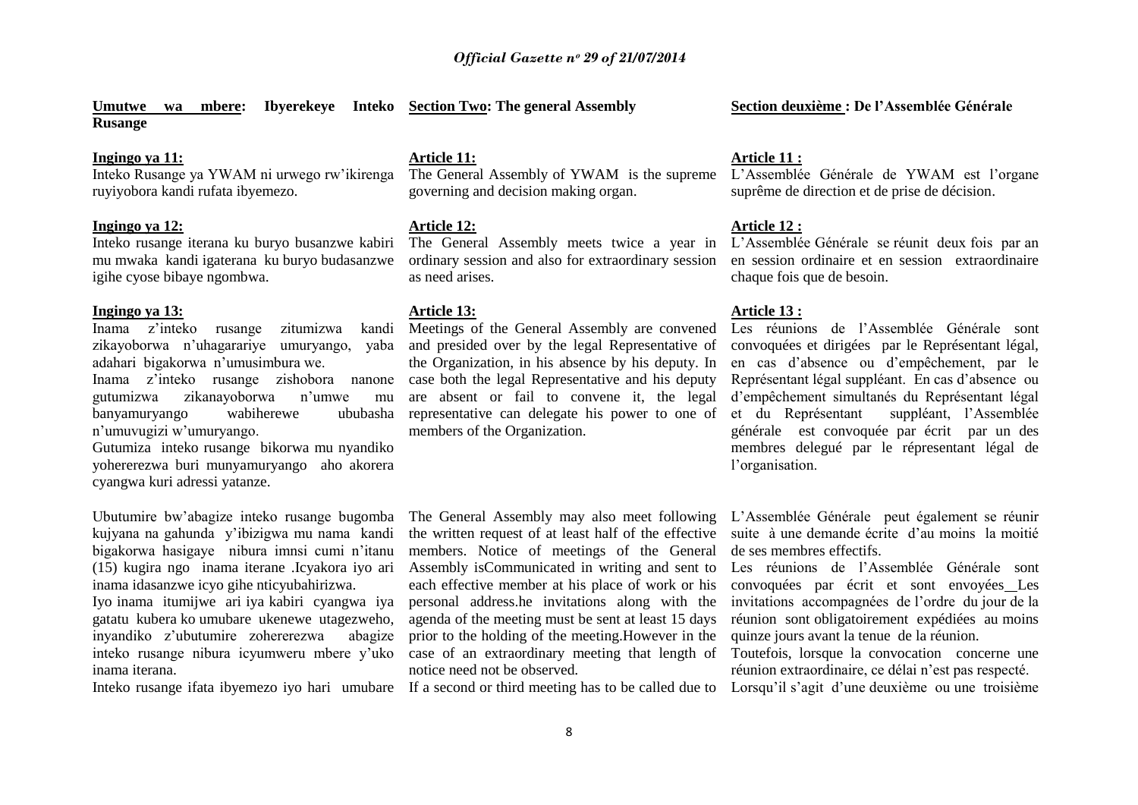**Umutwe wa mbere: Ibyerekeye Inteko Section Two: The general Assembly Rusange**

# **Ingingo ya 11:**

Inteko Rusange ya YWAM ni urwego rw"ikirenga ruyiyobora kandi rufata ibyemezo.

# **Ingingo ya 12:**

Inteko rusange iterana ku buryo busanzwe kabiri mu mwaka kandi igaterana ku buryo budasanzwe igihe cyose bibaye ngombwa.

#### **Ingingo ya 13:**

inama iterana.

Inama z"inteko rusange zitumizwa kandi zikayoborwa n"uhagarariye umuryango, yaba adahari bigakorwa n"umusimbura we.

Inama z"inteko rusange zishobora nanone gutumizwa zikanayoborwa n"umwe mu banyamuryango wabiherewe ububasha n"umuvugizi w"umuryango.

Gutumiza inteko rusange bikorwa mu nyandiko yohererezwa buri munyamuryango aho akorera cyangwa kuri adressi yatanze.

Ubutumire bw"abagize inteko rusange bugomba kujyana na gahunda y"ibizigwa mu nama kandi bigakorwa hasigaye nibura imnsi cumi n"itanu (15) kugira ngo inama iterane .Icyakora iyo ari inama idasanzwe icyo gihe nticyubahirizwa. Iyo inama itumijwe ari iya kabiri cyangwa iya gatatu kubera ko umubare ukenewe utagezweho, inyandiko z"ubutumire zohererezwa abagize inteko rusange nibura icyumweru mbere y"uko

**Article 11:**

The General Assembly of YWAM is the supreme governing and decision making organ.

# **Article 12:**

The General Assembly meets twice a year in ordinary session and also for extraordinary session as need arises.

### **Article 13:**

Meetings of the General Assembly are convened and presided over by the legal Representative of the Organization, in his absence by his deputy. In case both the legal Representative and his deputy are absent or fail to convene it, the legal representative can delegate his power to one of members of the Organization.

The General Assembly may also meet following the written request of at least half of the effective members. Notice of meetings of the General Assembly isCommunicated in writing and sent to each effective member at his place of work or his personal address.he invitations along with the agenda of the meeting must be sent at least 15 days prior to the holding of the meeting.However in the case of an extraordinary meeting that length of notice need not be observed.

Inteko rusange ifata ibyemezo iyo hari umubare If a second or third meeting has to be called due to Lorsqu'il s'agit d'une deuxième ou une troisième

# **Section deuxième : De l'Assemblée Générale**

## **Article 11 :**

L"Assemblée Générale de YWAM est l"organe suprême de direction et de prise de décision.

# **Article 12 :**

L"Assemblée Générale se réunit deux fois par an en session ordinaire et en session extraordinaire chaque fois que de besoin.

# **Article 13 :**

Les réunions de l"Assemblée Générale sont convoquées et dirigées par le Représentant légal, en cas d"absence ou d"empêchement, par le Représentant légal suppléant. En cas d"absence ou d"empêchement simultanés du Représentant légal et du Représentant suppléant, l"Assemblée générale est convoquée par écrit par un des membres delegué par le répresentant légal de l"organisation.

L"Assemblée Générale peut également se réunir suite à une demande écrite d"au moins la moitié de ses membres effectifs.

Les réunions de l"Assemblée Générale sont convoquées par écrit et sont envoyées Les invitations accompagnées de l"ordre du jour de la réunion sont obligatoirement expédiées au moins quinze jours avant la tenue de la réunion.

Toutefois, lorsque la convocation concerne une réunion extraordinaire, ce délai n"est pas respecté.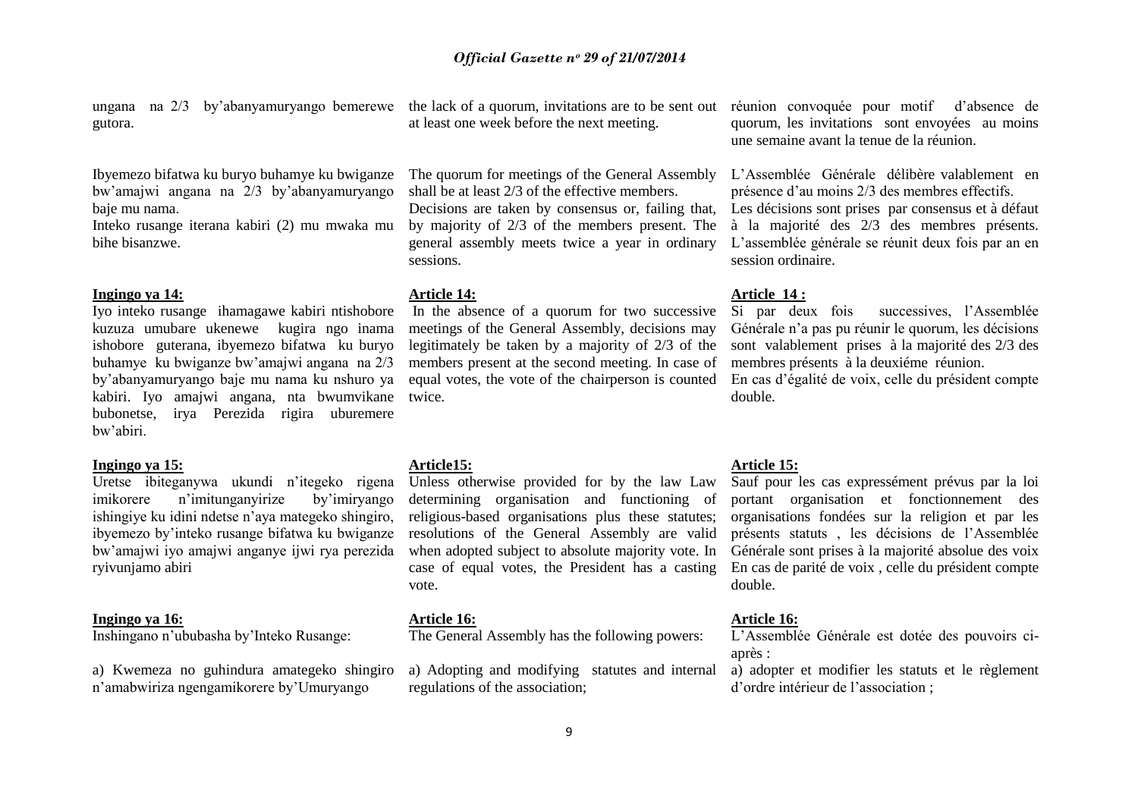ungana na 2/3 by"abanyamuryango bemerewe the lack of a quorum, invitations are to be sent out réunion convoquée pour motif d"absence de gutora.

Ibyemezo bifatwa ku buryo buhamye ku bwiganze bw"amajwi angana na 2/3 by"abanyamuryango baje mu nama.

Inteko rusange iterana kabiri (2) mu mwaka mu bihe bisanzwe.

#### **Ingingo ya 14:**

Iyo inteko rusange ihamagawe kabiri ntishobore kuzuza umubare ukenewe kugira ngo inama ishobore guterana, ibyemezo bifatwa ku buryo buhamye ku bwiganze bw"amajwi angana na 2/3 by"abanyamuryango baje mu nama ku nshuro ya kabiri. Iyo amajwi angana, nta bwumvikane bubonetse, irya Perezida rigira uburemere bw"abiri.

# **Ingingo ya 15:**

Uretse ibiteganywa ukundi n"itegeko rigena imikorere n"imitunganyirize by"imiryango ishingiye ku idini ndetse n"aya mategeko shingiro, ibyemezo by"inteko rusange bifatwa ku bwiganze bw"amajwi iyo amajwi anganye ijwi rya perezida ryivunjamo abiri

#### **Ingingo ya 16:**

Inshingano n"ububasha by"Inteko Rusange:

a) Kwemeza no guhindura amategeko shingiro n"amabwiriza ngengamikorere by"Umuryango

at least one week before the next meeting.

The quorum for meetings of the General Assembly shall be at least 2/3 of the effective members. Decisions are taken by consensus or, failing that, by majority of 2/3 of the members present. The general assembly meets twice a year in ordinary sessions.

#### **Article 14:**

In the absence of a quorum for two successive meetings of the General Assembly, decisions may legitimately be taken by a majority of 2/3 of the members present at the second meeting. In case of equal votes, the vote of the chairperson is counted twice.

# **Article15:**

Unless otherwise provided for by the law Law determining organisation and functioning of religious-based organisations plus these statutes; resolutions of the General Assembly are valid when adopted subject to absolute majority vote. In case of equal votes, the President has a casting vote.

# **Article 16:**

The General Assembly has the following powers:

a) Adopting and modifying statutes and internal regulations of the association;

quorum, les invitations sont envoyées au moins une semaine avant la tenue de la réunion.

L"Assemblée Générale délibère valablement en présence d"au moins 2/3 des membres effectifs. Les décisions sont prises par consensus et à défaut à la majorité des 2/3 des membres présents. L"assemblée générale se réunit deux fois par an en session ordinaire.

#### **Article 14 :**

Si par deux fois successives, l"Assemblée Générale n"a pas pu réunir le quorum, les décisions sont valablement prises à la majorité des 2/3 des membres présents à la deuxiéme réunion. En cas d"égalité de voix, celle du président compte double.

# **Article 15:**

Sauf pour les cas expressément prévus par la loi portant organisation et fonctionnement des organisations fondées sur la religion et par les présents statuts , les décisions de l"Assemblée Générale sont prises à la majorité absolue des voix En cas de parité de voix , celle du président compte double.

# **Article 16:**

L"Assemblée Générale est dotée des pouvoirs ciaprès :

a) adopter et modifier les statuts et le règlement d"ordre intérieur de l"association ;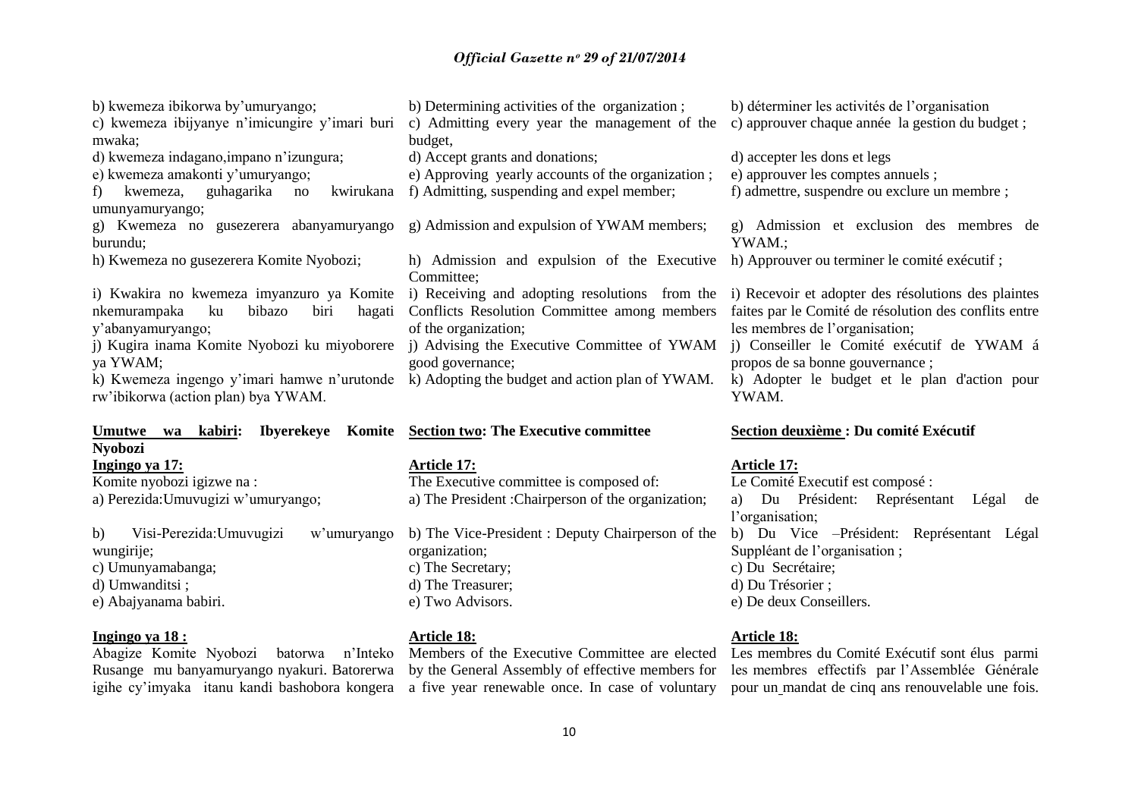| b) kwemeza ibikorwa by'umuryango;<br>c) kwemeza ibijyanye n'imicungire y'imari buri<br>mwaka;<br>d) kwemeza indagano, impano n'izungura;<br>e) kwemeza amakonti y'umuryango;<br>kwemeza, guhagarika<br>kwirukana<br>no<br>$\pm$ | b) Determining activities of the organization;<br>c) Admitting every year the management of the<br>budget,<br>d) Accept grants and donations;<br>e) Approving yearly accounts of the organization;<br>f) Admitting, suspending and expel member;                                                                                                                              | b) déterminer les activités de l'organisation<br>c) approuver chaque année la gestion du budget ;<br>d) accepter les dons et legs<br>e) approuver les comptes annuels ;<br>f) admettre, suspendre ou exclure un membre ;                    |
|---------------------------------------------------------------------------------------------------------------------------------------------------------------------------------------------------------------------------------|-------------------------------------------------------------------------------------------------------------------------------------------------------------------------------------------------------------------------------------------------------------------------------------------------------------------------------------------------------------------------------|---------------------------------------------------------------------------------------------------------------------------------------------------------------------------------------------------------------------------------------------|
| umunyamuryango;<br>burundu;                                                                                                                                                                                                     | g) Kwemeza no gusezerera abanyamuryango g) Admission and expulsion of YWAM members;                                                                                                                                                                                                                                                                                           | g) Admission et exclusion des membres de<br>YWAM.;                                                                                                                                                                                          |
| h) Kwemeza no gusezerera Komite Nyobozi;                                                                                                                                                                                        | h) Admission and expulsion of the Executive h) Approuver ou terminer le comité exécutif;<br>Committee;                                                                                                                                                                                                                                                                        |                                                                                                                                                                                                                                             |
| bibazo<br>nkemurampaka<br>ku<br>biri<br>hagati<br>y'abanyamuryango;<br>j) Kugira inama Komite Nyobozi ku miyoborere<br>ya YWAM;<br>rw'ibikorwa (action plan) by aYWAM.                                                          | i) Kwakira no kwemeza imyanzuro ya Komite i) Receiving and adopting resolutions from the<br>Conflicts Resolution Committee among members<br>of the organization;<br>j) Advising the Executive Committee of YWAM j) Conseiller le Comité exécutif de YWAM á<br>good governance;<br>k) Kwemeza ingengo y'imari hamwe n'urutonde k) Adopting the budget and action plan of YWAM. | i) Recevoir et adopter des résolutions des plaintes<br>faites par le Comité de résolution des conflits entre<br>les membres de l'organisation;<br>propos de sa bonne gouvernance;<br>k) Adopter le budget et le plan d'action pour<br>YWAM. |
| Umutwe<br>kabiri:<br><b>Ibyerekeye</b><br>wa<br><b>Nyobozi</b>                                                                                                                                                                  | Komite Section two: The Executive committee                                                                                                                                                                                                                                                                                                                                   | Section deuxième : Du comité Exécutif                                                                                                                                                                                                       |
| Ingingo ya 17:                                                                                                                                                                                                                  | <b>Article 17:</b>                                                                                                                                                                                                                                                                                                                                                            | <b>Article 17:</b>                                                                                                                                                                                                                          |

Komite nyobozi igizwe na : a) Perezida:Umuvugizi w"umuryango;

b) Visi-Perezida:Umuvugizi w"umuryango wungirije; c) Umunyamabanga; d) Umwanditsi ; e) Abajyanama babiri.

# **Ingingo ya 18 :**

Abagize Komite Nyobozi batorwa n"Inteko Members of the Executive Committee are elected Rusange mu banyamuryango nyakuri. Batorerwa

The Executive committee is composed of: a) The President :Chairperson of the organization;

b) The Vice-President : Deputy Chairperson of the organization; c) The Secretary; d) The Treasurer; e) Two Advisors.

#### **Article 18:**

by the General Assembly of effective members for

# Le Comité Executif est composé : a) Du Président: Représentant Légal de l'organisation: b) Du Vice –Président: Représentant Légal Suppléant de l'organisation ;

c) Du Secrétaire;

d) Du Trésorier ;

e) De deux Conseillers.

## **Article 18:**

igihe cy'imyaka itanu kandi bashobora kongera a five year renewable once. In case of voluntary pour un mandat de cinq ans renouvelable une fois. Les membres du Comité Exécutif sont élus parmi les membres effectifs par l"Assemblée Générale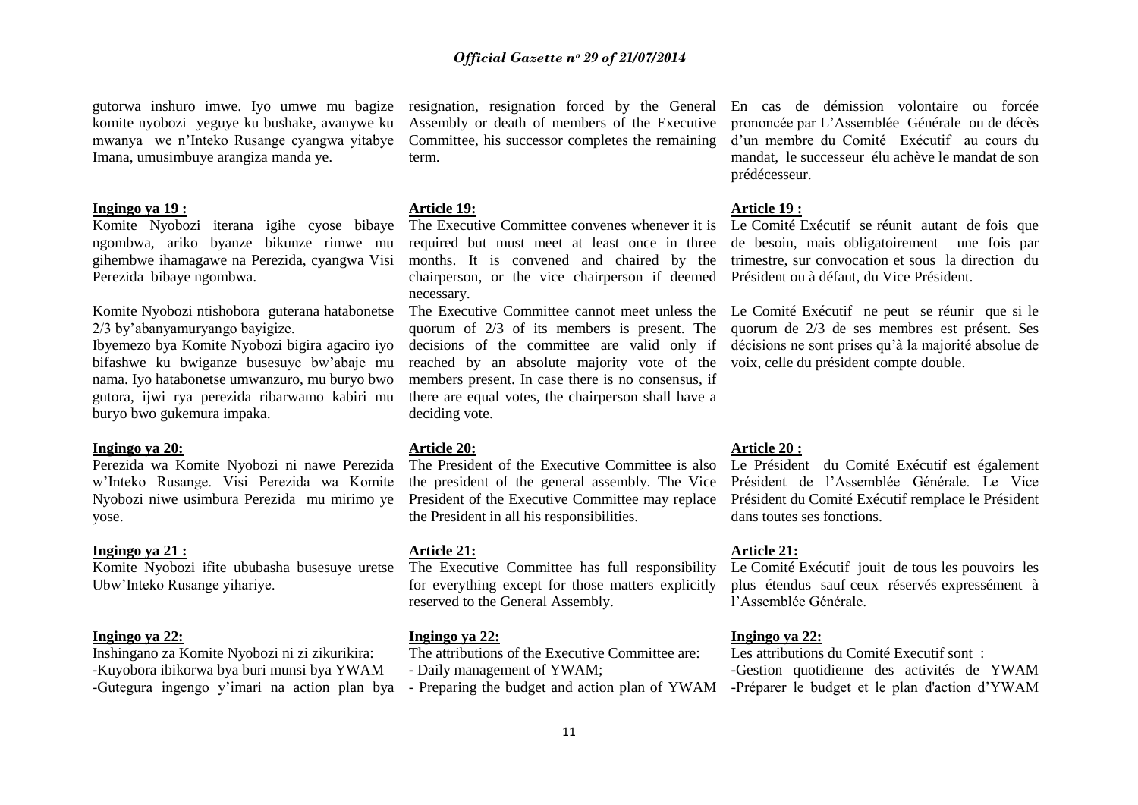gutorwa inshuro imwe. Iyo umwe mu bagize komite nyobozi yeguye ku bushake, avanywe ku mwanya we n"Inteko Rusange cyangwa yitabye Imana, umusimbuye arangiza manda ye.

#### **Ingingo ya 19 :**

Komite Nyobozi iterana igihe cyose bibaye ngombwa, ariko byanze bikunze rimwe mu gihembwe ihamagawe na Perezida, cyangwa Visi Perezida bibaye ngombwa.

Komite Nyobozi ntishobora guterana hatabonetse 2/3 by"abanyamuryango bayigize.

Ibyemezo bya Komite Nyobozi bigira agaciro iyo bifashwe ku bwiganze busesuye bw"abaje mu nama. Iyo hatabonetse umwanzuro, mu buryo bwo gutora, ijwi rya perezida ribarwamo kabiri mu buryo bwo gukemura impaka.

#### **Ingingo ya 20:**

Perezida wa Komite Nyobozi ni nawe Perezida w"Inteko Rusange. Visi Perezida wa Komite Nyobozi niwe usimbura Perezida mu mirimo ye yose.

# **Ingingo ya 21 :**

Komite Nyobozi ifite ububasha busesuye uretse Ubw"Inteko Rusange yihariye.

#### **Ingingo ya 22:**

Inshingano za Komite Nyobozi ni zi zikurikira: -Kuyobora ibikorwa bya buri munsi bya YWAM -Gutegura ingengo y"imari na action plan bya

resignation, resignation forced by the General Assembly or death of members of the Executive Committee, his successor completes the remaining term.

# **Article 19:**

The Executive Committee convenes whenever it is required but must meet at least once in three months. It is convened and chaired by the chairperson, or the vice chairperson if deemed Président ou à défaut, du Vice Président. necessary.

reached by an absolute majority vote of the voix, celle du président compte double. members present. In case there is no consensus, if there are equal votes, the chairperson shall have a deciding vote.

#### **Article 20:**

The President of the Executive Committee is also the president of the general assembly. The Vice the President in all his responsibilities.

# **Article 21:**

The Executive Committee has full responsibility for everything except for those matters explicitly reserved to the General Assembly.

#### **Ingingo ya 22:**

The attributions of the Executive Committee are: - Daily management of YWAM;

- Preparing the budget and action plan of YWAM

En cas de démission volontaire ou forcée prononcée par L"Assemblée Générale ou de décès d"un membre du Comité Exécutif au cours du mandat, le successeur élu achève le mandat de son prédécesseur.

#### **Article 19 :**

Le Comité Exécutif se réunit autant de fois que de besoin, mais obligatoirement une fois par trimestre, sur convocation et sous la direction du

The Executive Committee cannot meet unless the Le Comité Exécutif ne peut se réunir que si le quorum of 2/3 of its members is present. The quorum de 2/3 de ses membres est présent. Ses decisions of the committee are valid only if décisions ne sont prises qu"à la majorité absolue de

#### **Article 20 :**

President of the Executive Committee may replace Président du Comité Exécutif remplace le Président Le Président du Comité Exécutif est également Président de l"Assemblée Générale. Le Vice dans toutes ses fonctions.

# **Article 21:**

Le Comité Exécutif jouit de tous les pouvoirs les plus étendus sauf ceux réservés expressément à l"Assemblée Générale.

#### **Ingingo ya 22:**

Les attributions du Comité Executif sont : -Gestion quotidienne des activités de YWAM -Préparer le budget et le plan d'action d"YWAM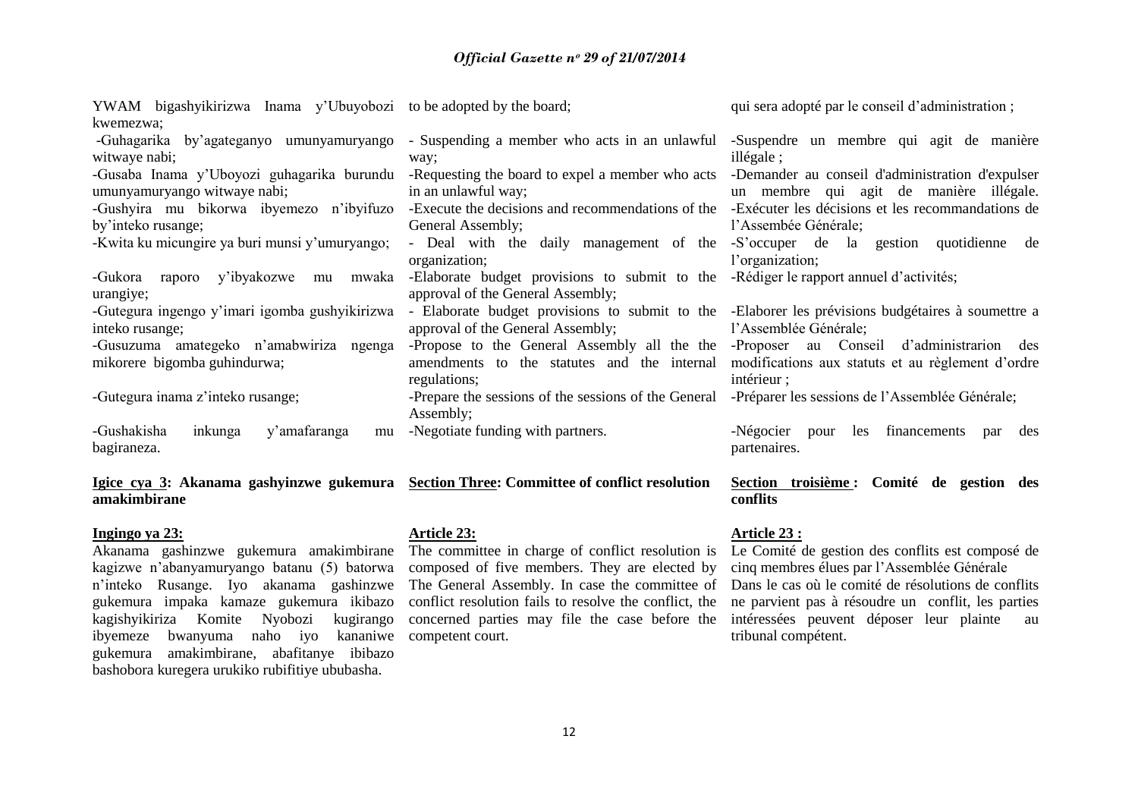| YWAM bigashyikirizwa Inama y'Ubuyobozi to be adopted by the board;                       |                                                                                       | qui sera adopté par le conseil d'administration;                                                  |
|------------------------------------------------------------------------------------------|---------------------------------------------------------------------------------------|---------------------------------------------------------------------------------------------------|
| kwemezwa;                                                                                |                                                                                       |                                                                                                   |
| -Guhagarika by'agateganyo umunyamuryango                                                 | - Suspending a member who acts in an unlawful                                         | -Suspendre un membre qui agit de manière                                                          |
| witwaye nabi;                                                                            | way;                                                                                  | $ill$ égale;                                                                                      |
| -Gusaba Inama y'Uboyozi guhagarika burundu                                               |                                                                                       | -Requesting the board to expel a member who acts -Demander au conseil d'administration d'expulser |
| umunyamuryango witwaye nabi;                                                             | in an unlawful way;                                                                   | un membre qui agit de manière illégale.                                                           |
| -Gushyira mu bikorwa ibyemezo n'ibyifuzo                                                 | -Execute the decisions and recommendations of the                                     | -Exécuter les décisions et les recommandations de                                                 |
| by'inteko rusange;                                                                       | General Assembly;                                                                     | l'Assembée Générale;                                                                              |
| -Kwita ku micungire ya buri munsi y'umuryango;                                           | - Deal with the daily management of the                                               | -S'occuper de la gestion quotidienne de                                                           |
|                                                                                          | organization;                                                                         | l'organization;                                                                                   |
| y'ibyakozwe mu<br>-Gukora raporo<br>mwaka                                                | -Elaborate budget provisions to submit to the -Rédiger le rapport annuel d'activités; |                                                                                                   |
| urangiye;                                                                                | approval of the General Assembly;                                                     |                                                                                                   |
| -Gutegura ingengo y'imari igomba gushyikirizwa                                           |                                                                                       | - Elaborate budget provisions to submit to the -Elaborer les prévisions budgétaires à soumettre a |
| inteko rusange;                                                                          | approval of the General Assembly;                                                     | l'Assemblée Générale;                                                                             |
| -Gusuzuma amategeko n'amabwiriza ngenga                                                  | -Propose to the General Assembly all the the                                          | -Proposer au Conseil d'administration des                                                         |
| mikorere bigomba guhindurwa;                                                             | amendments to the statutes and the internal                                           | modifications aux statuts et au règlement d'ordre                                                 |
|                                                                                          | regulations;                                                                          | intérieur ;                                                                                       |
| -Gutegura inama z'inteko rusange;                                                        | -Prepare the sessions of the sessions of the General                                  | -Préparer les sessions de l'Assemblée Générale;                                                   |
|                                                                                          | Assembly;                                                                             |                                                                                                   |
| -Gushakisha<br>y'amafaranga<br>inkunga<br>mu                                             | -Negotiate funding with partners.                                                     | financements<br>les<br>-Négocier<br>des<br>pour<br>par                                            |
| bagiraneza.                                                                              |                                                                                       | partenaires.                                                                                      |
|                                                                                          |                                                                                       |                                                                                                   |
| Igice cya 3: Akanama gashyinzwe gukemura Section Three: Committee of conflict resolution |                                                                                       | Section troisième : Comité de gestion des                                                         |

# **Igice cya 3: Akanama gashyinzwe gukemura Section Three: Committee of conflict resolution amakimbirane**

# **Ingingo ya 23:**

Akanama gashinzwe gukemura amakimbirane kagizwe n"abanyamuryango batanu (5) batorwa n"inteko Rusange. Iyo akanama gashinzwe gukemura impaka kamaze gukemura ikibazo kagishyikiriza Komite Nyobozi kugirango ibyemeze bwanyuma naho iyo kananiwe gukemura amakimbirane, abafitanye ibibazo bashobora kuregera urukiko rubifitiye ububasha.

# **Article 23:**

The committee in charge of conflict resolution is composed of five members. They are elected by conflict resolution fails to resolve the conflict, the concerned parties may file the case before the competent court.

# **Article 23 :**

**conflits**

The General Assembly. In case the committee of Dans le cas où le comité de résolutions de conflits Le Comité de gestion des conflits est composé de cinq membres élues par l"Assemblée Générale ne parvient pas à résoudre un conflit, les parties intéressées peuvent déposer leur plainte au tribunal compétent.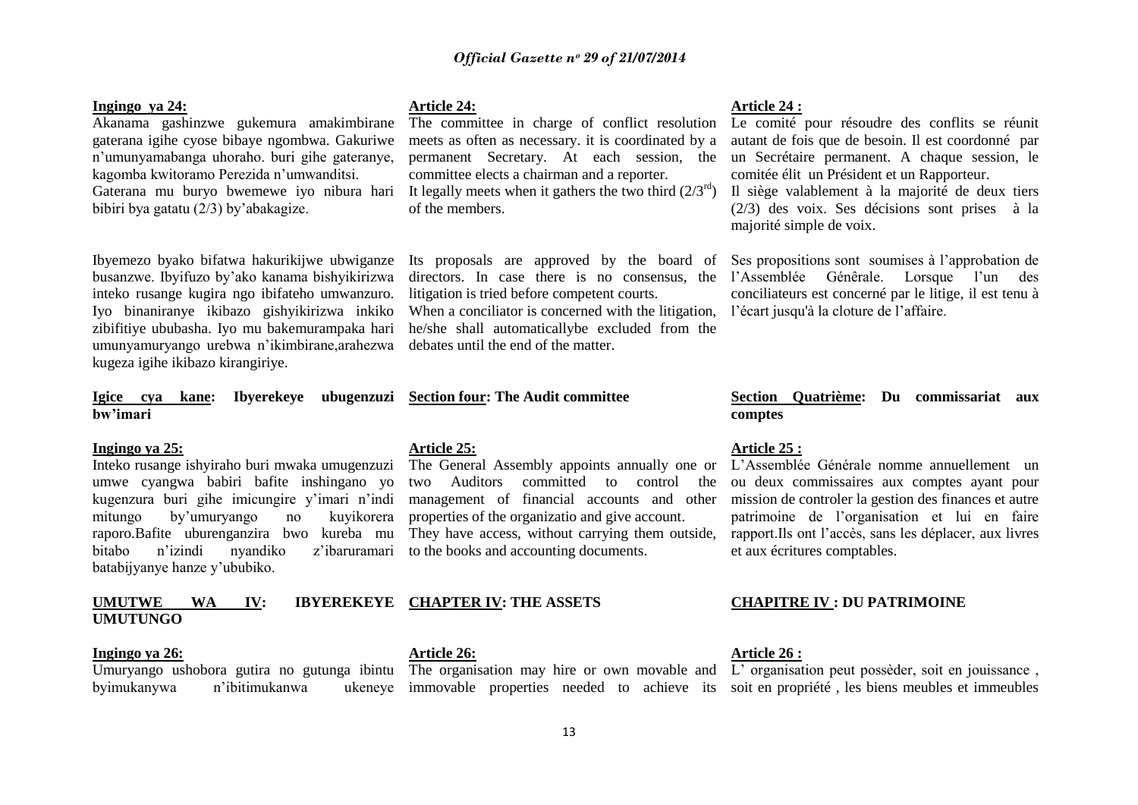# **Ingingo ya 24:**

Akanama gashinzwe gukemura amakimbirane gaterana igihe cyose bibaye ngombwa. Gakuriwe n"umunyamabanga uhoraho. buri gihe gateranye, kagomba kwitoramo Perezida n"umwanditsi. Gaterana mu buryo bwemewe iyo nibura hari bibiri bya gatatu (2/3) by"abakagize.

Ibyemezo byako bifatwa hakurikijwe ubwiganze busanzwe. Ibyifuzo by"ako kanama bishyikirizwa inteko rusange kugira ngo ibifateho umwanzuro. Iyo binaniranye ikibazo gishyikirizwa inkiko zibifitiye ububasha. Iyo mu bakemurampaka hari umunyamuryango urebwa n"ikimbirane,arahezwa kugeza igihe ikibazo kirangiriye.

# **Igice cya kane: Ibyerekeye ubugenzuzi Section four: The Audit committee bw'imari**

#### **Ingingo ya 25:**

Inteko rusange ishyiraho buri mwaka umugenzuzi umwe cyangwa babiri bafite inshingano yo kugenzura buri gihe imicungire y"imari n"indi mitungo by"umuryango no kuyikorera raporo.Bafite uburenganzira bwo kureba mu bitabo n"izindi nyandiko z"ibaruramari to the books and accounting documents. batabijyanye hanze y"ububiko.

# **UMUTWE WA IV: IBYEREKEYE CHAPTER IV: THE ASSETS UMUTUNGO**

# **Ingingo ya 26:**

byimukanywa n'ibitimukanwa

# **Article 24:**

The committee in charge of conflict resolution meets as often as necessary. it is coordinated by a permanent Secretary. At each session, the committee elects a chairman and a reporter. It legally meets when it gathers the two third  $(2/3<sup>rd</sup>)$ of the members.

Its proposals are approved by the board of litigation is tried before competent courts. When a conciliator is concerned with the litigation, he/she shall automaticallybe excluded from the debates until the end of the matter.

# **Article 25:**

The General Assembly appoints annually one or L"Assemblée Générale nomme annuellement un two Auditors committed to control the management of financial accounts and other properties of the organizatio and give account. They have access, without carrying them outside,

**Article 26:**

Umuryango ushobora gutira no gutunga ibintu The organisation may hire or own movable and L'organisation peut possèder, soit en jouissance,

# **Article 24 :**

Le comité pour résoudre des conflits se réunit autant de fois que de besoin. Il est coordonné par un Secrétaire permanent. A chaque session, le comitée élit un Président et un Rapporteur.

Il siège valablement à la majorité de deux tiers (2/3) des voix. Ses décisions sont prises à la majorité simple de voix.

directors. In case there is no consensus, the l"Assemblée Génêrale. Lorsque l"un des Ses propositions sont soumises à l"approbation de conciliateurs est concerné par le litige, il est tenu à l"écart jusqu'à la cloture de l"affaire.

# **Section Quatrième: Du commissariat aux comptes**

#### **Article 25 :**

ou deux commissaires aux comptes ayant pour mission de controler la gestion des finances et autre patrimoine de l"organisation et lui en faire rapport.Ils ont l"accès, sans les déplacer, aux livres et aux écritures comptables.

# **CHAPITRE IV : DU PATRIMOINE**

# **Article 26 :**

immovable properties needed to achieve its soit en propriété , les biens meubles et immeubles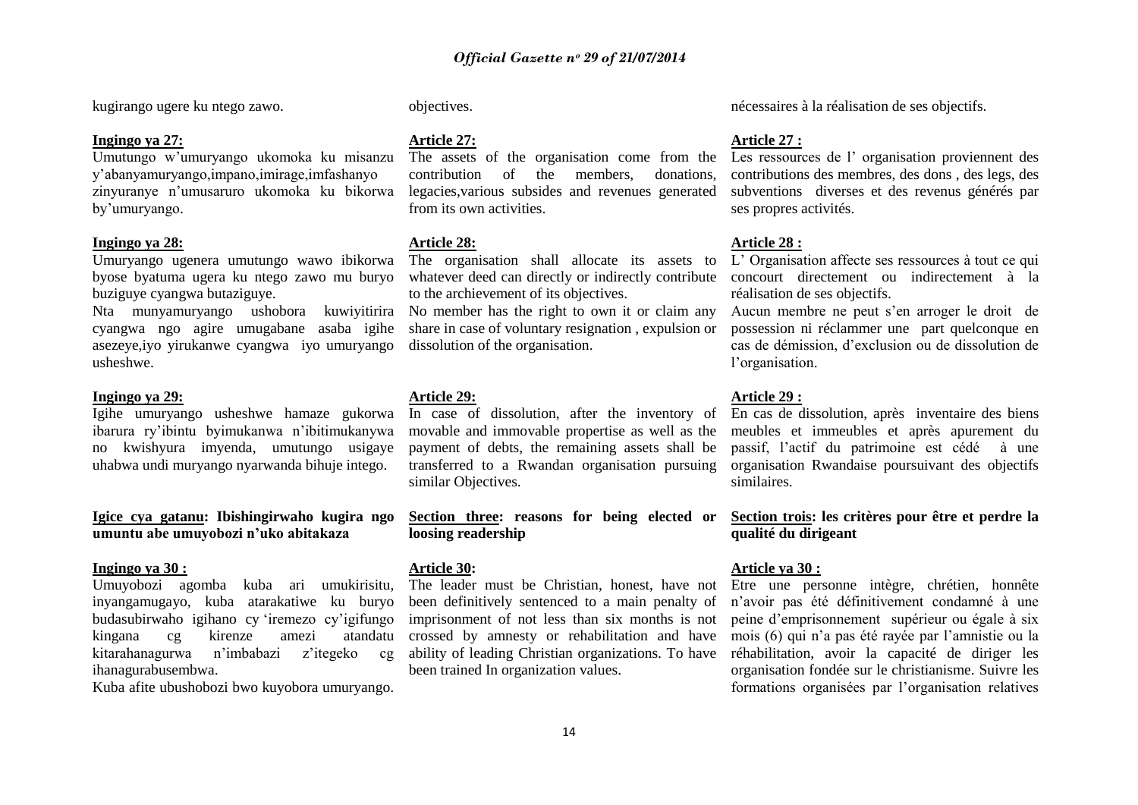kugirango ugere ku ntego zawo.

# **Ingingo ya 27:**

Umutungo w"umuryango ukomoka ku misanzu y"abanyamuryango,impano,imirage,imfashanyo zinyuranye n"umusaruro ukomoka ku bikorwa by"umuryango.

# **Ingingo ya 28:**

Umuryango ugenera umutungo wawo ibikorwa byose byatuma ugera ku ntego zawo mu buryo buziguye cyangwa butaziguye.

Nta munyamuryango ushobora kuwiyitirira cyangwa ngo agire umugabane asaba igihe asezeye,iyo yirukanwe cyangwa iyo umuryango usheshwe.

#### **Ingingo ya 29:**

Igihe umuryango usheshwe hamaze gukorwa ibarura ry"ibintu byimukanwa n"ibitimukanywa no kwishyura imyenda, umutungo usigaye uhabwa undi muryango nyarwanda bihuje intego.

**Igice cya gatanu: Ibishingirwaho kugira ngo umuntu abe umuyobozi n'uko abitakaza**

# **Ingingo ya 30 :**

Umuyobozi agomba kuba ari umukirisitu, inyangamugayo, kuba atarakatiwe ku buryo budasubirwaho igihano cy "iremezo cy"igifungo kingana cg kirenze amezi atandatu kitarahanagurwa n"imbabazi z"itegeko cg ihanagurabusembwa.

Kuba afite ubushobozi bwo kuyobora umuryango.

objectives.

# **Article 27:**

contribution of the members, donations, legacies,various subsides and revenues generated from its own activities.

# **Article 28:**

The organisation shall allocate its assets to to the archievement of its objectives.

No member has the right to own it or claim any share in case of voluntary resignation , expulsion or dissolution of the organisation.

# **Article 29:**

In case of dissolution, after the inventory of En cas de dissolution, après inventaire des biens movable and immovable propertise as well as the payment of debts, the remaining assets shall be similar Objectives.

**Section three: reasons for being elected or loosing readership** 

# **Article 30:**

The leader must be Christian, honest, have not Etre une personne intègre, chrétien, honnête been definitively sentenced to a main penalty of imprisonment of not less than six months is not crossed by amnesty or rehabilitation and have ability of leading Christian organizations. To have been trained In organization values.

nécessaires à la réalisation de ses objectifs.

#### **Article 27 :**

The assets of the organisation come from the Les ressources de l'organisation proviennent des contributions des membres, des dons , des legs, des subventions diverses et des revenus générés par ses propres activités.

# **Article 28 :**

whatever deed can directly or indirectly contribute concourt directement ou indirectement à la L" Organisation affecte ses ressources à tout ce qui réalisation de ses objectifs.

> Aucun membre ne peut s"en arroger le droit de possession ni réclammer une part quelconque en cas de démission, d"exclusion ou de dissolution de l'organisation.

#### **Article 29 :**

transferred to a Rwandan organisation pursuing organisation Rwandaise poursuivant des objectifs meubles et immeubles et après apurement du passif, l"actif du patrimoine est cédé à une similaires.

> **Section trois: les critères pour être et perdre la qualité du dirigeant**

# **Article ya 30 :**

n"avoir pas été définitivement condamné à une peine d"emprisonnement supérieur ou égale à six mois (6) qui n"a pas été rayée par l"amnistie ou la réhabilitation, avoir la capacité de diriger les organisation fondée sur le christianisme. Suivre les formations organisées par l"organisation relatives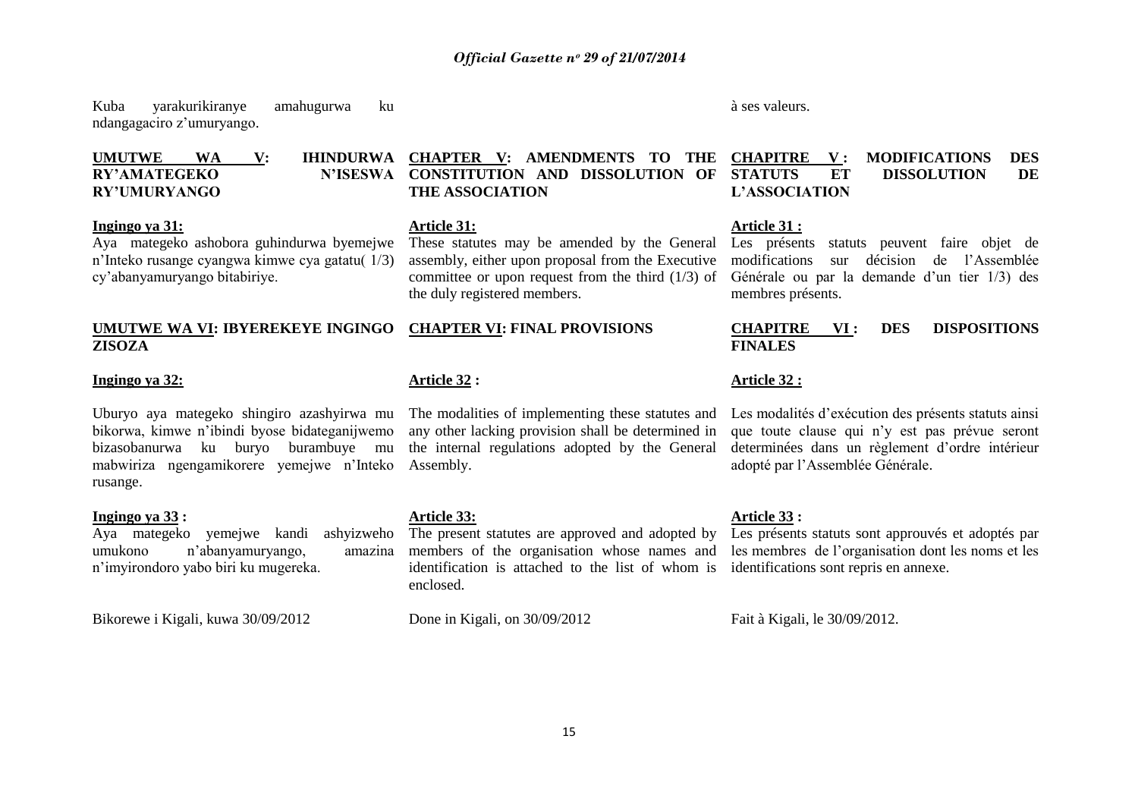Kuba yarakurikiranye amahugurwa ku ndangagaciro z"umuryango.

# **UMUTWE WA V: IHINDURWA CHAPTER V: AMENDMENTS TO THE RY'AMATEGEKO RY'UMURYANGO**

#### **Ingingo ya 31:**

Aya mategeko ashobora guhindurwa byemejwe n"Inteko rusange cyangwa kimwe cya gatatu( 1/3) cy"abanyamuryango bitabiriye.

# **UMUTWE WA VI: IBYEREKEYE INGINGO CHAPTER VI: FINAL PROVISIONS ZISOZA**

# **Ingingo ya 32:**

Uburyo aya mategeko shingiro azashyirwa mu bikorwa, kimwe n"ibindi byose bidateganijwemo bizasobanurwa ku buryo burambuye mu mabwiriza ngengamikorere yemejwe n"Inteko rusange.

# **Ingingo ya 33 :**

Aya mategeko yemejwe kandi ashyizweho umukono n"abanyamuryango, amazina n"imyirondoro yabo biri ku mugereka.

Bikorewe i Kigali, kuwa 30/09/2012

# **Article 32 :**

**Article 31:**

**THE ASSOCIATION**

the duly registered members.

The modalities of implementing these statutes and any other lacking provision shall be determined in the internal regulations adopted by the General Assembly.

These statutes may be amended by the General assembly, either upon proposal from the Executive

# **Article 33:**

The present statutes are approved and adopted by members of the organisation whose names and identification is attached to the list of whom is enclosed.

Done in Kigali, on 30/09/2012

à ses valeurs.

#### **CONSTITUTION AND DISSOLUTION OF CHAPITRE V : MODIFICATIONS DES STATUTS ET DISSOLUTION DE L'ASSOCIATION**

#### **Article 31 :**

committee or upon request from the third  $(1/3)$  of Générale ou par la demande d'un tier  $1/3$ ) des Les présents statuts peuvent faire objet de modifications sur décision de l"Assemblée membres présents.

# **CHAPITRE VI : DES DISPOSITIONS FINALES**

# **Article 32 :**

Les modalités d"exécution des présents statuts ainsi que toute clause qui n"y est pas prévue seront determinées dans un règlement d"ordre intérieur adopté par l"Assemblée Générale.

# **Article 33 :**

Les présents statuts sont approuvés et adoptés par les membres de l"organisation dont les noms et les identifications sont repris en annexe.

Fait à Kigali, le 30/09/2012.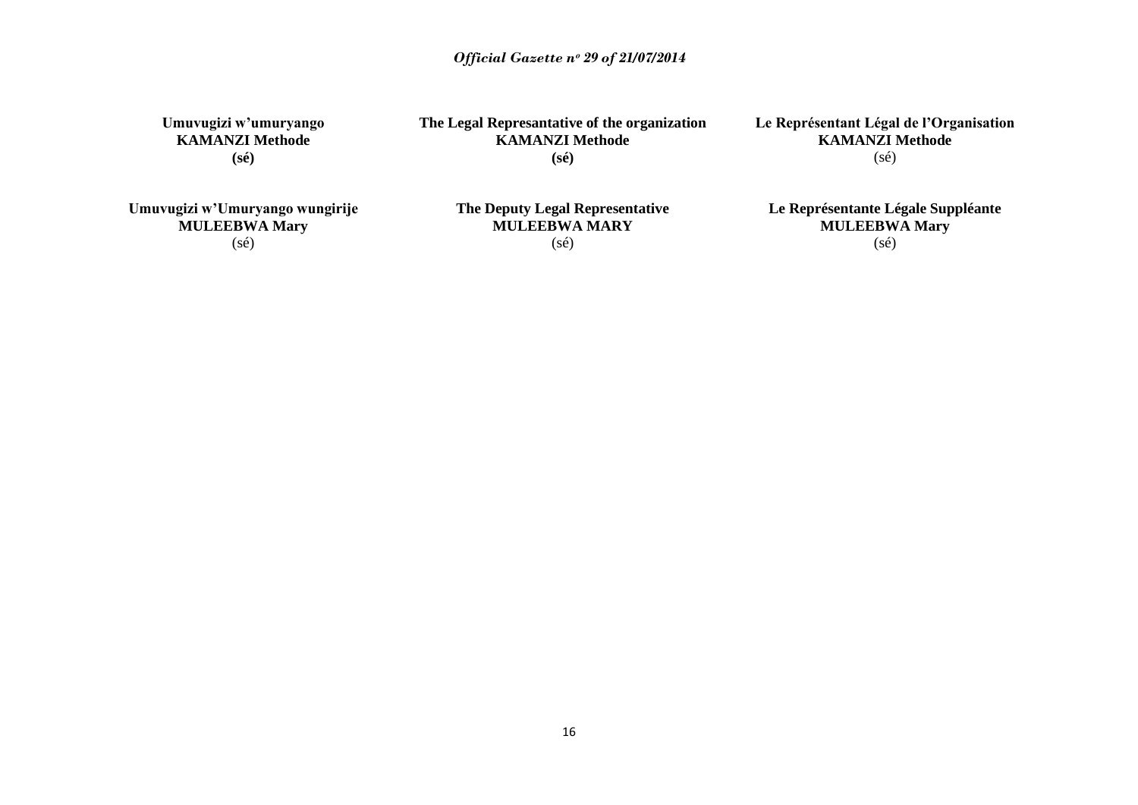**Umuvugizi w'umuryango KAMANZI Methode (sé)**

**The Legal Represantative of the organization KAMANZI Methode (sé)**

**Le Représentant Légal de l'Organisation KAMANZI Methode**  $(s\acute{e})$ 

**Umuvugizi w'Umuryango wungirije MULEEBWA Mary** (sé)

**The Deputy Legal Representative MULEEBWA MARY** (sé)

**Le Représentante Légale Suppléante MULEEBWA Mary** (sé)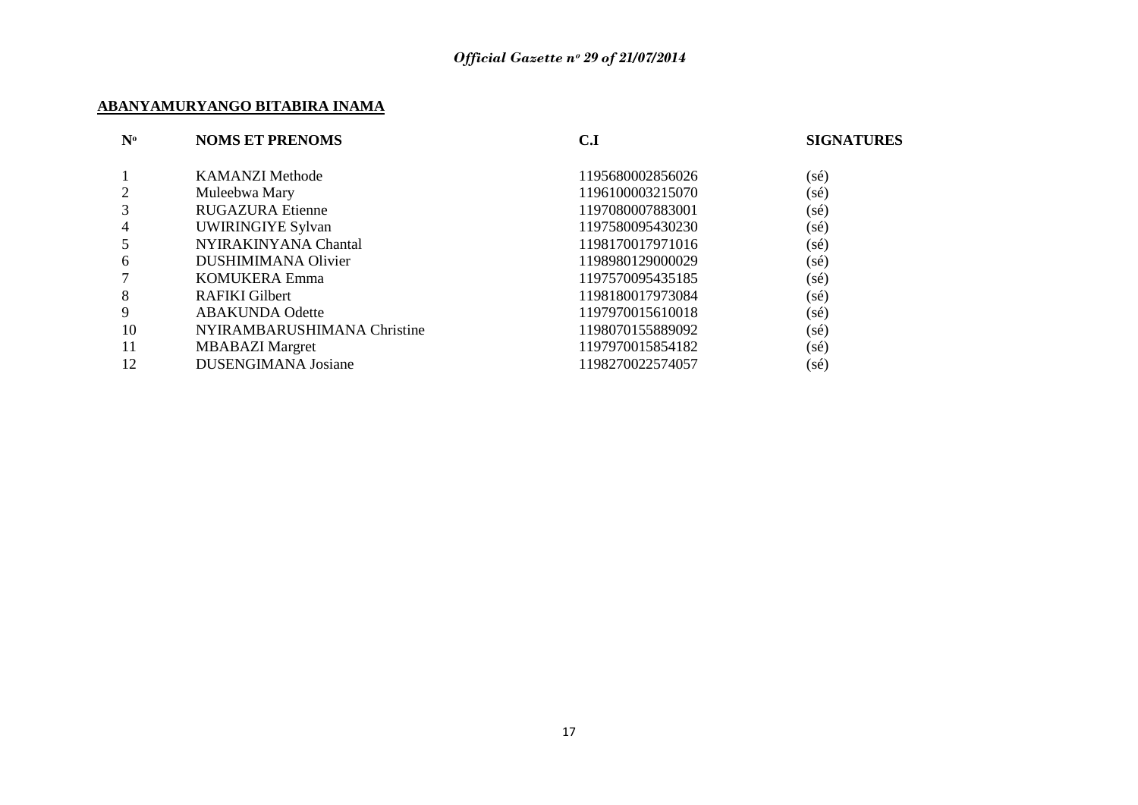# **ABANYAMURYANGO BITABIRA INAMA**

| $N^{\rm o}$    | <b>NOMS ET PRENOMS</b>      | C.I              | <b>SIGNATURES</b> |
|----------------|-----------------------------|------------------|-------------------|
|                | <b>KAMANZI Methode</b>      | 1195680002856026 | (sé)              |
| $\overline{2}$ | Muleebwa Mary               | 1196100003215070 | (sé)              |
| 3              | <b>RUGAZURA Etienne</b>     | 1197080007883001 | $(s\acute{e})$    |
| 4              | <b>UWIRINGIYE Sylvan</b>    | 1197580095430230 | $(s\acute{e})$    |
| 5              | NYIRAKINYANA Chantal        | 1198170017971016 | $(s\acute{e})$    |
| 6              | <b>DUSHIMIMANA Olivier</b>  | 1198980129000029 | (sé)              |
| 7              | KOMUKERA Emma               | 1197570095435185 | (sé)              |
| 8              | RAFIKI Gilbert              | 1198180017973084 | $(s\acute{e})$    |
| 9              | <b>ABAKUNDA Odette</b>      | 1197970015610018 | (sé)              |
| 10             | NYIRAMBARUSHIMANA Christine | 1198070155889092 | $(s\acute{e})$    |
| 11             | <b>MBABAZI</b> Margret      | 1197970015854182 | $(s\acute{e})$    |
| 12             | <b>DUSENGIMANA Josiane</b>  | 1198270022574057 | (sé)              |
|                |                             |                  |                   |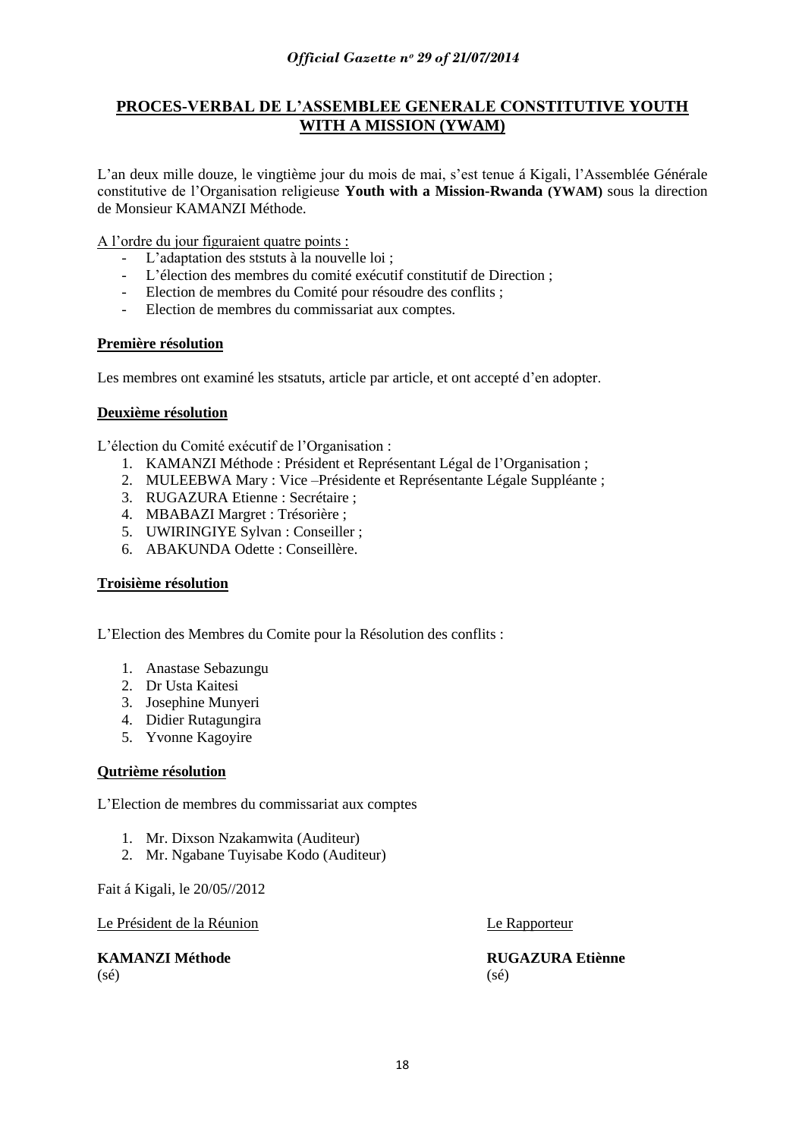# **PROCES-VERBAL DE L'ASSEMBLEE GENERALE CONSTITUTIVE YOUTH WITH A MISSION (YWAM)**

L"an deux mille douze, le vingtième jour du mois de mai, s"est tenue á Kigali, l"Assemblée Générale constitutive de l"Organisation religieuse **Youth with a Mission-Rwanda (YWAM)** sous la direction de Monsieur KAMANZI Méthode.

A l"ordre du jour figuraient quatre points :

- L"adaptation des ststuts à la nouvelle loi ;
- L"élection des membres du comité exécutif constitutif de Direction ;
- Election de membres du Comité pour résoudre des conflits ;
- Election de membres du commissariat aux comptes.

# **Première résolution**

Les membres ont examiné les stsatuts, article par article, et ont accepté d'en adopter.

# **Deuxième résolution**

L"élection du Comité exécutif de l"Organisation :

- 1. KAMANZI Méthode : Président et Représentant Légal de l"Organisation ;
- 2. MULEEBWA Mary : Vice –Présidente et Représentante Légale Suppléante ;
- 3. RUGAZURA Etienne : Secrétaire ;
- 4. MBABAZI Margret : Trésorière ;
- 5. UWIRINGIYE Sylvan : Conseiller ;
- 6. ABAKUNDA Odette : Conseillère.

# **Troisième résolution**

L"Election des Membres du Comite pour la Résolution des conflits :

- 1. Anastase Sebazungu
- 2. Dr Usta Kaitesi
- 3. Josephine Munyeri
- 4. Didier Rutagungira
- 5. Yvonne Kagoyire

# **Qutrième résolution**

L"Election de membres du commissariat aux comptes

- 1. Mr. Dixson Nzakamwita (Auditeur)
- 2. Mr. Ngabane Tuyisabe Kodo (Auditeur)

Fait á Kigali, le 20/05//2012

Le Président de la Réunion Le Rapporteur

# $(s\acute{e})$  (sé)

**KAMANZI Méthode RUGAZURA Etiènne**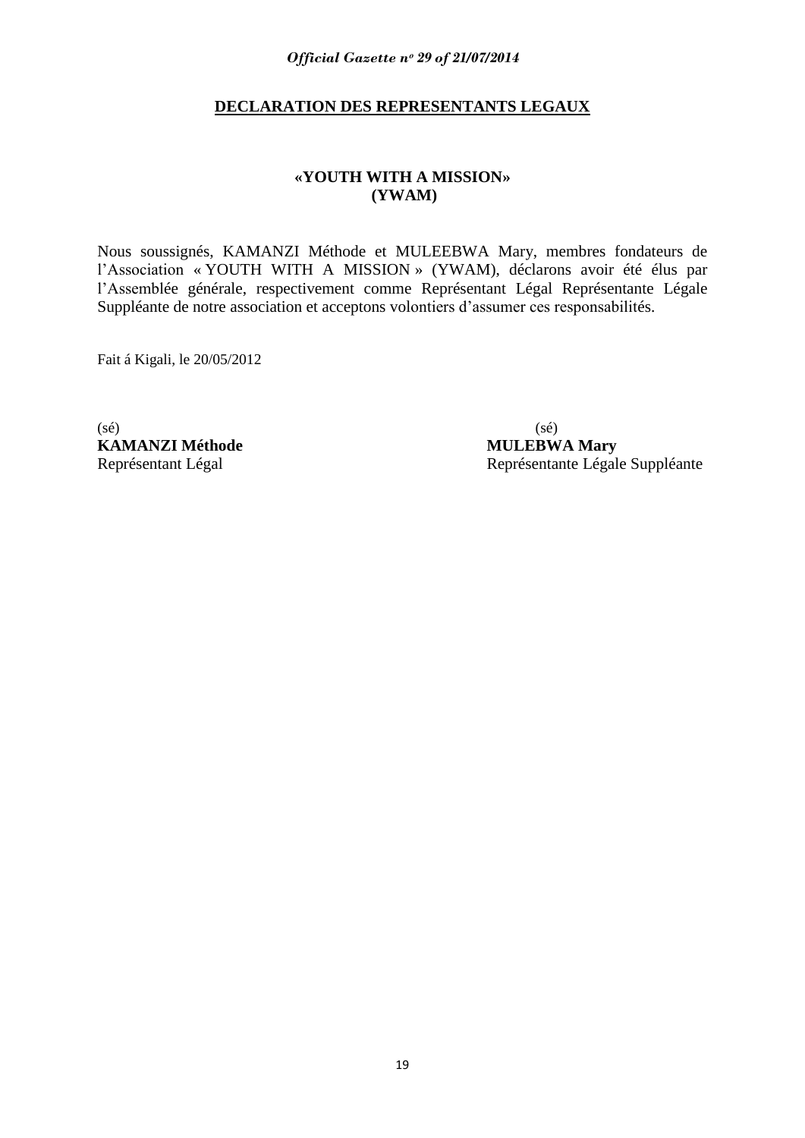# **DECLARATION DES REPRESENTANTS LEGAUX**

# **«YOUTH WITH A MISSION» (YWAM)**

Nous soussignés, KAMANZI Méthode et MULEEBWA Mary, membres fondateurs de l"Association « YOUTH WITH A MISSION » (YWAM), déclarons avoir été élus par l"Assemblée générale, respectivement comme Représentant Légal Représentante Légale Suppléante de notre association et acceptons volontiers d"assumer ces responsabilités.

Fait á Kigali, le 20/05/2012

 $(s\acute{e})$  (sé) **KAMANZI Méthode MULEBWA Mary**

Représentant Légal Représentante Légale Suppléante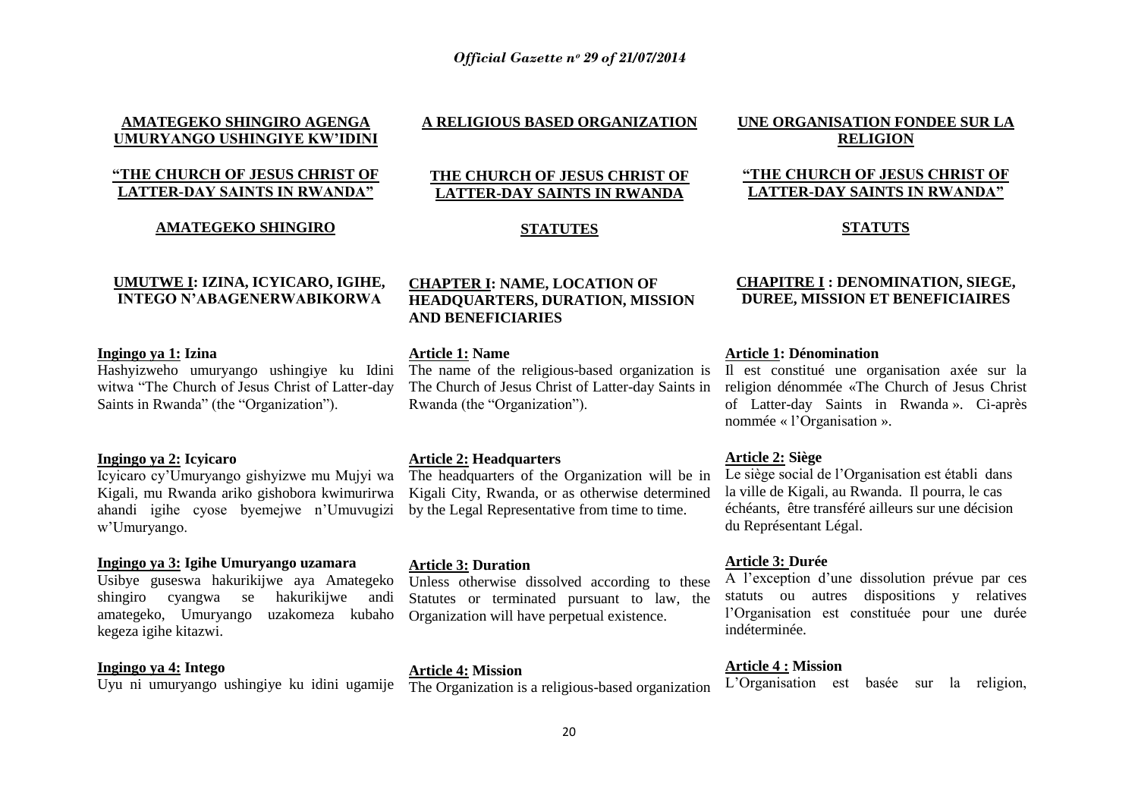# **AMATEGEKO SHINGIRO AGENGA UMURYANGO USHINGIYE KW'IDINI**

# **"THE CHURCH OF JESUS CHRIST OF LATTER-DAY SAINTS IN RWANDA"**

# **AMATEGEKO SHINGIRO**

# **A RELIGIOUS BASED ORGANIZATION**

# **THE CHURCH OF JESUS CHRIST OF LATTER-DAY SAINTS IN RWANDA**

# **STATUTES**

# **UMUTWE I: IZINA, ICYICARO, IGIHE, INTEGO N'ABAGENERWABIKORWA**

# **Ingingo ya 1: Izina**

Hashyizweho umuryango ushingiye ku Idini witwa "The Church of Jesus Christ of Latter-day Saints in Rwanda" (the "Organization").

# **Ingingo ya 2: Icyicaro**

Icyicaro cy"Umuryango gishyizwe mu Mujyi wa Kigali, mu Rwanda ariko gishobora kwimurirwa ahandi igihe cyose byemejwe n"Umuvugizi w"Umuryango.

# **Ingingo ya 3: Igihe Umuryango uzamara**

Usibye guseswa hakurikijwe aya Amategeko shingiro cyangwa se hakurikijwe andi amategeko, Umuryango uzakomeza kubaho kegeza igihe kitazwi.

# **Ingingo ya 4: Intego**

Uyu ni umuryango ushingiye ku idini ugamije

# **CHAPTER I: NAME, LOCATION OF HEADQUARTERS, DURATION, MISSION AND BENEFICIARIES**

#### **Article 1: Name**

The name of the religious-based organization is The Church of Jesus Christ of Latter-day Saints in Rwanda (the "Organization").

# **Article 2: Headquarters**

The headquarters of the Organization will be in Kigali City, Rwanda, or as otherwise determined by the Legal Representative from time to time.

# **Article 3: Duration**

Unless otherwise dissolved according to these Statutes or terminated pursuant to law, the Organization will have perpetual existence.

# **Article 4: Mission**

The Organization is a religious-based organization

# **UNE ORGANISATION FONDEE SUR LA RELIGION**

# **"THE CHURCH OF JESUS CHRIST OF LATTER-DAY SAINTS IN RWANDA"**

# **STATUTS**

# **CHAPITRE I : DENOMINATION, SIEGE, DUREE, MISSION ET BENEFICIAIRES**

# **Article 1: Dénomination**

Il est constitué une organisation axée sur la religion dénommée «The Church of Jesus Christ of Latter-day Saints in Rwanda ». Ci-après nommée « l"Organisation ».

# **Article 2: Siège**

Le siège social de l"Organisation est établi dans la ville de Kigali, au Rwanda. Il pourra, le cas échéants, être transféré ailleurs sur une décision du Représentant Légal.

#### **Article 3: Durée**

A l"exception d"une dissolution prévue par ces statuts ou autres dispositions y relatives l"Organisation est constituée pour une durée indéterminée.

#### **Article 4 : Mission**

L"Organisation est basée sur la religion,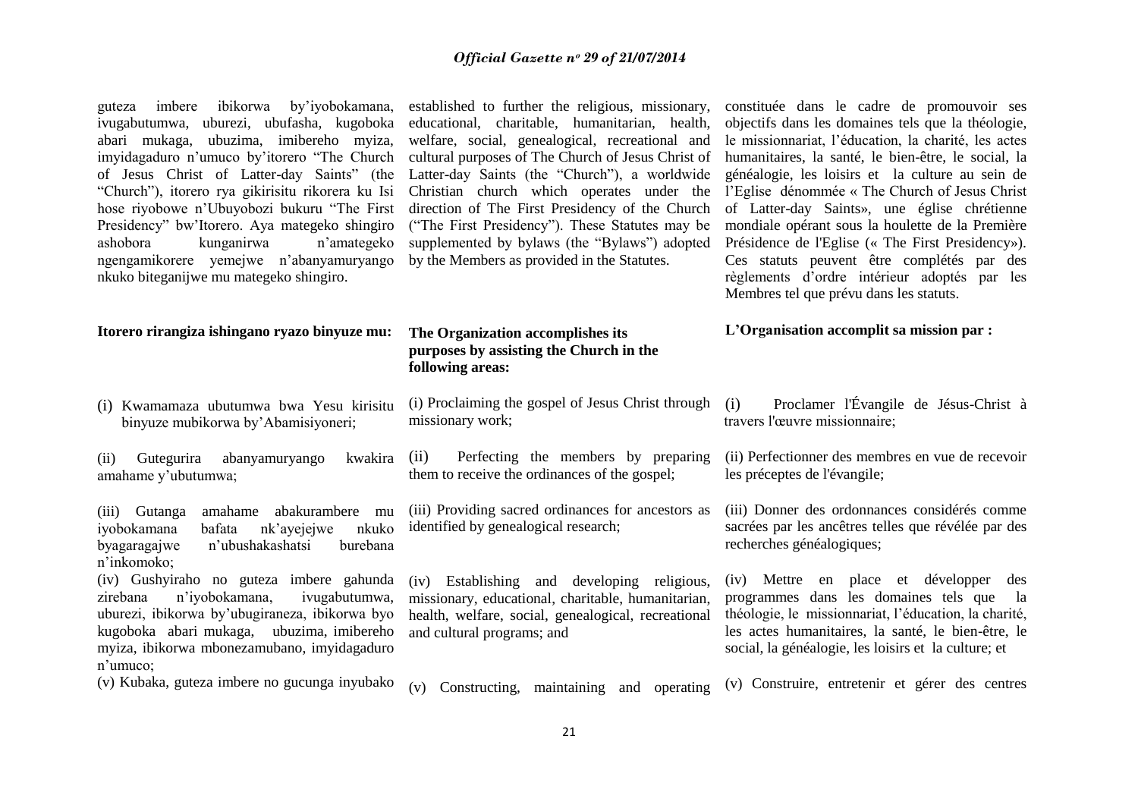guteza imbere ibikorwa by"iyobokamana, ivugabutumwa, uburezi, ubufasha, kugoboka abari mukaga, ubuzima, imibereho myiza, imyidagaduro n"umuco by"itorero "The Church of Jesus Christ of Latter-day Saints" (the "Church"), itorero rya gikirisitu rikorera ku Isi hose riyobowe n"Ubuyobozi bukuru "The First Presidency" bw"Itorero. Aya mategeko shingiro ashobora kunganirwa n"amategeko ngengamikorere yemejwe n"abanyamuryango nkuko biteganijwe mu mategeko shingiro.

established to further the religious, missionary, educational, charitable, humanitarian, health, welfare, social, genealogical, recreational and cultural purposes of The Church of Jesus Christ of Latter-day Saints (the "Church"), a worldwide Christian church which operates under the direction of The First Presidency of the Church ("The First Presidency"). These Statutes may be supplemented by bylaws (the "Bylaws") adopted by the Members as provided in the Statutes.

constituée dans le cadre de promouvoir ses objectifs dans les domaines tels que la théologie, le missionnariat, l"éducation, la charité, les actes humanitaires, la santé, le bien-être, le social, la généalogie, les loisirs et la culture au sein de l"Eglise dénommée « The Church of Jesus Christ of Latter-day Saints», une église chrétienne mondiale opérant sous la houlette de la Première Présidence de l'Eglise (« The First Presidency»). Ces statuts peuvent être complétés par des règlements d"ordre intérieur adoptés par les Membres tel que prévu dans les statuts.

# **L'Organisation accomplit sa mission par :**

#### **Itorero rirangiza ishingano ryazo binyuze mu: The Organization accomplishes its purposes by assisting the Church in the**

(i) Kwamamaza ubutumwa bwa Yesu kirisitu binyuze mubikorwa by"Abamisiyoneri;

(ii) Gutegurira abanyamuryango kwakira amahame y"ubutumwa;

(iii) Gutanga amahame abakurambere mu iyobokamana bafata nk"ayejejwe nkuko byagaragajwe n"ubushakashatsi burebana n"inkomoko;

(iv) Gushyiraho no guteza imbere gahunda zirebana n"iyobokamana, ivugabutumwa, uburezi, ibikorwa by"ubugiraneza, ibikorwa byo kugoboka abari mukaga, ubuzima, imibereho myiza, ibikorwa mbonezamubano, imyidagaduro n"umuco;

# **following areas:** (i) Proclaiming the gospel of Jesus Christ through

missionary work;

(ii) Perfecting the members by preparing them to receive the ordinances of the gospel;

(iii) Providing sacred ordinances for ancestors as identified by genealogical research;

(iv) Establishing and developing religious, missionary, educational, charitable, humanitarian, health, welfare, social, genealogical, recreational and cultural programs; and

# (i) Proclamer l'Évangile de Jésus-Christ à travers l'œuvre missionnaire;

(ii) Perfectionner des membres en vue de recevoir les préceptes de l'évangile;

(iii) Donner des ordonnances considérés comme sacrées par les ancêtres telles que révélée par des recherches généalogiques;

(iv) Mettre en place et développer des programmes dans les domaines tels que la théologie, le missionnariat, l"éducation, la charité, les actes humanitaires, la santé, le bien-être, le social, la généalogie, les loisirs et la culture; et

(v) Kubaka, guteza imbere no gucunga inyubako (v) Constructing, maintaining and operating (v) Construire, entretenir et gérer des centres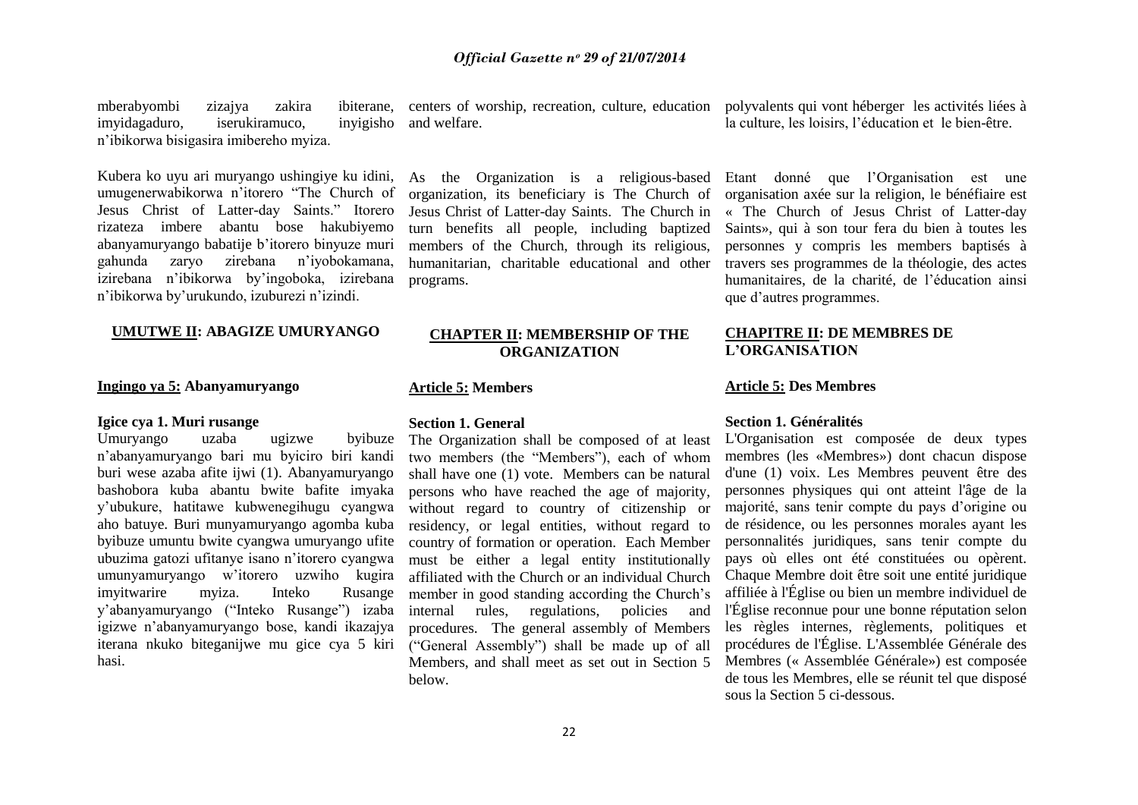mberabyombi zizajya zakira ibiterane, imyidagaduro, iserukiramuco, inyigisho n"ibikorwa bisigasira imibereho myiza. centers of worship, recreation, culture, education polyvalents qui vont héberger les activités liées à and welfare.

Kubera ko uyu ari muryango ushingiye ku idini, umugenerwabikorwa n"itorero "The Church of Jesus Christ of Latter-day Saints." Itorero rizateza imbere abantu bose hakubiyemo abanyamuryango babatije b"itorero binyuze muri gahunda zaryo zirebana n"iyobokamana, izirebana n"ibikorwa by"ingoboka, izirebana n"ibikorwa by"urukundo, izuburezi n"izindi.

# **UMUTWE II: ABAGIZE UMURYANGO**

# **Ingingo ya 5: Abanyamuryango**

# **Igice cya 1. Muri rusange**

Umuryango uzaba ugizwe byibuze n"abanyamuryango bari mu byiciro biri kandi buri wese azaba afite ijwi (1). Abanyamuryango bashobora kuba abantu bwite bafite imyaka y"ubukure, hatitawe kubwenegihugu cyangwa aho batuye. Buri munyamuryango agomba kuba byibuze umuntu bwite cyangwa umuryango ufite ubuzima gatozi ufitanye isano n"itorero cyangwa umunyamuryango w"itorero uzwiho kugira imyitwarire myiza. Inteko Rusange y"abanyamuryango ("Inteko Rusange") izaba igizwe n"abanyamuryango bose, kandi ikazajya iterana nkuko biteganijwe mu gice cya 5 kiri hasi.

organization, its beneficiary is The Church of Jesus Christ of Latter-day Saints. The Church in turn benefits all people, including baptized members of the Church, through its religious, humanitarian, charitable educational and other programs.

# **CHAPTER II: MEMBERSHIP OF THE ORGANIZATION**

#### **Article 5: Members**

# **Section 1. General**

The Organization shall be composed of at least two members (the "Members"), each of whom shall have one (1) vote. Members can be natural persons who have reached the age of majority, without regard to country of citizenship or residency, or legal entities, without regard to country of formation or operation. Each Member must be either a legal entity institutionally affiliated with the Church or an individual Church member in good standing according the Church"s internal rules, regulations, policies and procedures. The general assembly of Members ("General Assembly") shall be made up of all Members, and shall meet as set out in Section 5 below.

la culture, les loisirs, l"éducation et le bien-être.

As the Organization is a religious-based Etant donné que l"Organisation est une organisation axée sur la religion, le bénéfiaire est « The Church of Jesus Christ of Latter-day Saints», qui à son tour fera du bien à toutes les personnes y compris les members baptisés à travers ses programmes de la théologie, des actes humanitaires, de la charité, de l"éducation ainsi que d"autres programmes.

# **CHAPITRE II: DE MEMBRES DE L'ORGANISATION**

# **Article 5: Des Membres**

# **Section 1. Généralités**

L'Organisation est composée de deux types membres (les «Membres») dont chacun dispose d'une (1) voix. Les Membres peuvent être des personnes physiques qui ont atteint l'âge de la majorité, sans tenir compte du pays d"origine ou de résidence, ou les personnes morales ayant les personnalités juridiques, sans tenir compte du pays où elles ont été constituées ou opèrent. Chaque Membre doit être soit une entité juridique affiliée à l'Église ou bien un membre individuel de l'Église reconnue pour une bonne réputation selon les règles internes, règlements, politiques et procédures de l'Église. L'Assemblée Générale des Membres (« Assemblée Générale») est composée de tous les Membres, elle se réunit tel que disposé sous la Section 5 ci-dessous.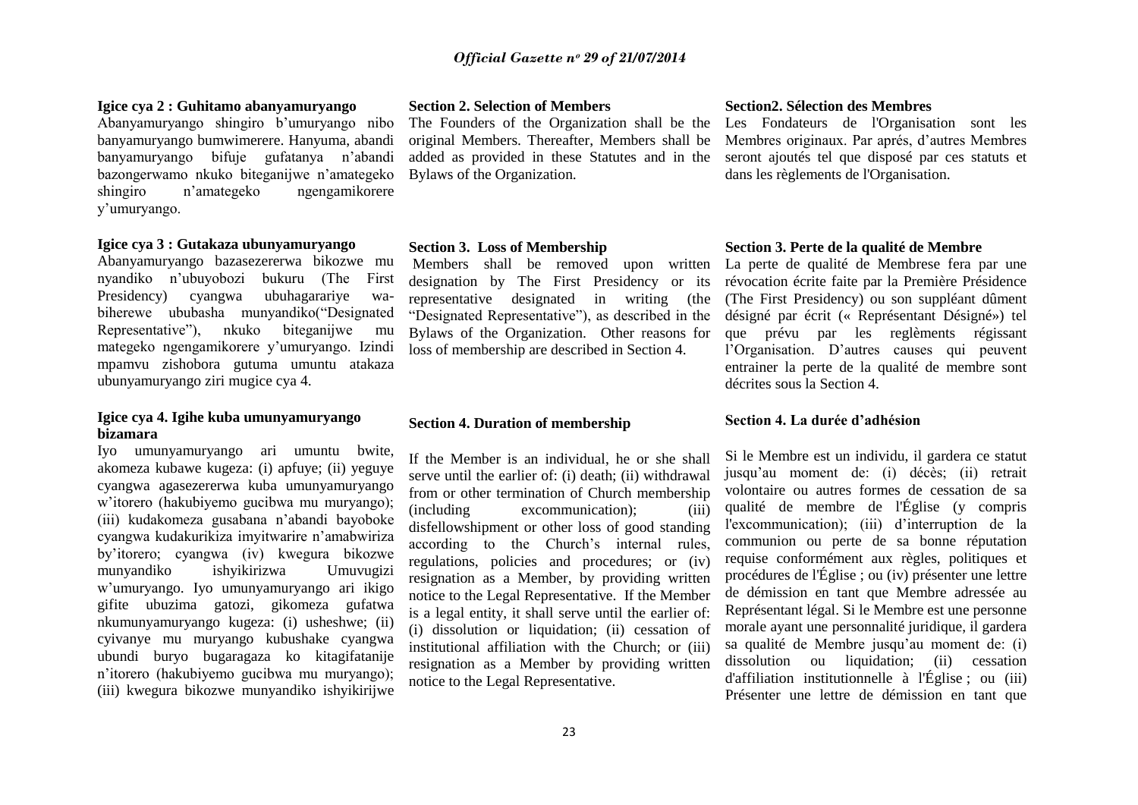# **Igice cya 2 : Guhitamo abanyamuryango**

Abanyamuryango shingiro b"umuryango nibo banyamuryango bumwimerere. Hanyuma, abandi banyamuryango bifuje gufatanya n"abandi bazongerwamo nkuko biteganijwe n"amategeko shingiro n"amategeko ngengamikorere y"umuryango.

# **Igice cya 3 : Gutakaza ubunyamuryango**

Abanyamuryango bazasezererwa bikozwe mu nyandiko n"ubuyobozi bukuru (The First Presidency) cyangwa ubuhagarariye wabiherewe ububasha munyandiko("Designated Representative"), nkuko biteganijwe mu mategeko ngengamikorere y"umuryango. Izindi mpamvu zishobora gutuma umuntu atakaza ubunyamuryango ziri mugice cya 4.

# **Igice cya 4. Igihe kuba umunyamuryango bizamara**

Iyo umunyamuryango ari umuntu bwite, akomeza kubawe kugeza: (i) apfuye; (ii) yeguye cyangwa agasezererwa kuba umunyamuryango w"itorero (hakubiyemo gucibwa mu muryango); (iii) kudakomeza gusabana n"abandi bayoboke cyangwa kudakurikiza imyitwarire n"amabwiriza by"itorero; cyangwa (iv) kwegura bikozwe ishyikirizwa Umuvugizi w"umuryango. Iyo umunyamuryango ari ikigo gifite ubuzima gatozi, gikomeza gufatwa nkumunyamuryango kugeza: (i) usheshwe; (ii) cyivanye mu muryango kubushake cyangwa ubundi buryo bugaragaza ko kitagifatanije n"itorero (hakubiyemo gucibwa mu muryango); (iii) kwegura bikozwe munyandiko ishyikirijwe

# **Section 2. Selection of Members**

original Members. Thereafter, Members shall be added as provided in these Statutes and in the Bylaws of the Organization.

## **Section 3. Loss of Membership**

Members shall be removed upon written designation by The First Presidency or its representative designated in writing (the "Designated Representative"), as described in the Bylaws of the Organization. Other reasons for loss of membership are described in Section 4.

# **Section 4. Duration of membership**

If the Member is an individual, he or she shall serve until the earlier of: (i) death; (ii) withdrawal from or other termination of Church membership (including excommunication); (iii) disfellowshipment or other loss of good standing according to the Church"s internal rules, regulations, policies and procedures; or (iv) resignation as a Member, by providing written notice to the Legal Representative. If the Member is a legal entity, it shall serve until the earlier of: (i) dissolution or liquidation; (ii) cessation of institutional affiliation with the Church; or (iii) resignation as a Member by providing written notice to the Legal Representative.

#### **Section2. Sélection des Membres**

The Founders of the Organization shall be the Les Fondateurs de l'Organisation sont les Membres originaux. Par aprés, d"autres Membres seront ajoutés tel que disposé par ces statuts et dans les règlements de l'Organisation.

# **Section 3. Perte de la qualité de Membre**

La perte de qualité de Membrese fera par une révocation écrite faite par la Première Présidence (The First Presidency) ou son suppléant dûment désigné par écrit (« Représentant Désigné») tel que prévu par les reglèments régissant l"Organisation. D"autres causes qui peuvent entrainer la perte de la qualité de membre sont décrites sous la Section 4.

#### **Section 4. La durée d'adhésion**

Si le Membre est un individu, il gardera ce statut jusqu"au moment de: (i) décès; (ii) retrait volontaire ou autres formes de cessation de sa qualité de membre de l'Église (y compris l'excommunication); (iii) d"interruption de la communion ou perte de sa bonne réputation requise conformément aux règles, politiques et procédures de l'Église ; ou (iv) présenter une lettre de démission en tant que Membre adressée au Représentant légal. Si le Membre est une personne morale ayant une personnalité juridique, il gardera sa qualité de Membre jusqu"au moment de: (i) dissolution ou liquidation; (ii) cessation d'affiliation institutionnelle à l'Église ; ou (iii) Présenter une lettre de démission en tant que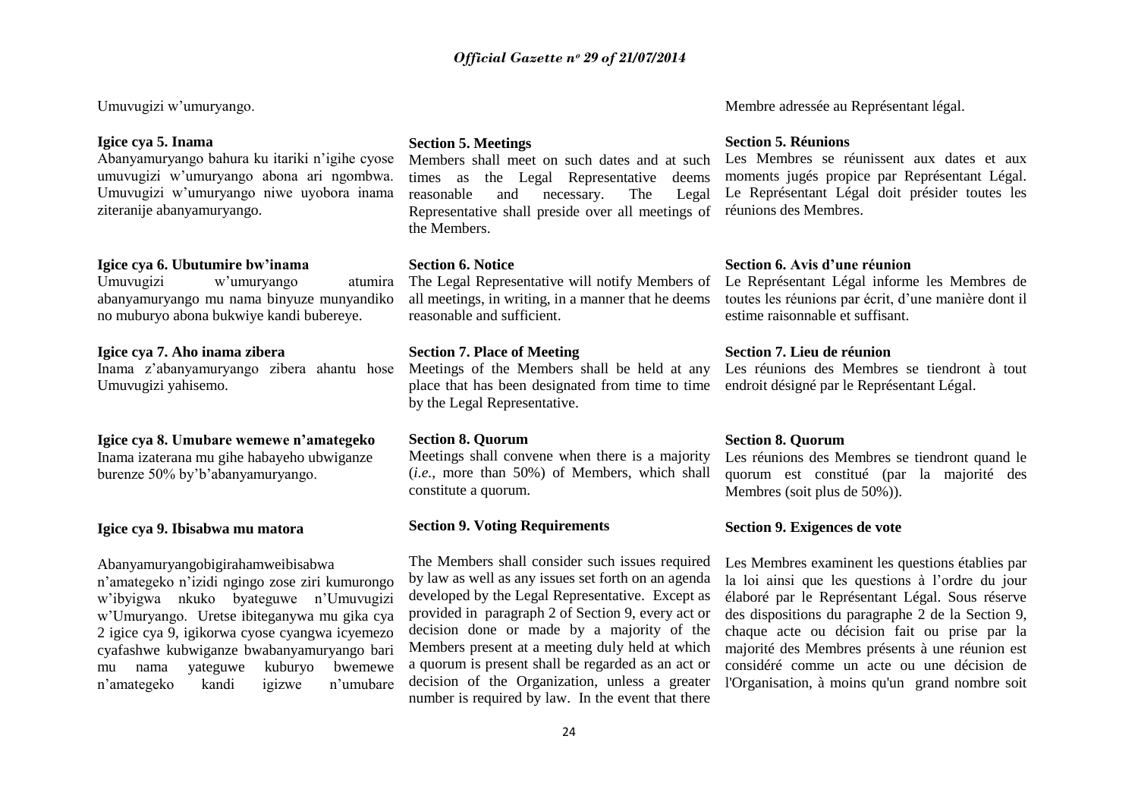Umuvugizi w"umuryango.

# **Igice cya 5. Inama**

Abanyamuryango bahura ku itariki n"igihe cyose umuvugizi w"umuryango abona ari ngombwa. Umuvugizi w"umuryango niwe uyobora inama ziteranije abanyamuryango.

# **Igice cya 6. Ubutumire bw'inama**

Umuvugizi w"umuryango atumira abanyamuryango mu nama binyuze munyandiko no muburyo abona bukwiye kandi bubereye.

# **Igice cya 7. Aho inama zibera**

Inama z"abanyamuryango zibera ahantu hose Umuvugizi yahisemo.

#### **Igice cya 8. Umubare wemewe n'amategeko**

Inama izaterana mu gihe habayeho ubwiganze burenze 50% by"b"abanyamuryango.

# **Igice cya 9. Ibisabwa mu matora**

Abanyamuryangobigirahamweibisabwa n"amategeko n"izidi ngingo zose ziri kumurongo w"ibyigwa nkuko byateguwe n"Umuvugizi w"Umuryango. Uretse ibiteganywa mu gika cya 2 igice cya 9, igikorwa cyose cyangwa icyemezo cyafashwe kubwiganze bwabanyamuryango bari mu nama yateguwe kuburyo bwemewe n"amategeko kandi igizwe n"umubare

# **Section 5. Meetings**

Members shall meet on such dates and at such times as the Legal Representative deems reasonable and necessary. The Legal Representative shall preside over all meetings of réunions des Membres. the Members.

# **Section 6. Notice**

The Legal Representative will notify Members of all meetings, in writing, in a manner that he deems reasonable and sufficient.

# **Section 7. Place of Meeting**

Meetings of the Members shall be held at any place that has been designated from time to time by the Legal Representative.

# **Section 8. Quorum**

Meetings shall convene when there is a majority (*i.e.*, more than 50%) of Members, which shall constitute a quorum.

# **Section 9. Voting Requirements**

The Members shall consider such issues required by law as well as any issues set forth on an agenda developed by the Legal Representative. Except as provided in paragraph 2 of Section 9, every act or decision done or made by a majority of the Members present at a meeting duly held at which a quorum is present shall be regarded as an act or decision of the Organization, unless a greater number is required by law. In the event that there

Membre adressée au Représentant légal.

# **Section 5. Réunions**

Les Membres se réunissent aux dates et aux moments jugés propice par Représentant Légal. Le Représentant Légal doit présider toutes les

# **Section 6. Avis d'une réunion**

Le Représentant Légal informe les Membres de toutes les réunions par écrit, d"une manière dont il estime raisonnable et suffisant.

# **Section 7. Lieu de réunion**

Les réunions des Membres se tiendront à tout endroit désigné par le Représentant Légal.

# **Section 8. Quorum**

Les réunions des Membres se tiendront quand le quorum est constitué (par la majorité des Membres (soit plus de 50%)).

# **Section 9. Exigences de vote**

Les Membres examinent les questions établies par la loi ainsi que les questions à l'ordre du jour élaboré par le Représentant Légal. Sous réserve des dispositions du paragraphe 2 de la Section 9, chaque acte ou décision fait ou prise par la majorité des Membres présents à une réunion est considéré comme un acte ou une décision de l'Organisation, à moins qu'un grand nombre soit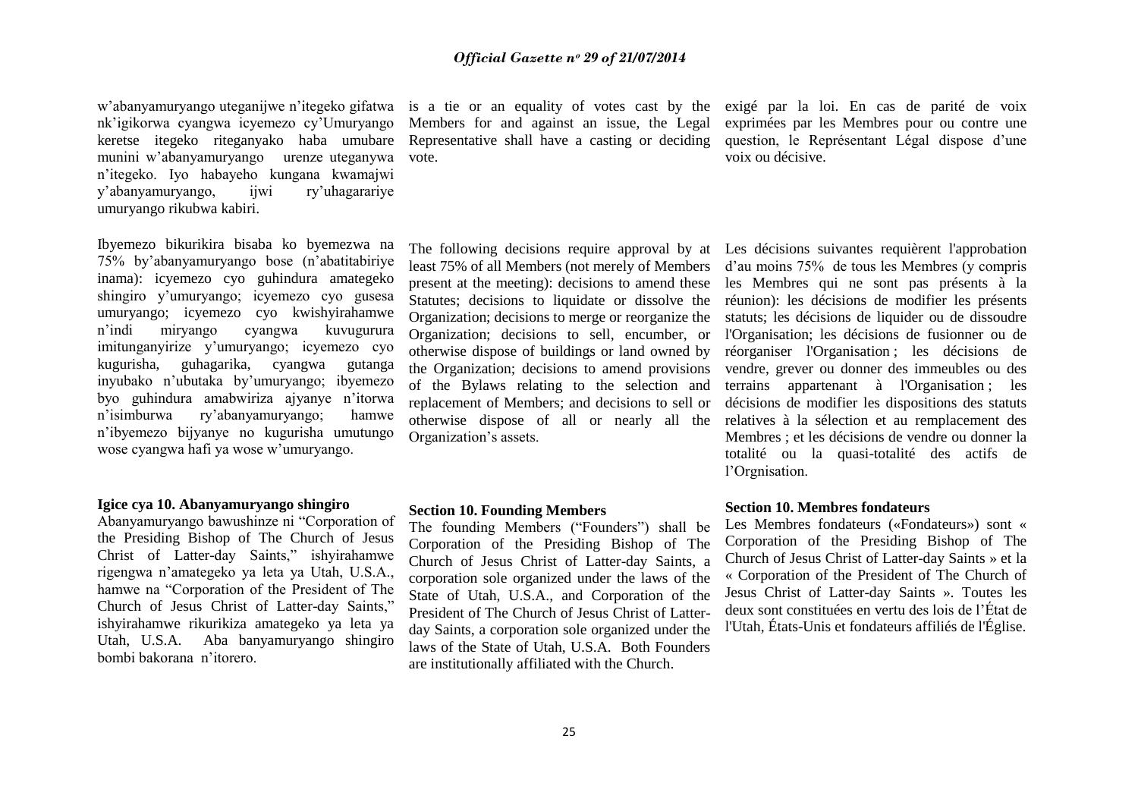w"abanyamuryango uteganijwe n"itegeko gifatwa nk"igikorwa cyangwa icyemezo cy"Umuryango keretse itegeko riteganyako haba umubare munini w"abanyamuryango urenze uteganywa n"itegeko. Iyo habayeho kungana kwamajwi y"abanyamuryango, ijwi ry"uhagarariye umuryango rikubwa kabiri.

Ibyemezo bikurikira bisaba ko byemezwa na 75% by"abanyamuryango bose (n"abatitabiriye inama): icyemezo cyo guhindura amategeko shingiro y"umuryango; icyemezo cyo gusesa umuryango; icyemezo cyo kwishyirahamwe n"indi miryango cyangwa kuvugurura imitunganyirize y"umuryango; icyemezo cyo kugurisha, guhagarika, cyangwa gutanga inyubako n"ubutaka by"umuryango; ibyemezo byo guhindura amabwiriza ajyanye n"itorwa n"isimburwa ry"abanyamuryango; hamwe n"ibyemezo bijyanye no kugurisha umutungo wose cyangwa hafi ya wose w"umuryango.

# **Igice cya 10. Abanyamuryango shingiro**

Abanyamuryango bawushinze ni "Corporation of the Presiding Bishop of The Church of Jesus Christ of Latter-day Saints," ishyirahamwe rigengwa n"amategeko ya leta ya Utah, U.S.A., hamwe na "Corporation of the President of The Church of Jesus Christ of Latter-day Saints," ishyirahamwe rikurikiza amategeko ya leta ya Utah, U.S.A. Aba banyamuryango shingiro bombi bakorana n"itorero.

Members for and against an issue, the Legal Representative shall have a casting or deciding vote.

is a tie or an equality of votes cast by the exigé par la loi. En cas de parité de voix exprimées par les Membres pour ou contre une question, le Représentant Légal dispose d'une voix ou décisive.

least 75% of all Members (not merely of Members present at the meeting): decisions to amend these Statutes; decisions to liquidate or dissolve the Organization; decisions to merge or reorganize the Organization; decisions to sell, encumber, or otherwise dispose of buildings or land owned by the Organization; decisions to amend provisions of the Bylaws relating to the selection and replacement of Members; and decisions to sell or otherwise dispose of all or nearly all the Organization"s assets.

#### **Section 10. Founding Members**

The founding Members ("Founders") shall be Corporation of the Presiding Bishop of The Church of Jesus Christ of Latter-day Saints, a corporation sole organized under the laws of the State of Utah, U.S.A., and Corporation of the President of The Church of Jesus Christ of Latterday Saints, a corporation sole organized under the laws of the State of Utah, U.S.A. Both Founders are institutionally affiliated with the Church.

The following decisions require approval by at Les décisions suivantes requièrent l'approbation d"au moins 75% de tous les Membres (y compris les Membres qui ne sont pas présents à la réunion): les décisions de modifier les présents statuts; les décisions de liquider ou de dissoudre l'Organisation; les décisions de fusionner ou de réorganiser l'Organisation ; les décisions de vendre, grever ou donner des immeubles ou des terrains appartenant à l'Organisation ; les décisions de modifier les dispositions des statuts relatives à la sélection et au remplacement des Membres ; et les décisions de vendre ou donner la totalité ou la quasi-totalité des actifs de l"Orgnisation.

# **Section 10. Membres fondateurs**

Les Membres fondateurs («Fondateurs») sont « Corporation of the Presiding Bishop of The Church of Jesus Christ of Latter-day Saints » et la « Corporation of the President of The Church of Jesus Christ of Latter-day Saints ». Toutes les deux sont constituées en vertu des lois de l"État de l'Utah, États-Unis et fondateurs affiliés de l'Église.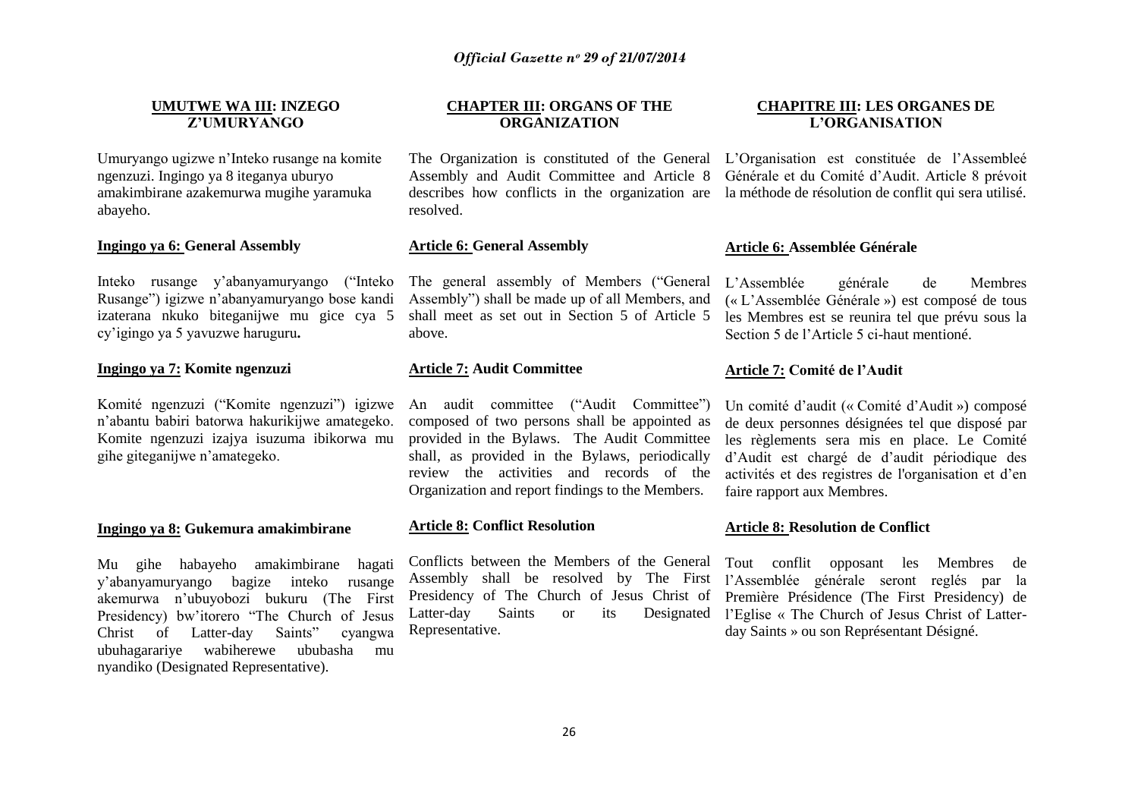# **UMUTWE WA III: INZEGO Z'UMURYANGO**

Umuryango ugizwe n"Inteko rusange na komite ngenzuzi. Ingingo ya 8 iteganya uburyo amakimbirane azakemurwa mugihe yaramuka abayeho.

# **Ingingo ya 6: General Assembly**

Inteko rusange y"abanyamuryango ("Inteko Rusange") igizwe n"abanyamuryango bose kandi izaterana nkuko biteganijwe mu gice cya 5 cy"igingo ya 5 yavuzwe haruguru**.**

# **Ingingo ya 7: Komite ngenzuzi**

Komité ngenzuzi ("Komite ngenzuzi") igizwe n"abantu babiri batorwa hakurikijwe amategeko. Komite ngenzuzi izajya isuzuma ibikorwa mu gihe giteganijwe n"amategeko.

#### **Ingingo ya 8: Gukemura amakimbirane**

Mu gihe habayeho amakimbirane hagati y"abanyamuryango bagize inteko rusange akemurwa n"ubuyobozi bukuru (The First Presidency) bw"itorero "The Church of Jesus Christ of Latter-day Saints" cyangwa ubuhagarariye wabiherewe ububasha mu nyandiko (Designated Representative).

# **CHAPTER III: ORGANS OF THE ORGANIZATION**

Assembly and Audit Committee and Article 8 Générale et du Comité d"Audit. Article 8 prévoit describes how conflicts in the organization are la méthode de résolution de conflit qui sera utilisé. resolved.

# **Article 6: General Assembly**

The general assembly of Members ("General Assembly") shall be made up of all Members, and shall meet as set out in Section 5 of Article 5 above.

#### **Article 7: Audit Committee**

An audit committee ("Audit Committee") composed of two persons shall be appointed as provided in the Bylaws. The Audit Committee shall, as provided in the Bylaws, periodically review the activities and records of the Organization and report findings to the Members.

# **Article 8: Conflict Resolution**

Conflicts between the Members of the General Tout conflit opposant les Membres de Assembly shall be resolved by The First l"Assemblée générale seront reglés par la Presidency of The Church of Jesus Christ of Première Présidence (The First Presidency) de Latter-day Saints or its Designated l'Eglise « The Church of Jesus Christ of Latter-Representative.

# **CHAPITRE III: LES ORGANES DE L'ORGANISATION**

The Organization is constituted of the General L"Organisation est constituée de l"Assembleé

# **Article 6: Assemblée Générale**

L"Assemblée générale de Membres (« L"Assemblée Générale ») est composé de tous les Membres est se reunira tel que prévu sous la Section 5 de l"Article 5 ci-haut mentioné.

# **Article 7: Comité de l'Audit**

Un comité d"audit (« Comité d"Audit ») composé de deux personnes désignées tel que disposé par les règlements sera mis en place. Le Comité d"Audit est chargé de d"audit périodique des activités et des registres de l'organisation et d"en faire rapport aux Membres.

#### **Article 8: Resolution de Conflict**

day Saints » ou son Représentant Désigné.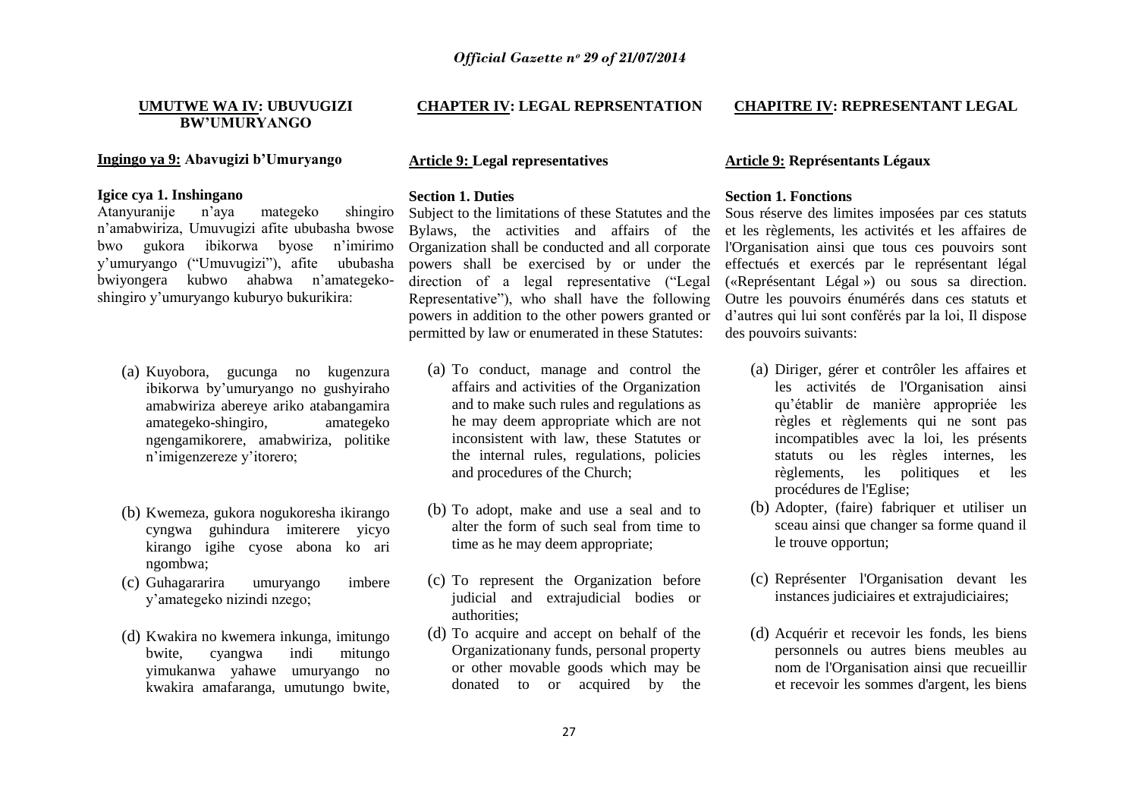# **UMUTWE WA IV: UBUVUGIZI BW'UMURYANGO**

# **Ingingo ya 9: Abavugizi b'Umuryango**

# **Igice cya 1. Inshingano**

Atanyuranije n"aya mategeko shingiro n"amabwiriza, Umuvugizi afite ububasha bwose bwo gukora ibikorwa byose n"imirimo y"umuryango ("Umuvugizi"), afite ububasha bwiyongera kubwo ahabwa n"amategekoshingiro y"umuryango kuburyo bukurikira:

- (a) Kuyobora, gucunga no kugenzura ibikorwa by"umuryango no gushyiraho amabwiriza abereye ariko atabangamira amategeko-shingiro, amategeko ngengamikorere, amabwiriza, politike n"imigenzereze y"itorero;
- (b) Kwemeza, gukora nogukoresha ikirango cyngwa guhindura imiterere yicyo kirango igihe cyose abona ko ari ngombwa;
- (c) Guhagararira umuryango imbere y"amategeko nizindi nzego;
- (d) Kwakira no kwemera inkunga, imitungo bwite, cyangwa indi mitungo yimukanwa yahawe umuryango no kwakira amafaranga, umutungo bwite,

# **CHAPTER IV: LEGAL REPRSENTATION**

# **Article 9: Legal representatives**

## **Section 1. Duties**

Subject to the limitations of these Statutes and the Bylaws, the activities and affairs of the Organization shall be conducted and all corporate powers shall be exercised by or under the direction of a legal representative ("Legal Representative"), who shall have the following powers in addition to the other powers granted or permitted by law or enumerated in these Statutes:

- (a) To conduct, manage and control the affairs and activities of the Organization and to make such rules and regulations as he may deem appropriate which are not inconsistent with law, these Statutes or the internal rules, regulations, policies and procedures of the Church;
- (b) To adopt, make and use a seal and to alter the form of such seal from time to time as he may deem appropriate;
- (c) To represent the Organization before judicial and extrajudicial bodies or authorities;
- (d) To acquire and accept on behalf of the Organizationany funds, personal property or other movable goods which may be donated to or acquired by the

# **CHAPITRE IV: REPRESENTANT LEGAL**

# **Article 9: Représentants Légaux**

# **Section 1. Fonctions**

Sous réserve des limites imposées par ces statuts et les règlements, les activités et les affaires de l'Organisation ainsi que tous ces pouvoirs sont effectués et exercés par le représentant légal («Représentant Légal ») ou sous sa direction. Outre les pouvoirs énumérés dans ces statuts et d"autres qui lui sont conférés par la loi, Il dispose des pouvoirs suivants:

- (a) Diriger, gérer et contrôler les affaires et les activités de l'Organisation ainsi qu"établir de manière appropriée les règles et règlements qui ne sont pas incompatibles avec la loi, les présents statuts ou les règles internes, les règlements, les politiques et les procédures de l'Eglise;
- (b) Adopter, (faire) fabriquer et utiliser un sceau ainsi que changer sa forme quand il le trouve opportun;
- (c) Représenter l'Organisation devant les instances judiciaires et extrajudiciaires;
- (d) Acquérir et recevoir les fonds, les biens personnels ou autres biens meubles au nom de l'Organisation ainsi que recueillir et recevoir les sommes d'argent, les biens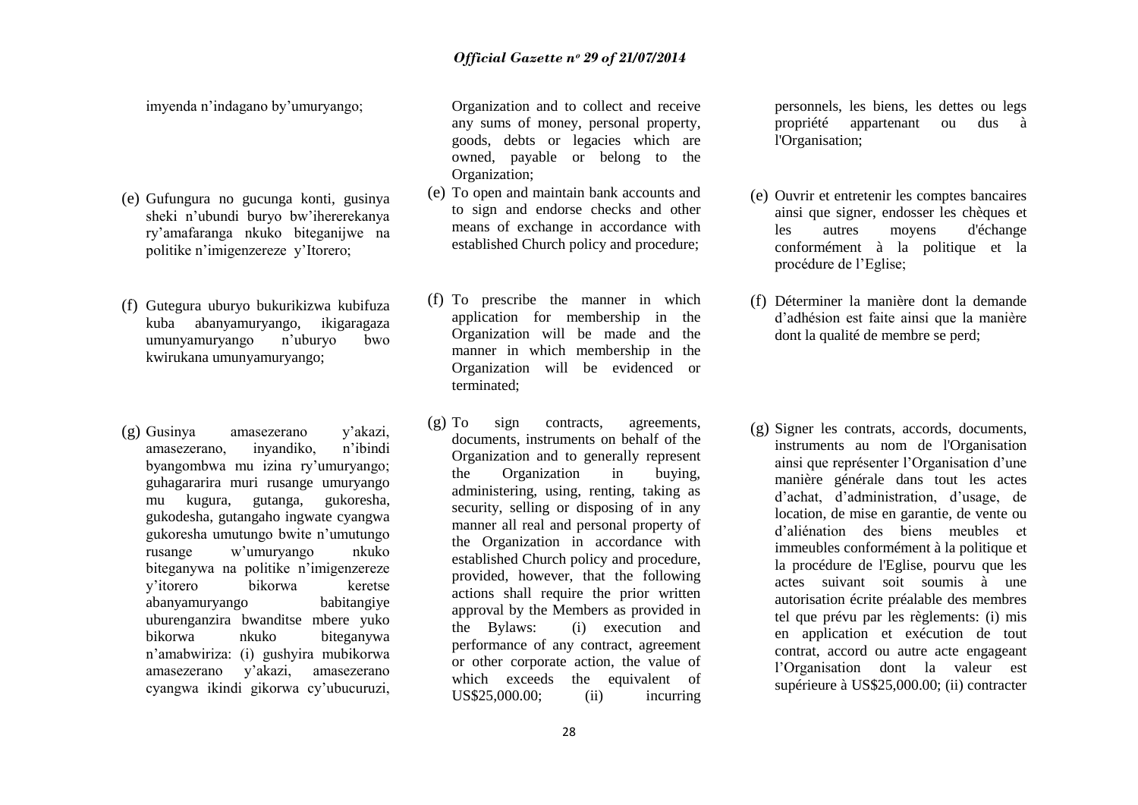imyenda n"indagano by"umuryango;

- (e) Gufungura no gucunga konti, gusinya sheki n"ubundi buryo bw"ihererekanya ry"amafaranga nkuko biteganijwe na politike n"imigenzereze y"Itorero;
- (f) Gutegura uburyo bukurikizwa kubifuza kuba abanyamuryango, ikigaragaza umunyamuryango n"uburyo bwo kwirukana umunyamuryango;
- (g) Gusinya amasezerano y"akazi, amasezerano, inyandiko, n"ibindi byangombwa mu izina ry"umuryango; guhagararira muri rusange umuryango mu kugura, gutanga, gukoresha, gukodesha, gutangaho ingwate cyangwa gukoresha umutungo bwite n"umutungo rusange w"umuryango nkuko biteganywa na politike n"imigenzereze y"itorero bikorwa keretse abanyamuryango babitangiye uburenganzira bwanditse mbere yuko bikorwa nkuko biteganywa n"amabwiriza: (i) gushyira mubikorwa amasezerano y"akazi, amasezerano cyangwa ikindi gikorwa cy"ubucuruzi,

Organization and to collect and receive any sums of money, personal property, goods, debts or legacies which are owned, payable or belong to the Organization;

- (e) To open and maintain bank accounts and to sign and endorse checks and other means of exchange in accordance with established Church policy and procedure;
- (f) To prescribe the manner in which application for membership in the Organization will be made and the manner in which membership in the Organization will be evidenced or terminated;
- (g) To sign contracts, agreements, documents, instruments on behalf of the Organization and to generally represent the Organization in buying, administering, using, renting, taking as security, selling or disposing of in any manner all real and personal property of the Organization in accordance with established Church policy and procedure, provided, however, that the following actions shall require the prior written approval by the Members as provided in the Bylaws: (i) execution and performance of any contract, agreement or other corporate action, the value of which exceeds the equivalent of US\$25,000.00; (ii) incurring

personnels, les biens, les dettes ou legs propriété appartenant ou dus à l'Organisation;

- (e) Ouvrir et entretenir les comptes bancaires ainsi que signer, endosser les chèques et les autres moyens d'échange conformément à la politique et la procédure de l"Eglise;
- (f) Déterminer la manière dont la demande d"adhésion est faite ainsi que la manière dont la qualité de membre se perd;
- (g) Signer les contrats, accords, documents, instruments au nom de l'Organisation ainsi que représenter l'Organisation d'une manière générale dans tout les actes d"achat, d"administration, d"usage, de location, de mise en garantie, de vente ou d"aliénation des biens meubles et immeubles conformément à la politique et la procédure de l'Eglise, pourvu que les actes suivant soit soumis à une autorisation écrite préalable des membres tel que prévu par les règlements: (i) mis en application et exécution de tout contrat, accord ou autre acte engageant l"Organisation dont la valeur est supérieure à US\$25,000.00; (ii) contracter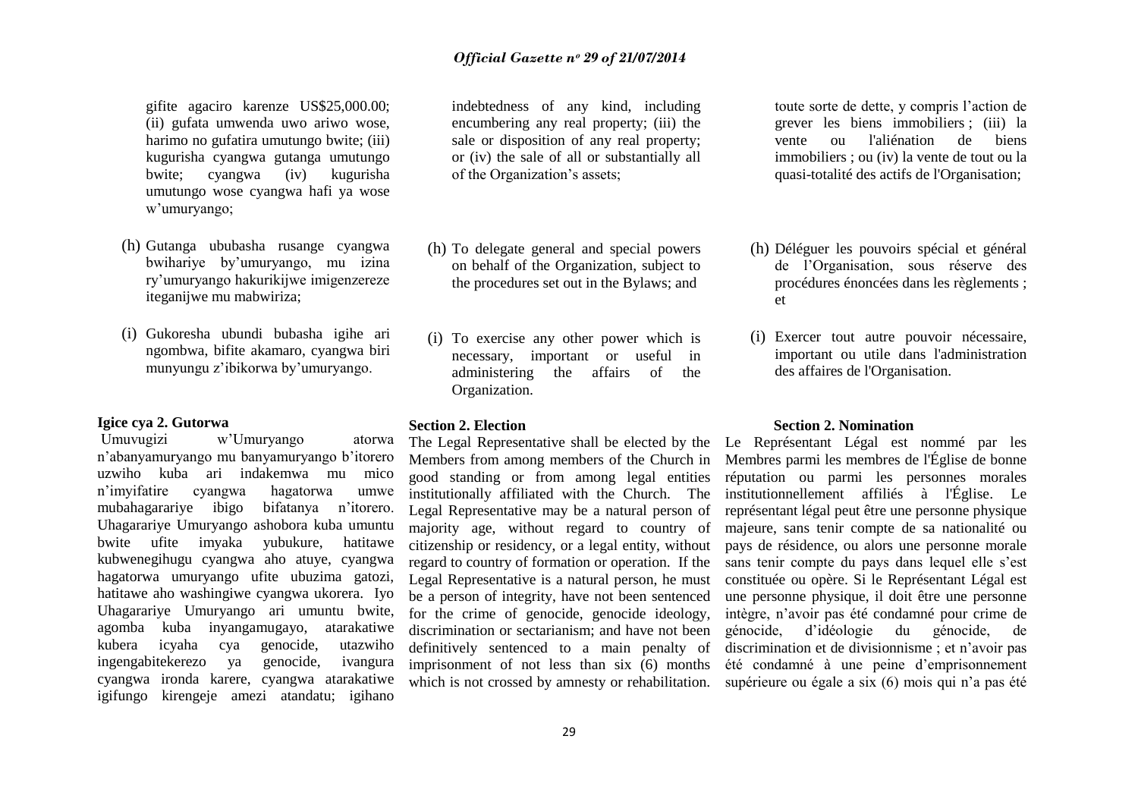gifite agaciro karenze US\$25,000.00; (ii) gufata umwenda uwo ariwo wose, harimo no gufatira umutungo bwite; (iii) kugurisha cyangwa gutanga umutungo bwite; cyangwa (iv) kugurisha umutungo wose cyangwa hafi ya wose w"umuryango;

- (h) Gutanga ububasha rusange cyangwa bwihariye by"umuryango, mu izina ry"umuryango hakurikijwe imigenzereze iteganijwe mu mabwiriza;
- (i) Gukoresha ubundi bubasha igihe ari ngombwa, bifite akamaro, cyangwa biri munyungu z"ibikorwa by"umuryango.

# **Igice cya 2. Gutorwa**

Umuvugizi w"Umuryango atorwa n"abanyamuryango mu banyamuryango b"itorero uzwiho kuba ari indakemwa mu mico n"imyifatire cyangwa hagatorwa umwe mubahagarariye ibigo bifatanya n"itorero. Uhagarariye Umuryango ashobora kuba umuntu bwite ufite imyaka yubukure, hatitawe kubwenegihugu cyangwa aho atuye, cyangwa hagatorwa umuryango ufite ubuzima gatozi, hatitawe aho washingiwe cyangwa ukorera. Iyo Uhagarariye Umuryango ari umuntu bwite, agomba kuba inyangamugayo, atarakatiwe kubera icyaha cya genocide, utazwiho ingengabitekerezo ya genocide, ivangura cyangwa ironda karere, cyangwa atarakatiwe igifungo kirengeje amezi atandatu; igihano

indebtedness of any kind, including encumbering any real property; (iii) the sale or disposition of any real property; or (iv) the sale of all or substantially all of the Organization"s assets;

- (h) To delegate general and special powers on behalf of the Organization, subject to the procedures set out in the Bylaws; and
- (i) To exercise any other power which is necessary, important or useful in administering the affairs of the Organization.

## **Section 2. Election**

Members from among members of the Church in good standing or from among legal entities institutionally affiliated with the Church. The Legal Representative may be a natural person of majority age, without regard to country of citizenship or residency, or a legal entity, without regard to country of formation or operation. If the Legal Representative is a natural person, he must be a person of integrity, have not been sentenced for the crime of genocide, genocide ideology, discrimination or sectarianism; and have not been definitively sentenced to a main penalty of imprisonment of not less than six (6) months which is not crossed by amnesty or rehabilitation. toute sorte de dette, y compris l"action de grever les biens immobiliers ; (iii) la vente ou l'aliénation de biens immobiliers ; ou (iv) la vente de tout ou la quasi-totalité des actifs de l'Organisation;

- (h) Déléguer les pouvoirs spécial et général de l"Organisation, sous réserve des procédures énoncées dans les règlements ; et
- (i) Exercer tout autre pouvoir nécessaire, important ou utile dans l'administration des affaires de l'Organisation.

# **Section 2. Nomination**

The Legal Representative shall be elected by the Le Représentant Légal est nommé par les Membres parmi les membres de l'Église de bonne réputation ou parmi les personnes morales institutionnellement affiliés à l'Église. Le représentant légal peut être une personne physique majeure, sans tenir compte de sa nationalité ou pays de résidence, ou alors une personne morale sans tenir compte du pays dans lequel elle s"est constituée ou opère. Si le Représentant Légal est une personne physique, il doit être une personne intègre, n"avoir pas été condamné pour crime de génocide, d"idéologie du génocide, de discrimination et de divisionnisme ; et n"avoir pas été condamné à une peine d"emprisonnement supérieure ou égale a six (6) mois qui n'a pas été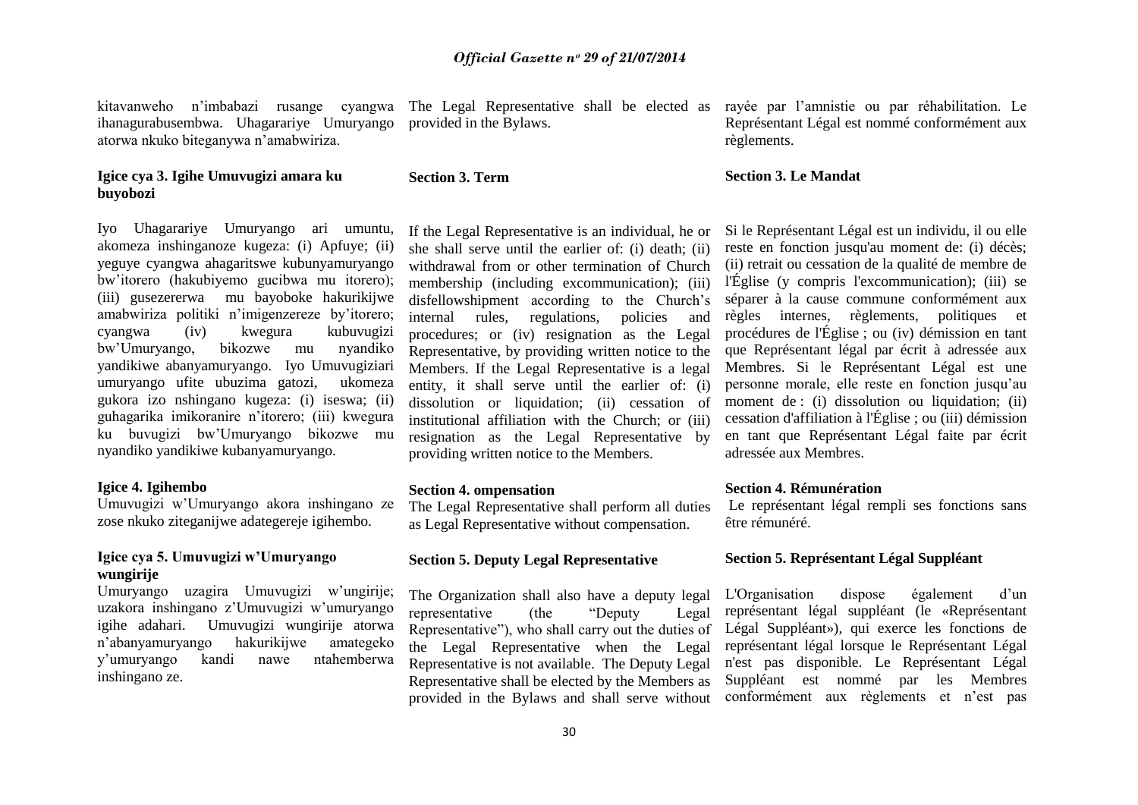kitavanweho n"imbabazi rusange cyangwa ihanagurabusembwa. Uhagarariye Umuryango atorwa nkuko biteganywa n"amabwiriza.

# **Igice cya 3. Igihe Umuvugizi amara ku buyobozi**

Iyo Uhagarariye Umuryango ari umuntu, akomeza inshinganoze kugeza: (i) Apfuye; (ii) yeguye cyangwa ahagaritswe kubunyamuryango bw"itorero (hakubiyemo gucibwa mu itorero); (iii) gusezererwa mu bayoboke hakurikijwe amabwiriza politiki n"imigenzereze by"itorero; cyangwa (iv) kwegura kubuvugizi bw"Umuryango, bikozwe mu nyandiko yandikiwe abanyamuryango. Iyo Umuvugiziari umuryango ufite ubuzima gatozi, ukomeza gukora izo nshingano kugeza: (i) iseswa; (ii) guhagarika imikoranire n"itorero; (iii) kwegura ku buvugizi bw"Umuryango bikozwe mu nyandiko yandikiwe kubanyamuryango.

# **Igice 4. Igihembo**

Umuvugizi w"Umuryango akora inshingano ze zose nkuko ziteganijwe adategereje igihembo.

# **Igice cya 5. Umuvugizi w'Umuryango wungirije**

Umuryango uzagira Umuvugizi w'ungirije; uzakora inshingano z"Umuvugizi w"umuryango igihe adahari. Umuvugizi wungirije atorwa n"abanyamuryango hakurikijwe amategeko y"umuryango kandi nawe ntahemberwa inshingano ze.

provided in the Bylaws.

The Legal Representative shall be elected as rayée par l"amnistie ou par réhabilitation. Le Représentant Légal est nommé conformément aux règlements.

# **Section 3. Le Mandat**

If the Legal Representative is an individual, he or she shall serve until the earlier of: (i) death; (ii) withdrawal from or other termination of Church membership (including excommunication); (iii) disfellowshipment according to the Church's internal rules, regulations, policies and procedures; or (iv) resignation as the Legal Representative, by providing written notice to the Members. If the Legal Representative is a legal entity, it shall serve until the earlier of: (i) dissolution or liquidation; (ii) cessation of institutional affiliation with the Church; or (iii) resignation as the Legal Representative by providing written notice to the Members.

#### **Section 4. ompensation**

**Section 3. Term** 

The Legal Representative shall perform all duties as Legal Representative without compensation.

# **Section 5. Deputy Legal Representative**

The Organization shall also have a deputy legal representative (the "Deputy" Representative"), who shall carry out the duties of Légal Suppléant»), qui exerce les fonctions de the Legal Representative when the Legal Representative is not available. The Deputy Legal Representative shall be elected by the Members as provided in the Bylaws and shall serve without

Si le Représentant Légal est un individu, il ou elle reste en fonction jusqu'au moment de: (i) décès; (ii) retrait ou cessation de la qualité de membre de l'Église (y compris l'excommunication); (iii) se séparer à la cause commune conformément aux règles internes, règlements, politiques et procédures de l'Église ; ou (iv) démission en tant que Représentant légal par écrit à adressée aux Membres. Si le Représentant Légal est une personne morale, elle reste en fonction jusqu"au moment de : (i) dissolution ou liquidation; (ii) cessation d'affiliation à l'Église ; ou (iii) démission en tant que Représentant Légal faite par écrit adressée aux Membres.

# **Section 4. Rémunération**

Le représentant légal rempli ses fonctions sans être rémunéré.

# **Section 5. Représentant Légal Suppléant**

L'Organisation dispose également d'un Legal représentant légal suppléant (le «Représentant représentant légal lorsque le Représentant Légal n'est pas disponible. Le Représentant Légal Suppléant est nommé par les Membres conformément aux règlements et n"est pas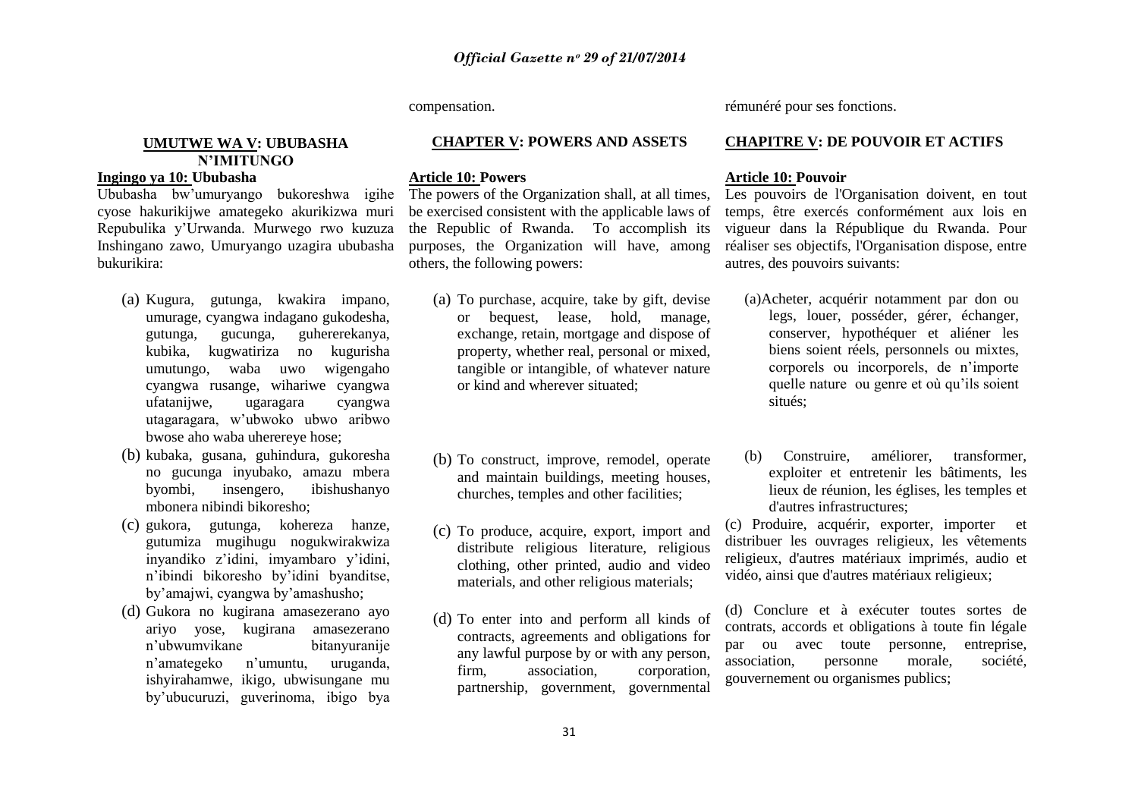compensation.

# **CHAPTER V: POWERS AND ASSETS**

#### **Article 10: Powers**

The powers of the Organization shall, at all times, be exercised consistent with the applicable laws of the Republic of Rwanda. To accomplish its purposes, the Organization will have, among others, the following powers:

- (a) To purchase, acquire, take by gift, devise or bequest, lease, hold, manage, exchange, retain, mortgage and dispose of property, whether real, personal or mixed, tangible or intangible, of whatever nature or kind and wherever situated;
- (b) To construct, improve, remodel, operate and maintain buildings, meeting houses, churches, temples and other facilities;
- (c) To produce, acquire, export, import and distribute religious literature, religious clothing, other printed, audio and video materials, and other religious materials;
- (d) To enter into and perform all kinds of contracts, agreements and obligations for any lawful purpose by or with any person, firm, association, corporation, partnership, government, governmental

rémunéré pour ses fonctions.

# **CHAPITRE V: DE POUVOIR ET ACTIFS**

#### **Article 10: Pouvoir**

Les pouvoirs de l'Organisation doivent, en tout temps, être exercés conformément aux lois en vigueur dans la République du Rwanda. Pour réaliser ses objectifs, l'Organisation dispose, entre autres, des pouvoirs suivants:

- (a)Acheter, acquérir notamment par don ou legs, louer, posséder, gérer, échanger, conserver, hypothéquer et aliéner les biens soient réels, personnels ou mixtes, corporels ou incorporels, de n"importe quelle nature ou genre et où qu"ils soient situés;
- (b) Construire, améliorer, transformer, exploiter et entretenir les bâtiments, les lieux de réunion, les églises, les temples et d'autres infrastructures;

(c) Produire, acquérir, exporter, importer et distribuer les ouvrages religieux, les vêtements religieux, d'autres matériaux imprimés, audio et vidéo, ainsi que d'autres matériaux religieux;

(d) Conclure et à exécuter toutes sortes de contrats, accords et obligations à toute fin légale par ou avec toute personne, entreprise, association, personne morale, société, gouvernement ou organismes publics;

# **UMUTWE WA V: UBUBASHA N'IMITUNGO**

# **Ingingo ya 10: Ububasha**

Ububasha bw"umuryango bukoreshwa igihe cyose hakurikijwe amategeko akurikizwa muri Repubulika y"Urwanda. Murwego rwo kuzuza Inshingano zawo, Umuryango uzagira ububasha bukurikira:

- (a) Kugura, gutunga, kwakira impano, umurage, cyangwa indagano gukodesha, gutunga, gucunga, guhererekanya, kubika, kugwatiriza no kugurisha umutungo, waba uwo wigengaho cyangwa rusange, wihariwe cyangwa ufatanijwe, ugaragara cyangwa utagaragara, w"ubwoko ubwo aribwo bwose aho waba uherereye hose;
- (b) kubaka, gusana, guhindura, gukoresha no gucunga inyubako, amazu mbera byombi, insengero, ibishushanyo mbonera nibindi bikoresho;
- (c) gukora, gutunga, kohereza hanze, gutumiza mugihugu nogukwirakwiza inyandiko z"idini, imyambaro y"idini, n"ibindi bikoresho by"idini byanditse, by"amajwi, cyangwa by"amashusho;
- (d) Gukora no kugirana amasezerano ayo ariyo yose, kugirana amasezerano n"ubwumvikane bitanyuranije n"amategeko n"umuntu, uruganda, ishyirahamwe, ikigo, ubwisungane mu by"ubucuruzi, guverinoma, ibigo bya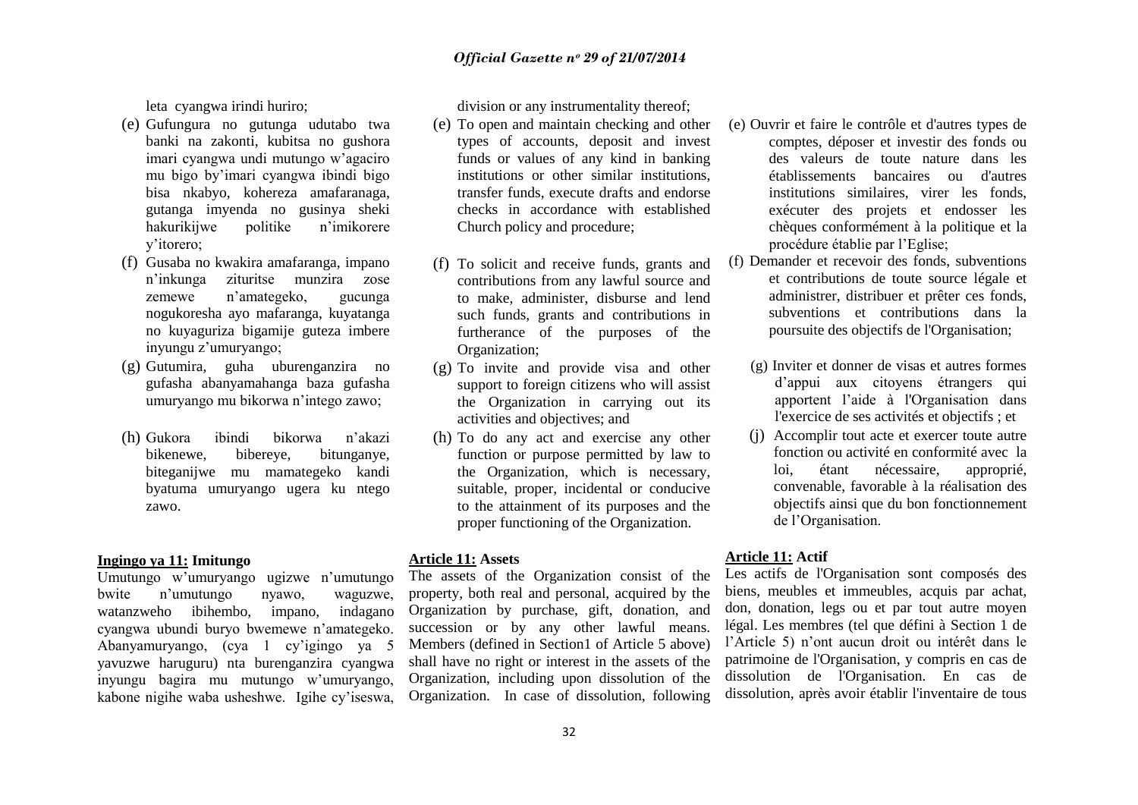leta cyangwa irindi huriro;

- (e) Gufungura no gutunga udutabo twa banki na zakonti, kubitsa no gushora imari cyangwa undi mutungo w"agaciro mu bigo by"imari cyangwa ibindi bigo bisa nkabyo, kohereza amafaranaga, gutanga imyenda no gusinya sheki hakurikijwe politike y"itorero;
- (f) Gusaba no kwakira amafaranga, impano n"inkunga zituritse munzira zose zemewe n"amategeko, gucunga nogukoresha ayo mafaranga, kuyatanga no kuyaguriza bigamije guteza imbere inyungu z'umuryango;
- (g) Gutumira, guha uburenganzira no gufasha abanyamahanga baza gufasha umuryango mu bikorwa n"intego zawo;
- (h) Gukora ibindi bikorwa n"akazi bikenewe, bibereye, bitunganye, biteganijwe mu mamategeko kandi byatuma umuryango ugera ku ntego zawo.

# **Ingingo ya 11: Imitungo**

Umutungo w'umuryango ugizwe n'umutungo bwite n"umutungo nyawo, waguzwe, watanzweho ibihembo, impano, indagano cyangwa ubundi buryo bwemewe n"amategeko. Abanyamuryango, (cya 1 cy"igingo ya 5 yavuzwe haruguru) nta burenganzira cyangwa inyungu bagira mu mutungo w"umuryango, kabone nigihe waba usheshwe. Igihe cy"iseswa, division or any instrumentality thereof;

- (e) To open and maintain checking and other types of accounts, deposit and invest funds or values of any kind in banking institutions or other similar institutions, transfer funds, execute drafts and endorse checks in accordance with established Church policy and procedure;
- (f) To solicit and receive funds, grants and contributions from any lawful source and to make, administer, disburse and lend such funds, grants and contributions in furtherance of the purposes of the Organization;
- (g) To invite and provide visa and other support to foreign citizens who will assist the Organization in carrying out its activities and objectives; and
- (h) To do any act and exercise any other function or purpose permitted by law to the Organization, which is necessary, suitable, proper, incidental or conducive to the attainment of its purposes and the proper functioning of the Organization.

# **Article 11: Assets**

The assets of the Organization consist of the property, both real and personal, acquired by the Organization by purchase, gift, donation, and succession or by any other lawful means. Members (defined in Section1 of Article 5 above) shall have no right or interest in the assets of the Organization, including upon dissolution of the Organization. In case of dissolution, following

- (e) Ouvrir et faire le contrôle et d'autres types de comptes, déposer et investir des fonds ou des valeurs de toute nature dans les établissements bancaires ou d'autres institutions similaires, virer les fonds, exécuter des projets et endosser les chèques conformément à la politique et la procédure établie par l"Eglise;
- (f) Demander et recevoir des fonds, subventions et contributions de toute source légale et administrer, distribuer et prêter ces fonds, subventions et contributions dans la poursuite des objectifs de l'Organisation;
	- (g) Inviter et donner de visas et autres formes d"appui aux citoyens étrangers qui apportent l"aide à l'Organisation dans l'exercice de ses activités et objectifs ; et
	- (j) Accomplir tout acte et exercer toute autre fonction ou activité en conformité avec la loi, étant nécessaire, approprié, convenable, favorable à la réalisation des objectifs ainsi que du bon fonctionnement de l"Organisation.

# **Article 11: Actif**

Les actifs de l'Organisation sont composés des biens, meubles et immeubles, acquis par achat, don, donation, legs ou et par tout autre moyen légal. Les membres (tel que défini à Section 1 de l'Article 5) n'ont aucun droit ou intérêt dans le patrimoine de l'Organisation, y compris en cas de dissolution de l'Organisation. En cas de dissolution, après avoir établir l'inventaire de tous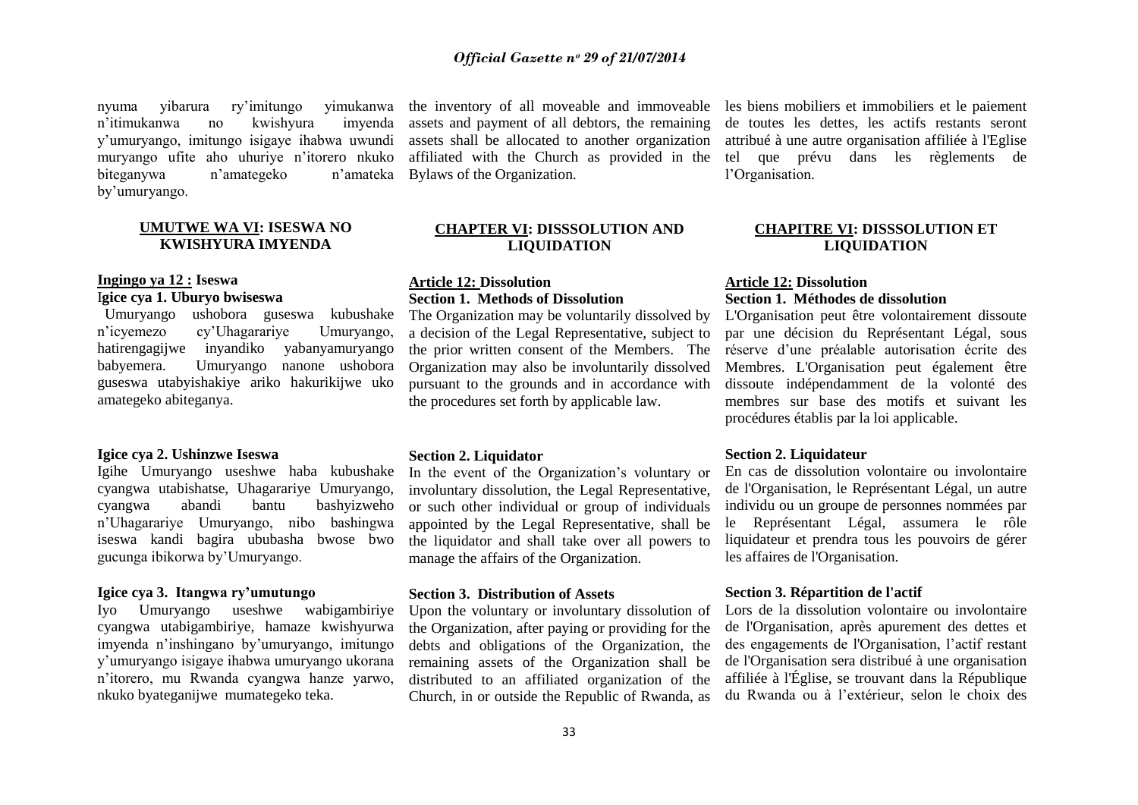nyuma yibarura ry"imitungo yimukanwa n"itimukanwa no kwishyura imyenda y"umuryango, imitungo isigaye ihabwa uwundi muryango ufite aho uhuriye n"itorero nkuko biteganywa n'amategeko by"umuryango.

# **UMUTWE WA VI: ISESWA NO KWISHYURA IMYENDA**

# **Ingingo ya 12 : Iseswa** I**gice cya 1. Uburyo bwiseswa**

 Umuryango ushobora guseswa kubushake n"icyemezo cy"Uhagarariye Umuryango, hatirengagijwe inyandiko yabanyamuryango<br>babvemera. Umuryango nanone ushobora Umuryango nanone ushobora guseswa utabyishakiye ariko hakurikijwe uko amategeko abiteganya.

# **Igice cya 2. Ushinzwe Iseswa**

Igihe Umuryango useshwe haba kubushake cyangwa utabishatse, Uhagarariye Umuryango, cyangwa abandi bantu bashyizweho n"Uhagarariye Umuryango, nibo bashingwa iseswa kandi bagira ububasha bwose bwo gucunga ibikorwa by"Umuryango.

# **Igice cya 3. Itangwa ry'umutungo**

Iyo Umuryango useshwe wabigambiriye cyangwa utabigambiriye, hamaze kwishyurwa imyenda n"inshingano by"umuryango, imitungo y"umuryango isigaye ihabwa umuryango ukorana n"itorero, mu Rwanda cyangwa hanze yarwo, nkuko byateganijwe mumategeko teka.

assets and payment of all debtors, the remaining assets shall be allocated to another organization affiliated with the Church as provided in the n'amateka Bylaws of the Organization.

# **CHAPTER VI: DISSSOLUTION AND LIQUIDATION**

# **Article 12: Dissolution Section 1. Methods of Dissolution**

The Organization may be voluntarily dissolved by a decision of the Legal Representative, subject to the prior written consent of the Members. The Organization may also be involuntarily dissolved pursuant to the grounds and in accordance with the procedures set forth by applicable law.

# **Section 2. Liquidator**

In the event of the Organization's voluntary or involuntary dissolution, the Legal Representative, or such other individual or group of individuals appointed by the Legal Representative, shall be the liquidator and shall take over all powers to manage the affairs of the Organization.

# **Section 3. Distribution of Assets**

Upon the voluntary or involuntary dissolution of the Organization, after paying or providing for the debts and obligations of the Organization, the remaining assets of the Organization shall be distributed to an affiliated organization of the Church, in or outside the Republic of Rwanda, as

the inventory of all moveable and immoveable les biens mobiliers et immobiliers et le paiement de toutes les dettes, les actifs restants seront attribué à une autre organisation affiliée à l'Eglise tel que prévu dans les règlements de l"Organisation.

# **CHAPITRE VI: DISSSOLUTION ET LIQUIDATION**

# **Article 12: Dissolution Section 1. Méthodes de dissolution**

L'Organisation peut être volontairement dissoute par une décision du Représentant Légal, sous réserve d"une préalable autorisation écrite des Membres. L'Organisation peut également être dissoute indépendamment de la volonté des membres sur base des motifs et suivant les procédures établis par la loi applicable.

# **Section 2. Liquidateur**

En cas de dissolution volontaire ou involontaire de l'Organisation, le Représentant Légal, un autre individu ou un groupe de personnes nommées par le Représentant Légal, assumera le rôle liquidateur et prendra tous les pouvoirs de gérer les affaires de l'Organisation.

# **Section 3. Répartition de l'actif**

Lors de la dissolution volontaire ou involontaire de l'Organisation, après apurement des dettes et des engagements de l'Organisation, l"actif restant de l'Organisation sera distribué à une organisation affiliée à l'Église, se trouvant dans la République du Rwanda ou à l"extérieur, selon le choix des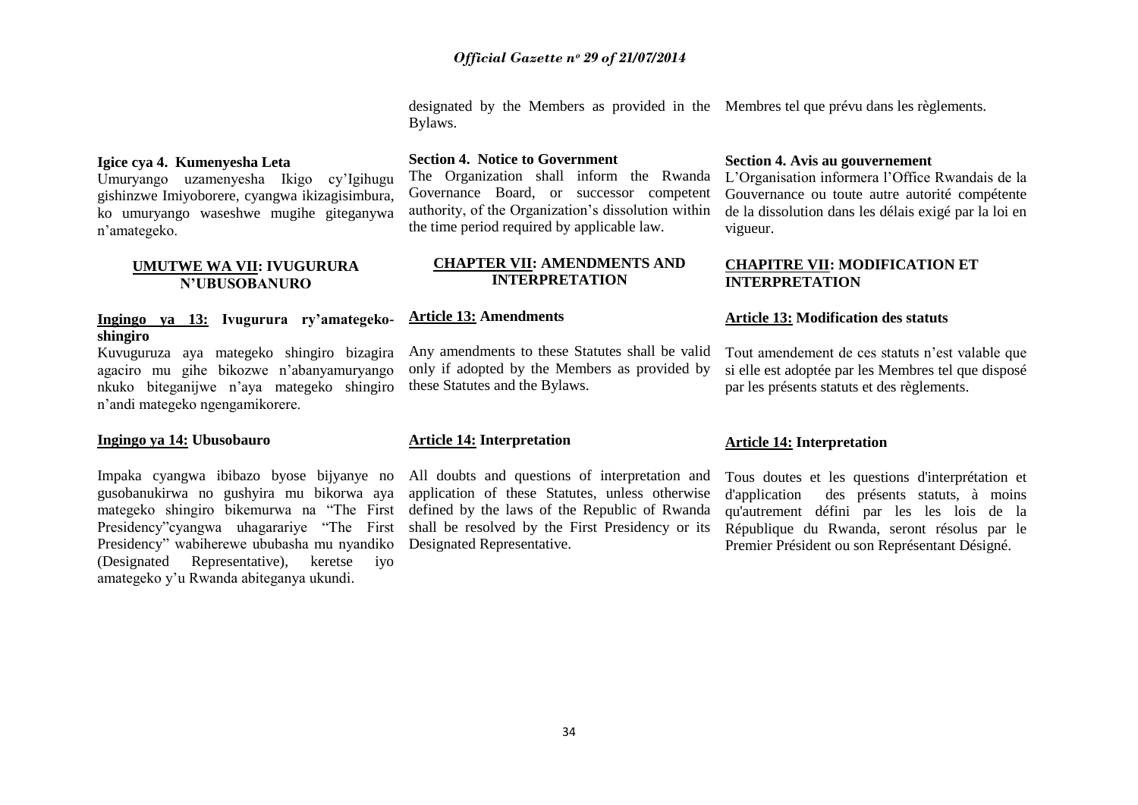designated by the Members as provided in the Membres tel que prévu dans les règlements. Bylaws.

# **Igice cya 4. Kumenyesha Leta**

Umuryango uzamenyesha Ikigo cy"Igihugu gishinzwe Imiyoborere, cyangwa ikizagisimbura, ko umuryango waseshwe mugihe giteganywa n"amategeko.

# **UMUTWE WA VII: IVUGURURA N'UBUSOBANURO**

# **Ingingo ya 13: Ivugurura ry'amategekoshingiro**

Kuvuguruza aya mategeko shingiro bizagira agaciro mu gihe bikozwe n"abanyamuryango nkuko biteganijwe n"aya mategeko shingiro n"andi mategeko ngengamikorere.

# **Ingingo ya 14: Ubusobauro**

Impaka cyangwa ibibazo byose bijyanye no gusobanukirwa no gushyira mu bikorwa aya mategeko shingiro bikemurwa na "The First Presidency"cyangwa uhagarariye "The First Presidency" wabiherewe ububasha mu nyandiko (Designated Representative), keretse iyo amategeko y"u Rwanda abiteganya ukundi.

# **Section 4. Notice to Government**

The Organization shall inform the Rwanda Governance Board, or successor competent authority, of the Organization"s dissolution within the time period required by applicable law.

# **CHAPTER VII: AMENDMENTS AND INTERPRETATION**

# **Article 13: Amendments**

Any amendments to these Statutes shall be valid only if adopted by the Members as provided by these Statutes and the Bylaws.

# **Article 14: Interpretation**

All doubts and questions of interpretation and application of these Statutes, unless otherwise defined by the laws of the Republic of Rwanda shall be resolved by the First Presidency or its Designated Representative.

# **Section 4. Avis au gouvernement**

L"Organisation informera l"Office Rwandais de la Gouvernance ou toute autre autorité compétente de la dissolution dans les délais exigé par la loi en vigueur.

# **CHAPITRE VII: MODIFICATION ET INTERPRETATION**

# **Article 13: Modification des statuts**

Tout amendement de ces statuts n"est valable que si elle est adoptée par les Membres tel que disposé par les présents statuts et des règlements.

# **Article 14: Interpretation**

Tous doutes et les questions d'interprétation et d'application des présents statuts, à moins qu'autrement défini par les les lois de la République du Rwanda, seront résolus par le Premier Président ou son Représentant Désigné.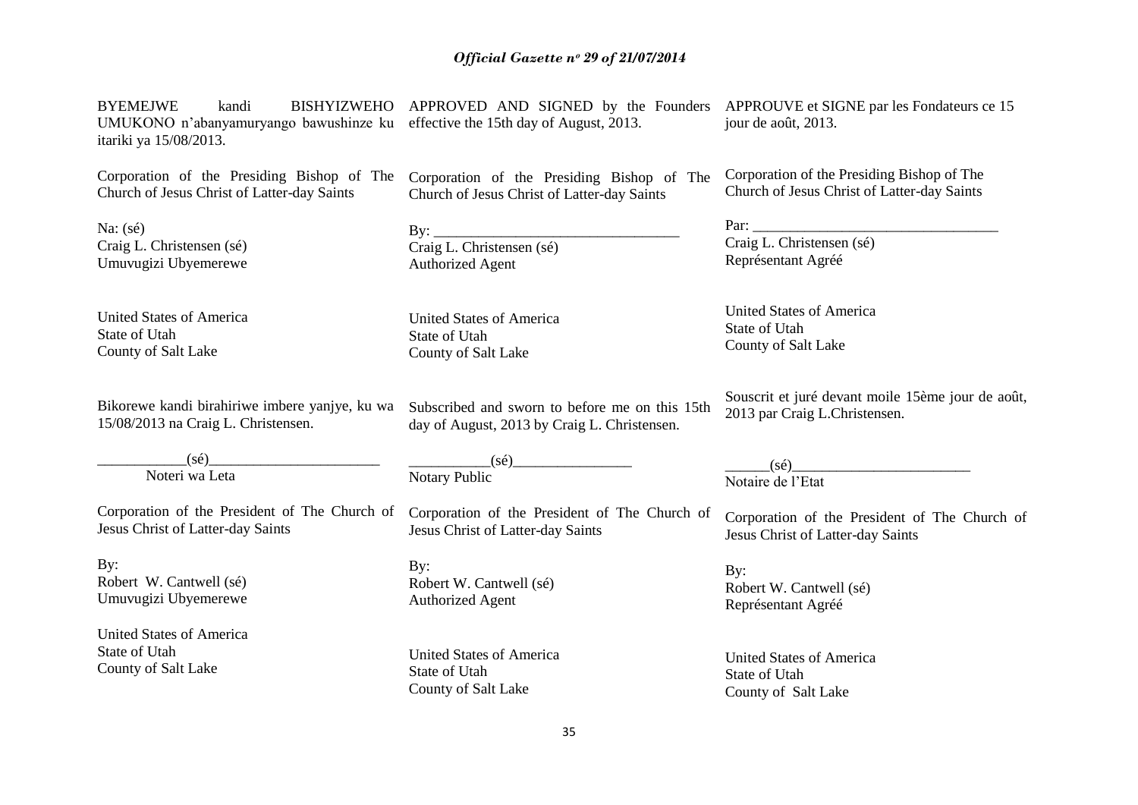| <b>BYEMEJWE</b><br>kandi<br>UMUKONO n'abanyamuryango bawushinze ku effective the 15th day of August, 2013.<br>itariki ya 15/08/2013. | BISHYIZWEHO APPROVED AND SIGNED by the Founders APPROUVE et SIGNE par les Fondateurs ce 15 | jour de août, 2013.                               |
|--------------------------------------------------------------------------------------------------------------------------------------|--------------------------------------------------------------------------------------------|---------------------------------------------------|
| Corporation of the Presiding Bishop of The                                                                                           | Corporation of the Presiding Bishop of The                                                 | Corporation of the Presiding Bishop of The        |
| Church of Jesus Christ of Latter-day Saints                                                                                          | Church of Jesus Christ of Latter-day Saints                                                | Church of Jesus Christ of Latter-day Saints       |
| Na: $(s\acute{e})$                                                                                                                   |                                                                                            |                                                   |
| Craig L. Christensen (sé)                                                                                                            | Craig L. Christensen (sé)                                                                  | Craig L. Christensen (sé)                         |
| Umuvugizi Ubyemerewe                                                                                                                 | <b>Authorized Agent</b>                                                                    | Représentant Agréé                                |
| <b>United States of America</b>                                                                                                      | <b>United States of America</b>                                                            | <b>United States of America</b>                   |
| State of Utah                                                                                                                        | State of Utah                                                                              | State of Utah                                     |
| County of Salt Lake                                                                                                                  | County of Salt Lake                                                                        | County of Salt Lake                               |
| Bikorewe kandi birahiriwe imbere yanjye, ku wa                                                                                       | Subscribed and sworn to before me on this 15th                                             | Souscrit et juré devant moile 15ème jour de août, |
| 15/08/2013 na Craig L. Christensen.                                                                                                  | day of August, 2013 by Craig L. Christensen.                                               | 2013 par Craig L.Christensen.                     |
| $(s\acute{e})$                                                                                                                       | $(s\acute{e})$                                                                             | $(s\acute{e})$                                    |
| Noteri wa Leta                                                                                                                       | Notary Public                                                                              | Notaire de l'Etat                                 |
| Corporation of the President of The Church of                                                                                        | Corporation of the President of The Church of                                              | Corporation of the President of The Church of     |
| Jesus Christ of Latter-day Saints                                                                                                    | Jesus Christ of Latter-day Saints                                                          | Jesus Christ of Latter-day Saints                 |
| By:                                                                                                                                  | By:                                                                                        | By:                                               |
| Robert W. Cantwell (sé)                                                                                                              | Robert W. Cantwell (sé)                                                                    | Robert W. Cantwell (sé)                           |
| Umuvugizi Ubyemerewe                                                                                                                 | <b>Authorized Agent</b>                                                                    | Représentant Agréé                                |
| <b>United States of America</b>                                                                                                      | <b>United States of America</b>                                                            | <b>United States of America</b>                   |
| State of Utah                                                                                                                        | State of Utah                                                                              | State of Utah                                     |
| County of Salt Lake                                                                                                                  | County of Salt Lake                                                                        | County of Salt Lake                               |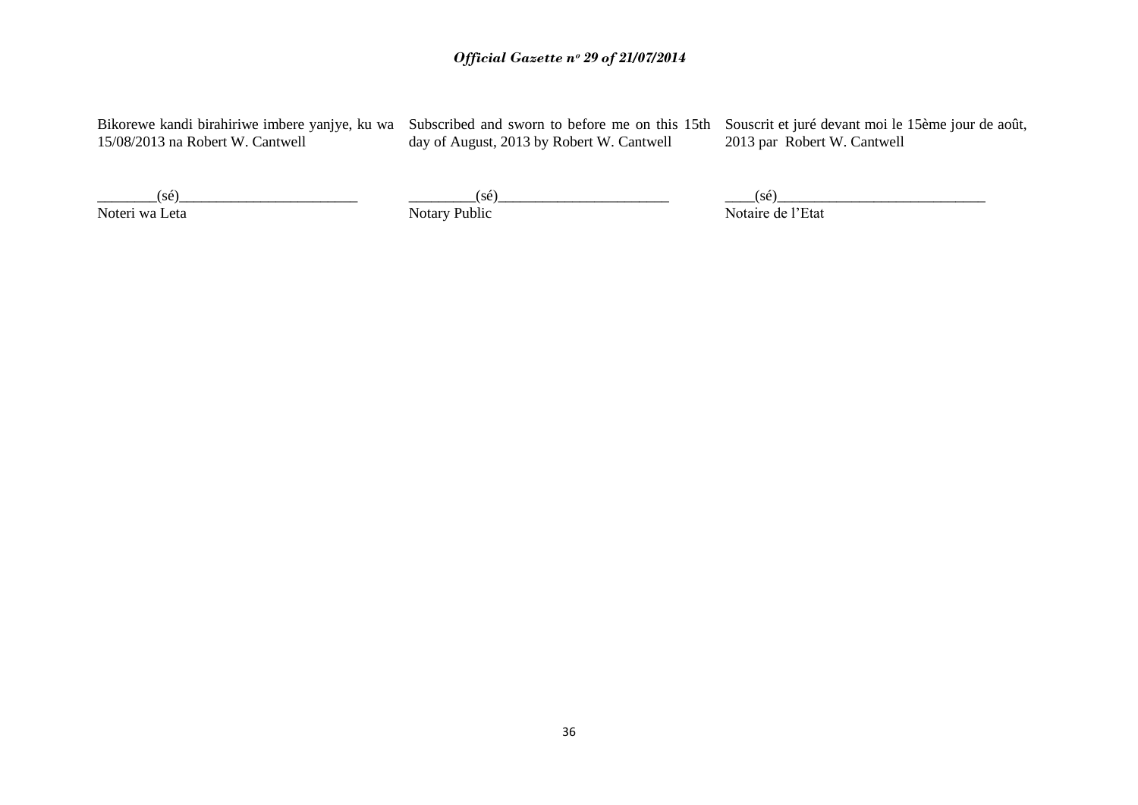15/08/2013 na Robert W. Cantwell

day of August, 2013 by Robert W. Cantwell

Bikorewe kandi birahiriwe imbere yanjye, ku wa Subscribed and sworn to before me on this 15th Souscrit et juré devant moi le 15ème jour de août, 2013 par Robert W. Cantwell

 $(s\acute{e})$ Noteri wa Leta

 $(s\acute{e})$ Notary Public

 $(s\acute{e})$ Notaire de l"Etat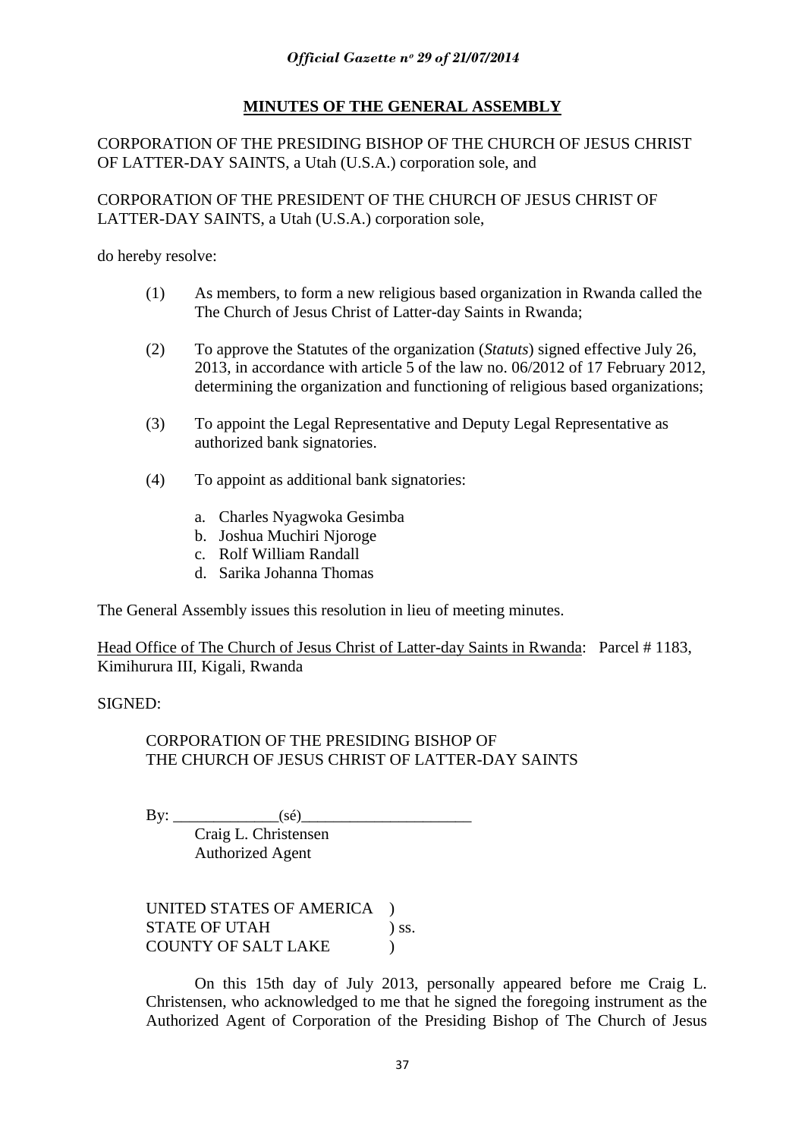# **MINUTES OF THE GENERAL ASSEMBLY**

### CORPORATION OF THE PRESIDING BISHOP OF THE CHURCH OF JESUS CHRIST OF LATTER-DAY SAINTS, a Utah (U.S.A.) corporation sole, and

CORPORATION OF THE PRESIDENT OF THE CHURCH OF JESUS CHRIST OF LATTER-DAY SAINTS, a Utah (U.S.A.) corporation sole,

do hereby resolve:

- (1) As members, to form a new religious based organization in Rwanda called the The Church of Jesus Christ of Latter-day Saints in Rwanda;
- (2) To approve the Statutes of the organization (*Statuts*) signed effective July 26, 2013, in accordance with article 5 of the law no. 06/2012 of 17 February 2012, determining the organization and functioning of religious based organizations;
- (3) To appoint the Legal Representative and Deputy Legal Representative as authorized bank signatories.
- (4) To appoint as additional bank signatories:
	- a. Charles Nyagwoka Gesimba
	- b. Joshua Muchiri Njoroge
	- c. Rolf William Randall
	- d. Sarika Johanna Thomas

The General Assembly issues this resolution in lieu of meeting minutes.

Head Office of The Church of Jesus Christ of Latter-day Saints in Rwanda: Parcel # 1183, Kimihurura III, Kigali, Rwanda

SIGNED:

### CORPORATION OF THE PRESIDING BISHOP OF THE CHURCH OF JESUS CHRIST OF LATTER-DAY SAINTS

By: \_\_\_\_\_\_\_\_\_\_\_\_\_(sé)\_\_\_\_\_\_\_\_\_\_\_\_\_\_\_\_\_\_\_\_\_ Craig L. Christensen Authorized Agent

UNITED STATES OF AMERICA ) STATE OF UTAH ) ss. COUNTY OF SALT LAKE )

On this 15th day of July 2013, personally appeared before me Craig L. Christensen, who acknowledged to me that he signed the foregoing instrument as the Authorized Agent of Corporation of the Presiding Bishop of The Church of Jesus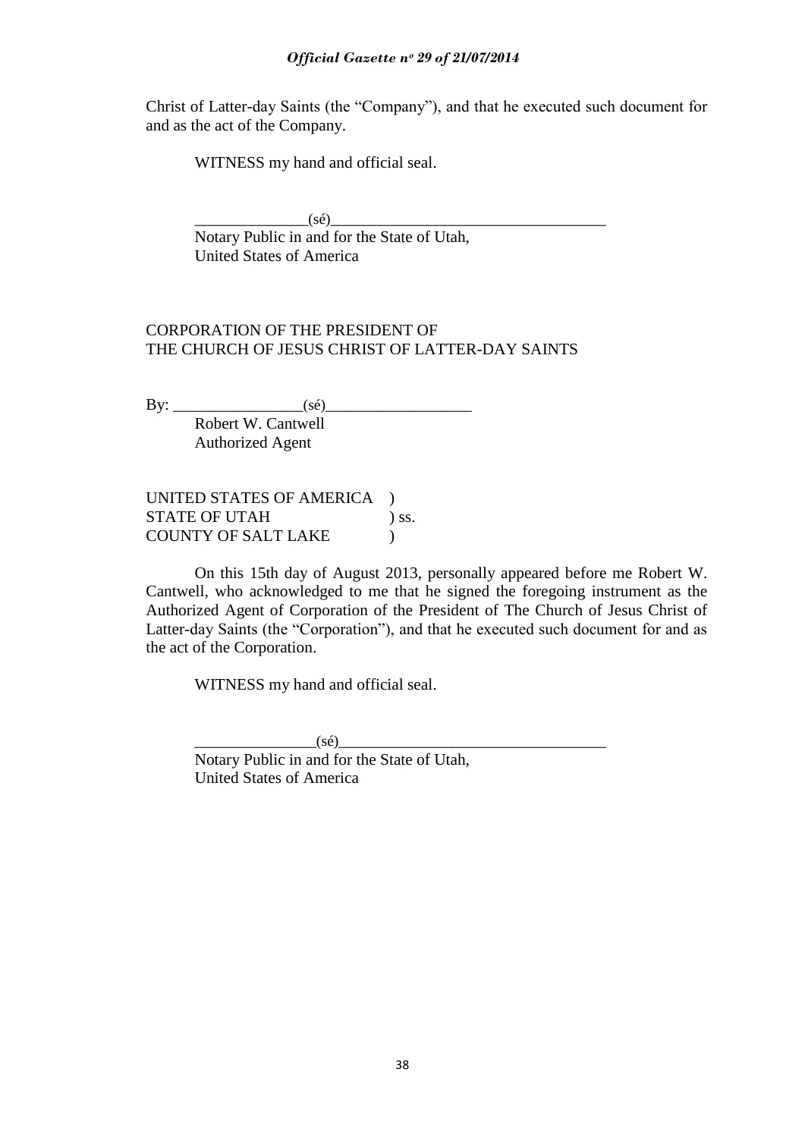#### *Official Gazette nᵒ 29 of 21/07/2014*

Christ of Latter-day Saints (the "Company"), and that he executed such document for and as the act of the Company.

WITNESS my hand and official seal.

 $(s\acute{e})$ Notary Public in and for the State of Utah, United States of America

### CORPORATION OF THE PRESIDENT OF THE CHURCH OF JESUS CHRIST OF LATTER-DAY SAINTS

By: \_\_\_\_\_\_\_\_\_\_\_\_\_\_\_\_(sé)\_\_\_\_\_\_\_\_\_\_\_\_\_\_\_\_\_\_ Robert W. Cantwell Authorized Agent

UNITED STATES OF AMERICA ) STATE OF UTAH ) ss. COUNTY OF SALT LAKE )

On this 15th day of August 2013, personally appeared before me Robert W. Cantwell, who acknowledged to me that he signed the foregoing instrument as the Authorized Agent of Corporation of the President of The Church of Jesus Christ of Latter-day Saints (the "Corporation"), and that he executed such document for and as the act of the Corporation.

WITNESS my hand and official seal.

 $(s\acute{e})$ Notary Public in and for the State of Utah, United States of America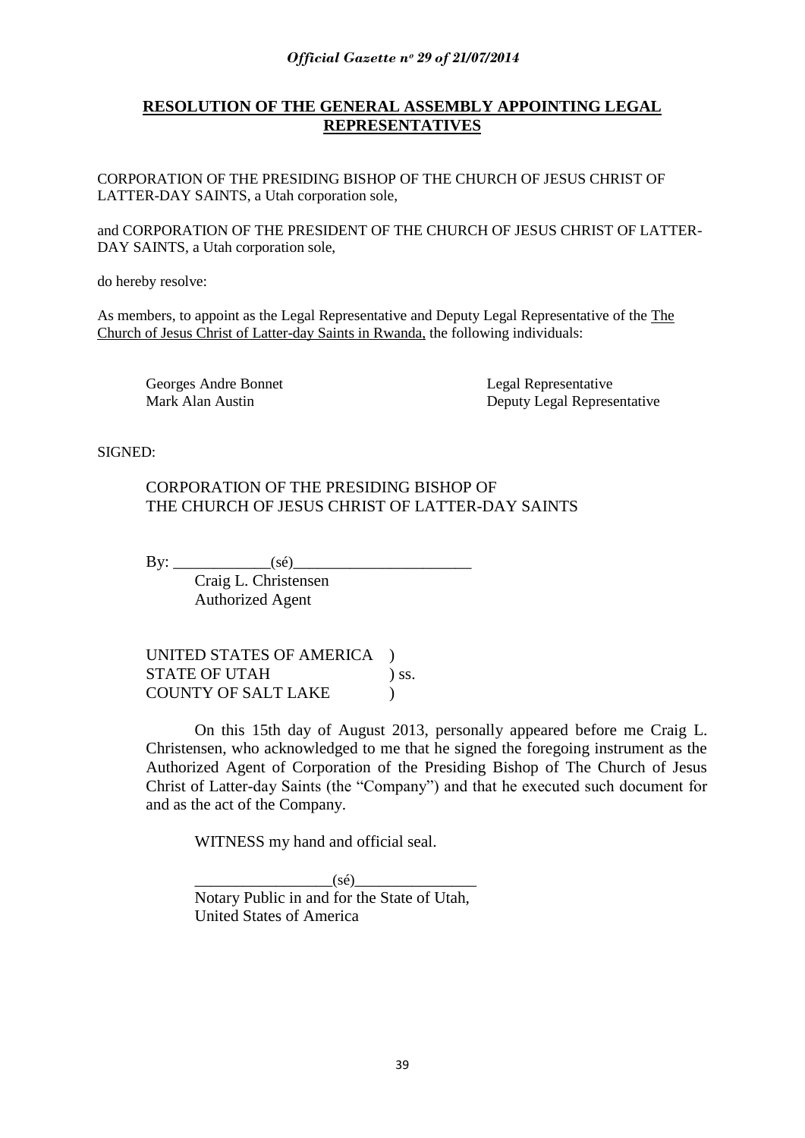## **RESOLUTION OF THE GENERAL ASSEMBLY APPOINTING LEGAL REPRESENTATIVES**

CORPORATION OF THE PRESIDING BISHOP OF THE CHURCH OF JESUS CHRIST OF LATTER-DAY SAINTS, a Utah corporation sole,

and CORPORATION OF THE PRESIDENT OF THE CHURCH OF JESUS CHRIST OF LATTER-DAY SAINTS, a Utah corporation sole,

do hereby resolve:

As members, to appoint as the Legal Representative and Deputy Legal Representative of the The Church of Jesus Christ of Latter-day Saints in Rwanda, the following individuals:

Georges Andre Bonnet Legal Representative

Mark Alan Austin Deputy Legal Representative

SIGNED:

### CORPORATION OF THE PRESIDING BISHOP OF THE CHURCH OF JESUS CHRIST OF LATTER-DAY SAINTS

By:  $\qquad \qquad$  (sé)

Craig L. Christensen Authorized Agent

UNITED STATES OF AMERICA ) STATE OF UTAH ) ss. COUNTY OF SALT LAKE )

On this 15th day of August 2013, personally appeared before me Craig L. Christensen, who acknowledged to me that he signed the foregoing instrument as the Authorized Agent of Corporation of the Presiding Bishop of The Church of Jesus Christ of Latter-day Saints (the "Company") and that he executed such document for and as the act of the Company.

WITNESS my hand and official seal.

 $(s\acute{e})$ Notary Public in and for the State of Utah, United States of America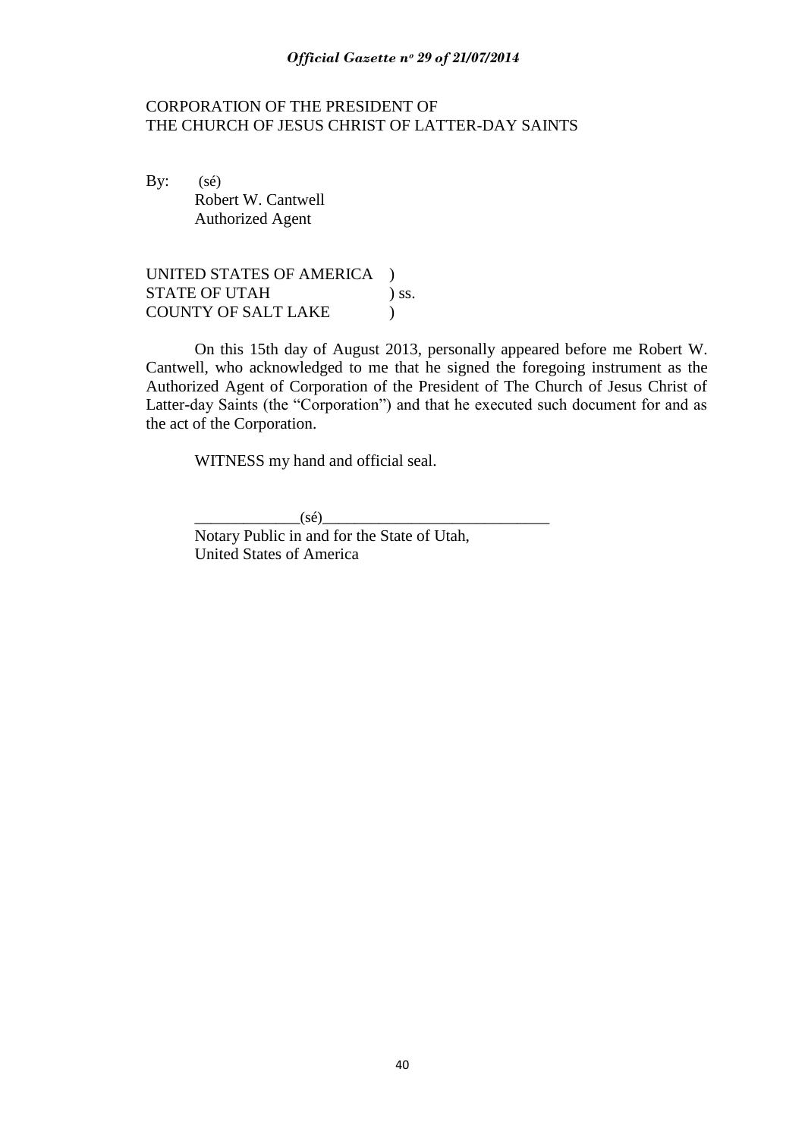#### *Official Gazette nᵒ 29 of 21/07/2014*

#### CORPORATION OF THE PRESIDENT OF THE CHURCH OF JESUS CHRIST OF LATTER-DAY SAINTS

By:  $(s\acute{e})$ Robert W. Cantwell Authorized Agent

UNITED STATES OF AMERICA ) STATE OF UTAH ) ss. COUNTY OF SALT LAKE )

On this 15th day of August 2013, personally appeared before me Robert W. Cantwell, who acknowledged to me that he signed the foregoing instrument as the Authorized Agent of Corporation of the President of The Church of Jesus Christ of Latter-day Saints (the "Corporation") and that he executed such document for and as the act of the Corporation.

WITNESS my hand and official seal.

 $(s\acute{e})$ 

Notary Public in and for the State of Utah, United States of America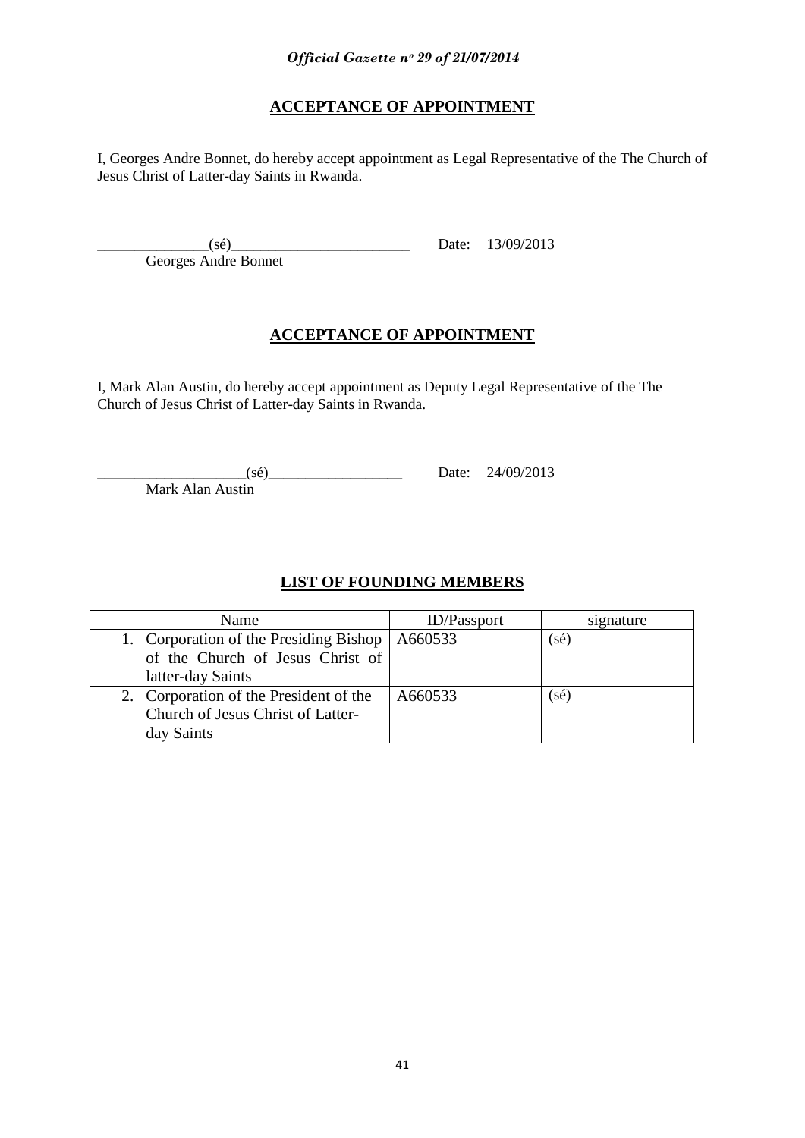# **ACCEPTANCE OF APPOINTMENT**

I, Georges Andre Bonnet, do hereby accept appointment as Legal Representative of the The Church of Jesus Christ of Latter-day Saints in Rwanda.

Georges Andre Bonnet

 $(\text{se})$  Date:  $13/09/2013$ 

# **ACCEPTANCE OF APPOINTMENT**

I, Mark Alan Austin, do hereby accept appointment as Deputy Legal Representative of the The Church of Jesus Christ of Latter-day Saints in Rwanda.

 $24/09/2013$  Date:  $24/09/2013$ 

Mark Alan Austin

# **LIST OF FOUNDING MEMBERS**

| Name                                             | <b>ID</b> /Passport | signature |
|--------------------------------------------------|---------------------|-----------|
| 1. Corporation of the Presiding Bishop   A660533 |                     | (sé)      |
| of the Church of Jesus Christ of                 |                     |           |
| latter-day Saints                                |                     |           |
| 2. Corporation of the President of the           | A660533             | (sé)      |
| Church of Jesus Christ of Latter-                |                     |           |
| day Saints                                       |                     |           |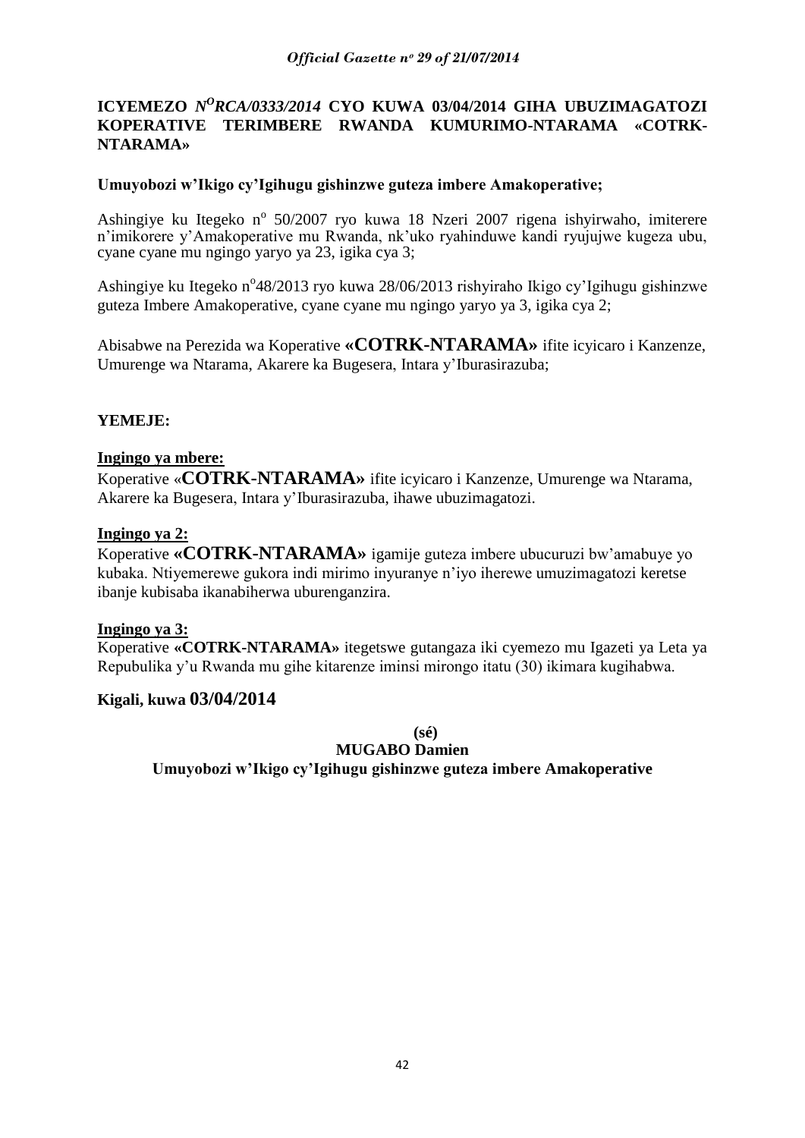### **ICYEMEZO** *N<sup>O</sup>RCA/0333/2014* CYO KUWA 03/04/2014 GIHA UBUZIMAGATOZI **KOPERATIVE TERIMBERE RWANDA KUMURIMO-NTARAMA «COTRK-NTARAMA»**

#### **Umuyobozi w'Ikigo cy'Igihugu gishinzwe guteza imbere Amakoperative;**

Ashingiye ku Itegeko nº 50/2007 ryo kuwa 18 Nzeri 2007 rigena ishyirwaho, imiterere n"imikorere y"Amakoperative mu Rwanda, nk"uko ryahinduwe kandi ryujujwe kugeza ubu, cyane cyane mu ngingo yaryo ya 23, igika cya 3;

Ashingiye ku Itegeko n°48/2013 ryo kuwa 28/06/2013 rishyiraho Ikigo cy'Igihugu gishinzwe guteza Imbere Amakoperative, cyane cyane mu ngingo yaryo ya 3, igika cya 2;

Abisabwe na Perezida wa Koperative **«COTRK-NTARAMA»** ifite icyicaro i Kanzenze, Umurenge wa Ntarama, Akarere ka Bugesera, Intara y"Iburasirazuba;

### **YEMEJE:**

#### **Ingingo ya mbere:**

Koperative «**COTRK-NTARAMA»** ifite icyicaro i Kanzenze, Umurenge wa Ntarama, Akarere ka Bugesera, Intara y"Iburasirazuba, ihawe ubuzimagatozi.

#### **Ingingo ya 2:**

Koperative **«COTRK-NTARAMA»** igamije guteza imbere ubucuruzi bw"amabuye yo kubaka. Ntiyemerewe gukora indi mirimo inyuranye n"iyo iherewe umuzimagatozi keretse ibanje kubisaba ikanabiherwa uburenganzira.

#### **Ingingo ya 3:**

Koperative **«COTRK-NTARAMA»** itegetswe gutangaza iki cyemezo mu Igazeti ya Leta ya Repubulika y"u Rwanda mu gihe kitarenze iminsi mirongo itatu (30) ikimara kugihabwa.

### **Kigali, kuwa 03/04/2014**

**(sé)**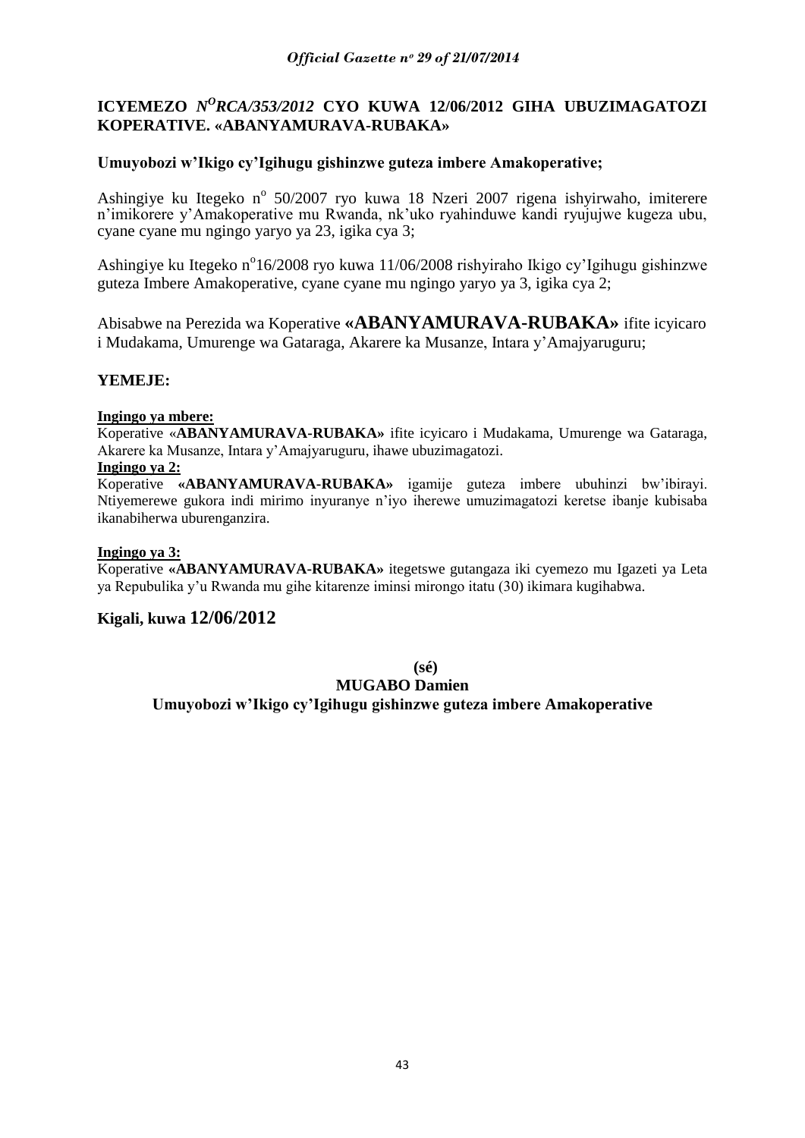### **ICYEMEZO** *N<sup>O</sup>RCA/353/2012* CYO KUWA 12/06/2012 GIHA UBUZIMAGATOZI **KOPERATIVE. «ABANYAMURAVA-RUBAKA»**

#### **Umuyobozi w'Ikigo cy'Igihugu gishinzwe guteza imbere Amakoperative;**

Ashingiye ku Itegeko nº 50/2007 ryo kuwa 18 Nzeri 2007 rigena ishyirwaho, imiterere n"imikorere y"Amakoperative mu Rwanda, nk"uko ryahinduwe kandi ryujujwe kugeza ubu, cyane cyane mu ngingo yaryo ya 23, igika cya 3;

Ashingiye ku Itegeko n°16/2008 ryo kuwa 11/06/2008 rishyiraho Ikigo cy'Igihugu gishinzwe guteza Imbere Amakoperative, cyane cyane mu ngingo yaryo ya 3, igika cya 2;

Abisabwe na Perezida wa Koperative **«ABANYAMURAVA-RUBAKA»** ifite icyicaro i Mudakama, Umurenge wa Gataraga, Akarere ka Musanze, Intara y"Amajyaruguru;

### **YEMEJE:**

#### **Ingingo ya mbere:**

Koperative «**ABANYAMURAVA-RUBAKA»** ifite icyicaro i Mudakama, Umurenge wa Gataraga, Akarere ka Musanze, Intara y"Amajyaruguru, ihawe ubuzimagatozi.

#### **Ingingo ya 2:**

Koperative **«ABANYAMURAVA-RUBAKA»** igamije guteza imbere ubuhinzi bw"ibirayi. Ntiyemerewe gukora indi mirimo inyuranye n"iyo iherewe umuzimagatozi keretse ibanje kubisaba ikanabiherwa uburenganzira.

#### **Ingingo ya 3:**

Koperative **«ABANYAMURAVA-RUBAKA»** itegetswe gutangaza iki cyemezo mu Igazeti ya Leta ya Repubulika y"u Rwanda mu gihe kitarenze iminsi mirongo itatu (30) ikimara kugihabwa.

### **Kigali, kuwa 12/06/2012**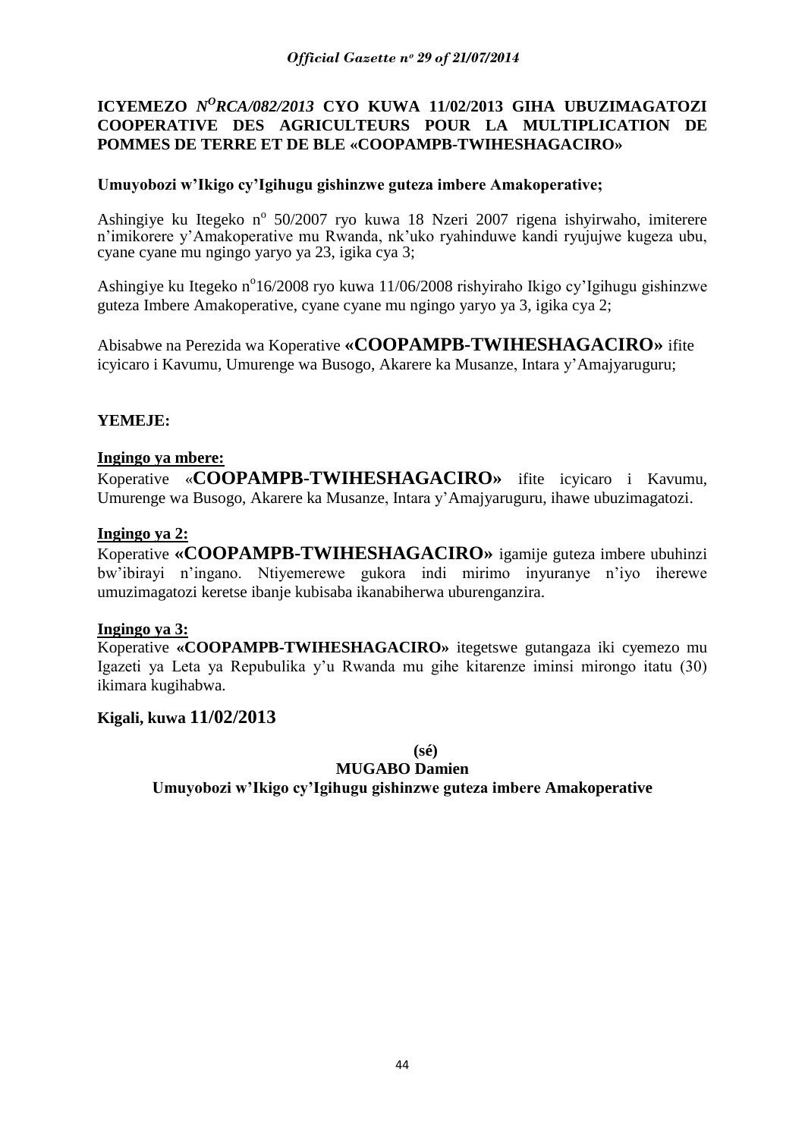## **ICYEMEZO** *N<sup>O</sup>RCA/082/2013* CYO KUWA 11/02/2013 GIHA UBUZIMAGATOZI **COOPERATIVE DES AGRICULTEURS POUR LA MULTIPLICATION DE POMMES DE TERRE ET DE BLE «COOPAMPB-TWIHESHAGACIRO»**

### **Umuyobozi w'Ikigo cy'Igihugu gishinzwe guteza imbere Amakoperative;**

Ashingiye ku Itegeko nº 50/2007 ryo kuwa 18 Nzeri 2007 rigena ishyirwaho, imiterere n"imikorere y"Amakoperative mu Rwanda, nk"uko ryahinduwe kandi ryujujwe kugeza ubu, cyane cyane mu ngingo yaryo ya 23, igika cya 3;

Ashingiye ku Itegeko n°16/2008 ryo kuwa 11/06/2008 rishyiraho Ikigo cy'Igihugu gishinzwe guteza Imbere Amakoperative, cyane cyane mu ngingo yaryo ya 3, igika cya 2;

Abisabwe na Perezida wa Koperative **«COOPAMPB-TWIHESHAGACIRO»** ifite icyicaro i Kavumu, Umurenge wa Busogo, Akarere ka Musanze, Intara y"Amajyaruguru;

### **YEMEJE:**

### **Ingingo ya mbere:**

Koperative «**COOPAMPB-TWIHESHAGACIRO»** ifite icyicaro i Kavumu, Umurenge wa Busogo, Akarere ka Musanze, Intara y"Amajyaruguru, ihawe ubuzimagatozi.

#### **Ingingo ya 2:**

Koperative **«COOPAMPB-TWIHESHAGACIRO»** igamije guteza imbere ubuhinzi bw"ibirayi n"ingano. Ntiyemerewe gukora indi mirimo inyuranye n"iyo iherewe umuzimagatozi keretse ibanje kubisaba ikanabiherwa uburenganzira.

#### **Ingingo ya 3:**

Koperative **«COOPAMPB-TWIHESHAGACIRO»** itegetswe gutangaza iki cyemezo mu Igazeti ya Leta ya Repubulika y"u Rwanda mu gihe kitarenze iminsi mirongo itatu (30) ikimara kugihabwa.

### **Kigali, kuwa 11/02/2013**

**(sé)**

#### **MUGABO Damien**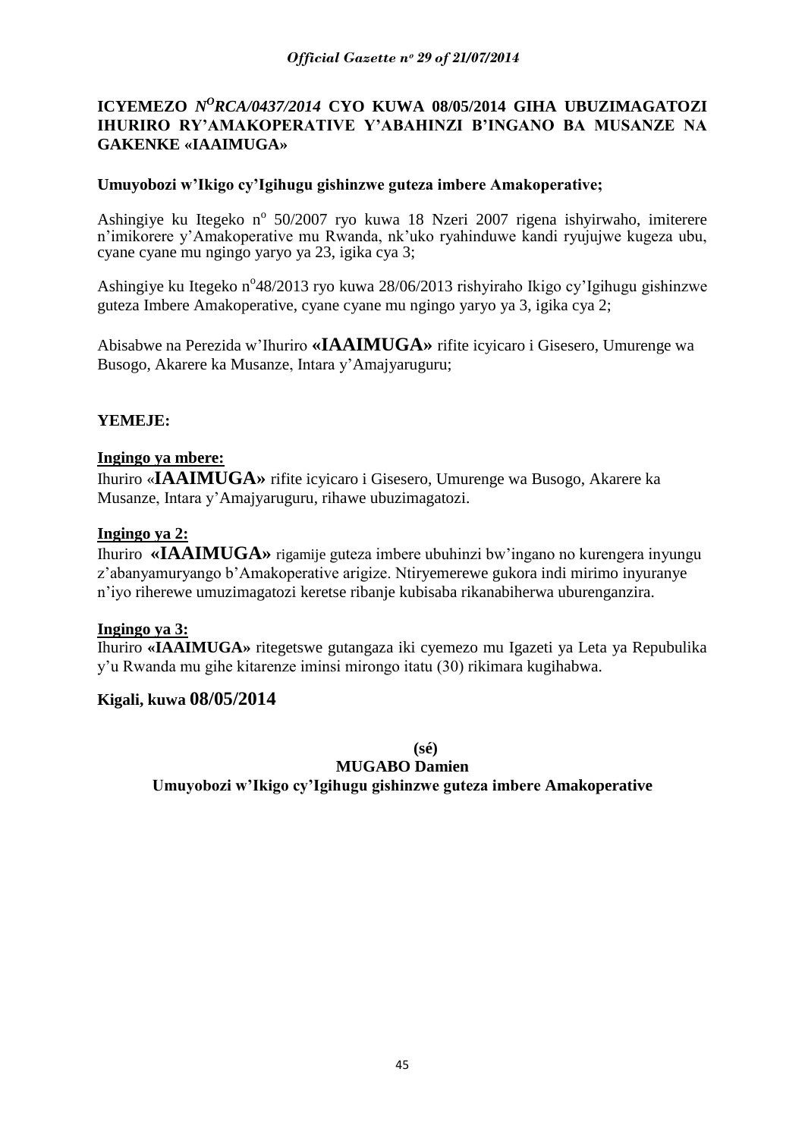### **ICYEMEZO** *N<sup>O</sup>RCA/0437/2014* CYO KUWA 08/05/2014 GIHA UBUZIMAGATOZI **IHURIRO RY'AMAKOPERATIVE Y'ABAHINZI B'INGANO BA MUSANZE NA GAKENKE «IAAIMUGA»**

### **Umuyobozi w'Ikigo cy'Igihugu gishinzwe guteza imbere Amakoperative;**

Ashingiye ku Itegeko nº 50/2007 ryo kuwa 18 Nzeri 2007 rigena ishyirwaho, imiterere n"imikorere y"Amakoperative mu Rwanda, nk"uko ryahinduwe kandi ryujujwe kugeza ubu, cyane cyane mu ngingo yaryo ya 23, igika cya 3;

Ashingiye ku Itegeko n°48/2013 ryo kuwa 28/06/2013 rishyiraho Ikigo cy'Igihugu gishinzwe guteza Imbere Amakoperative, cyane cyane mu ngingo yaryo ya 3, igika cya 2;

Abisabwe na Perezida w"Ihuriro **«IAAIMUGA»** rifite icyicaro i Gisesero, Umurenge wa Busogo, Akarere ka Musanze, Intara y"Amajyaruguru;

### **YEMEJE:**

### **Ingingo ya mbere:**

Ihuriro «**IAAIMUGA»** rifite icyicaro i Gisesero, Umurenge wa Busogo, Akarere ka Musanze, Intara y"Amajyaruguru, rihawe ubuzimagatozi.

#### **Ingingo ya 2:**

Ihuriro **«IAAIMUGA»** rigamije guteza imbere ubuhinzi bw"ingano no kurengera inyungu z"abanyamuryango b"Amakoperative arigize. Ntiryemerewe gukora indi mirimo inyuranye n"iyo riherewe umuzimagatozi keretse ribanje kubisaba rikanabiherwa uburenganzira.

#### **Ingingo ya 3:**

Ihuriro **«IAAIMUGA»** ritegetswe gutangaza iki cyemezo mu Igazeti ya Leta ya Repubulika y"u Rwanda mu gihe kitarenze iminsi mirongo itatu (30) rikimara kugihabwa.

### **Kigali, kuwa 08/05/2014**

**(sé)**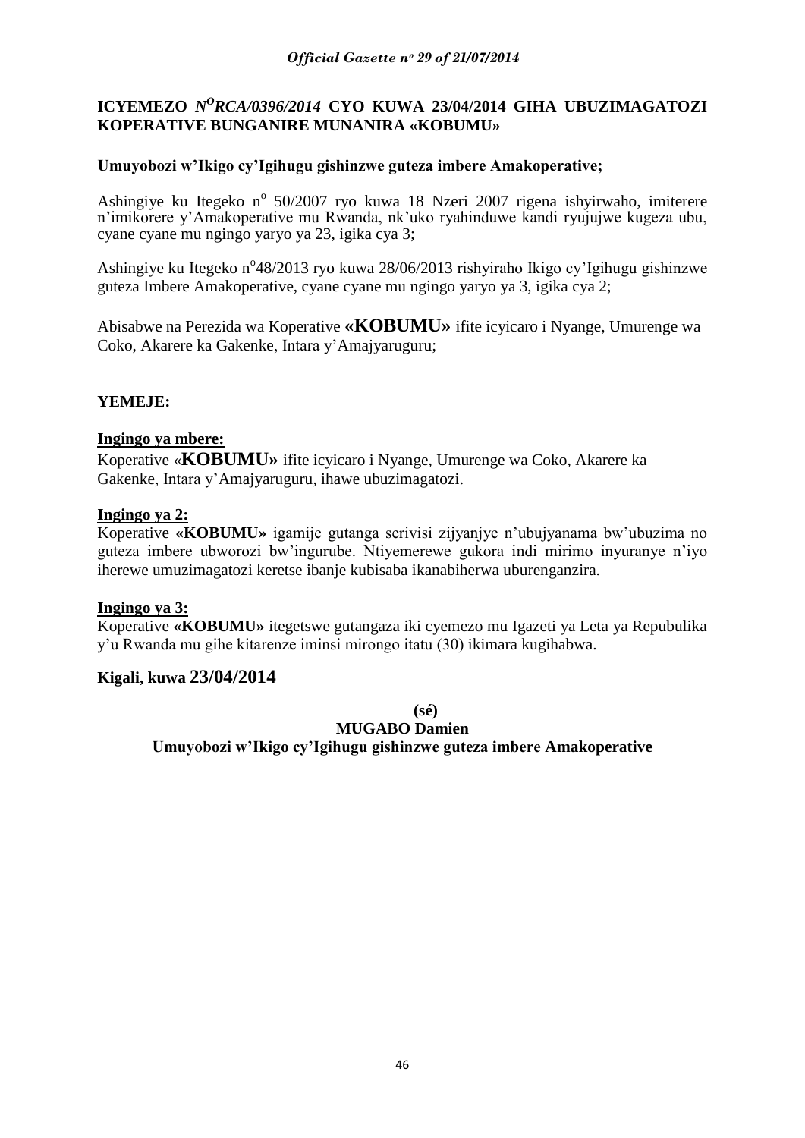# **ICYEMEZO** *N<sup>O</sup>RCA/0396/2014* CYO KUWA 23/04/2014 GIHA UBUZIMAGATOZI **KOPERATIVE BUNGANIRE MUNANIRA «KOBUMU»**

### **Umuyobozi w'Ikigo cy'Igihugu gishinzwe guteza imbere Amakoperative;**

Ashingiye ku Itegeko nº 50/2007 ryo kuwa 18 Nzeri 2007 rigena ishyirwaho, imiterere n"imikorere y"Amakoperative mu Rwanda, nk"uko ryahinduwe kandi ryujujwe kugeza ubu, cyane cyane mu ngingo yaryo ya 23, igika cya 3;

Ashingiye ku Itegeko n°48/2013 ryo kuwa 28/06/2013 rishyiraho Ikigo cy'Igihugu gishinzwe guteza Imbere Amakoperative, cyane cyane mu ngingo yaryo ya 3, igika cya 2;

Abisabwe na Perezida wa Koperative **«KOBUMU»** ifite icyicaro i Nyange, Umurenge wa Coko, Akarere ka Gakenke, Intara y"Amajyaruguru;

### **YEMEJE:**

#### **Ingingo ya mbere:**

Koperative «**KOBUMU»** ifite icyicaro i Nyange, Umurenge wa Coko, Akarere ka Gakenke, Intara y"Amajyaruguru, ihawe ubuzimagatozi.

#### **Ingingo ya 2:**

Koperative **«KOBUMU»** igamije gutanga serivisi zijyanjye n"ubujyanama bw"ubuzima no guteza imbere ubworozi bw"ingurube. Ntiyemerewe gukora indi mirimo inyuranye n"iyo iherewe umuzimagatozi keretse ibanje kubisaba ikanabiherwa uburenganzira.

#### **Ingingo ya 3:**

Koperative **«KOBUMU»** itegetswe gutangaza iki cyemezo mu Igazeti ya Leta ya Repubulika y"u Rwanda mu gihe kitarenze iminsi mirongo itatu (30) ikimara kugihabwa.

#### **Kigali, kuwa 23/04/2014**

**(sé)**

**MUGABO Damien**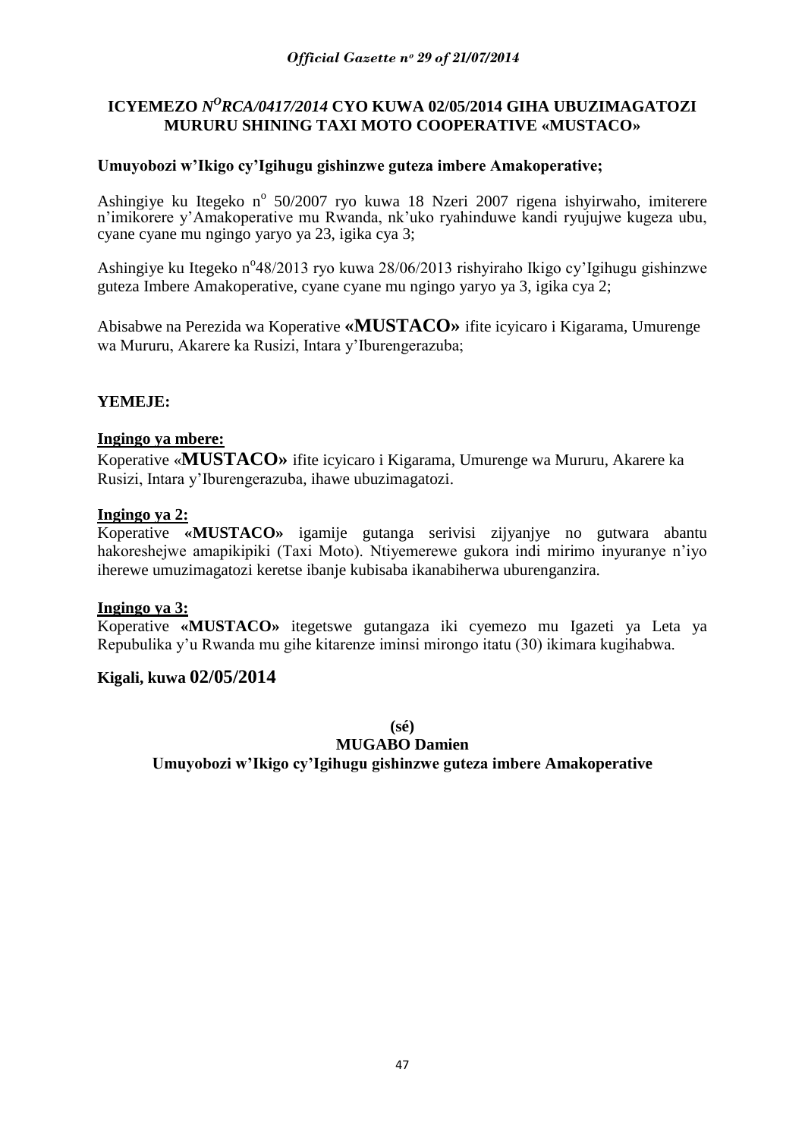# ICYEMEZO *N<sup>O</sup>RCA/0417/2014* CYO KUWA 02/05/2014 GIHA UBUZIMAGATOZI **MURURU SHINING TAXI MOTO COOPERATIVE «MUSTACO»**

### **Umuyobozi w'Ikigo cy'Igihugu gishinzwe guteza imbere Amakoperative;**

Ashingiye ku Itegeko nº 50/2007 ryo kuwa 18 Nzeri 2007 rigena ishyirwaho, imiterere n"imikorere y"Amakoperative mu Rwanda, nk"uko ryahinduwe kandi ryujujwe kugeza ubu, cyane cyane mu ngingo yaryo ya 23, igika cya 3;

Ashingiye ku Itegeko n°48/2013 ryo kuwa 28/06/2013 rishyiraho Ikigo cy'Igihugu gishinzwe guteza Imbere Amakoperative, cyane cyane mu ngingo yaryo ya 3, igika cya 2;

Abisabwe na Perezida wa Koperative **«MUSTACO»** ifite icyicaro i Kigarama, Umurenge wa Mururu, Akarere ka Rusizi, Intara y"Iburengerazuba;

### **YEMEJE:**

#### **Ingingo ya mbere:**

Koperative «**MUSTACO»** ifite icyicaro i Kigarama, Umurenge wa Mururu, Akarere ka Rusizi, Intara y"Iburengerazuba, ihawe ubuzimagatozi.

#### **Ingingo ya 2:**

Koperative **«MUSTACO»** igamije gutanga serivisi zijyanjye no gutwara abantu hakoreshejwe amapikipiki (Taxi Moto). Ntiyemerewe gukora indi mirimo inyuranye n"iyo iherewe umuzimagatozi keretse ibanje kubisaba ikanabiherwa uburenganzira.

#### **Ingingo ya 3:**

Koperative **«MUSTACO»** itegetswe gutangaza iki cyemezo mu Igazeti ya Leta ya Repubulika y"u Rwanda mu gihe kitarenze iminsi mirongo itatu (30) ikimara kugihabwa.

#### **Kigali, kuwa 02/05/2014**

**(sé)**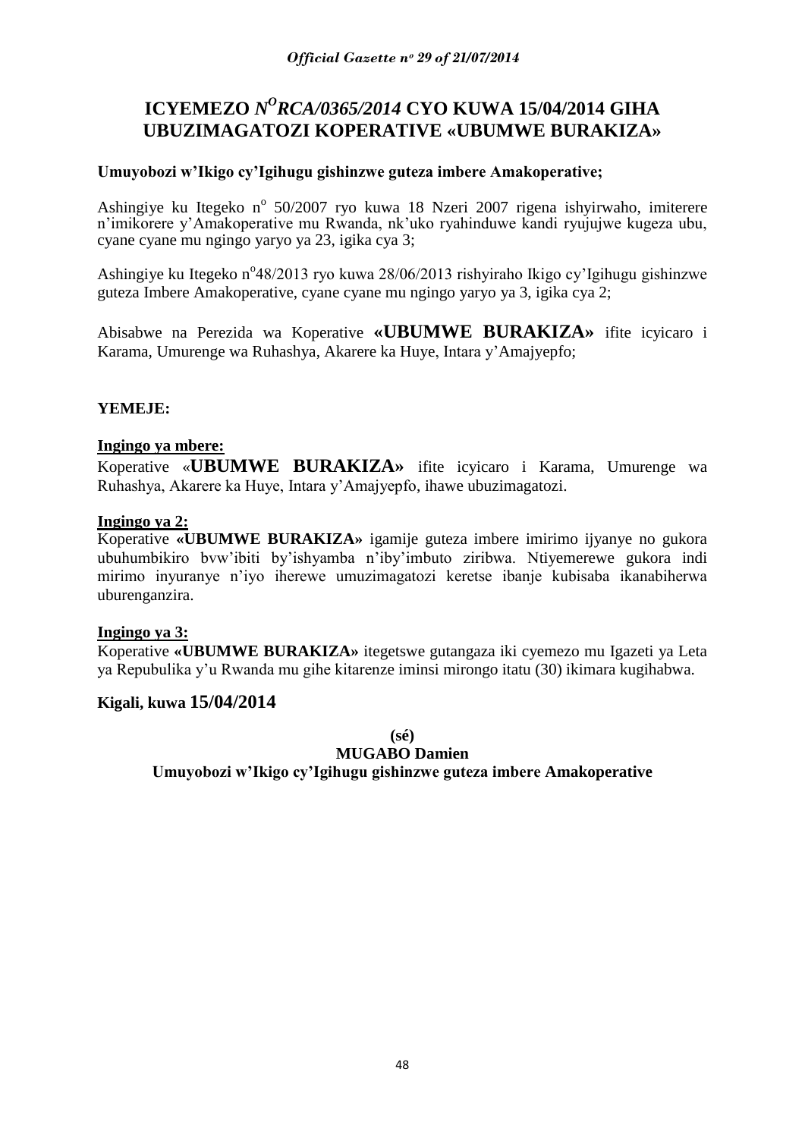# **ICYEMEZO** *N<sup>O</sup>RCA/0365/2014* **CYO KUWA 15/04/2014 GIHA UBUZIMAGATOZI KOPERATIVE «UBUMWE BURAKIZA»**

### **Umuyobozi w'Ikigo cy'Igihugu gishinzwe guteza imbere Amakoperative;**

Ashingiye ku Itegeko nº 50/2007 ryo kuwa 18 Nzeri 2007 rigena ishyirwaho, imiterere n"imikorere y"Amakoperative mu Rwanda, nk"uko ryahinduwe kandi ryujujwe kugeza ubu, cyane cyane mu ngingo yaryo ya 23, igika cya 3;

Ashingiye ku Itegeko n°48/2013 ryo kuwa 28/06/2013 rishyiraho Ikigo cy'Igihugu gishinzwe guteza Imbere Amakoperative, cyane cyane mu ngingo yaryo ya 3, igika cya 2;

Abisabwe na Perezida wa Koperative **«UBUMWE BURAKIZA»** ifite icyicaro i Karama, Umurenge wa Ruhashya, Akarere ka Huye, Intara y"Amajyepfo;

### **YEMEJE:**

#### **Ingingo ya mbere:**

Koperative «**UBUMWE BURAKIZA»** ifite icyicaro i Karama, Umurenge wa Ruhashya, Akarere ka Huye, Intara y"Amajyepfo, ihawe ubuzimagatozi.

#### **Ingingo ya 2:**

Koperative **«UBUMWE BURAKIZA»** igamije guteza imbere imirimo ijyanye no gukora ubuhumbikiro bvw"ibiti by"ishyamba n"iby"imbuto ziribwa. Ntiyemerewe gukora indi mirimo inyuranye n"iyo iherewe umuzimagatozi keretse ibanje kubisaba ikanabiherwa uburenganzira.

#### **Ingingo ya 3:**

Koperative **«UBUMWE BURAKIZA»** itegetswe gutangaza iki cyemezo mu Igazeti ya Leta ya Repubulika y"u Rwanda mu gihe kitarenze iminsi mirongo itatu (30) ikimara kugihabwa.

#### **Kigali, kuwa 15/04/2014**

**(sé)**

#### **MUGABO Damien**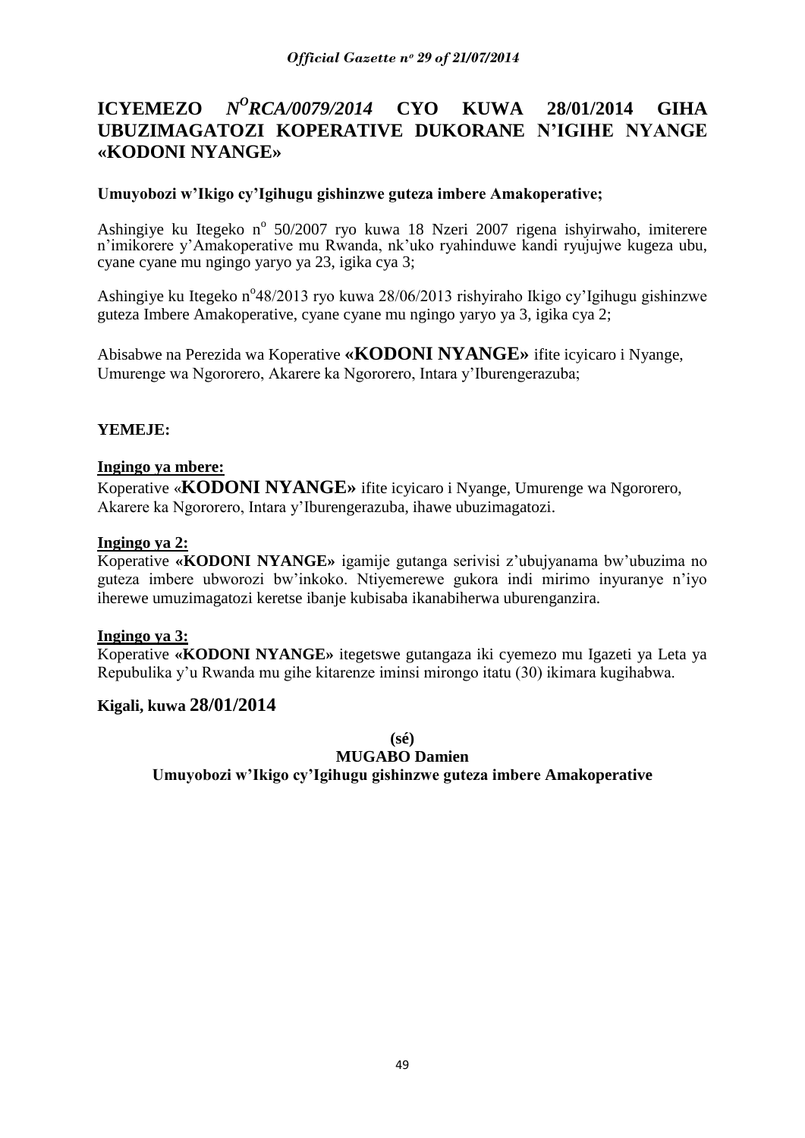#### **ICYEMEZO** *N <sup>O</sup>RCA/0079/2014* **CYO KUWA 28/01/2014 GIHA UBUZIMAGATOZI KOPERATIVE DUKORANE N'IGIHE NYANGE «KODONI NYANGE»**

### **Umuyobozi w'Ikigo cy'Igihugu gishinzwe guteza imbere Amakoperative;**

Ashingiye ku Itegeko nº 50/2007 ryo kuwa 18 Nzeri 2007 rigena ishyirwaho, imiterere n"imikorere y"Amakoperative mu Rwanda, nk"uko ryahinduwe kandi ryujujwe kugeza ubu, cyane cyane mu ngingo yaryo ya 23, igika cya 3;

Ashingiye ku Itegeko n°48/2013 ryo kuwa 28/06/2013 rishyiraho Ikigo cy'Igihugu gishinzwe guteza Imbere Amakoperative, cyane cyane mu ngingo yaryo ya 3, igika cya 2;

Abisabwe na Perezida wa Koperative **«KODONI NYANGE»** ifite icyicaro i Nyange, Umurenge wa Ngororero, Akarere ka Ngororero, Intara y"Iburengerazuba;

### **YEMEJE:**

#### **Ingingo ya mbere:**

Koperative «**KODONI NYANGE»** ifite icyicaro i Nyange, Umurenge wa Ngororero, Akarere ka Ngororero, Intara y"Iburengerazuba, ihawe ubuzimagatozi.

#### **Ingingo ya 2:**

Koperative **«KODONI NYANGE»** igamije gutanga serivisi z"ubujyanama bw"ubuzima no guteza imbere ubworozi bw"inkoko. Ntiyemerewe gukora indi mirimo inyuranye n"iyo iherewe umuzimagatozi keretse ibanje kubisaba ikanabiherwa uburenganzira.

#### **Ingingo ya 3:**

Koperative **«KODONI NYANGE»** itegetswe gutangaza iki cyemezo mu Igazeti ya Leta ya Repubulika y"u Rwanda mu gihe kitarenze iminsi mirongo itatu (30) ikimara kugihabwa.

### **Kigali, kuwa 28/01/2014**

**(sé)**

#### **MUGABO Damien**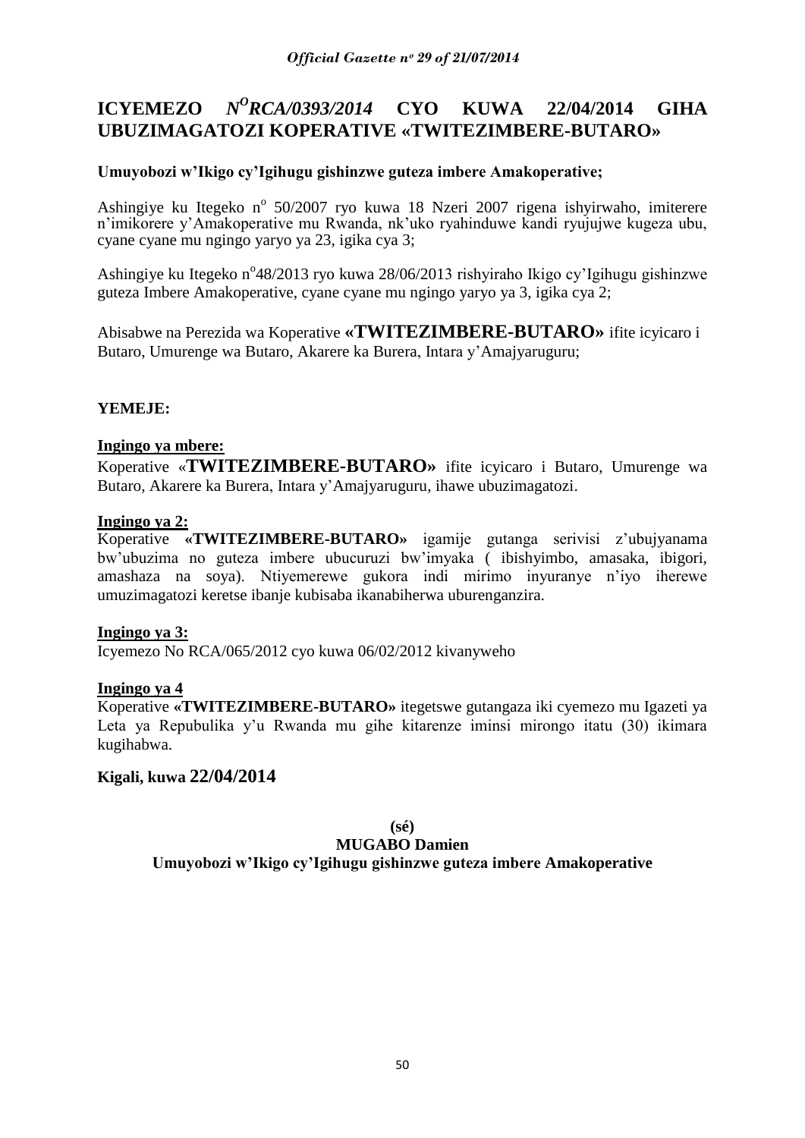# **ICYEMEZO** *N<sup>O</sup>RCA/0393/2014* **CYO KUWA 22/04/2014 GIHA UBUZIMAGATOZI KOPERATIVE «TWITEZIMBERE-BUTARO»**

# **Umuyobozi w'Ikigo cy'Igihugu gishinzwe guteza imbere Amakoperative;**

Ashingiye ku Itegeko nº 50/2007 ryo kuwa 18 Nzeri 2007 rigena ishyirwaho, imiterere n"imikorere y"Amakoperative mu Rwanda, nk"uko ryahinduwe kandi ryujujwe kugeza ubu, cyane cyane mu ngingo yaryo ya 23, igika cya 3;

Ashingiye ku Itegeko n°48/2013 ryo kuwa 28/06/2013 rishyiraho Ikigo cy'Igihugu gishinzwe guteza Imbere Amakoperative, cyane cyane mu ngingo yaryo ya 3, igika cya 2;

Abisabwe na Perezida wa Koperative **«TWITEZIMBERE-BUTARO»** ifite icyicaro i Butaro, Umurenge wa Butaro, Akarere ka Burera, Intara y"Amajyaruguru;

### **YEMEJE:**

### **Ingingo ya mbere:**

Koperative «**TWITEZIMBERE-BUTARO»** ifite icyicaro i Butaro, Umurenge wa Butaro, Akarere ka Burera, Intara y"Amajyaruguru, ihawe ubuzimagatozi.

### **Ingingo ya 2:**

Koperative **«TWITEZIMBERE-BUTARO»** igamije gutanga serivisi z"ubujyanama bw"ubuzima no guteza imbere ubucuruzi bw"imyaka ( ibishyimbo, amasaka, ibigori, amashaza na soya). Ntiyemerewe gukora indi mirimo inyuranye n"iyo iherewe umuzimagatozi keretse ibanje kubisaba ikanabiherwa uburenganzira.

### **Ingingo ya 3:**

Icyemezo No RCA/065/2012 cyo kuwa 06/02/2012 kivanyweho

#### **Ingingo ya 4**

Koperative **«TWITEZIMBERE-BUTARO»** itegetswe gutangaza iki cyemezo mu Igazeti ya Leta ya Repubulika y"u Rwanda mu gihe kitarenze iminsi mirongo itatu (30) ikimara kugihabwa.

# **Kigali, kuwa 22/04/2014**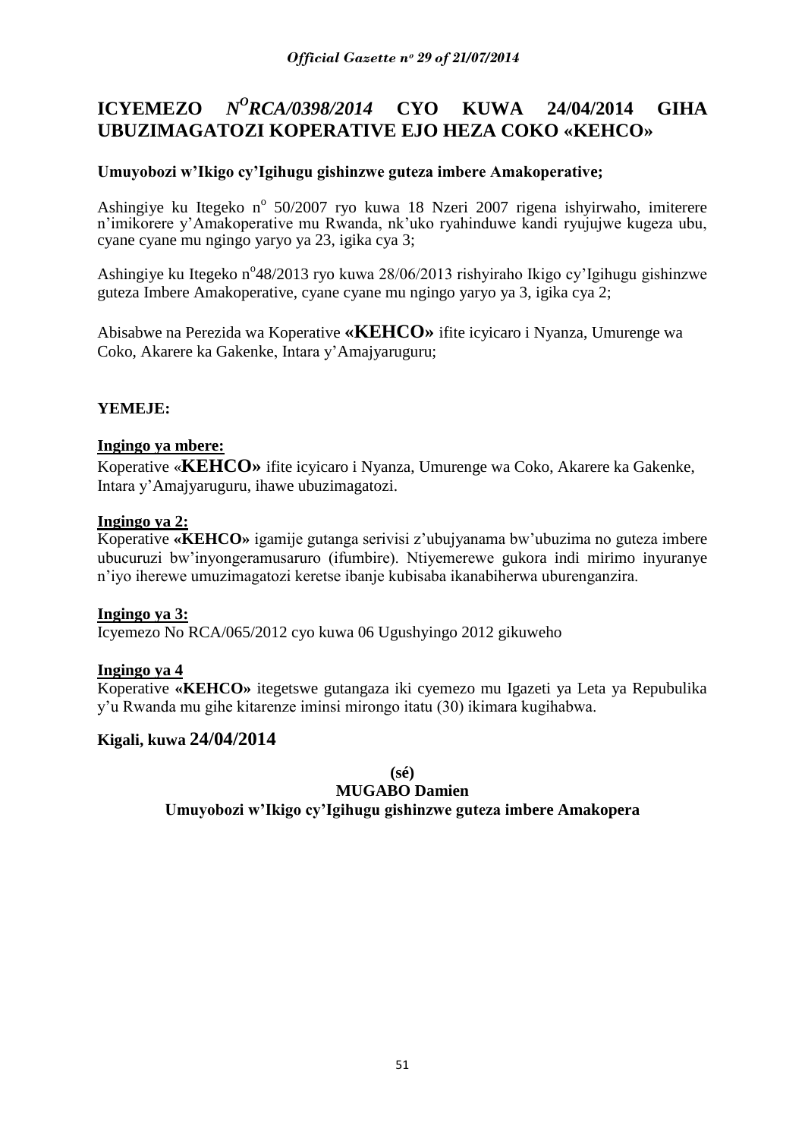#### **ICYEMEZO** *N <sup>O</sup>RCA/0398/2014* **CYO KUWA 24/04/2014 GIHA UBUZIMAGATOZI KOPERATIVE EJO HEZA COKO «KEHCO»**

# **Umuyobozi w'Ikigo cy'Igihugu gishinzwe guteza imbere Amakoperative;**

Ashingiye ku Itegeko nº 50/2007 ryo kuwa 18 Nzeri 2007 rigena ishyirwaho, imiterere n"imikorere y"Amakoperative mu Rwanda, nk"uko ryahinduwe kandi ryujujwe kugeza ubu, cyane cyane mu ngingo yaryo ya 23, igika cya 3;

Ashingiye ku Itegeko n°48/2013 ryo kuwa 28/06/2013 rishyiraho Ikigo cy'Igihugu gishinzwe guteza Imbere Amakoperative, cyane cyane mu ngingo yaryo ya 3, igika cya 2;

Abisabwe na Perezida wa Koperative **«KEHCO»** ifite icyicaro i Nyanza, Umurenge wa Coko, Akarere ka Gakenke, Intara y"Amajyaruguru;

### **YEMEJE:**

### **Ingingo ya mbere:**

Koperative «**KEHCO»** ifite icyicaro i Nyanza, Umurenge wa Coko, Akarere ka Gakenke, Intara y"Amajyaruguru, ihawe ubuzimagatozi.

### **Ingingo ya 2:**

Koperative **«KEHCO»** igamije gutanga serivisi z"ubujyanama bw"ubuzima no guteza imbere ubucuruzi bw"inyongeramusaruro (ifumbire). Ntiyemerewe gukora indi mirimo inyuranye n"iyo iherewe umuzimagatozi keretse ibanje kubisaba ikanabiherwa uburenganzira.

### **Ingingo ya 3:**

Icyemezo No RCA/065/2012 cyo kuwa 06 Ugushyingo 2012 gikuweho

### **Ingingo ya 4**

Koperative **«KEHCO»** itegetswe gutangaza iki cyemezo mu Igazeti ya Leta ya Repubulika y"u Rwanda mu gihe kitarenze iminsi mirongo itatu (30) ikimara kugihabwa.

### **Kigali, kuwa 24/04/2014**

**(sé)**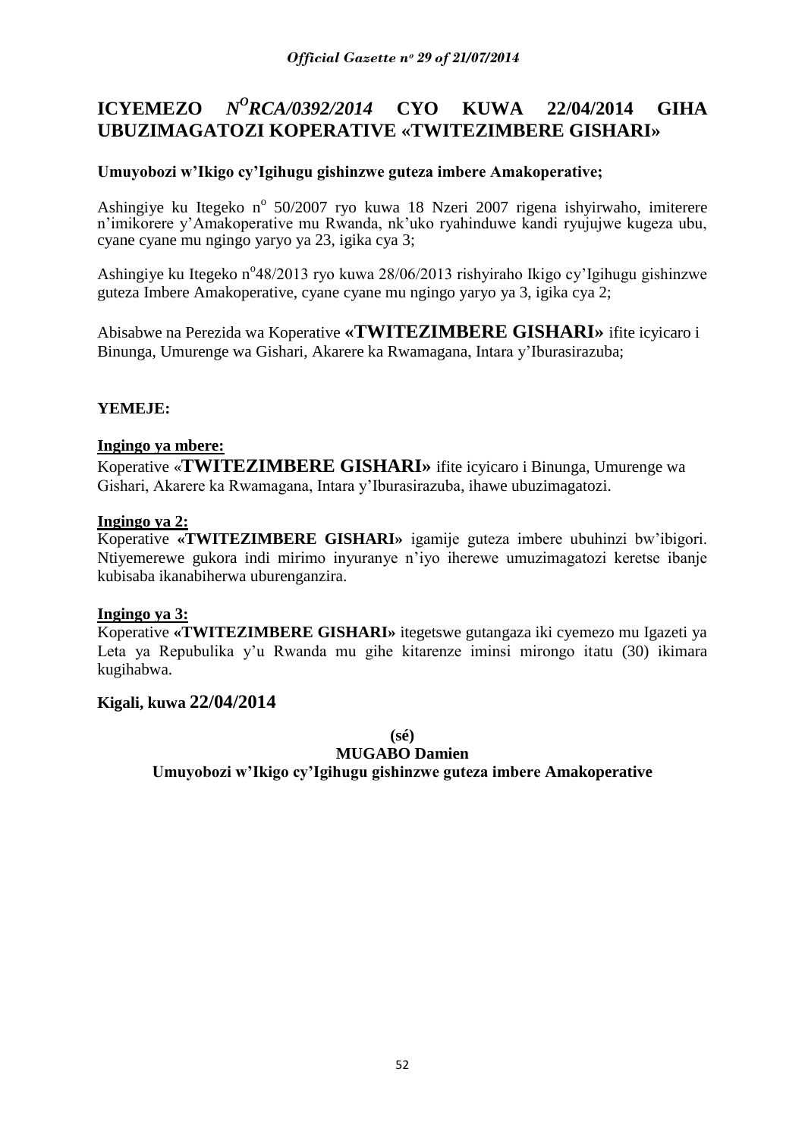#### **ICYEMEZO** *N <sup>O</sup>RCA/0392/2014* **CYO KUWA 22/04/2014 GIHA UBUZIMAGATOZI KOPERATIVE «TWITEZIMBERE GISHARI»**

# **Umuyobozi w'Ikigo cy'Igihugu gishinzwe guteza imbere Amakoperative;**

Ashingiye ku Itegeko nº 50/2007 ryo kuwa 18 Nzeri 2007 rigena ishyirwaho, imiterere n"imikorere y"Amakoperative mu Rwanda, nk"uko ryahinduwe kandi ryujujwe kugeza ubu, cyane cyane mu ngingo yaryo ya 23, igika cya 3;

Ashingiye ku Itegeko n°48/2013 ryo kuwa 28/06/2013 rishyiraho Ikigo cy'Igihugu gishinzwe guteza Imbere Amakoperative, cyane cyane mu ngingo yaryo ya 3, igika cya 2;

Abisabwe na Perezida wa Koperative **«TWITEZIMBERE GISHARI»** ifite icyicaro i Binunga, Umurenge wa Gishari, Akarere ka Rwamagana, Intara y"Iburasirazuba;

### **YEMEJE:**

### **Ingingo ya mbere:**

Koperative «**TWITEZIMBERE GISHARI»** ifite icyicaro i Binunga, Umurenge wa Gishari, Akarere ka Rwamagana, Intara y"Iburasirazuba, ihawe ubuzimagatozi.

### **Ingingo ya 2:**

Koperative **«TWITEZIMBERE GISHARI»** igamije guteza imbere ubuhinzi bw"ibigori. Ntiyemerewe gukora indi mirimo inyuranye n"iyo iherewe umuzimagatozi keretse ibanje kubisaba ikanabiherwa uburenganzira.

#### **Ingingo ya 3:**

Koperative **«TWITEZIMBERE GISHARI»** itegetswe gutangaza iki cyemezo mu Igazeti ya Leta ya Repubulika y'u Rwanda mu gihe kitarenze iminsi mirongo itatu (30) ikimara kugihabwa.

### **Kigali, kuwa 22/04/2014**

**(sé)**

#### **MUGABO Damien**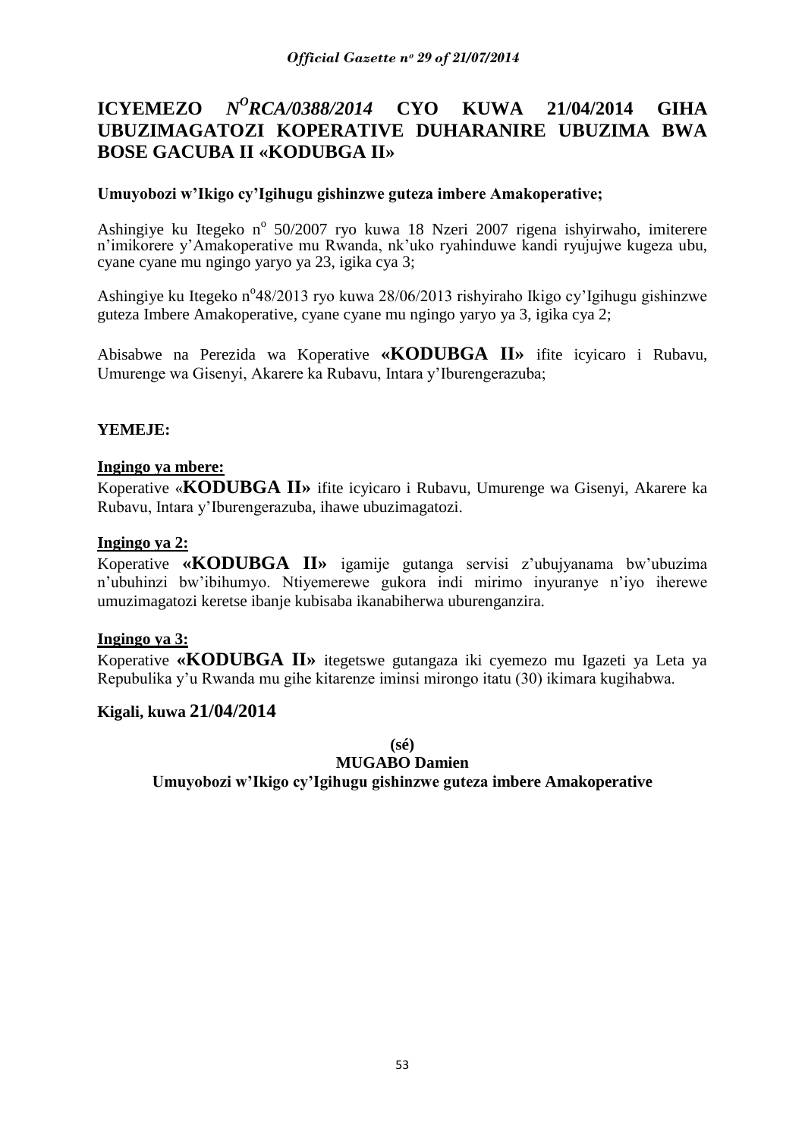#### **ICYEMEZO** *N <sup>O</sup>RCA/0388/2014* **CYO KUWA 21/04/2014 GIHA UBUZIMAGATOZI KOPERATIVE DUHARANIRE UBUZIMA BWA BOSE GACUBA II «KODUBGA II»**

### **Umuyobozi w'Ikigo cy'Igihugu gishinzwe guteza imbere Amakoperative;**

Ashingiye ku Itegeko nº 50/2007 ryo kuwa 18 Nzeri 2007 rigena ishyirwaho, imiterere n"imikorere y"Amakoperative mu Rwanda, nk"uko ryahinduwe kandi ryujujwe kugeza ubu, cyane cyane mu ngingo yaryo ya 23, igika cya 3;

Ashingiye ku Itegeko n°48/2013 ryo kuwa 28/06/2013 rishyiraho Ikigo cy'Igihugu gishinzwe guteza Imbere Amakoperative, cyane cyane mu ngingo yaryo ya 3, igika cya 2;

Abisabwe na Perezida wa Koperative **«KODUBGA II»** ifite icyicaro i Rubavu, Umurenge wa Gisenyi, Akarere ka Rubavu, Intara y"Iburengerazuba;

### **YEMEJE:**

#### **Ingingo ya mbere:**

Koperative «**KODUBGA II»** ifite icyicaro i Rubavu, Umurenge wa Gisenyi, Akarere ka Rubavu, Intara y"Iburengerazuba, ihawe ubuzimagatozi.

#### **Ingingo ya 2:**

Koperative **«KODUBGA II»** igamije gutanga servisi z"ubujyanama bw"ubuzima n"ubuhinzi bw"ibihumyo. Ntiyemerewe gukora indi mirimo inyuranye n"iyo iherewe umuzimagatozi keretse ibanje kubisaba ikanabiherwa uburenganzira.

#### **Ingingo ya 3:**

Koperative **«KODUBGA II»** itegetswe gutangaza iki cyemezo mu Igazeti ya Leta ya Repubulika y"u Rwanda mu gihe kitarenze iminsi mirongo itatu (30) ikimara kugihabwa.

### **Kigali, kuwa 21/04/2014**

**(sé)**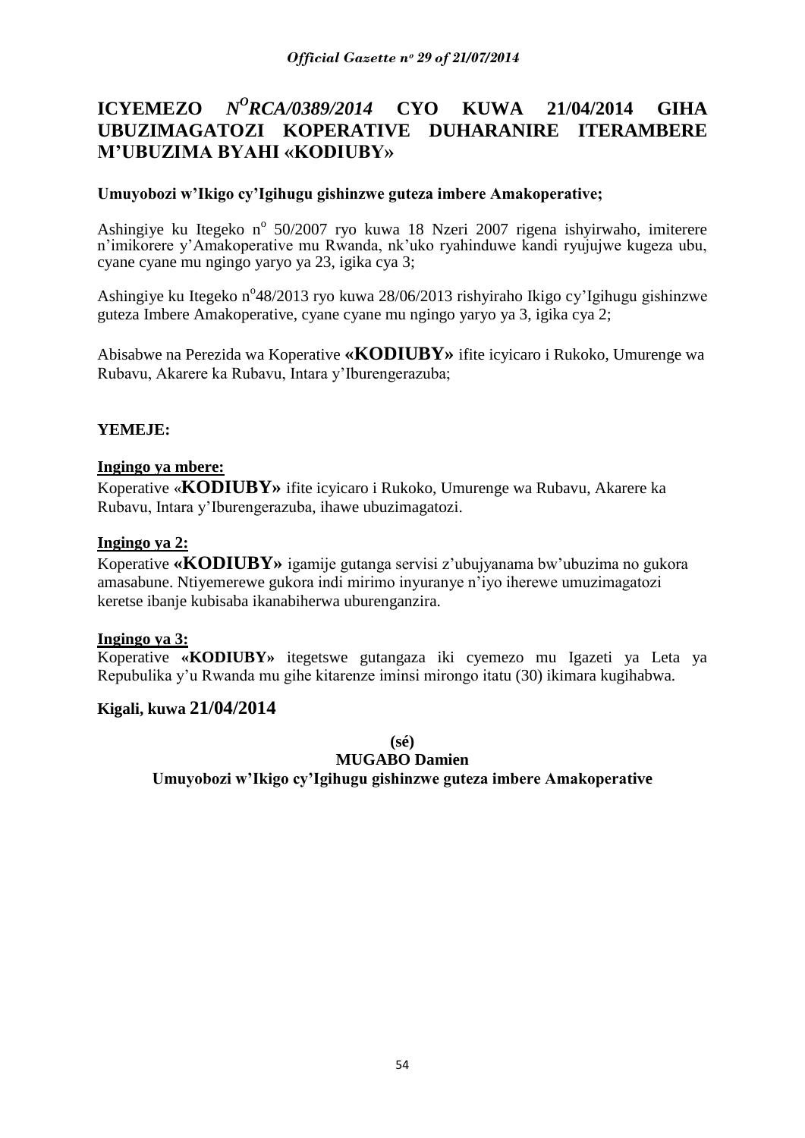#### **ICYEMEZO** *N <sup>O</sup>RCA/0389/2014* **CYO KUWA 21/04/2014 GIHA UBUZIMAGATOZI KOPERATIVE DUHARANIRE ITERAMBERE M'UBUZIMA BYAHI «KODIUBY»**

### **Umuyobozi w'Ikigo cy'Igihugu gishinzwe guteza imbere Amakoperative;**

Ashingiye ku Itegeko nº 50/2007 ryo kuwa 18 Nzeri 2007 rigena ishyirwaho, imiterere n"imikorere y"Amakoperative mu Rwanda, nk"uko ryahinduwe kandi ryujujwe kugeza ubu, cyane cyane mu ngingo yaryo ya 23, igika cya 3;

Ashingiye ku Itegeko n<sup>o</sup>48/2013 ryo kuwa 28/06/2013 rishyiraho Ikigo cy'Igihugu gishinzwe guteza Imbere Amakoperative, cyane cyane mu ngingo yaryo ya 3, igika cya 2;

Abisabwe na Perezida wa Koperative **«KODIUBY»** ifite icyicaro i Rukoko, Umurenge wa Rubavu, Akarere ka Rubavu, Intara y"Iburengerazuba;

### **YEMEJE:**

#### **Ingingo ya mbere:**

Koperative «**KODIUBY»** ifite icyicaro i Rukoko, Umurenge wa Rubavu, Akarere ka Rubavu, Intara y"Iburengerazuba, ihawe ubuzimagatozi.

#### **Ingingo ya 2:**

Koperative **«KODIUBY»** igamije gutanga servisi z"ubujyanama bw"ubuzima no gukora amasabune. Ntiyemerewe gukora indi mirimo inyuranye n"iyo iherewe umuzimagatozi keretse ibanje kubisaba ikanabiherwa uburenganzira.

#### **Ingingo ya 3:**

Koperative **«KODIUBY»** itegetswe gutangaza iki cyemezo mu Igazeti ya Leta ya Repubulika y"u Rwanda mu gihe kitarenze iminsi mirongo itatu (30) ikimara kugihabwa.

### **Kigali, kuwa 21/04/2014**

**(sé)**

**MUGABO Damien**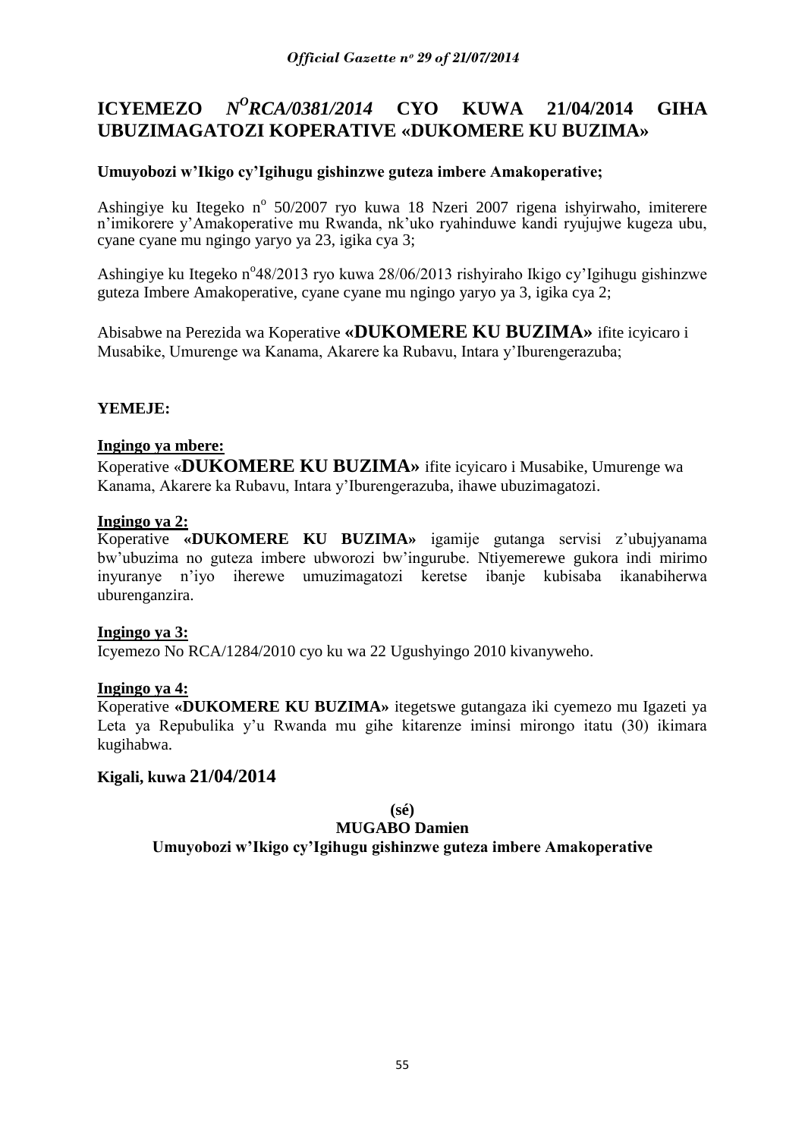# **ICYEMEZO** *N<sup>O</sup>RCA/0381/2014* **CYO KUWA 21/04/2014 GIHA UBUZIMAGATOZI KOPERATIVE «DUKOMERE KU BUZIMA»**

# **Umuyobozi w'Ikigo cy'Igihugu gishinzwe guteza imbere Amakoperative;**

Ashingiye ku Itegeko nº 50/2007 ryo kuwa 18 Nzeri 2007 rigena ishyirwaho, imiterere n"imikorere y"Amakoperative mu Rwanda, nk"uko ryahinduwe kandi ryujujwe kugeza ubu, cyane cyane mu ngingo yaryo ya 23, igika cya 3;

Ashingiye ku Itegeko n°48/2013 ryo kuwa 28/06/2013 rishyiraho Ikigo cy'Igihugu gishinzwe guteza Imbere Amakoperative, cyane cyane mu ngingo yaryo ya 3, igika cya 2;

Abisabwe na Perezida wa Koperative **«DUKOMERE KU BUZIMA»** ifite icyicaro i Musabike, Umurenge wa Kanama, Akarere ka Rubavu, Intara y"Iburengerazuba;

### **YEMEJE:**

### **Ingingo ya mbere:**

Koperative «**DUKOMERE KU BUZIMA»** ifite icyicaro i Musabike, Umurenge wa Kanama, Akarere ka Rubavu, Intara y"Iburengerazuba, ihawe ubuzimagatozi.

### **Ingingo ya 2:**

Koperative **«DUKOMERE KU BUZIMA»** igamije gutanga servisi z"ubujyanama bw"ubuzima no guteza imbere ubworozi bw"ingurube. Ntiyemerewe gukora indi mirimo inyuranye n"iyo iherewe umuzimagatozi keretse ibanje kubisaba ikanabiherwa uburenganzira.

#### **Ingingo ya 3:**

Icyemezo No RCA/1284/2010 cyo ku wa 22 Ugushyingo 2010 kivanyweho.

#### **Ingingo ya 4:**

Koperative **«DUKOMERE KU BUZIMA»** itegetswe gutangaza iki cyemezo mu Igazeti ya Leta ya Repubulika y'u Rwanda mu gihe kitarenze iminsi mirongo itatu (30) ikimara kugihabwa.

# **Kigali, kuwa 21/04/2014**

# **(sé)**

# **MUGABO Damien**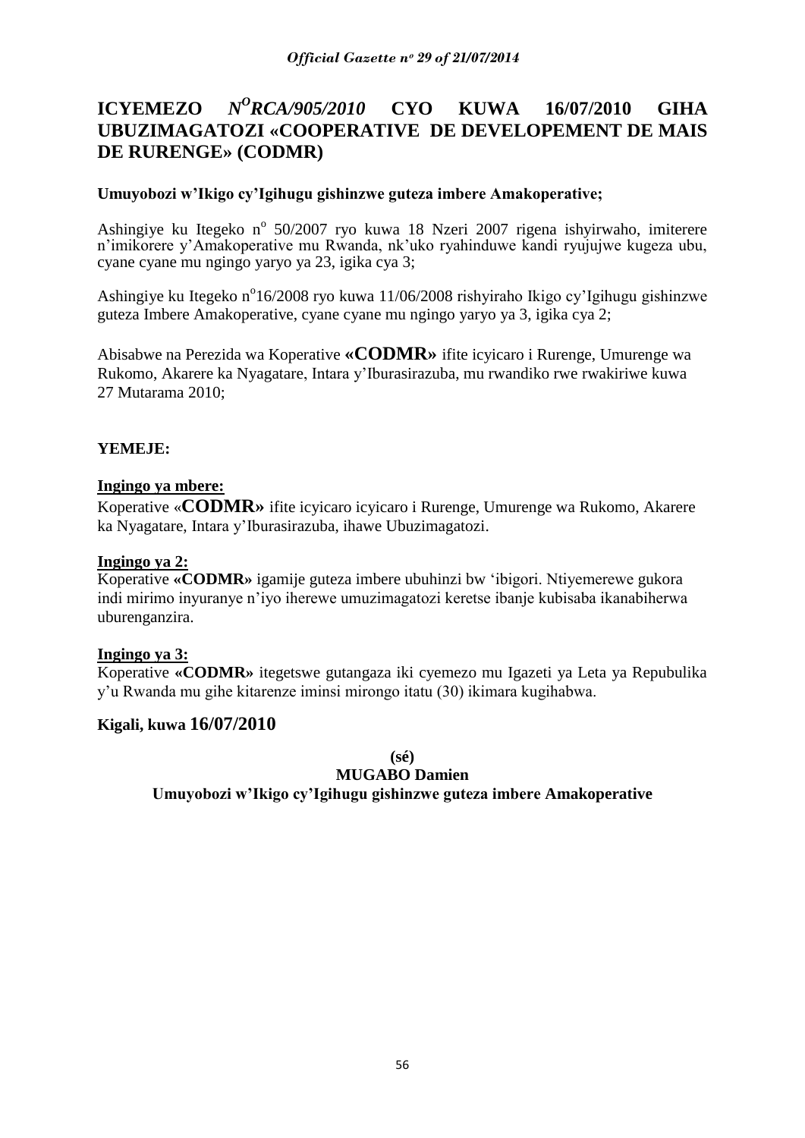#### **ICYEMEZO** *<sup>O</sup>RCA/905/2010* **CYO KUWA 16/07/2010 GIHA UBUZIMAGATOZI «COOPERATIVE DE DEVELOPEMENT DE MAIS DE RURENGE» (CODMR)**

### **Umuyobozi w'Ikigo cy'Igihugu gishinzwe guteza imbere Amakoperative;**

Ashingiye ku Itegeko nº 50/2007 ryo kuwa 18 Nzeri 2007 rigena ishyirwaho, imiterere n"imikorere y"Amakoperative mu Rwanda, nk"uko ryahinduwe kandi ryujujwe kugeza ubu, cyane cyane mu ngingo yaryo ya 23, igika cya 3;

Ashingiye ku Itegeko n<sup>o</sup>16/2008 ryo kuwa 11/06/2008 rishyiraho Ikigo cy'Igihugu gishinzwe guteza Imbere Amakoperative, cyane cyane mu ngingo yaryo ya 3, igika cya 2;

Abisabwe na Perezida wa Koperative **«CODMR»** ifite icyicaro i Rurenge, Umurenge wa Rukomo, Akarere ka Nyagatare, Intara y"Iburasirazuba, mu rwandiko rwe rwakiriwe kuwa 27 Mutarama 2010;

### **YEMEJE:**

### **Ingingo ya mbere:**

Koperative «**CODMR»** ifite icyicaro icyicaro i Rurenge, Umurenge wa Rukomo, Akarere ka Nyagatare, Intara y"Iburasirazuba, ihawe Ubuzimagatozi.

#### **Ingingo ya 2:**

Koperative **«CODMR»** igamije guteza imbere ubuhinzi bw "ibigori. Ntiyemerewe gukora indi mirimo inyuranye n"iyo iherewe umuzimagatozi keretse ibanje kubisaba ikanabiherwa uburenganzira.

#### **Ingingo ya 3:**

Koperative **«CODMR»** itegetswe gutangaza iki cyemezo mu Igazeti ya Leta ya Repubulika y"u Rwanda mu gihe kitarenze iminsi mirongo itatu (30) ikimara kugihabwa.

### **Kigali, kuwa 16/07/2010**

**(sé)**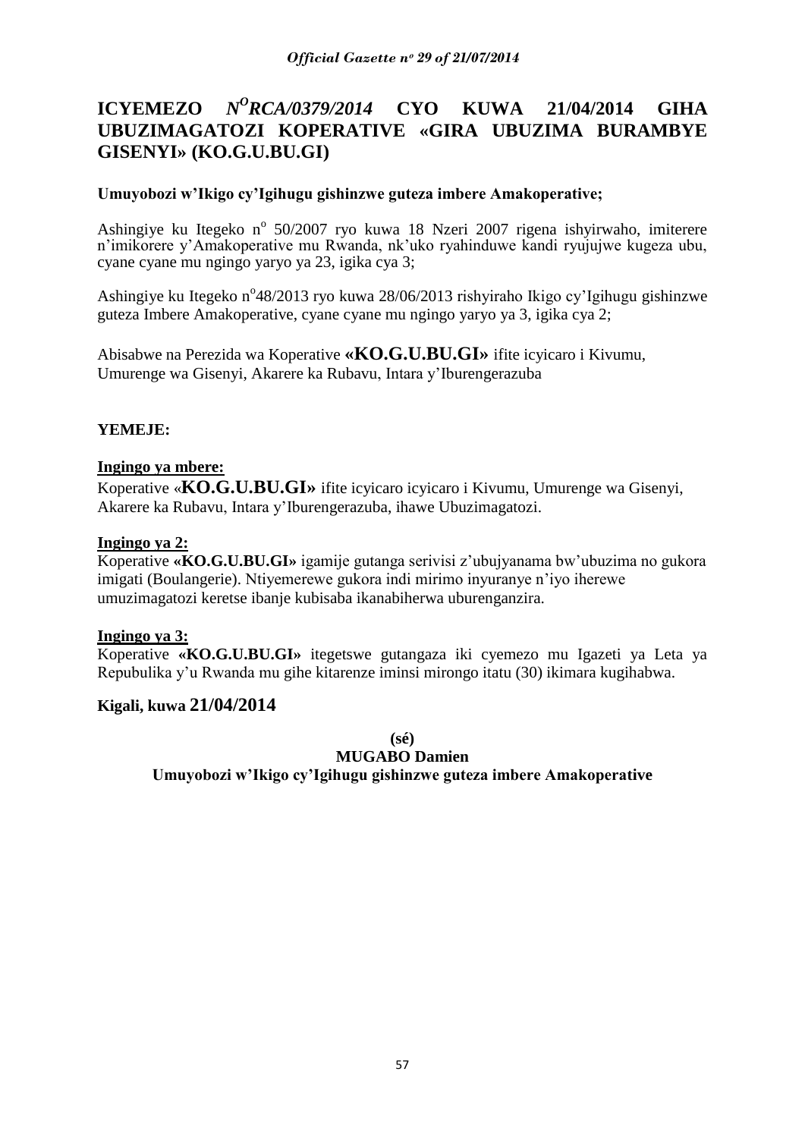#### **ICYEMEZO** *N <sup>O</sup>RCA/0379/2014* **CYO KUWA 21/04/2014 GIHA UBUZIMAGATOZI KOPERATIVE «GIRA UBUZIMA BURAMBYE GISENYI» (KO.G.U.BU.GI)**

### **Umuyobozi w'Ikigo cy'Igihugu gishinzwe guteza imbere Amakoperative;**

Ashingiye ku Itegeko nº 50/2007 ryo kuwa 18 Nzeri 2007 rigena ishyirwaho, imiterere n"imikorere y"Amakoperative mu Rwanda, nk"uko ryahinduwe kandi ryujujwe kugeza ubu, cyane cyane mu ngingo yaryo ya 23, igika cya 3;

Ashingiye ku Itegeko n°48/2013 ryo kuwa 28/06/2013 rishyiraho Ikigo cy'Igihugu gishinzwe guteza Imbere Amakoperative, cyane cyane mu ngingo yaryo ya 3, igika cya 2;

Abisabwe na Perezida wa Koperative **«KO.G.U.BU.GI»** ifite icyicaro i Kivumu, Umurenge wa Gisenyi, Akarere ka Rubavu, Intara y"Iburengerazuba

### **YEMEJE:**

#### **Ingingo ya mbere:**

Koperative «**KO.G.U.BU.GI»** ifite icyicaro icyicaro i Kivumu, Umurenge wa Gisenyi, Akarere ka Rubavu, Intara y"Iburengerazuba, ihawe Ubuzimagatozi.

#### **Ingingo ya 2:**

Koperative **«KO.G.U.BU.GI»** igamije gutanga serivisi z"ubujyanama bw"ubuzima no gukora imigati (Boulangerie). Ntiyemerewe gukora indi mirimo inyuranye n"iyo iherewe umuzimagatozi keretse ibanje kubisaba ikanabiherwa uburenganzira.

#### **Ingingo ya 3:**

Koperative **«KO.G.U.BU.GI»** itegetswe gutangaza iki cyemezo mu Igazeti ya Leta ya Repubulika y"u Rwanda mu gihe kitarenze iminsi mirongo itatu (30) ikimara kugihabwa.

### **Kigali, kuwa 21/04/2014**

**(sé)**

#### **MUGABO Damien**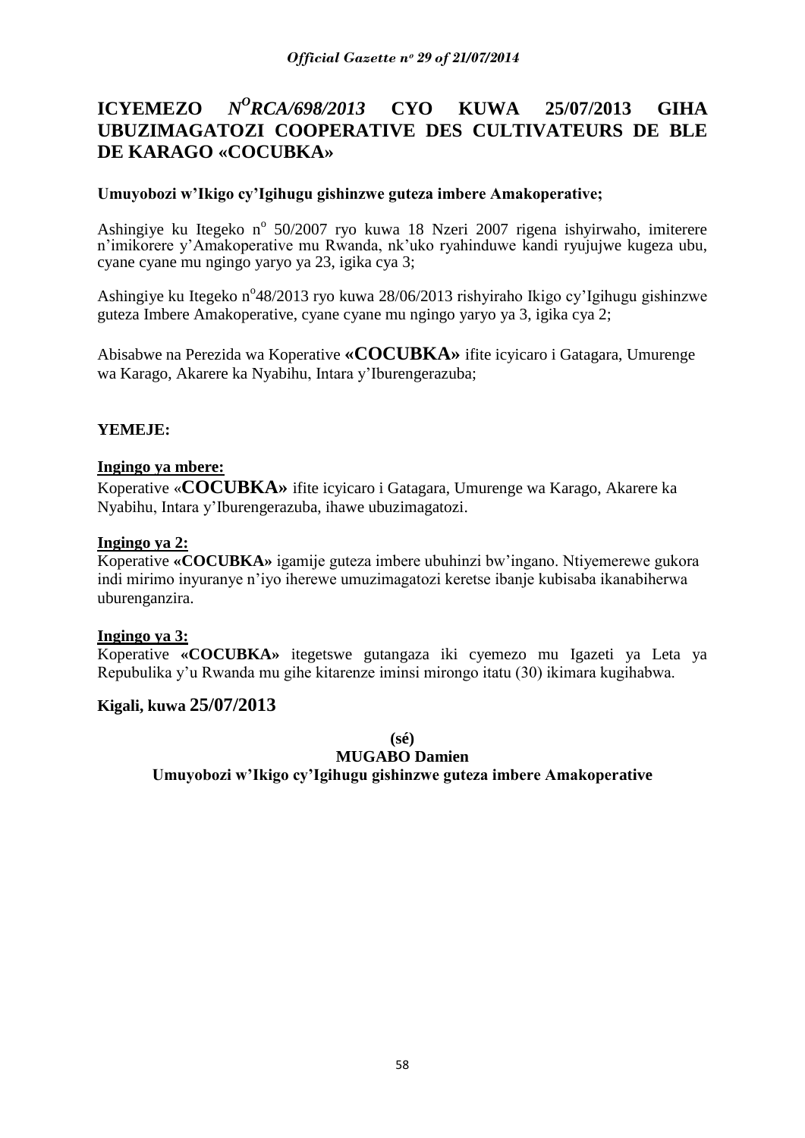#### **ICYEMEZO** *<sup>O</sup>RCA/698/2013* **CYO KUWA 25/07/2013 GIHA UBUZIMAGATOZI COOPERATIVE DES CULTIVATEURS DE BLE DE KARAGO «COCUBKA»**

### **Umuyobozi w'Ikigo cy'Igihugu gishinzwe guteza imbere Amakoperative;**

Ashingiye ku Itegeko nº 50/2007 ryo kuwa 18 Nzeri 2007 rigena ishyirwaho, imiterere n"imikorere y"Amakoperative mu Rwanda, nk"uko ryahinduwe kandi ryujujwe kugeza ubu, cyane cyane mu ngingo yaryo ya 23, igika cya 3;

Ashingiye ku Itegeko n°48/2013 ryo kuwa 28/06/2013 rishyiraho Ikigo cy'Igihugu gishinzwe guteza Imbere Amakoperative, cyane cyane mu ngingo yaryo ya 3, igika cya 2;

Abisabwe na Perezida wa Koperative **«COCUBKA»** ifite icyicaro i Gatagara, Umurenge wa Karago, Akarere ka Nyabihu, Intara y"Iburengerazuba;

### **YEMEJE:**

#### **Ingingo ya mbere:**

Koperative «**COCUBKA»** ifite icyicaro i Gatagara, Umurenge wa Karago, Akarere ka Nyabihu, Intara y"Iburengerazuba, ihawe ubuzimagatozi.

#### **Ingingo ya 2:**

Koperative **«COCUBKA»** igamije guteza imbere ubuhinzi bw"ingano. Ntiyemerewe gukora indi mirimo inyuranye n"iyo iherewe umuzimagatozi keretse ibanje kubisaba ikanabiherwa uburenganzira.

#### **Ingingo ya 3:**

Koperative **«COCUBKA»** itegetswe gutangaza iki cyemezo mu Igazeti ya Leta ya Repubulika y"u Rwanda mu gihe kitarenze iminsi mirongo itatu (30) ikimara kugihabwa.

#### **Kigali, kuwa 25/07/2013**

**(sé)**

#### **MUGABO Damien**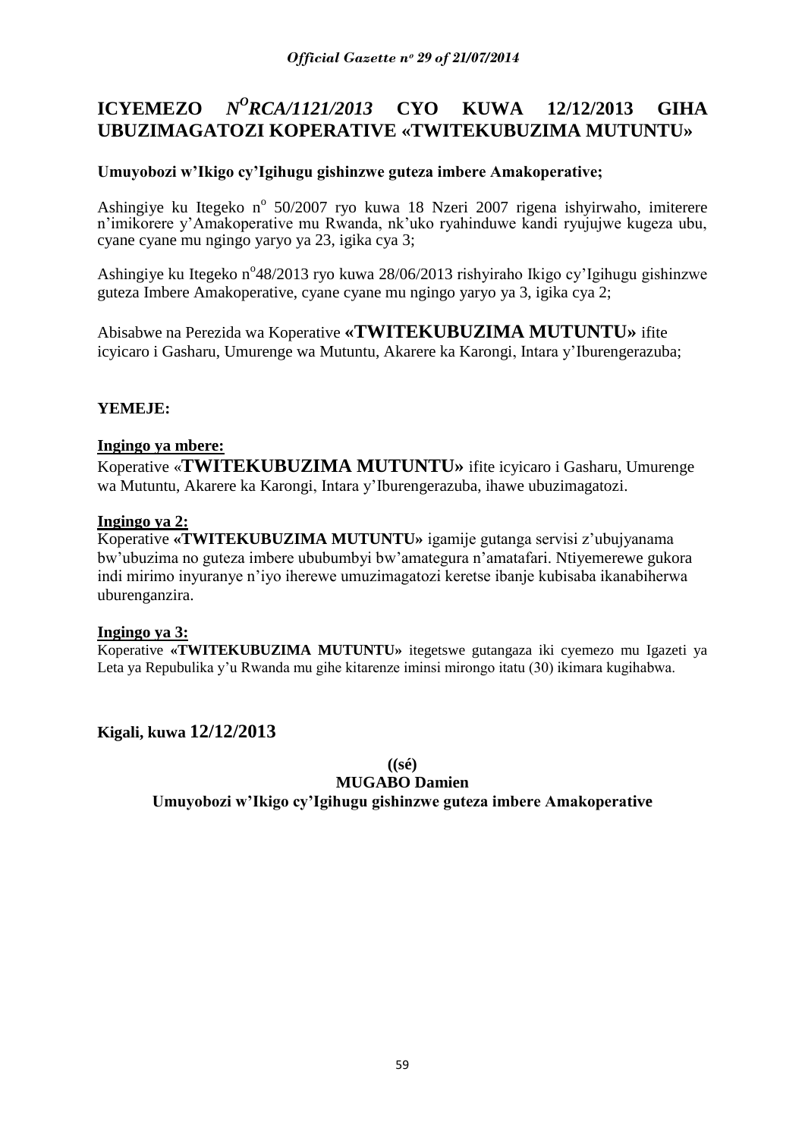# **ICYEMEZO** *N<sup>O</sup>RCA/1121/2013* **CYO KUWA** 12/12/2013 **GIHA UBUZIMAGATOZI KOPERATIVE «TWITEKUBUZIMA MUTUNTU»**

# **Umuyobozi w'Ikigo cy'Igihugu gishinzwe guteza imbere Amakoperative;**

Ashingiye ku Itegeko nº 50/2007 ryo kuwa 18 Nzeri 2007 rigena ishyirwaho, imiterere n"imikorere y"Amakoperative mu Rwanda, nk"uko ryahinduwe kandi ryujujwe kugeza ubu, cyane cyane mu ngingo yaryo ya 23, igika cya 3;

Ashingiye ku Itegeko n°48/2013 ryo kuwa 28/06/2013 rishyiraho Ikigo cy'Igihugu gishinzwe guteza Imbere Amakoperative, cyane cyane mu ngingo yaryo ya 3, igika cya 2;

Abisabwe na Perezida wa Koperative **«TWITEKUBUZIMA MUTUNTU»** ifite icyicaro i Gasharu, Umurenge wa Mutuntu, Akarere ka Karongi, Intara y"Iburengerazuba;

### **YEMEJE:**

### **Ingingo ya mbere:**

Koperative «**TWITEKUBUZIMA MUTUNTU»** ifite icyicaro i Gasharu, Umurenge wa Mutuntu, Akarere ka Karongi, Intara y"Iburengerazuba, ihawe ubuzimagatozi.

### **Ingingo ya 2:**

Koperative **«TWITEKUBUZIMA MUTUNTU»** igamije gutanga servisi z"ubujyanama bw"ubuzima no guteza imbere ububumbyi bw"amategura n"amatafari. Ntiyemerewe gukora indi mirimo inyuranye n"iyo iherewe umuzimagatozi keretse ibanje kubisaba ikanabiherwa uburenganzira.

#### **Ingingo ya 3:**

Koperative **«TWITEKUBUZIMA MUTUNTU»** itegetswe gutangaza iki cyemezo mu Igazeti ya Leta ya Repubulika y"u Rwanda mu gihe kitarenze iminsi mirongo itatu (30) ikimara kugihabwa.

# **Kigali, kuwa 12/12/2013**

**((sé)**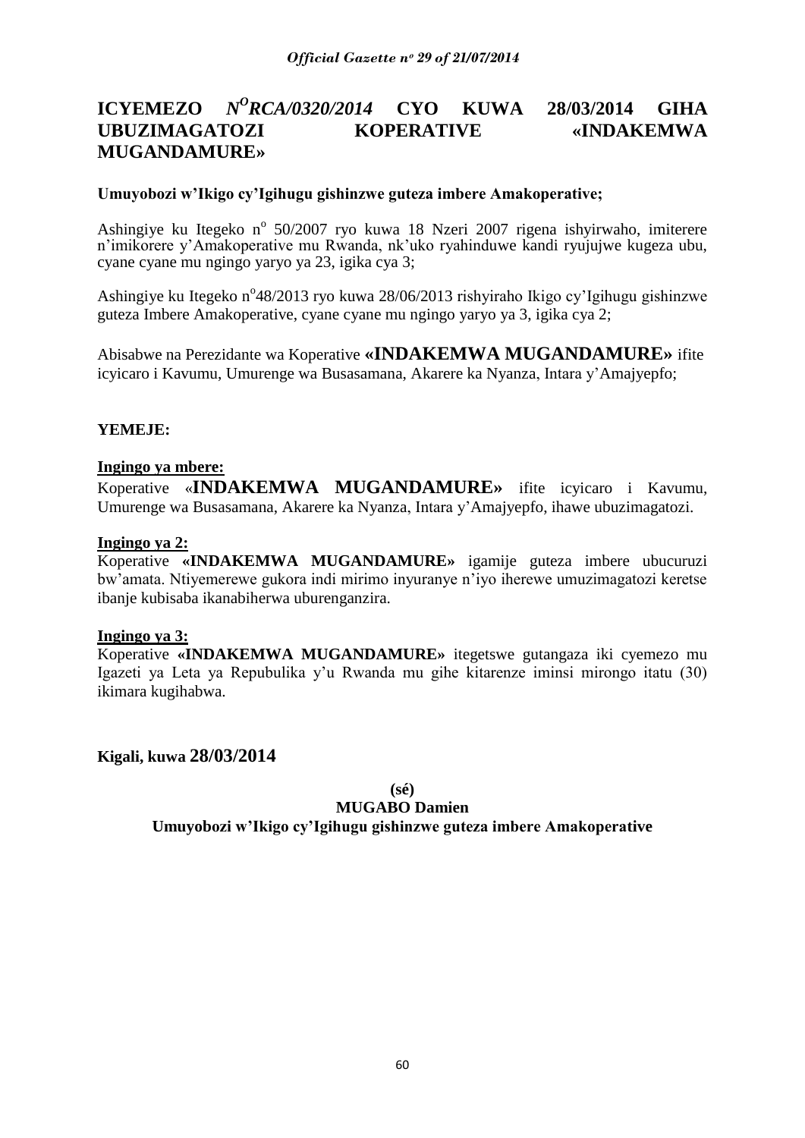# **ICYEMEZO** *N<sup>O</sup>RCA/0320/2014* **CYO KUWA 28/03/2014 GIHA UBUZIMAGATOZI KOPERATIVE «INDAKEMWA MUGANDAMURE»**

### **Umuyobozi w'Ikigo cy'Igihugu gishinzwe guteza imbere Amakoperative;**

Ashingiye ku Itegeko nº 50/2007 ryo kuwa 18 Nzeri 2007 rigena ishyirwaho, imiterere n"imikorere y"Amakoperative mu Rwanda, nk"uko ryahinduwe kandi ryujujwe kugeza ubu, cyane cyane mu ngingo yaryo ya 23, igika cya 3;

Ashingiye ku Itegeko n°48/2013 ryo kuwa 28/06/2013 rishyiraho Ikigo cy'Igihugu gishinzwe guteza Imbere Amakoperative, cyane cyane mu ngingo yaryo ya 3, igika cya 2;

Abisabwe na Perezidante wa Koperative **«INDAKEMWA MUGANDAMURE»** ifite icyicaro i Kavumu, Umurenge wa Busasamana, Akarere ka Nyanza, Intara y"Amajyepfo;

### **YEMEJE:**

#### **Ingingo ya mbere:**

Koperative «**INDAKEMWA MUGANDAMURE»** ifite icyicaro i Kavumu, Umurenge wa Busasamana, Akarere ka Nyanza, Intara y"Amajyepfo, ihawe ubuzimagatozi.

#### **Ingingo ya 2:**

Koperative **«INDAKEMWA MUGANDAMURE»** igamije guteza imbere ubucuruzi bw"amata. Ntiyemerewe gukora indi mirimo inyuranye n"iyo iherewe umuzimagatozi keretse ibanje kubisaba ikanabiherwa uburenganzira.

#### **Ingingo ya 3:**

Koperative **«INDAKEMWA MUGANDAMURE»** itegetswe gutangaza iki cyemezo mu Igazeti ya Leta ya Repubulika y"u Rwanda mu gihe kitarenze iminsi mirongo itatu (30) ikimara kugihabwa.

**Kigali, kuwa 28/03/2014**

**(sé)**

#### **MUGABO Damien**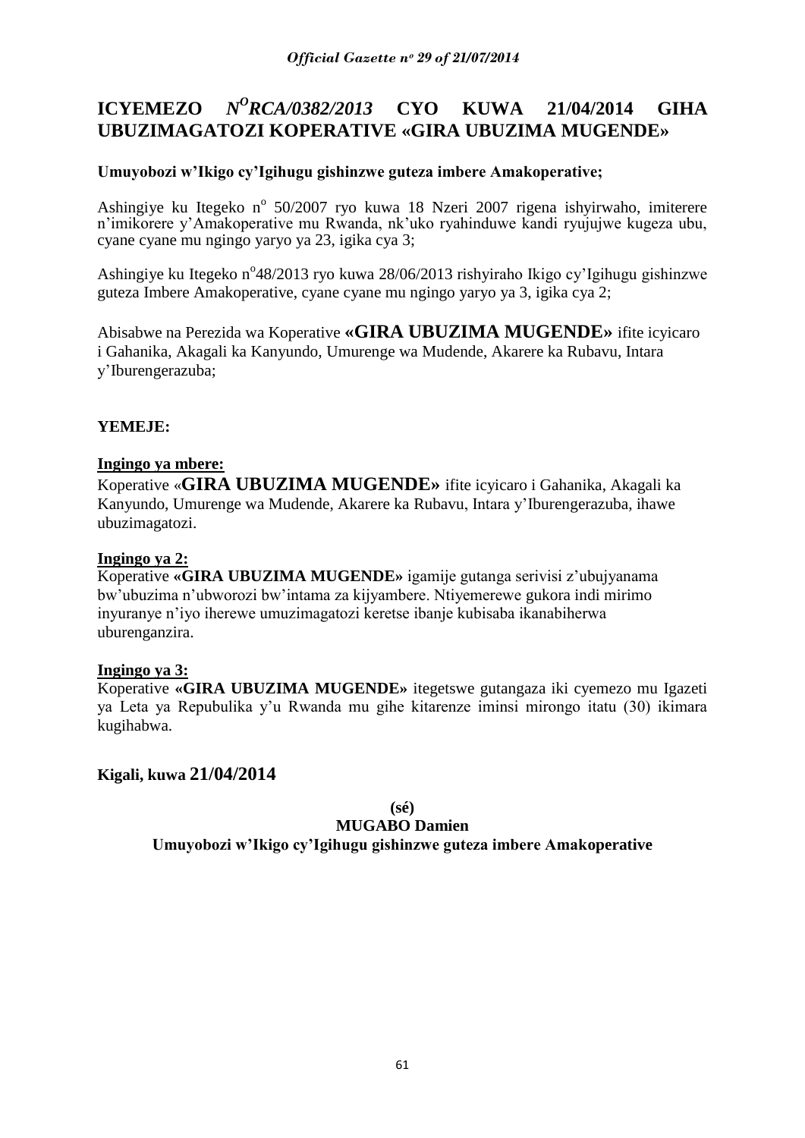#### **ICYEMEZO** *<sup>O</sup>RCA/0382/2013* **CYO KUWA 21/04/2014 GIHA UBUZIMAGATOZI KOPERATIVE «GIRA UBUZIMA MUGENDE»**

# **Umuyobozi w'Ikigo cy'Igihugu gishinzwe guteza imbere Amakoperative;**

Ashingiye ku Itegeko nº 50/2007 ryo kuwa 18 Nzeri 2007 rigena ishyirwaho, imiterere n"imikorere y"Amakoperative mu Rwanda, nk"uko ryahinduwe kandi ryujujwe kugeza ubu, cyane cyane mu ngingo yaryo ya 23, igika cya 3;

Ashingiye ku Itegeko n°48/2013 ryo kuwa 28/06/2013 rishyiraho Ikigo cy'Igihugu gishinzwe guteza Imbere Amakoperative, cyane cyane mu ngingo yaryo ya 3, igika cya 2;

Abisabwe na Perezida wa Koperative **«GIRA UBUZIMA MUGENDE»** ifite icyicaro i Gahanika, Akagali ka Kanyundo, Umurenge wa Mudende, Akarere ka Rubavu, Intara y"Iburengerazuba;

# **YEMEJE:**

### **Ingingo ya mbere:**

Koperative «**GIRA UBUZIMA MUGENDE»** ifite icyicaro i Gahanika, Akagali ka Kanyundo, Umurenge wa Mudende, Akarere ka Rubavu, Intara y"Iburengerazuba, ihawe ubuzimagatozi.

### **Ingingo ya 2:**

Koperative **«GIRA UBUZIMA MUGENDE»** igamije gutanga serivisi z"ubujyanama bw"ubuzima n"ubworozi bw"intama za kijyambere. Ntiyemerewe gukora indi mirimo inyuranye n"iyo iherewe umuzimagatozi keretse ibanje kubisaba ikanabiherwa uburenganzira.

#### **Ingingo ya 3:**

Koperative **«GIRA UBUZIMA MUGENDE»** itegetswe gutangaza iki cyemezo mu Igazeti ya Leta ya Repubulika y"u Rwanda mu gihe kitarenze iminsi mirongo itatu (30) ikimara kugihabwa.

### **Kigali, kuwa 21/04/2014**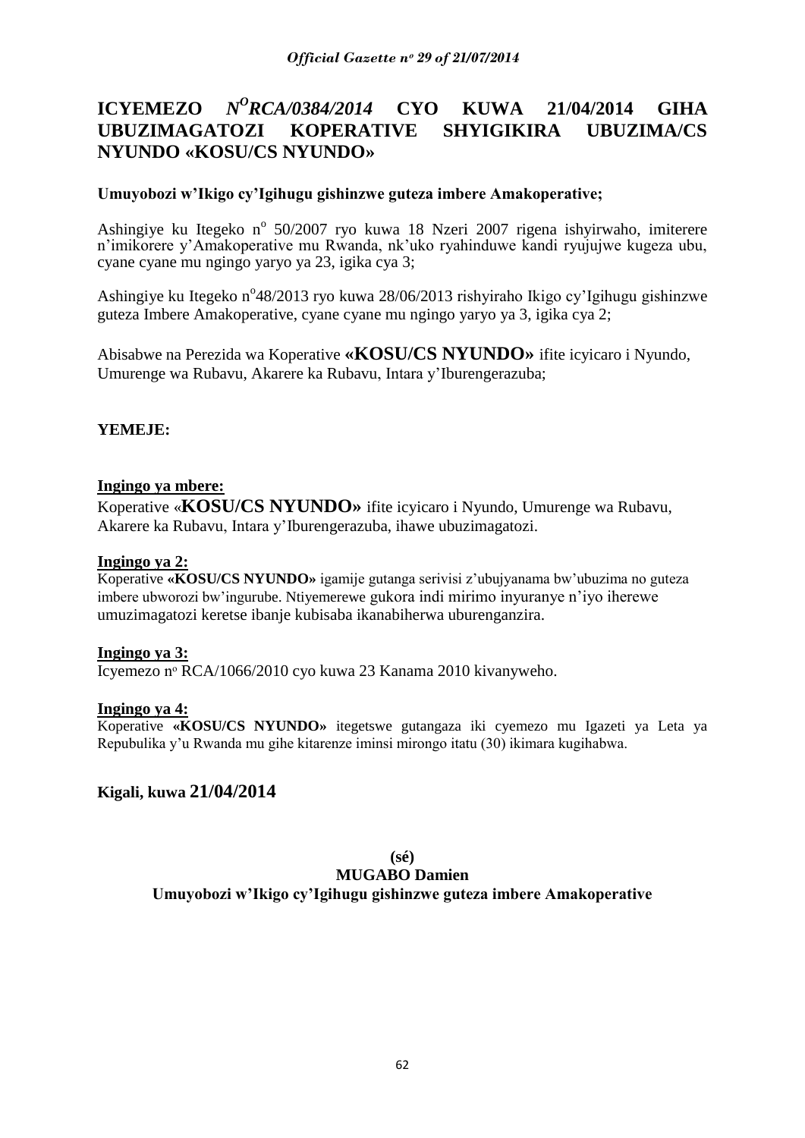# **ICYEMEZO** *N<sup>O</sup>RCA/0384/2014* **CYO KUWA 21/04/2014 GIHA UBUZIMAGATOZI KOPERATIVE SHYIGIKIRA UBUZIMA/CS NYUNDO «KOSU/CS NYUNDO»**

### **Umuyobozi w'Ikigo cy'Igihugu gishinzwe guteza imbere Amakoperative;**

Ashingiye ku Itegeko nº 50/2007 ryo kuwa 18 Nzeri 2007 rigena ishyirwaho, imiterere n"imikorere y"Amakoperative mu Rwanda, nk"uko ryahinduwe kandi ryujujwe kugeza ubu, cyane cyane mu ngingo yaryo ya 23, igika cya 3;

Ashingiye ku Itegeko n°48/2013 ryo kuwa 28/06/2013 rishyiraho Ikigo cy'Igihugu gishinzwe guteza Imbere Amakoperative, cyane cyane mu ngingo yaryo ya 3, igika cya 2;

Abisabwe na Perezida wa Koperative **«KOSU/CS NYUNDO»** ifite icyicaro i Nyundo, Umurenge wa Rubavu, Akarere ka Rubavu, Intara y"Iburengerazuba;

### **YEMEJE:**

#### **Ingingo ya mbere:**

Koperative «**KOSU/CS NYUNDO»** ifite icyicaro i Nyundo, Umurenge wa Rubavu, Akarere ka Rubavu, Intara y"Iburengerazuba, ihawe ubuzimagatozi.

#### **Ingingo ya 2:**

Koperative **«KOSU/CS NYUNDO»** igamije gutanga serivisi z"ubujyanama bw"ubuzima no guteza imbere ubworozi bw"ingurube. Ntiyemerewe gukora indi mirimo inyuranye n"iyo iherewe umuzimagatozi keretse ibanje kubisaba ikanabiherwa uburenganzira.

#### **Ingingo ya 3:**

Icyemezo nᵒ RCA/1066/2010 cyo kuwa 23 Kanama 2010 kivanyweho.

#### **Ingingo ya 4:**

Koperative **«KOSU/CS NYUNDO»** itegetswe gutangaza iki cyemezo mu Igazeti ya Leta ya Repubulika y"u Rwanda mu gihe kitarenze iminsi mirongo itatu (30) ikimara kugihabwa.

#### **Kigali, kuwa 21/04/2014**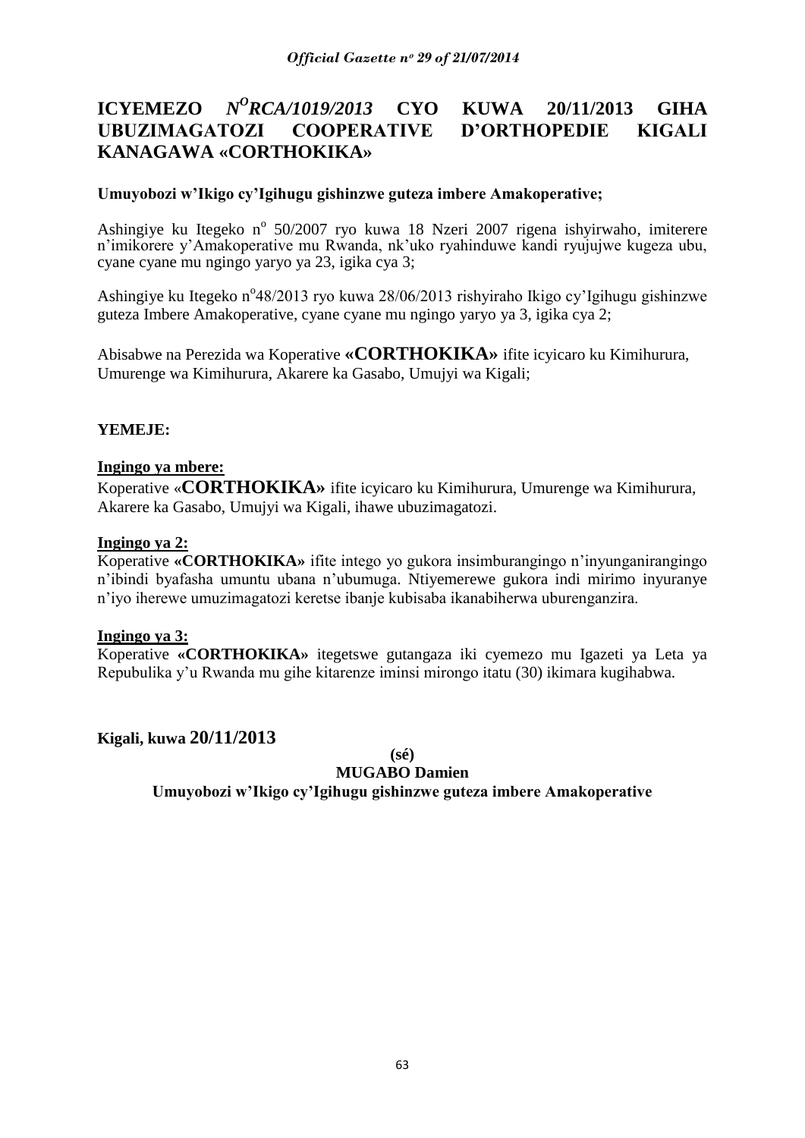# **ICYEMEZO** *N<sup>O</sup>RCA/1019/2013* **CYO KUWA 20/11/2013 GIHA UBUZIMAGATOZI COOPERATIVE D'ORTHOPEDIE KIGALI KANAGAWA «CORTHOKIKA»**

### **Umuyobozi w'Ikigo cy'Igihugu gishinzwe guteza imbere Amakoperative;**

Ashingiye ku Itegeko nº 50/2007 ryo kuwa 18 Nzeri 2007 rigena ishyirwaho, imiterere n"imikorere y"Amakoperative mu Rwanda, nk"uko ryahinduwe kandi ryujujwe kugeza ubu, cyane cyane mu ngingo yaryo ya 23, igika cya 3;

Ashingiye ku Itegeko n°48/2013 ryo kuwa 28/06/2013 rishyiraho Ikigo cy'Igihugu gishinzwe guteza Imbere Amakoperative, cyane cyane mu ngingo yaryo ya 3, igika cya 2;

Abisabwe na Perezida wa Koperative **«CORTHOKIKA»** ifite icyicaro ku Kimihurura, Umurenge wa Kimihurura, Akarere ka Gasabo, Umujyi wa Kigali;

### **YEMEJE:**

#### **Ingingo ya mbere:**

Koperative «**CORTHOKIKA»** ifite icyicaro ku Kimihurura, Umurenge wa Kimihurura, Akarere ka Gasabo, Umujyi wa Kigali, ihawe ubuzimagatozi.

### **Ingingo ya 2:**

Koperative **«CORTHOKIKA»** ifite intego yo gukora insimburangingo n"inyunganirangingo n"ibindi byafasha umuntu ubana n"ubumuga. Ntiyemerewe gukora indi mirimo inyuranye n"iyo iherewe umuzimagatozi keretse ibanje kubisaba ikanabiherwa uburenganzira.

#### **Ingingo ya 3:**

Koperative **«CORTHOKIKA»** itegetswe gutangaza iki cyemezo mu Igazeti ya Leta ya Repubulika y"u Rwanda mu gihe kitarenze iminsi mirongo itatu (30) ikimara kugihabwa.

**Kigali, kuwa 20/11/2013**

**(sé)**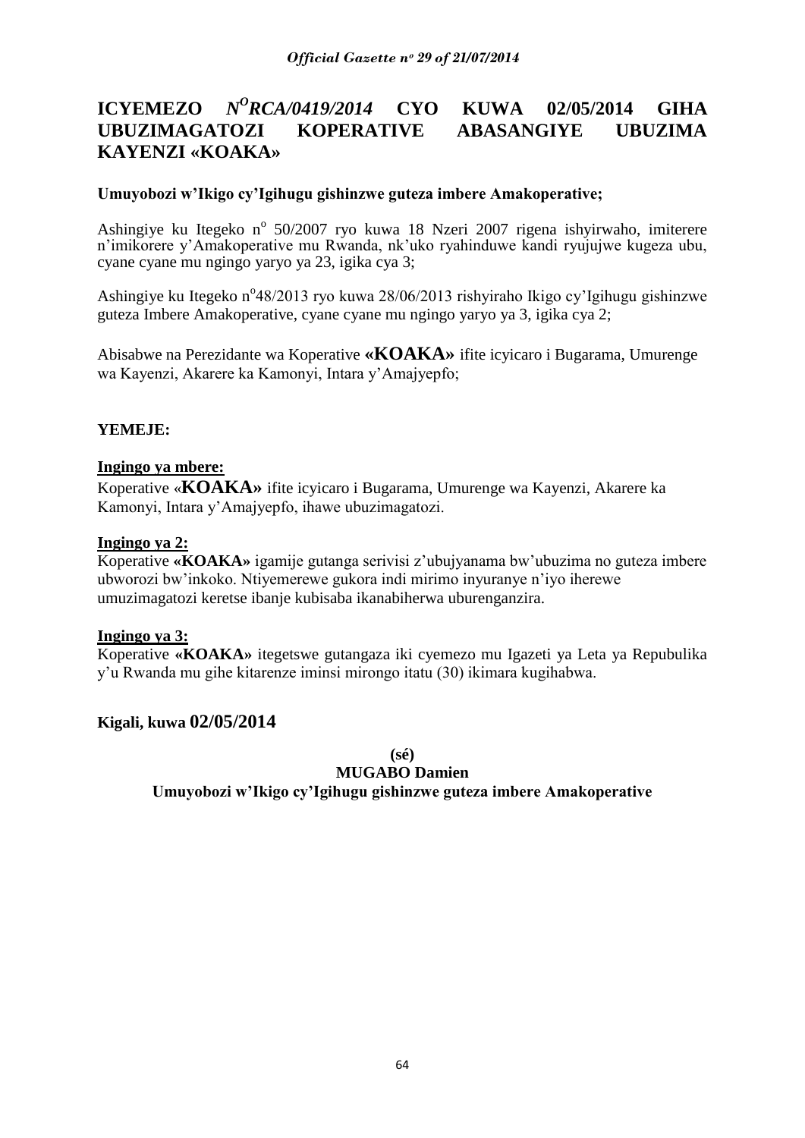#### **ICYEMEZO** *N <sup>O</sup>RCA/0419/2014* **CYO KUWA 02/05/2014 GIHA UBUZIMAGATOZI KOPERATIVE ABASANGIYE UBUZIMA KAYENZI «KOAKA»**

### **Umuyobozi w'Ikigo cy'Igihugu gishinzwe guteza imbere Amakoperative;**

Ashingiye ku Itegeko nº 50/2007 ryo kuwa 18 Nzeri 2007 rigena ishyirwaho, imiterere n"imikorere y"Amakoperative mu Rwanda, nk"uko ryahinduwe kandi ryujujwe kugeza ubu, cyane cyane mu ngingo yaryo ya 23, igika cya 3;

Ashingiye ku Itegeko n°48/2013 ryo kuwa 28/06/2013 rishyiraho Ikigo cy'Igihugu gishinzwe guteza Imbere Amakoperative, cyane cyane mu ngingo yaryo ya 3, igika cya 2;

Abisabwe na Perezidante wa Koperative **«KOAKA»** ifite icyicaro i Bugarama, Umurenge wa Kayenzi, Akarere ka Kamonyi, Intara y"Amajyepfo;

### **YEMEJE:**

#### **Ingingo ya mbere:**

Koperative «**KOAKA»** ifite icyicaro i Bugarama, Umurenge wa Kayenzi, Akarere ka Kamonyi, Intara y"Amajyepfo, ihawe ubuzimagatozi.

#### **Ingingo ya 2:**

Koperative **«KOAKA»** igamije gutanga serivisi z"ubujyanama bw"ubuzima no guteza imbere ubworozi bw"inkoko. Ntiyemerewe gukora indi mirimo inyuranye n"iyo iherewe umuzimagatozi keretse ibanje kubisaba ikanabiherwa uburenganzira.

#### **Ingingo ya 3:**

Koperative **«KOAKA»** itegetswe gutangaza iki cyemezo mu Igazeti ya Leta ya Repubulika y"u Rwanda mu gihe kitarenze iminsi mirongo itatu (30) ikimara kugihabwa.

### **Kigali, kuwa 02/05/2014**

**(sé)**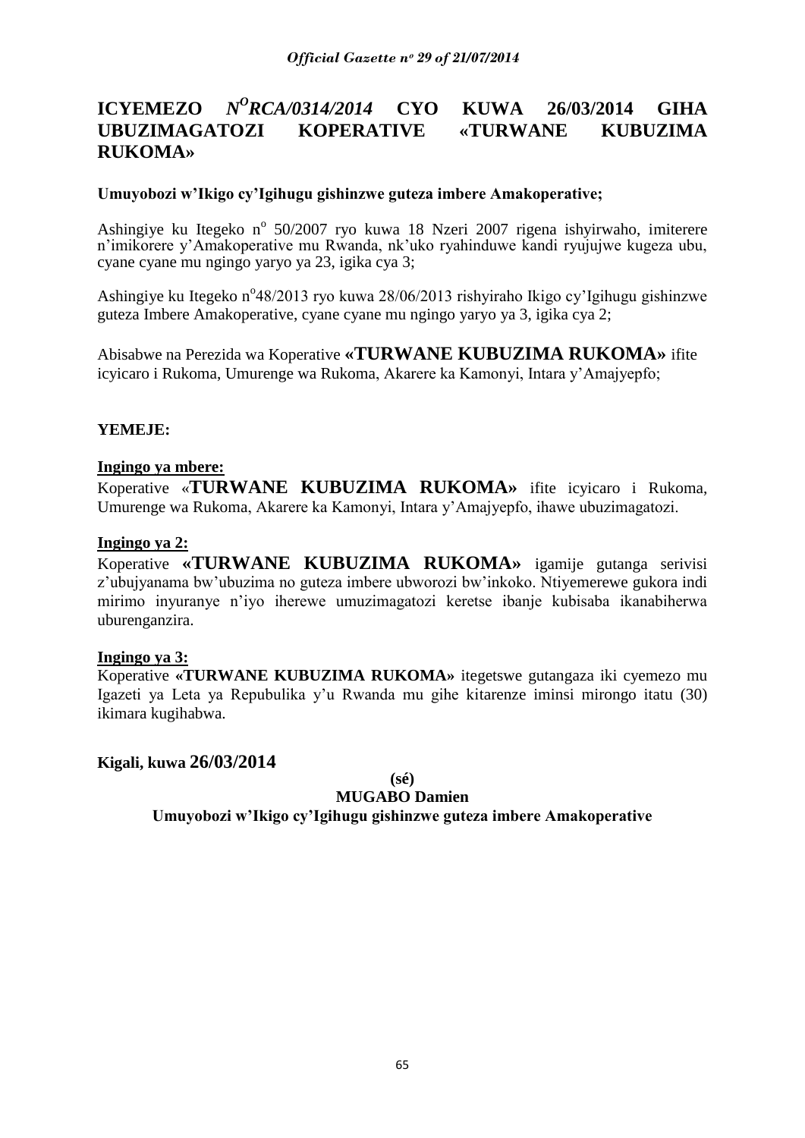# **ICYEMEZO** *N<sup>O</sup>RCA/0314/2014* **CYO KUWA 26/03/2014 GIHA UBUZIMAGATOZI KOPERATIVE «TURWANE KUBUZIMA RUKOMA»**

### **Umuyobozi w'Ikigo cy'Igihugu gishinzwe guteza imbere Amakoperative;**

Ashingiye ku Itegeko nº 50/2007 ryo kuwa 18 Nzeri 2007 rigena ishyirwaho, imiterere n"imikorere y"Amakoperative mu Rwanda, nk"uko ryahinduwe kandi ryujujwe kugeza ubu, cyane cyane mu ngingo yaryo ya 23, igika cya 3;

Ashingiye ku Itegeko n°48/2013 ryo kuwa 28/06/2013 rishyiraho Ikigo cy'Igihugu gishinzwe guteza Imbere Amakoperative, cyane cyane mu ngingo yaryo ya 3, igika cya 2;

Abisabwe na Perezida wa Koperative **«TURWANE KUBUZIMA RUKOMA»** ifite icyicaro i Rukoma, Umurenge wa Rukoma, Akarere ka Kamonyi, Intara y"Amajyepfo;

### **YEMEJE:**

#### **Ingingo ya mbere:**

Koperative «**TURWANE KUBUZIMA RUKOMA»** ifite icyicaro i Rukoma, Umurenge wa Rukoma, Akarere ka Kamonyi, Intara y"Amajyepfo, ihawe ubuzimagatozi.

### **Ingingo ya 2:**

Koperative **«TURWANE KUBUZIMA RUKOMA»** igamije gutanga serivisi z"ubujyanama bw"ubuzima no guteza imbere ubworozi bw"inkoko. Ntiyemerewe gukora indi mirimo inyuranye n"iyo iherewe umuzimagatozi keretse ibanje kubisaba ikanabiherwa uburenganzira.

#### **Ingingo ya 3:**

Koperative **«TURWANE KUBUZIMA RUKOMA»** itegetswe gutangaza iki cyemezo mu Igazeti ya Leta ya Repubulika y"u Rwanda mu gihe kitarenze iminsi mirongo itatu (30) ikimara kugihabwa.

#### **Kigali, kuwa 26/03/2014**

**(sé)**

#### **MUGABO Damien**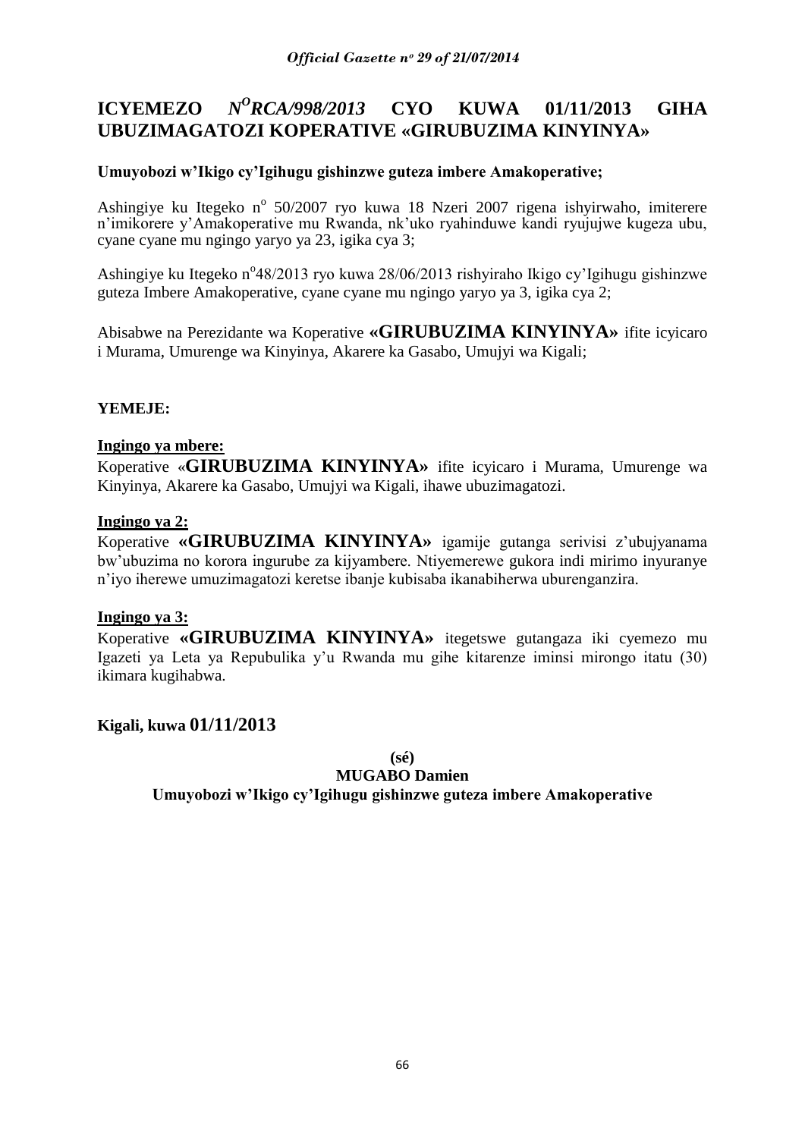#### **ICYEMEZO** *N <sup>O</sup>RCA/998/2013* **CYO KUWA 01/11/2013 GIHA UBUZIMAGATOZI KOPERATIVE «GIRUBUZIMA KINYINYA»**

# **Umuyobozi w'Ikigo cy'Igihugu gishinzwe guteza imbere Amakoperative;**

Ashingiye ku Itegeko nº 50/2007 ryo kuwa 18 Nzeri 2007 rigena ishyirwaho, imiterere n"imikorere y"Amakoperative mu Rwanda, nk"uko ryahinduwe kandi ryujujwe kugeza ubu, cyane cyane mu ngingo yaryo ya 23, igika cya 3;

Ashingiye ku Itegeko n°48/2013 ryo kuwa 28/06/2013 rishyiraho Ikigo cy'Igihugu gishinzwe guteza Imbere Amakoperative, cyane cyane mu ngingo yaryo ya 3, igika cya 2;

Abisabwe na Perezidante wa Koperative **«GIRUBUZIMA KINYINYA»** ifite icyicaro i Murama, Umurenge wa Kinyinya, Akarere ka Gasabo, Umujyi wa Kigali;

### **YEMEJE:**

### **Ingingo ya mbere:**

Koperative «**GIRUBUZIMA KINYINYA»** ifite icyicaro i Murama, Umurenge wa Kinyinya, Akarere ka Gasabo, Umujyi wa Kigali, ihawe ubuzimagatozi.

### **Ingingo ya 2:**

Koperative **«GIRUBUZIMA KINYINYA»** igamije gutanga serivisi z"ubujyanama bw"ubuzima no korora ingurube za kijyambere. Ntiyemerewe gukora indi mirimo inyuranye n"iyo iherewe umuzimagatozi keretse ibanje kubisaba ikanabiherwa uburenganzira.

#### **Ingingo ya 3:**

Koperative **«GIRUBUZIMA KINYINYA»** itegetswe gutangaza iki cyemezo mu Igazeti ya Leta ya Repubulika y"u Rwanda mu gihe kitarenze iminsi mirongo itatu (30) ikimara kugihabwa.

### **Kigali, kuwa 01/11/2013**

**(sé)**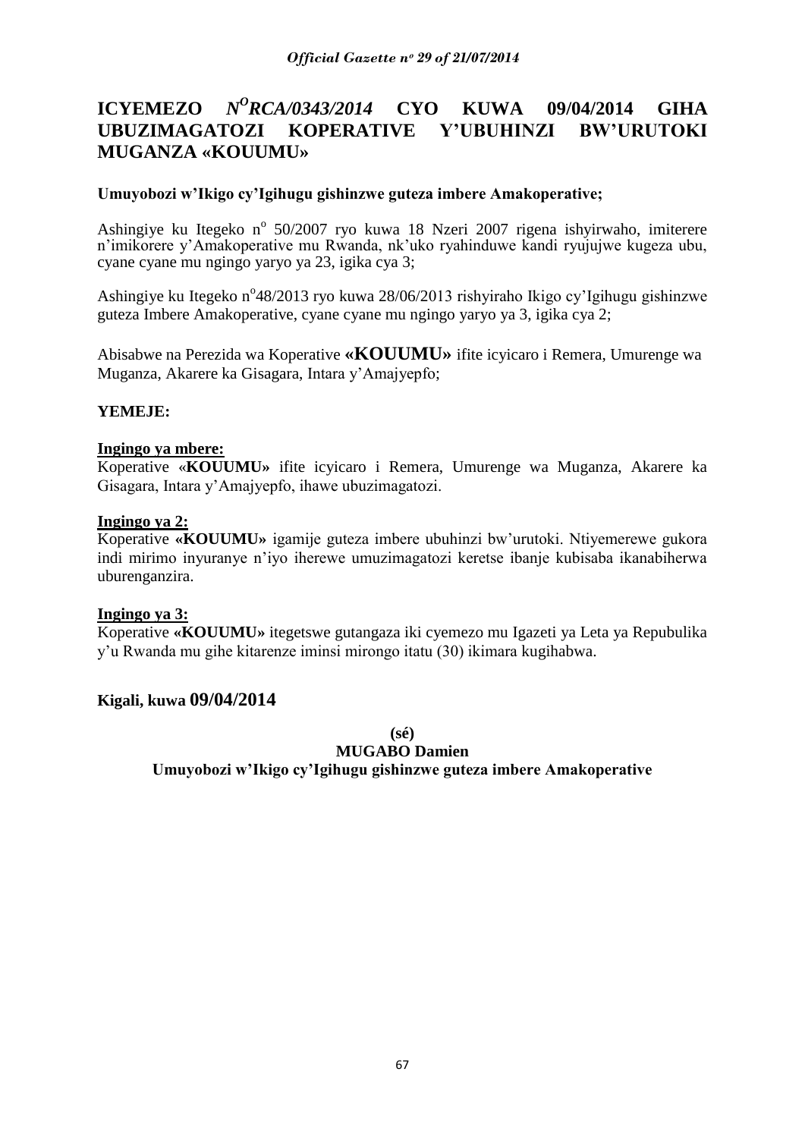#### **ICYEMEZO** *<sup>O</sup>RCA/0343/2014* **CYO KUWA 09/04/2014 GIHA UBUZIMAGATOZI KOPERATIVE Y'UBUHINZI BW'URUTOKI MUGANZA «KOUUMU»**

### **Umuyobozi w'Ikigo cy'Igihugu gishinzwe guteza imbere Amakoperative;**

Ashingiye ku Itegeko nº 50/2007 ryo kuwa 18 Nzeri 2007 rigena ishyirwaho, imiterere n"imikorere y"Amakoperative mu Rwanda, nk"uko ryahinduwe kandi ryujujwe kugeza ubu, cyane cyane mu ngingo yaryo ya 23, igika cya 3;

Ashingiye ku Itegeko n°48/2013 ryo kuwa 28/06/2013 rishyiraho Ikigo cy'Igihugu gishinzwe guteza Imbere Amakoperative, cyane cyane mu ngingo yaryo ya 3, igika cya 2;

Abisabwe na Perezida wa Koperative **«KOUUMU»** ifite icyicaro i Remera, Umurenge wa Muganza, Akarere ka Gisagara, Intara y"Amajyepfo;

### **YEMEJE:**

#### **Ingingo ya mbere:**

Koperative «**KOUUMU»** ifite icyicaro i Remera, Umurenge wa Muganza, Akarere ka Gisagara, Intara y"Amajyepfo, ihawe ubuzimagatozi.

#### **Ingingo ya 2:**

Koperative **«KOUUMU»** igamije guteza imbere ubuhinzi bw"urutoki. Ntiyemerewe gukora indi mirimo inyuranye n"iyo iherewe umuzimagatozi keretse ibanje kubisaba ikanabiherwa uburenganzira.

#### **Ingingo ya 3:**

Koperative **«KOUUMU»** itegetswe gutangaza iki cyemezo mu Igazeti ya Leta ya Repubulika y"u Rwanda mu gihe kitarenze iminsi mirongo itatu (30) ikimara kugihabwa.

#### **Kigali, kuwa 09/04/2014**

**(sé)**

### **MUGABO Damien**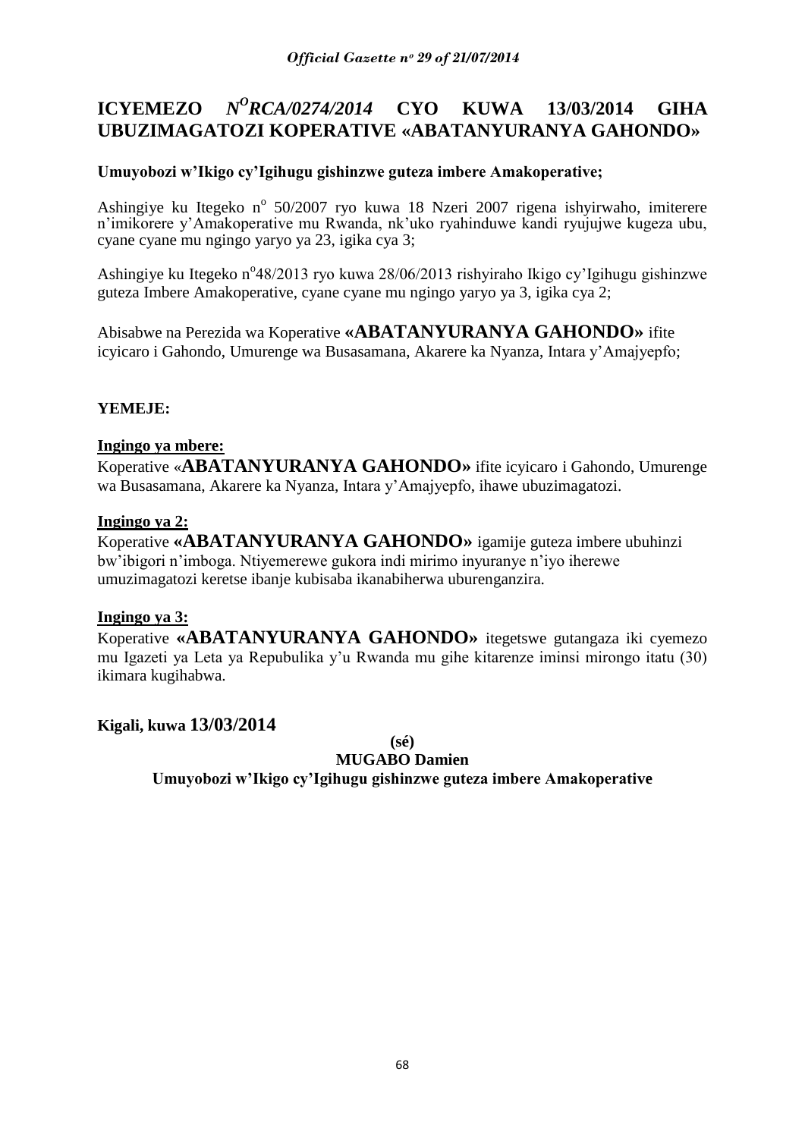#### **ICYEMEZO** *<sup>O</sup>RCA/0274/2014* **CYO KUWA 13/03/2014 GIHA UBUZIMAGATOZI KOPERATIVE «ABATANYURANYA GAHONDO»**

# **Umuyobozi w'Ikigo cy'Igihugu gishinzwe guteza imbere Amakoperative;**

Ashingiye ku Itegeko nº 50/2007 ryo kuwa 18 Nzeri 2007 rigena ishyirwaho, imiterere n"imikorere y"Amakoperative mu Rwanda, nk"uko ryahinduwe kandi ryujujwe kugeza ubu, cyane cyane mu ngingo yaryo ya 23, igika cya 3;

Ashingiye ku Itegeko n°48/2013 ryo kuwa 28/06/2013 rishyiraho Ikigo cy'Igihugu gishinzwe guteza Imbere Amakoperative, cyane cyane mu ngingo yaryo ya 3, igika cya 2;

Abisabwe na Perezida wa Koperative **«ABATANYURANYA GAHONDO»** ifite icyicaro i Gahondo, Umurenge wa Busasamana, Akarere ka Nyanza, Intara y"Amajyepfo;

### **YEMEJE:**

### **Ingingo ya mbere:**

Koperative «**ABATANYURANYA GAHONDO»** ifite icyicaro i Gahondo, Umurenge wa Busasamana, Akarere ka Nyanza, Intara y"Amajyepfo, ihawe ubuzimagatozi.

### **Ingingo ya 2:**

Koperative **«ABATANYURANYA GAHONDO»** igamije guteza imbere ubuhinzi bw"ibigori n"imboga. Ntiyemerewe gukora indi mirimo inyuranye n"iyo iherewe umuzimagatozi keretse ibanje kubisaba ikanabiherwa uburenganzira.

#### **Ingingo ya 3:**

Koperative **«ABATANYURANYA GAHONDO»** itegetswe gutangaza iki cyemezo mu Igazeti ya Leta ya Repubulika y"u Rwanda mu gihe kitarenze iminsi mirongo itatu (30) ikimara kugihabwa.

### **Kigali, kuwa 13/03/2014**

**(sé)**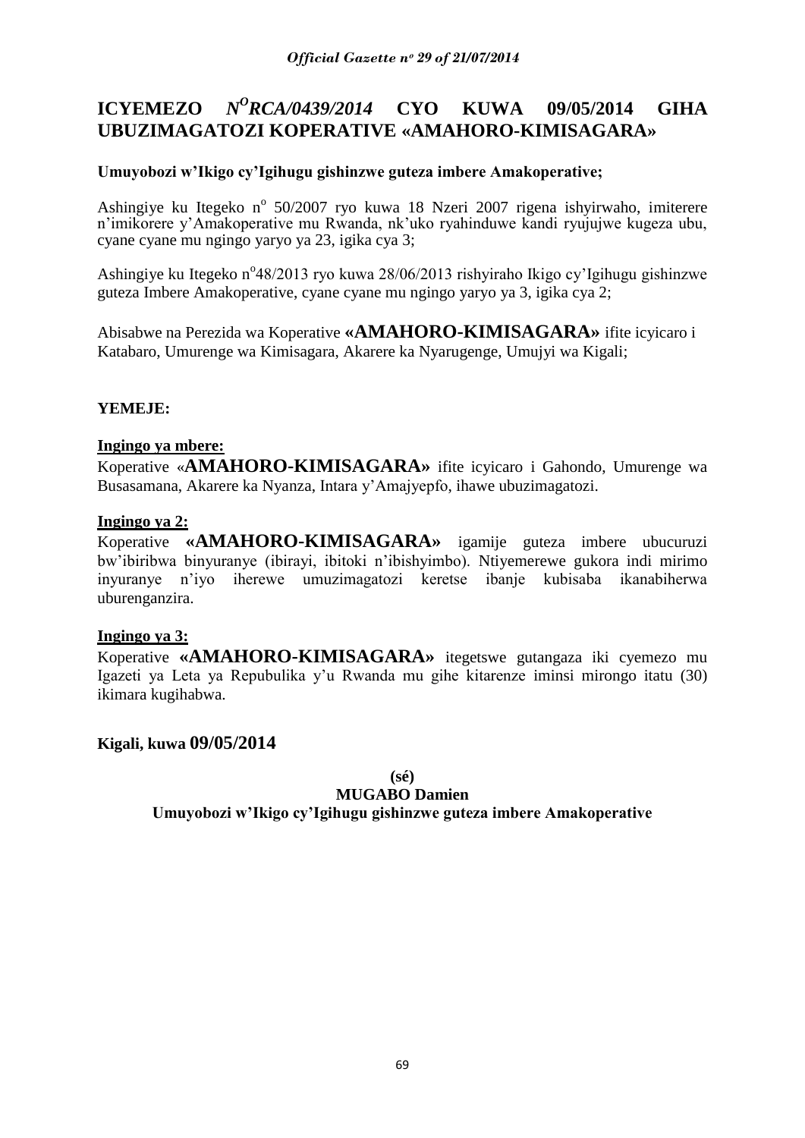#### **ICYEMEZO** *N <sup>O</sup>RCA/0439/2014* **CYO KUWA 09/05/2014 GIHA UBUZIMAGATOZI KOPERATIVE «AMAHORO-KIMISAGARA»**

# **Umuyobozi w'Ikigo cy'Igihugu gishinzwe guteza imbere Amakoperative;**

Ashingiye ku Itegeko nº 50/2007 ryo kuwa 18 Nzeri 2007 rigena ishyirwaho, imiterere n"imikorere y"Amakoperative mu Rwanda, nk"uko ryahinduwe kandi ryujujwe kugeza ubu, cyane cyane mu ngingo yaryo ya 23, igika cya 3;

Ashingiye ku Itegeko n°48/2013 ryo kuwa 28/06/2013 rishyiraho Ikigo cy'Igihugu gishinzwe guteza Imbere Amakoperative, cyane cyane mu ngingo yaryo ya 3, igika cya 2;

Abisabwe na Perezida wa Koperative **«AMAHORO-KIMISAGARA»** ifite icyicaro i Katabaro, Umurenge wa Kimisagara, Akarere ka Nyarugenge, Umujyi wa Kigali;

### **YEMEJE:**

### **Ingingo ya mbere:**

Koperative «**AMAHORO-KIMISAGARA»** ifite icyicaro i Gahondo, Umurenge wa Busasamana, Akarere ka Nyanza, Intara y"Amajyepfo, ihawe ubuzimagatozi.

### **Ingingo ya 2:**

Koperative **«AMAHORO-KIMISAGARA»** igamije guteza imbere ubucuruzi bw"ibiribwa binyuranye (ibirayi, ibitoki n"ibishyimbo). Ntiyemerewe gukora indi mirimo inyuranye n"iyo iherewe umuzimagatozi keretse ibanje kubisaba ikanabiherwa uburenganzira.

### **Ingingo ya 3:**

Koperative **«AMAHORO-KIMISAGARA»** itegetswe gutangaza iki cyemezo mu Igazeti ya Leta ya Repubulika y"u Rwanda mu gihe kitarenze iminsi mirongo itatu (30) ikimara kugihabwa.

### **Kigali, kuwa 09/05/2014**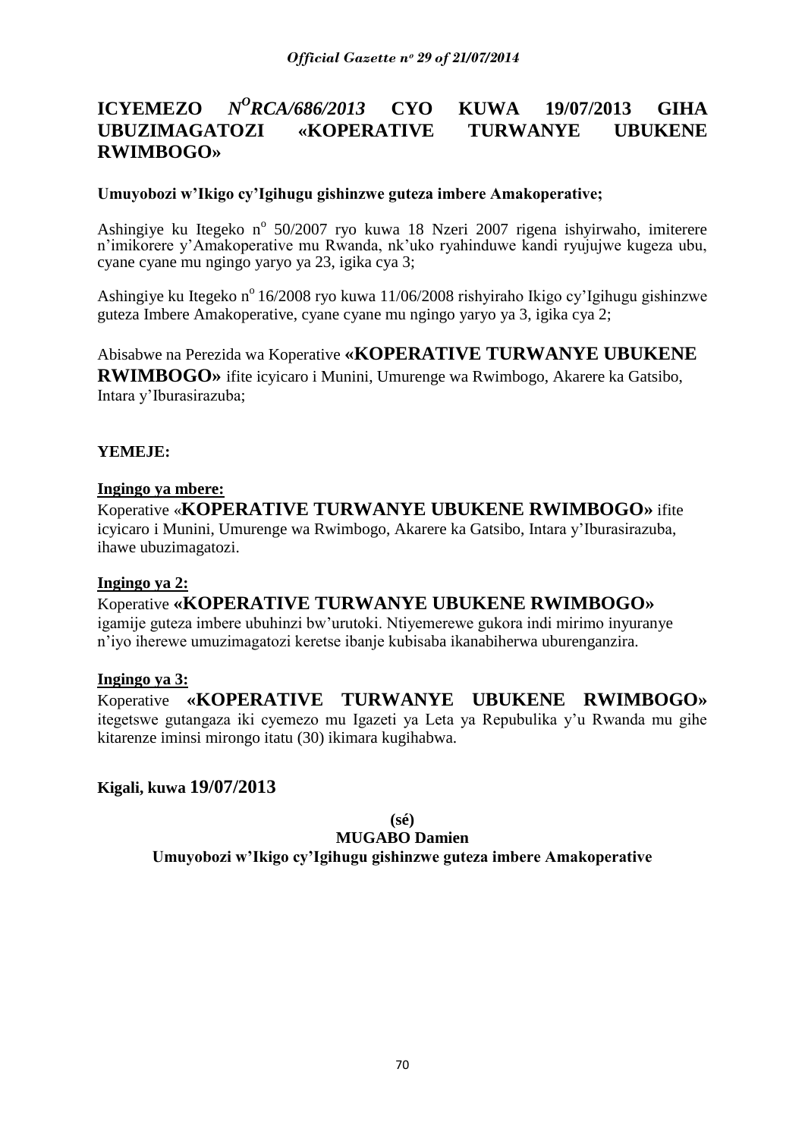#### **ICYEMEZO** *<sup>O</sup>RCA/686/2013* **CYO KUWA 19/07/2013 GIHA UBUZIMAGATOZI «KOPERATIVE TURWANYE UBUKENE RWIMBOGO»**

### **Umuyobozi w'Ikigo cy'Igihugu gishinzwe guteza imbere Amakoperative;**

Ashingiye ku Itegeko nº 50/2007 ryo kuwa 18 Nzeri 2007 rigena ishyirwaho, imiterere n"imikorere y"Amakoperative mu Rwanda, nk"uko ryahinduwe kandi ryujujwe kugeza ubu, cyane cyane mu ngingo yaryo ya 23, igika cya 3;

Ashingiye ku Itegeko n<sup>o</sup> 16/2008 ryo kuwa 11/06/2008 rishyiraho Ikigo cy'Igihugu gishinzwe guteza Imbere Amakoperative, cyane cyane mu ngingo yaryo ya 3, igika cya 2;

Abisabwe na Perezida wa Koperative **«KOPERATIVE TURWANYE UBUKENE RWIMBOGO»** ifite icyicaro i Munini, Umurenge wa Rwimbogo, Akarere ka Gatsibo, Intara y"Iburasirazuba;

### **YEMEJE:**

#### **Ingingo ya mbere:**

Koperative «**KOPERATIVE TURWANYE UBUKENE RWIMBOGO»** ifite icyicaro i Munini, Umurenge wa Rwimbogo, Akarere ka Gatsibo, Intara y"Iburasirazuba, ihawe ubuzimagatozi.

#### **Ingingo ya 2:**

# Koperative **«KOPERATIVE TURWANYE UBUKENE RWIMBOGO»**

igamije guteza imbere ubuhinzi bw"urutoki. Ntiyemerewe gukora indi mirimo inyuranye n"iyo iherewe umuzimagatozi keretse ibanje kubisaba ikanabiherwa uburenganzira.

#### **Ingingo ya 3:**

Koperative **«KOPERATIVE TURWANYE UBUKENE RWIMBOGO»**  itegetswe gutangaza iki cyemezo mu Igazeti ya Leta ya Repubulika y"u Rwanda mu gihe kitarenze iminsi mirongo itatu (30) ikimara kugihabwa.

### **Kigali, kuwa 19/07/2013**

**(sé)**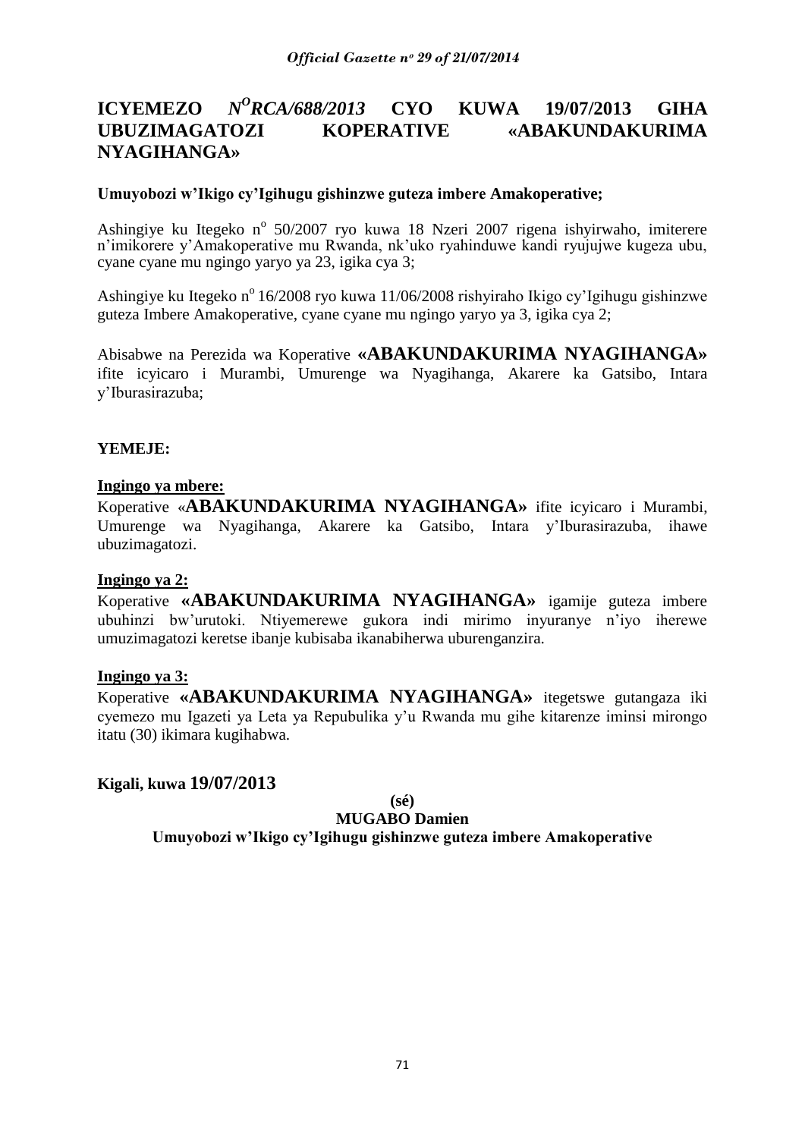#### **ICYEMEZO** *<sup>O</sup>RCA/688/2013* **CYO KUWA 19/07/2013 GIHA UBUZIMAGATOZI KOPERATIVE «ABAKUNDAKURIMA NYAGIHANGA»**

### **Umuyobozi w'Ikigo cy'Igihugu gishinzwe guteza imbere Amakoperative;**

Ashingiye ku Itegeko nº 50/2007 ryo kuwa 18 Nzeri 2007 rigena ishyirwaho, imiterere n"imikorere y"Amakoperative mu Rwanda, nk"uko ryahinduwe kandi ryujujwe kugeza ubu, cyane cyane mu ngingo yaryo ya 23, igika cya 3;

Ashingiye ku Itegeko n<sup>o</sup> 16/2008 ryo kuwa 11/06/2008 rishyiraho Ikigo cy'Igihugu gishinzwe guteza Imbere Amakoperative, cyane cyane mu ngingo yaryo ya 3, igika cya 2;

Abisabwe na Perezida wa Koperative **«ABAKUNDAKURIMA NYAGIHANGA»**  ifite icyicaro i Murambi, Umurenge wa Nyagihanga, Akarere ka Gatsibo, Intara y"Iburasirazuba;

### **YEMEJE:**

#### **Ingingo ya mbere:**

Koperative «**ABAKUNDAKURIMA NYAGIHANGA»** ifite icyicaro i Murambi, Umurenge wa Nyagihanga, Akarere ka Gatsibo, Intara y"Iburasirazuba, ihawe ubuzimagatozi.

#### **Ingingo ya 2:**

Koperative **«ABAKUNDAKURIMA NYAGIHANGA»** igamije guteza imbere ubuhinzi bw"urutoki. Ntiyemerewe gukora indi mirimo inyuranye n"iyo iherewe umuzimagatozi keretse ibanje kubisaba ikanabiherwa uburenganzira.

#### **Ingingo ya 3:**

Koperative **«ABAKUNDAKURIMA NYAGIHANGA»** itegetswe gutangaza iki cyemezo mu Igazeti ya Leta ya Repubulika y"u Rwanda mu gihe kitarenze iminsi mirongo itatu (30) ikimara kugihabwa.

### **Kigali, kuwa 19/07/2013**

**(sé)**

#### **MUGABO Damien**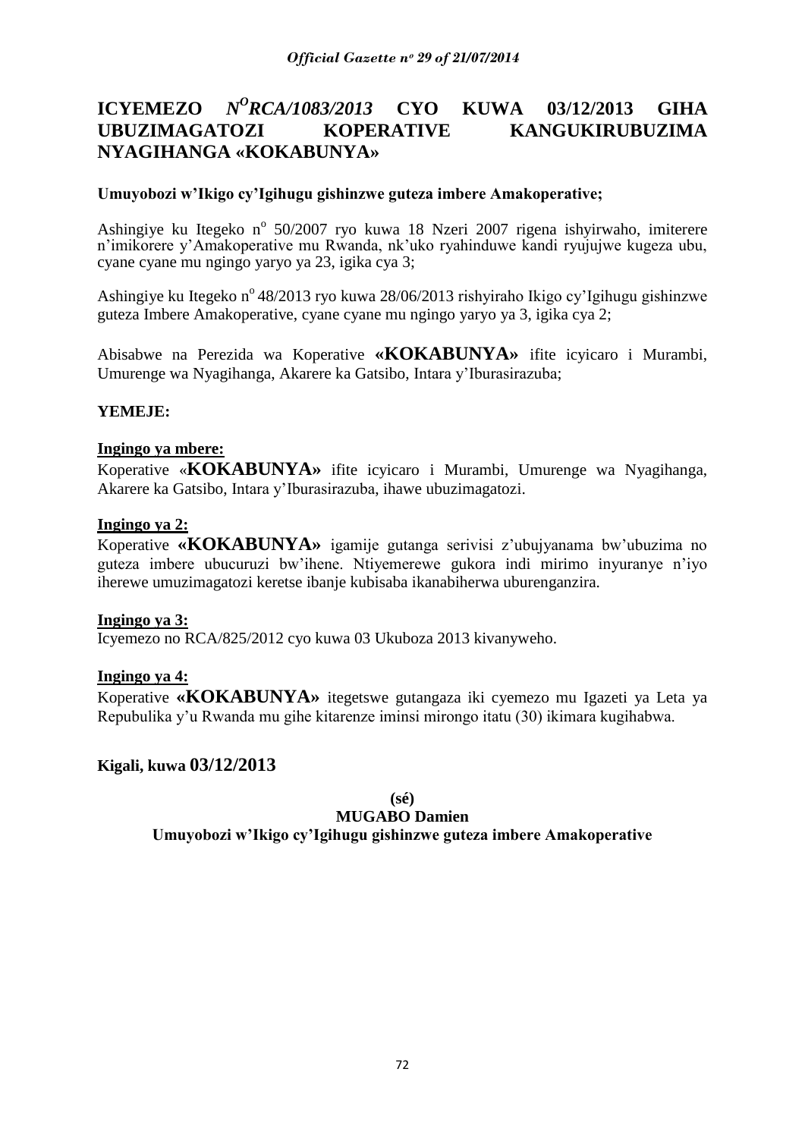# **ICYEMEZO** *N<sup>O</sup>RCA/1083/2013* **CYO KUWA 03/12/2013 GIHA UBUZIMAGATOZI KOPERATIVE KANGUKIRUBUZIMA NYAGIHANGA «KOKABUNYA»**

### **Umuyobozi w'Ikigo cy'Igihugu gishinzwe guteza imbere Amakoperative;**

Ashingiye ku Itegeko nº 50/2007 ryo kuwa 18 Nzeri 2007 rigena ishyirwaho, imiterere n"imikorere y"Amakoperative mu Rwanda, nk"uko ryahinduwe kandi ryujujwe kugeza ubu, cyane cyane mu ngingo yaryo ya 23, igika cya 3;

Ashingiye ku Itegeko n<sup>o</sup> 48/2013 ryo kuwa 28/06/2013 rishyiraho Ikigo cy'Igihugu gishinzwe guteza Imbere Amakoperative, cyane cyane mu ngingo yaryo ya 3, igika cya 2;

Abisabwe na Perezida wa Koperative **«KOKABUNYA»** ifite icyicaro i Murambi, Umurenge wa Nyagihanga, Akarere ka Gatsibo, Intara y"Iburasirazuba;

### **YEMEJE:**

#### **Ingingo ya mbere:**

Koperative «**KOKABUNYA»** ifite icyicaro i Murambi, Umurenge wa Nyagihanga, Akarere ka Gatsibo, Intara y"Iburasirazuba, ihawe ubuzimagatozi.

#### **Ingingo ya 2:**

Koperative **«KOKABUNYA»** igamije gutanga serivisi z"ubujyanama bw"ubuzima no guteza imbere ubucuruzi bw"ihene. Ntiyemerewe gukora indi mirimo inyuranye n"iyo iherewe umuzimagatozi keretse ibanje kubisaba ikanabiherwa uburenganzira.

#### **Ingingo ya 3:**

Icyemezo no RCA/825/2012 cyo kuwa 03 Ukuboza 2013 kivanyweho.

#### **Ingingo ya 4:**

Koperative **«KOKABUNYA»** itegetswe gutangaza iki cyemezo mu Igazeti ya Leta ya Repubulika y"u Rwanda mu gihe kitarenze iminsi mirongo itatu (30) ikimara kugihabwa.

### **Kigali, kuwa 03/12/2013**

**(sé)**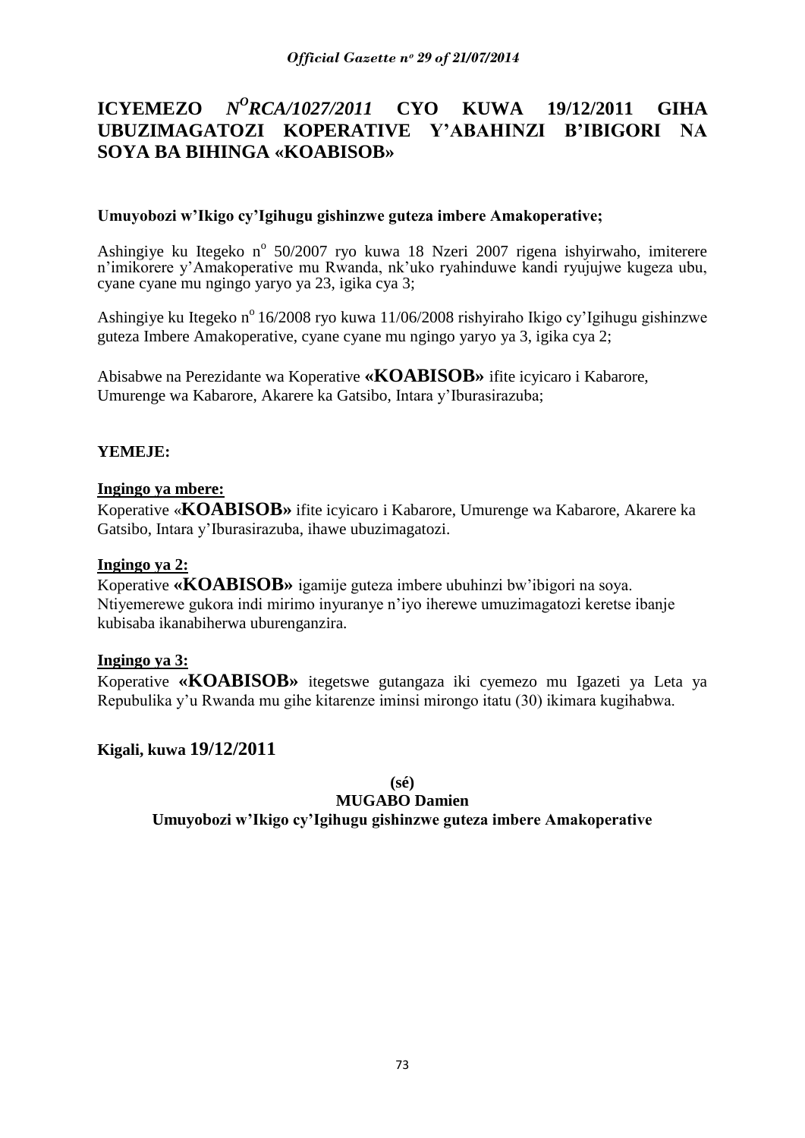#### **ICYEMEZO** *N <sup>O</sup>RCA/1027/2011* **CYO KUWA 19/12/2011 GIHA UBUZIMAGATOZI KOPERATIVE Y'ABAHINZI B'IBIGORI NA SOYA BA BIHINGA «KOABISOB»**

### **Umuyobozi w'Ikigo cy'Igihugu gishinzwe guteza imbere Amakoperative;**

Ashingiye ku Itegeko nº 50/2007 ryo kuwa 18 Nzeri 2007 rigena ishyirwaho, imiterere n"imikorere y"Amakoperative mu Rwanda, nk"uko ryahinduwe kandi ryujujwe kugeza ubu, cyane cyane mu ngingo yaryo ya 23, igika cya 3;

Ashingiye ku Itegeko nº 16/2008 ryo kuwa 11/06/2008 rishyiraho Ikigo cy'Igihugu gishinzwe guteza Imbere Amakoperative, cyane cyane mu ngingo yaryo ya 3, igika cya 2;

Abisabwe na Perezidante wa Koperative **«KOABISOB»** ifite icyicaro i Kabarore, Umurenge wa Kabarore, Akarere ka Gatsibo, Intara y"Iburasirazuba;

# **YEMEJE:**

#### **Ingingo ya mbere:**

Koperative «**KOABISOB»** ifite icyicaro i Kabarore, Umurenge wa Kabarore, Akarere ka Gatsibo, Intara y"Iburasirazuba, ihawe ubuzimagatozi.

### **Ingingo ya 2:**

Koperative **«KOABISOB»** igamije guteza imbere ubuhinzi bw"ibigori na soya. Ntiyemerewe gukora indi mirimo inyuranye n"iyo iherewe umuzimagatozi keretse ibanje kubisaba ikanabiherwa uburenganzira.

#### **Ingingo ya 3:**

Koperative **«KOABISOB»** itegetswe gutangaza iki cyemezo mu Igazeti ya Leta ya Repubulika y"u Rwanda mu gihe kitarenze iminsi mirongo itatu (30) ikimara kugihabwa.

# **Kigali, kuwa 19/12/2011**

# **(sé)**

**MUGABO Damien**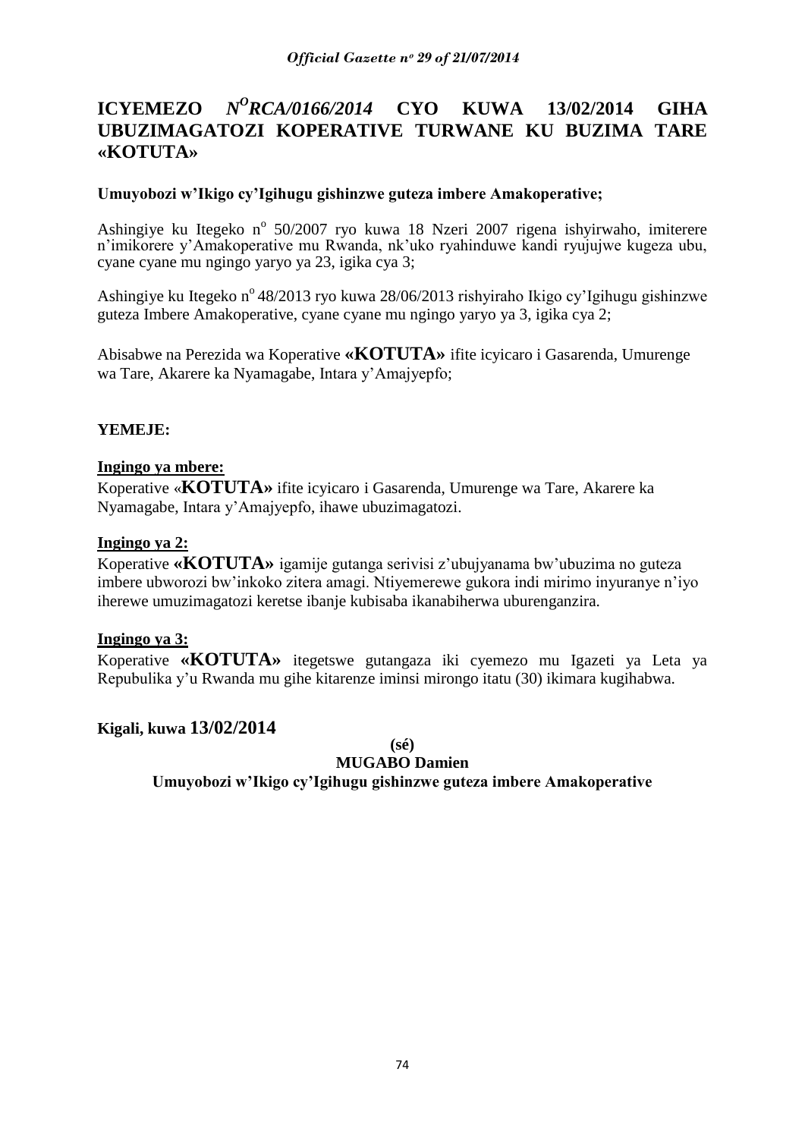#### **ICYEMEZO** *<sup>O</sup>RCA/0166/2014* **CYO KUWA 13/02/2014 GIHA UBUZIMAGATOZI KOPERATIVE TURWANE KU BUZIMA TARE «KOTUTA»**

# **Umuyobozi w'Ikigo cy'Igihugu gishinzwe guteza imbere Amakoperative;**

Ashingiye ku Itegeko nº 50/2007 ryo kuwa 18 Nzeri 2007 rigena ishyirwaho, imiterere n"imikorere y"Amakoperative mu Rwanda, nk"uko ryahinduwe kandi ryujujwe kugeza ubu, cyane cyane mu ngingo yaryo ya 23, igika cya 3;

Ashingiye ku Itegeko n<sup>o</sup> 48/2013 ryo kuwa 28/06/2013 rishyiraho Ikigo cy'Igihugu gishinzwe guteza Imbere Amakoperative, cyane cyane mu ngingo yaryo ya 3, igika cya 2;

Abisabwe na Perezida wa Koperative **«KOTUTA»** ifite icyicaro i Gasarenda, Umurenge wa Tare, Akarere ka Nyamagabe, Intara y"Amajyepfo;

### **YEMEJE:**

#### **Ingingo ya mbere:**

Koperative «**KOTUTA»** ifite icyicaro i Gasarenda, Umurenge wa Tare, Akarere ka Nyamagabe, Intara y"Amajyepfo, ihawe ubuzimagatozi.

#### **Ingingo ya 2:**

Koperative **«KOTUTA»** igamije gutanga serivisi z"ubujyanama bw"ubuzima no guteza imbere ubworozi bw"inkoko zitera amagi. Ntiyemerewe gukora indi mirimo inyuranye n"iyo iherewe umuzimagatozi keretse ibanje kubisaba ikanabiherwa uburenganzira.

#### **Ingingo ya 3:**

Koperative **«KOTUTA»** itegetswe gutangaza iki cyemezo mu Igazeti ya Leta ya Repubulika y"u Rwanda mu gihe kitarenze iminsi mirongo itatu (30) ikimara kugihabwa.

# **Kigali, kuwa 13/02/2014**

**(sé)**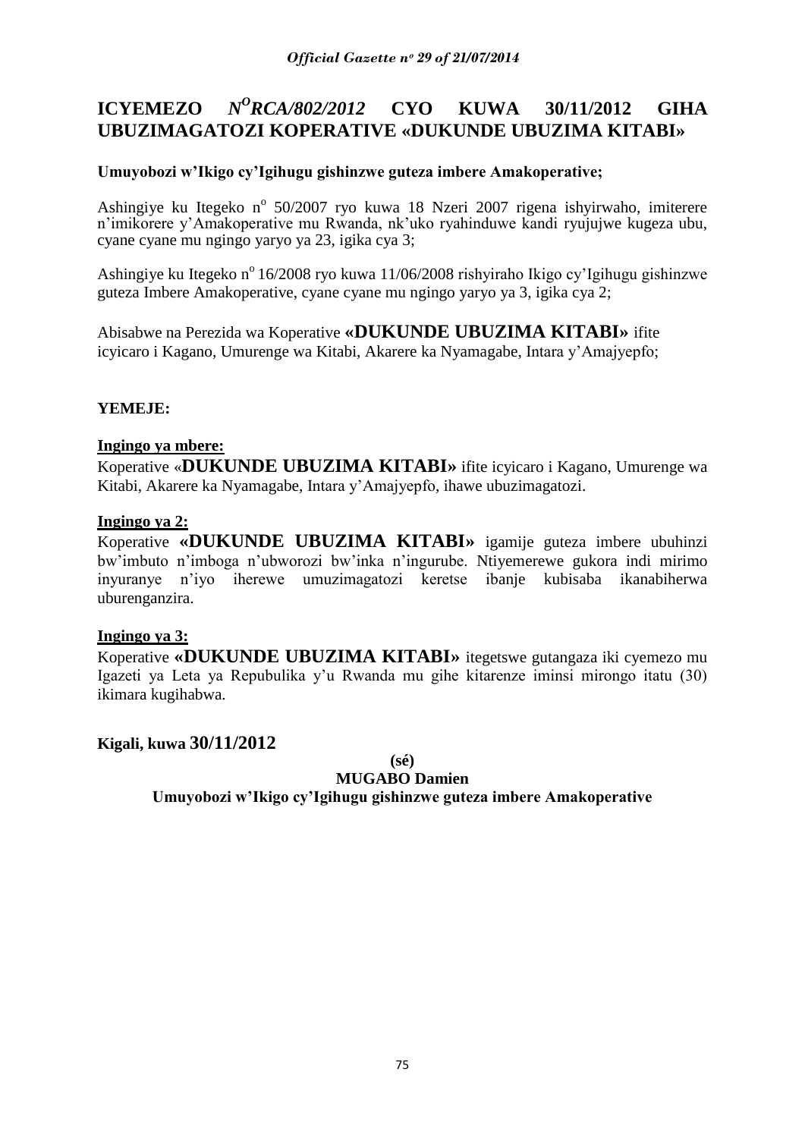#### **ICYEMEZO** *<sup>O</sup>RCA/802/2012* **CYO KUWA 30/11/2012 GIHA UBUZIMAGATOZI KOPERATIVE «DUKUNDE UBUZIMA KITABI»**

# **Umuyobozi w'Ikigo cy'Igihugu gishinzwe guteza imbere Amakoperative;**

Ashingiye ku Itegeko nº 50/2007 ryo kuwa 18 Nzeri 2007 rigena ishyirwaho, imiterere n"imikorere y"Amakoperative mu Rwanda, nk"uko ryahinduwe kandi ryujujwe kugeza ubu, cyane cyane mu ngingo yaryo ya 23, igika cya 3;

Ashingiye ku Itegeko nº 16/2008 ryo kuwa 11/06/2008 rishyiraho Ikigo cy'Igihugu gishinzwe guteza Imbere Amakoperative, cyane cyane mu ngingo yaryo ya 3, igika cya 2;

Abisabwe na Perezida wa Koperative **«DUKUNDE UBUZIMA KITABI»** ifite icyicaro i Kagano, Umurenge wa Kitabi, Akarere ka Nyamagabe, Intara y"Amajyepfo;

# **YEMEJE:**

### **Ingingo ya mbere:**

Koperative «**DUKUNDE UBUZIMA KITABI»** ifite icyicaro i Kagano, Umurenge wa Kitabi, Akarere ka Nyamagabe, Intara y"Amajyepfo, ihawe ubuzimagatozi.

### **Ingingo ya 2:**

Koperative **«DUKUNDE UBUZIMA KITABI»** igamije guteza imbere ubuhinzi bw"imbuto n"imboga n"ubworozi bw"inka n"ingurube. Ntiyemerewe gukora indi mirimo inyuranye n"iyo iherewe umuzimagatozi keretse ibanje kubisaba ikanabiherwa uburenganzira.

# **Ingingo ya 3:**

Koperative **«DUKUNDE UBUZIMA KITABI»** itegetswe gutangaza iki cyemezo mu Igazeti ya Leta ya Repubulika y"u Rwanda mu gihe kitarenze iminsi mirongo itatu (30) ikimara kugihabwa.

# **Kigali, kuwa 30/11/2012**

**(sé)**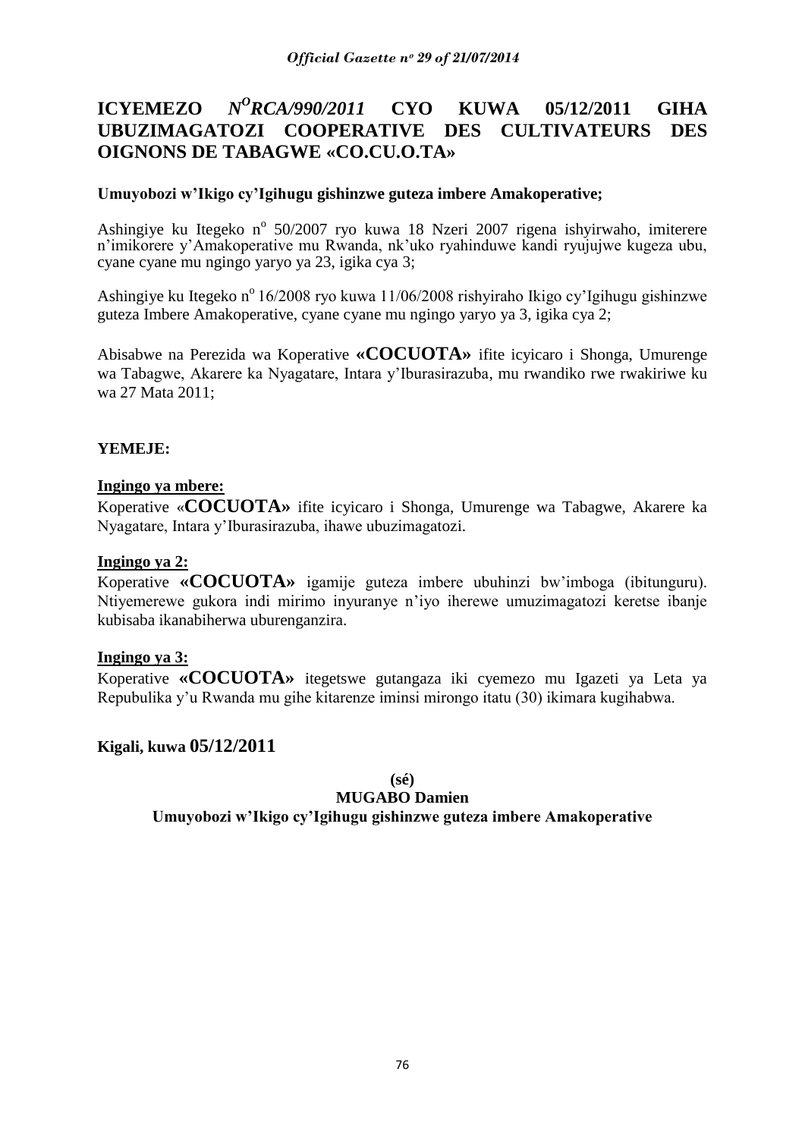#### **ICYEMEZO** *<sup>O</sup>RCA/990/2011* **CYO KUWA 05/12/2011 GIHA UBUZIMAGATOZI COOPERATIVE DES CULTIVATEURS DES OIGNONS DE TABAGWE «CO.CU.O.TA»**

# **Umuyobozi w'Ikigo cy'Igihugu gishinzwe guteza imbere Amakoperative;**

Ashingiye ku Itegeko nº 50/2007 ryo kuwa 18 Nzeri 2007 rigena ishyirwaho, imiterere n"imikorere y"Amakoperative mu Rwanda, nk"uko ryahinduwe kandi ryujujwe kugeza ubu, cyane cyane mu ngingo yaryo ya 23, igika cya 3;

Ashingiye ku Itegeko n<sup>o</sup> 16/2008 ryo kuwa 11/06/2008 rishyiraho Ikigo cy'Igihugu gishinzwe guteza Imbere Amakoperative, cyane cyane mu ngingo yaryo ya 3, igika cya 2;

Abisabwe na Perezida wa Koperative **«COCUOTA»** ifite icyicaro i Shonga, Umurenge wa Tabagwe, Akarere ka Nyagatare, Intara y"Iburasirazuba, mu rwandiko rwe rwakiriwe ku wa 27 Mata 2011;

### **YEMEJE:**

### **Ingingo ya mbere:**

Koperative «**COCUOTA»** ifite icyicaro i Shonga, Umurenge wa Tabagwe, Akarere ka Nyagatare, Intara y"Iburasirazuba, ihawe ubuzimagatozi.

### **Ingingo ya 2:**

Koperative **«COCUOTA»** igamije guteza imbere ubuhinzi bw"imboga (ibitunguru). Ntiyemerewe gukora indi mirimo inyuranye n"iyo iherewe umuzimagatozi keretse ibanje kubisaba ikanabiherwa uburenganzira.

#### **Ingingo ya 3:**

Koperative **«COCUOTA»** itegetswe gutangaza iki cyemezo mu Igazeti ya Leta ya Repubulika y"u Rwanda mu gihe kitarenze iminsi mirongo itatu (30) ikimara kugihabwa.

# **Kigali, kuwa 05/12/2011**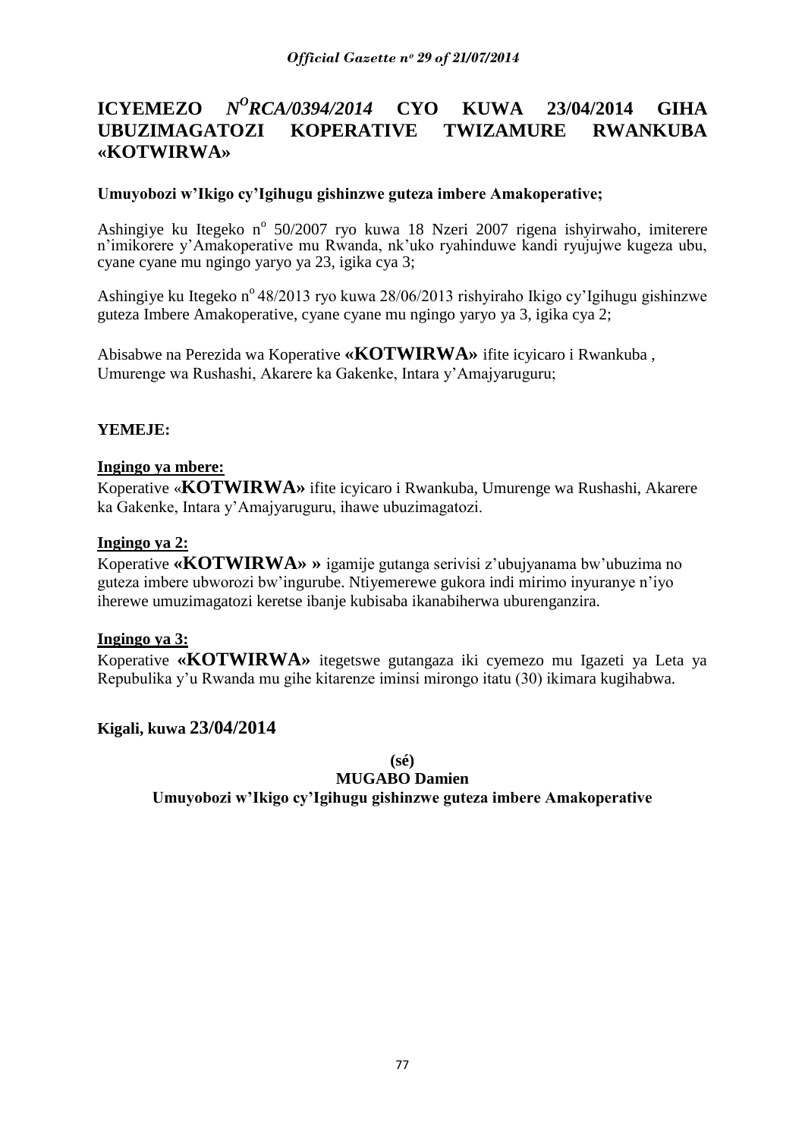#### **ICYEMEZO** *<sup>O</sup>RCA/0394/2014* **CYO KUWA 23/04/2014 GIHA UBUZIMAGATOZI KOPERATIVE TWIZAMURE RWANKUBA «KOTWIRWA»**

# **Umuyobozi w'Ikigo cy'Igihugu gishinzwe guteza imbere Amakoperative;**

Ashingiye ku Itegeko nº 50/2007 ryo kuwa 18 Nzeri 2007 rigena ishyirwaho, imiterere n"imikorere y"Amakoperative mu Rwanda, nk"uko ryahinduwe kandi ryujujwe kugeza ubu, cyane cyane mu ngingo yaryo ya 23, igika cya 3;

Ashingiye ku Itegeko n<sup>o</sup> 48/2013 ryo kuwa 28/06/2013 rishyiraho Ikigo cy'lgihugu gishinzwe guteza Imbere Amakoperative, cyane cyane mu ngingo yaryo ya 3, igika cya 2;

Abisabwe na Perezida wa Koperative **«KOTWIRWA»** ifite icyicaro i Rwankuba , Umurenge wa Rushashi, Akarere ka Gakenke, Intara y"Amajyaruguru;

### **YEMEJE:**

#### **Ingingo ya mbere:**

Koperative «**KOTWIRWA»** ifite icyicaro i Rwankuba, Umurenge wa Rushashi, Akarere ka Gakenke, Intara y"Amajyaruguru, ihawe ubuzimagatozi.

#### **Ingingo ya 2:**

Koperative **«KOTWIRWA» »** igamije gutanga serivisi z"ubujyanama bw"ubuzima no guteza imbere ubworozi bw"ingurube. Ntiyemerewe gukora indi mirimo inyuranye n"iyo iherewe umuzimagatozi keretse ibanje kubisaba ikanabiherwa uburenganzira.

#### **Ingingo ya 3:**

Koperative **«KOTWIRWA»** itegetswe gutangaza iki cyemezo mu Igazeti ya Leta ya Repubulika y"u Rwanda mu gihe kitarenze iminsi mirongo itatu (30) ikimara kugihabwa.

# **Kigali, kuwa 23/04/2014**

**(sé)**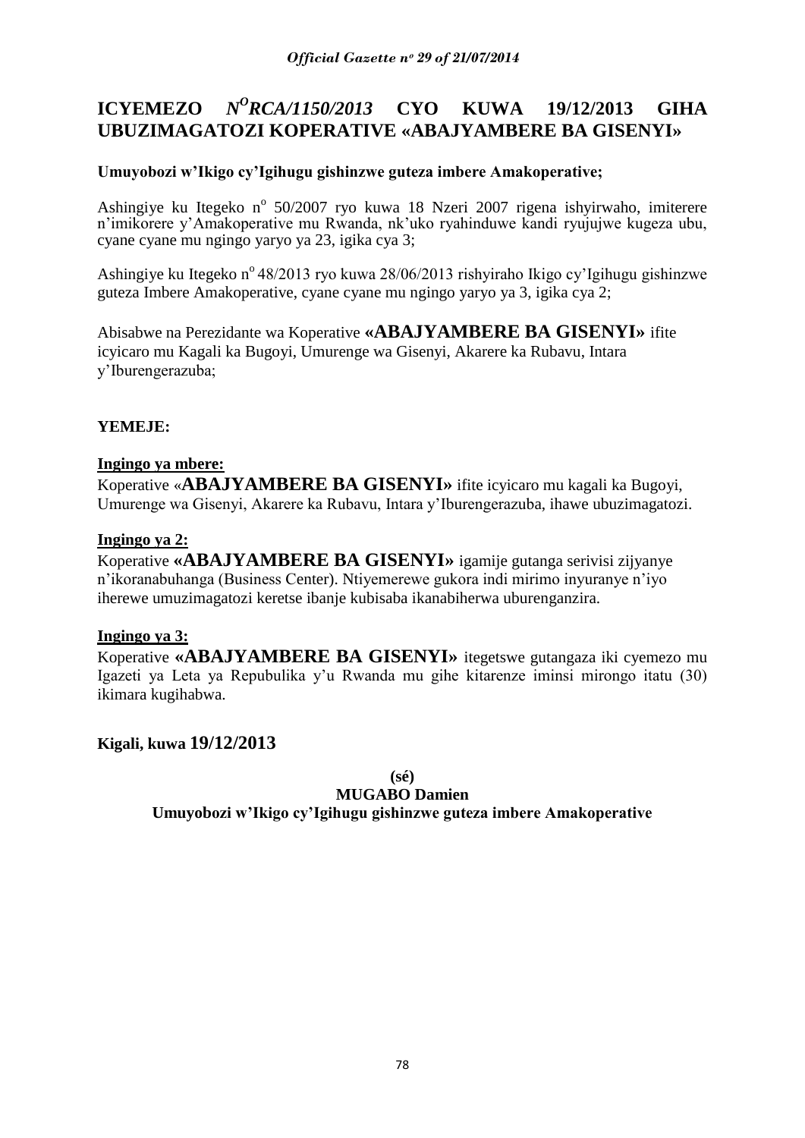#### **ICYEMEZO** *N <sup>O</sup>RCA/1150/2013* **CYO KUWA 19/12/2013 GIHA UBUZIMAGATOZI KOPERATIVE «ABAJYAMBERE BA GISENYI»**

# **Umuyobozi w'Ikigo cy'Igihugu gishinzwe guteza imbere Amakoperative;**

Ashingiye ku Itegeko nº 50/2007 ryo kuwa 18 Nzeri 2007 rigena ishyirwaho, imiterere n"imikorere y"Amakoperative mu Rwanda, nk"uko ryahinduwe kandi ryujujwe kugeza ubu, cyane cyane mu ngingo yaryo ya 23, igika cya 3;

Ashingiye ku Itegeko n<sup>o</sup> 48/2013 ryo kuwa 28/06/2013 rishyiraho Ikigo cy'Igihugu gishinzwe guteza Imbere Amakoperative, cyane cyane mu ngingo yaryo ya 3, igika cya 2;

Abisabwe na Perezidante wa Koperative **«ABAJYAMBERE BA GISENYI»** ifite icyicaro mu Kagali ka Bugoyi, Umurenge wa Gisenyi, Akarere ka Rubavu, Intara y"Iburengerazuba;

# **YEMEJE:**

# **Ingingo ya mbere:**

Koperative «**ABAJYAMBERE BA GISENYI»** ifite icyicaro mu kagali ka Bugoyi, Umurenge wa Gisenyi, Akarere ka Rubavu, Intara y"Iburengerazuba, ihawe ubuzimagatozi.

# **Ingingo ya 2:**

Koperative **«ABAJYAMBERE BA GISENYI»** igamije gutanga serivisi zijyanye n"ikoranabuhanga (Business Center). Ntiyemerewe gukora indi mirimo inyuranye n"iyo iherewe umuzimagatozi keretse ibanje kubisaba ikanabiherwa uburenganzira.

# **Ingingo ya 3:**

Koperative **«ABAJYAMBERE BA GISENYI»** itegetswe gutangaza iki cyemezo mu Igazeti ya Leta ya Repubulika y"u Rwanda mu gihe kitarenze iminsi mirongo itatu (30) ikimara kugihabwa.

**Kigali, kuwa 19/12/2013**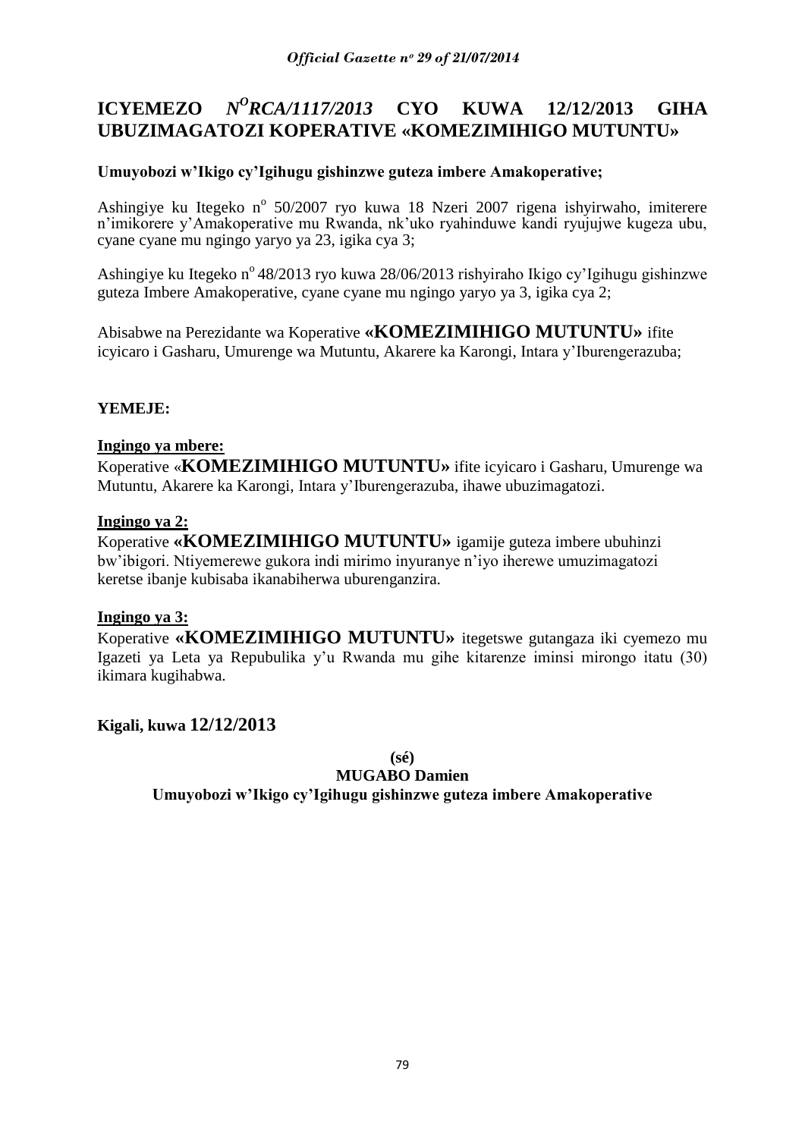#### **ICYEMEZO** *N <sup>O</sup>RCA/1117/2013* **CYO KUWA 12/12/2013 GIHA UBUZIMAGATOZI KOPERATIVE «KOMEZIMIHIGO MUTUNTU»**

# **Umuyobozi w'Ikigo cy'Igihugu gishinzwe guteza imbere Amakoperative;**

Ashingiye ku Itegeko nº 50/2007 ryo kuwa 18 Nzeri 2007 rigena ishyirwaho, imiterere n"imikorere y"Amakoperative mu Rwanda, nk"uko ryahinduwe kandi ryujujwe kugeza ubu, cyane cyane mu ngingo yaryo ya 23, igika cya 3;

Ashingiye ku Itegeko nº 48/2013 ryo kuwa 28/06/2013 rishyiraho Ikigo cy'Igihugu gishinzwe guteza Imbere Amakoperative, cyane cyane mu ngingo yaryo ya 3, igika cya 2;

Abisabwe na Perezidante wa Koperative **«KOMEZIMIHIGO MUTUNTU»** ifite icyicaro i Gasharu, Umurenge wa Mutuntu, Akarere ka Karongi, Intara y"Iburengerazuba;

# **YEMEJE:**

### **Ingingo ya mbere:**

Koperative «**KOMEZIMIHIGO MUTUNTU»** ifite icyicaro i Gasharu, Umurenge wa Mutuntu, Akarere ka Karongi, Intara y"Iburengerazuba, ihawe ubuzimagatozi.

### **Ingingo ya 2:**

Koperative **«KOMEZIMIHIGO MUTUNTU»** igamije guteza imbere ubuhinzi bw"ibigori. Ntiyemerewe gukora indi mirimo inyuranye n"iyo iherewe umuzimagatozi keretse ibanje kubisaba ikanabiherwa uburenganzira.

# **Ingingo ya 3:**

Koperative **«KOMEZIMIHIGO MUTUNTU»** itegetswe gutangaza iki cyemezo mu Igazeti ya Leta ya Repubulika y"u Rwanda mu gihe kitarenze iminsi mirongo itatu (30) ikimara kugihabwa.

# **Kigali, kuwa 12/12/2013**

**(sé)**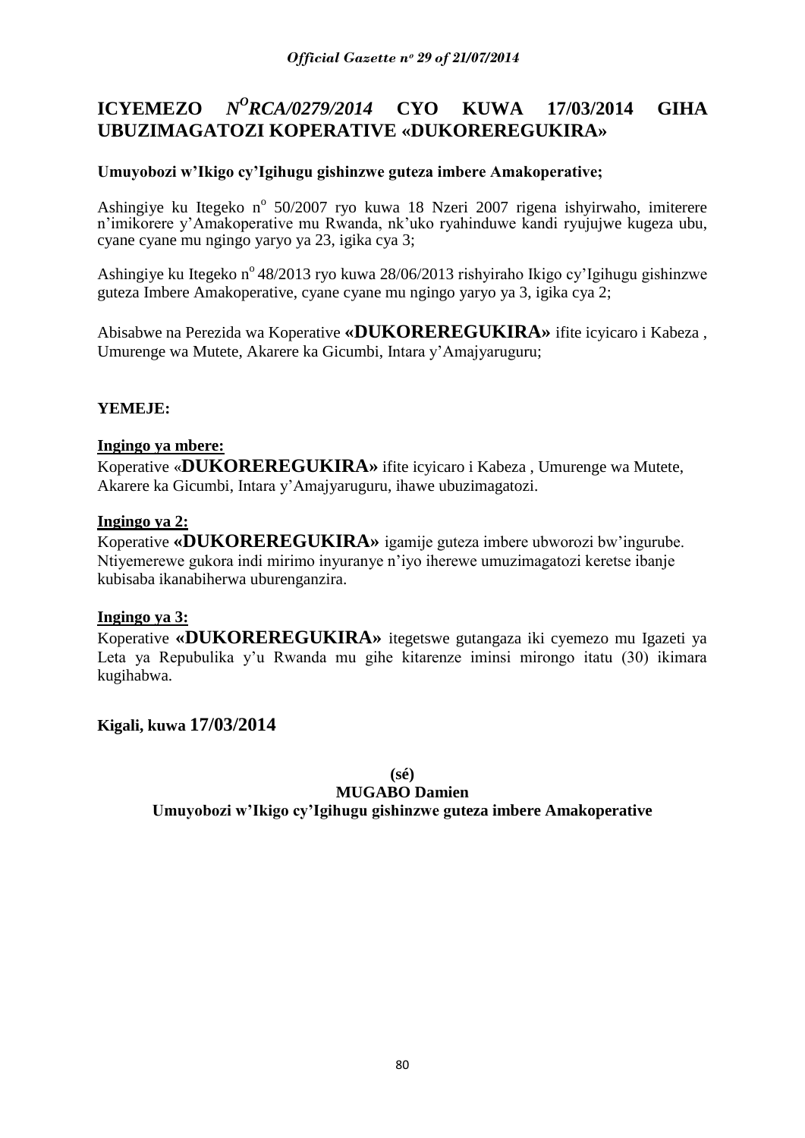#### **ICYEMEZO** *N <sup>O</sup>RCA/0279/2014* **CYO KUWA 17/03/2014 GIHA UBUZIMAGATOZI KOPERATIVE «DUKOREREGUKIRA»**

# **Umuyobozi w'Ikigo cy'Igihugu gishinzwe guteza imbere Amakoperative;**

Ashingiye ku Itegeko nº 50/2007 ryo kuwa 18 Nzeri 2007 rigena ishyirwaho, imiterere n"imikorere y"Amakoperative mu Rwanda, nk"uko ryahinduwe kandi ryujujwe kugeza ubu, cyane cyane mu ngingo yaryo ya 23, igika cya 3;

Ashingiye ku Itegeko nº 48/2013 ryo kuwa 28/06/2013 rishyiraho Ikigo cy'Igihugu gishinzwe guteza Imbere Amakoperative, cyane cyane mu ngingo yaryo ya 3, igika cya 2;

Abisabwe na Perezida wa Koperative **«DUKOREREGUKIRA»** ifite icyicaro i Kabeza , Umurenge wa Mutete, Akarere ka Gicumbi, Intara y"Amajyaruguru;

# **YEMEJE:**

### **Ingingo ya mbere:**

Koperative «**DUKOREREGUKIRA»** ifite icyicaro i Kabeza , Umurenge wa Mutete, Akarere ka Gicumbi, Intara y"Amajyaruguru, ihawe ubuzimagatozi.

### **Ingingo ya 2:**

Koperative **«DUKOREREGUKIRA»** igamije guteza imbere ubworozi bw"ingurube. Ntiyemerewe gukora indi mirimo inyuranye n"iyo iherewe umuzimagatozi keretse ibanje kubisaba ikanabiherwa uburenganzira.

# **Ingingo ya 3:**

Koperative **«DUKOREREGUKIRA»** itegetswe gutangaza iki cyemezo mu Igazeti ya Leta ya Repubulika y'u Rwanda mu gihe kitarenze iminsi mirongo itatu (30) ikimara kugihabwa.

# **Kigali, kuwa 17/03/2014**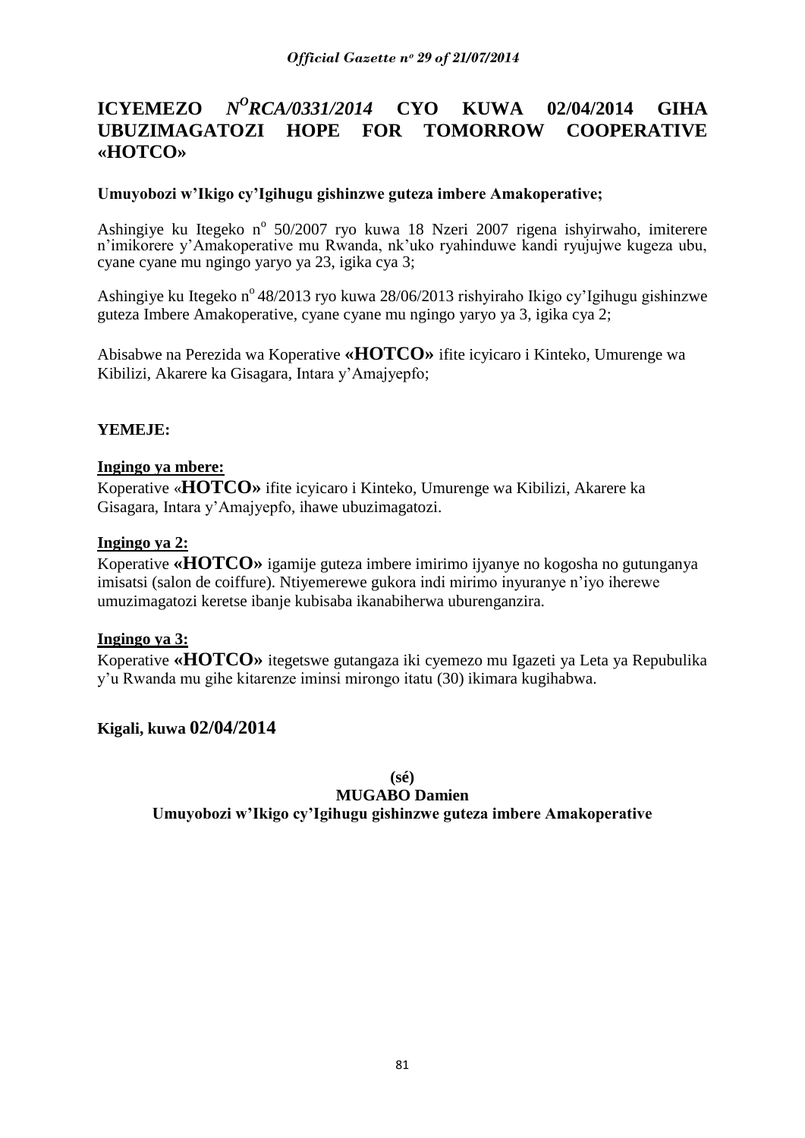#### **ICYEMEZO** *<sup>O</sup>RCA/0331/2014* **CYO KUWA 02/04/2014 GIHA UBUZIMAGATOZI HOPE FOR TOMORROW COOPERATIVE «HOTCO»**

# **Umuyobozi w'Ikigo cy'Igihugu gishinzwe guteza imbere Amakoperative;**

Ashingiye ku Itegeko nº 50/2007 ryo kuwa 18 Nzeri 2007 rigena ishyirwaho, imiterere n"imikorere y"Amakoperative mu Rwanda, nk"uko ryahinduwe kandi ryujujwe kugeza ubu, cyane cyane mu ngingo yaryo ya 23, igika cya 3;

Ashingiye ku Itegeko n<sup>o</sup> 48/2013 ryo kuwa 28/06/2013 rishyiraho Ikigo cy'Igihugu gishinzwe guteza Imbere Amakoperative, cyane cyane mu ngingo yaryo ya 3, igika cya 2;

Abisabwe na Perezida wa Koperative **«HOTCO»** ifite icyicaro i Kinteko, Umurenge wa Kibilizi, Akarere ka Gisagara, Intara y"Amajyepfo;

### **YEMEJE:**

#### **Ingingo ya mbere:**

Koperative «**HOTCO»** ifite icyicaro i Kinteko, Umurenge wa Kibilizi, Akarere ka Gisagara, Intara y"Amajyepfo, ihawe ubuzimagatozi.

### **Ingingo ya 2:**

Koperative **«HOTCO»** igamije guteza imbere imirimo ijyanye no kogosha no gutunganya imisatsi (salon de coiffure). Ntiyemerewe gukora indi mirimo inyuranye n"iyo iherewe umuzimagatozi keretse ibanje kubisaba ikanabiherwa uburenganzira.

#### **Ingingo ya 3:**

Koperative **«HOTCO»** itegetswe gutangaza iki cyemezo mu Igazeti ya Leta ya Repubulika y"u Rwanda mu gihe kitarenze iminsi mirongo itatu (30) ikimara kugihabwa.

# **Kigali, kuwa 02/04/2014**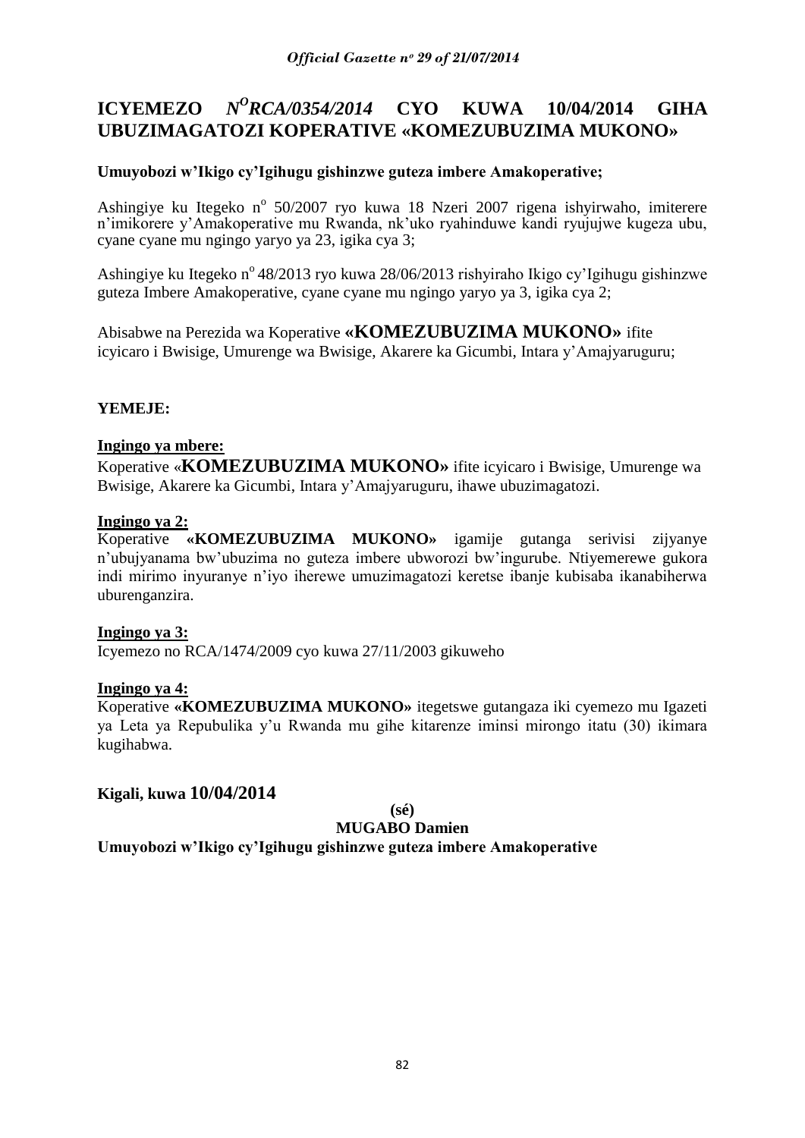# **ICYEMEZO** *N<sup>O</sup>RCA/0354/2014* **CYO KUWA 10/04/2014 GIHA UBUZIMAGATOZI KOPERATIVE «KOMEZUBUZIMA MUKONO»**

# **Umuyobozi w'Ikigo cy'Igihugu gishinzwe guteza imbere Amakoperative;**

Ashingiye ku Itegeko nº 50/2007 ryo kuwa 18 Nzeri 2007 rigena ishyirwaho, imiterere n"imikorere y"Amakoperative mu Rwanda, nk"uko ryahinduwe kandi ryujujwe kugeza ubu, cyane cyane mu ngingo yaryo ya 23, igika cya 3;

Ashingiye ku Itegeko nº 48/2013 ryo kuwa 28/06/2013 rishyiraho Ikigo cy'Igihugu gishinzwe guteza Imbere Amakoperative, cyane cyane mu ngingo yaryo ya 3, igika cya 2;

Abisabwe na Perezida wa Koperative **«KOMEZUBUZIMA MUKONO»** ifite icyicaro i Bwisige, Umurenge wa Bwisige, Akarere ka Gicumbi, Intara y"Amajyaruguru;

# **YEMEJE:**

### **Ingingo ya mbere:**

Koperative «**KOMEZUBUZIMA MUKONO»** ifite icyicaro i Bwisige, Umurenge wa Bwisige, Akarere ka Gicumbi, Intara y"Amajyaruguru, ihawe ubuzimagatozi.

### **Ingingo ya 2:**

Koperative **«KOMEZUBUZIMA MUKONO»** igamije gutanga serivisi zijyanye n"ubujyanama bw"ubuzima no guteza imbere ubworozi bw"ingurube. Ntiyemerewe gukora indi mirimo inyuranye n"iyo iherewe umuzimagatozi keretse ibanje kubisaba ikanabiherwa uburenganzira.

# **Ingingo ya 3:**

Icyemezo no RCA/1474/2009 cyo kuwa 27/11/2003 gikuweho

#### **Ingingo ya 4:**

Koperative **«KOMEZUBUZIMA MUKONO»** itegetswe gutangaza iki cyemezo mu Igazeti ya Leta ya Repubulika y"u Rwanda mu gihe kitarenze iminsi mirongo itatu (30) ikimara kugihabwa.

# **Kigali, kuwa 10/04/2014**

#### **(sé) MUGABO Damien**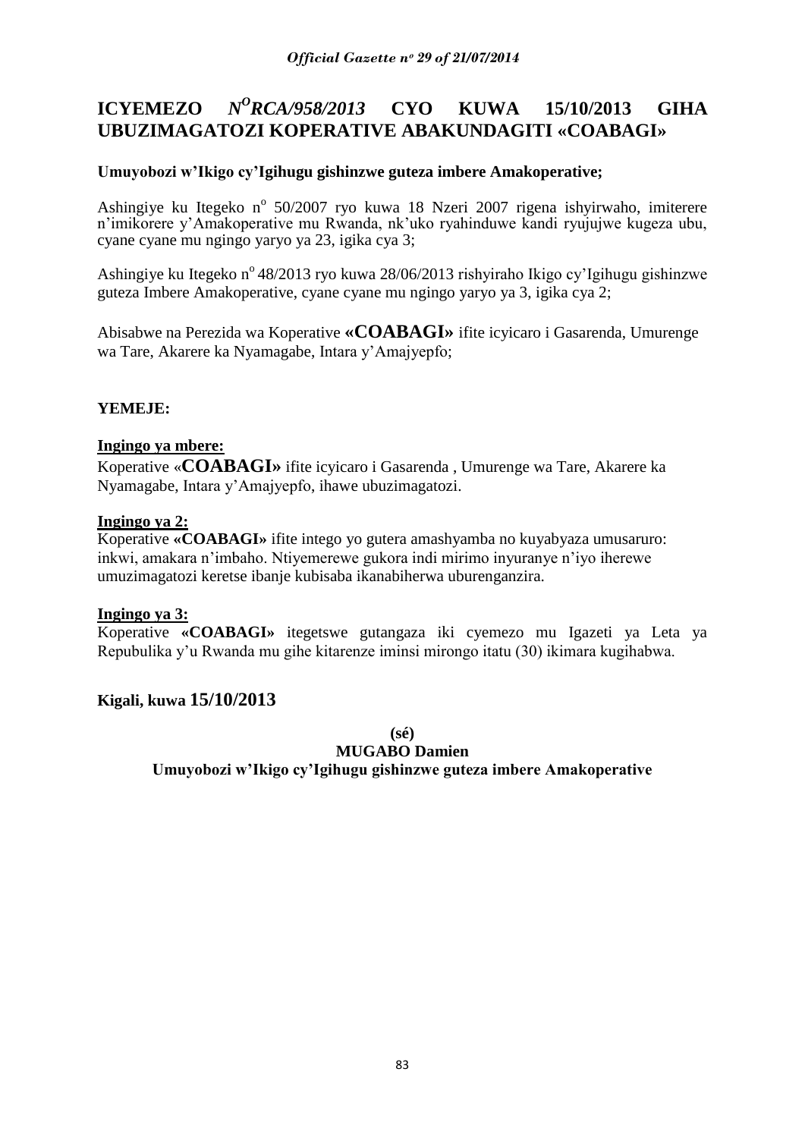#### **ICYEMEZO** *<sup>O</sup>RCA/958/2013* **CYO KUWA 15/10/2013 GIHA UBUZIMAGATOZI KOPERATIVE ABAKUNDAGITI «COABAGI»**

# **Umuyobozi w'Ikigo cy'Igihugu gishinzwe guteza imbere Amakoperative;**

Ashingiye ku Itegeko nº 50/2007 ryo kuwa 18 Nzeri 2007 rigena ishyirwaho, imiterere n"imikorere y"Amakoperative mu Rwanda, nk"uko ryahinduwe kandi ryujujwe kugeza ubu, cyane cyane mu ngingo yaryo ya 23, igika cya 3;

Ashingiye ku Itegeko nº 48/2013 ryo kuwa 28/06/2013 rishyiraho Ikigo cy'Igihugu gishinzwe guteza Imbere Amakoperative, cyane cyane mu ngingo yaryo ya 3, igika cya 2;

Abisabwe na Perezida wa Koperative **«COABAGI»** ifite icyicaro i Gasarenda, Umurenge wa Tare, Akarere ka Nyamagabe, Intara y"Amajyepfo;

# **YEMEJE:**

#### **Ingingo ya mbere:**

Koperative «**COABAGI»** ifite icyicaro i Gasarenda , Umurenge wa Tare, Akarere ka Nyamagabe, Intara y"Amajyepfo, ihawe ubuzimagatozi.

#### **Ingingo ya 2:**

Koperative **«COABAGI»** ifite intego yo gutera amashyamba no kuyabyaza umusaruro: inkwi, amakara n"imbaho. Ntiyemerewe gukora indi mirimo inyuranye n"iyo iherewe umuzimagatozi keretse ibanje kubisaba ikanabiherwa uburenganzira.

#### **Ingingo ya 3:**

Koperative **«COABAGI»** itegetswe gutangaza iki cyemezo mu Igazeti ya Leta ya Repubulika y"u Rwanda mu gihe kitarenze iminsi mirongo itatu (30) ikimara kugihabwa.

# **Kigali, kuwa 15/10/2013**

**(sé)**

**MUGABO Damien**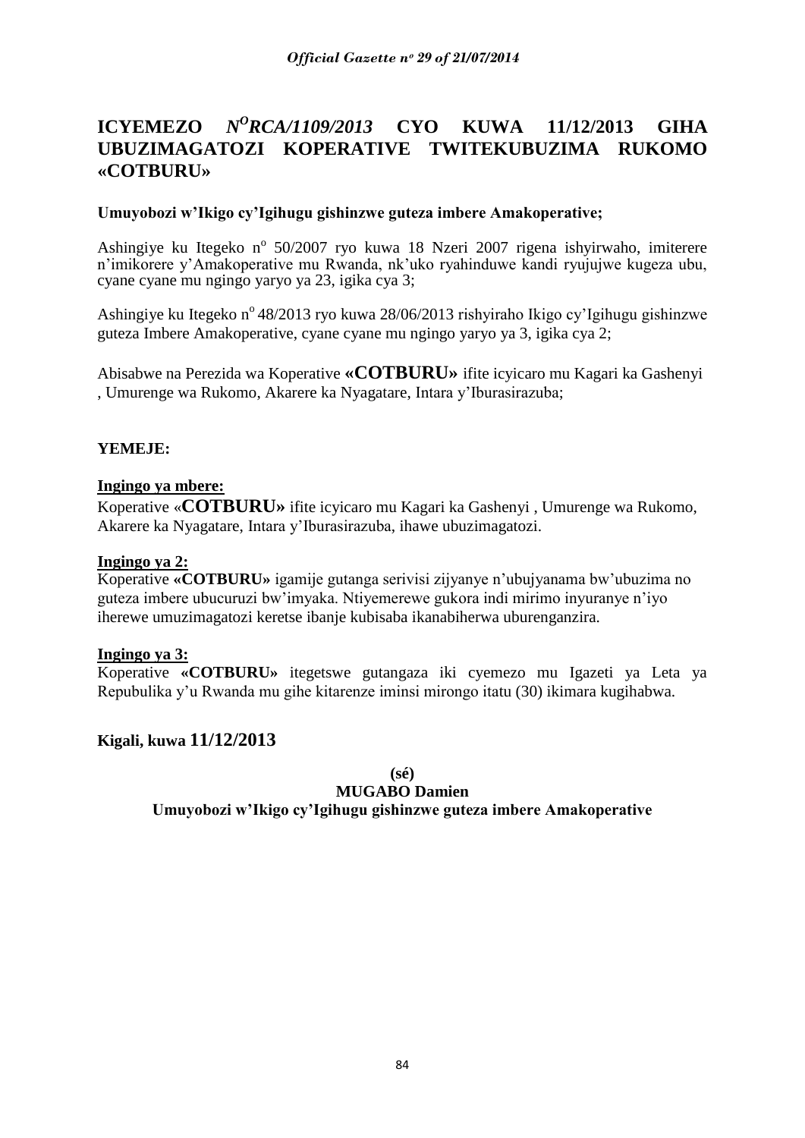#### **ICYEMEZO** *<sup>O</sup>RCA/1109/2013* **CYO KUWA 11/12/2013 GIHA UBUZIMAGATOZI KOPERATIVE TWITEKUBUZIMA RUKOMO «COTBURU»**

# **Umuyobozi w'Ikigo cy'Igihugu gishinzwe guteza imbere Amakoperative;**

Ashingiye ku Itegeko nº 50/2007 ryo kuwa 18 Nzeri 2007 rigena ishyirwaho, imiterere n"imikorere y"Amakoperative mu Rwanda, nk"uko ryahinduwe kandi ryujujwe kugeza ubu, cyane cyane mu ngingo yaryo ya 23, igika cya 3;

Ashingiye ku Itegeko nº 48/2013 ryo kuwa 28/06/2013 rishyiraho Ikigo cy'Igihugu gishinzwe guteza Imbere Amakoperative, cyane cyane mu ngingo yaryo ya 3, igika cya 2;

Abisabwe na Perezida wa Koperative **«COTBURU»** ifite icyicaro mu Kagari ka Gashenyi , Umurenge wa Rukomo, Akarere ka Nyagatare, Intara y"Iburasirazuba;

### **YEMEJE:**

#### **Ingingo ya mbere:**

Koperative «**COTBURU»** ifite icyicaro mu Kagari ka Gashenyi , Umurenge wa Rukomo, Akarere ka Nyagatare, Intara y"Iburasirazuba, ihawe ubuzimagatozi.

#### **Ingingo ya 2:**

Koperative **«COTBURU»** igamije gutanga serivisi zijyanye n"ubujyanama bw"ubuzima no guteza imbere ubucuruzi bw"imyaka. Ntiyemerewe gukora indi mirimo inyuranye n"iyo iherewe umuzimagatozi keretse ibanje kubisaba ikanabiherwa uburenganzira.

#### **Ingingo ya 3:**

Koperative **«COTBURU»** itegetswe gutangaza iki cyemezo mu Igazeti ya Leta ya Repubulika y"u Rwanda mu gihe kitarenze iminsi mirongo itatu (30) ikimara kugihabwa.

#### **Kigali, kuwa 11/12/2013**

**(sé)**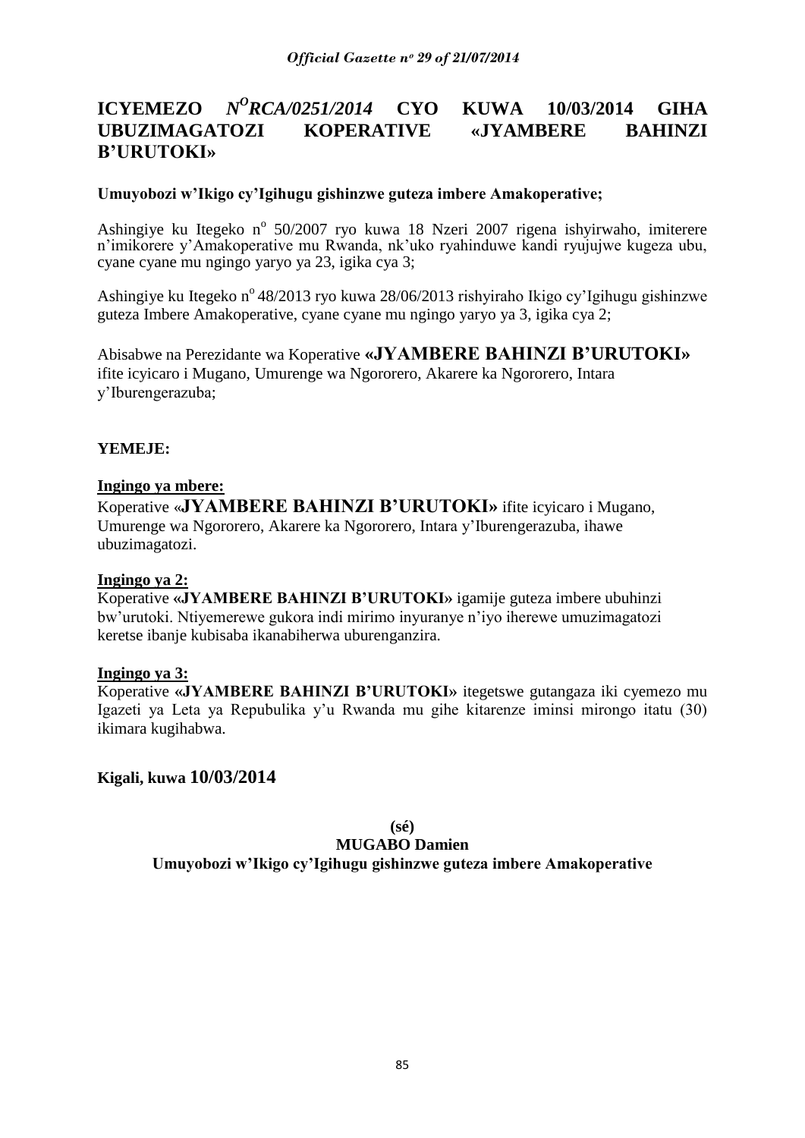#### **ICYEMEZO** *<sup>O</sup>RCA/0251/2014* **CYO KUWA 10/03/2014 GIHA UBUZIMAGATOZI KOPERATIVE «JYAMBERE BAHINZI B'URUTOKI»**

### **Umuyobozi w'Ikigo cy'Igihugu gishinzwe guteza imbere Amakoperative;**

Ashingiye ku Itegeko nº 50/2007 ryo kuwa 18 Nzeri 2007 rigena ishyirwaho, imiterere n"imikorere y"Amakoperative mu Rwanda, nk"uko ryahinduwe kandi ryujujwe kugeza ubu, cyane cyane mu ngingo yaryo ya 23, igika cya 3;

Ashingiye ku Itegeko n<sup>o</sup> 48/2013 ryo kuwa 28/06/2013 rishyiraho Ikigo cy'Igihugu gishinzwe guteza Imbere Amakoperative, cyane cyane mu ngingo yaryo ya 3, igika cya 2;

Abisabwe na Perezidante wa Koperative **«JYAMBERE BAHINZI B'URUTOKI»**  ifite icyicaro i Mugano, Umurenge wa Ngororero, Akarere ka Ngororero, Intara y"Iburengerazuba;

### **YEMEJE:**

#### **Ingingo ya mbere:**

Koperative «**JYAMBERE BAHINZI B'URUTOKI»** ifite icyicaro i Mugano, Umurenge wa Ngororero, Akarere ka Ngororero, Intara y"Iburengerazuba, ihawe ubuzimagatozi.

#### **Ingingo ya 2:**

Koperative **«JYAMBERE BAHINZI B'URUTOKI»** igamije guteza imbere ubuhinzi bw"urutoki. Ntiyemerewe gukora indi mirimo inyuranye n"iyo iherewe umuzimagatozi keretse ibanje kubisaba ikanabiherwa uburenganzira.

#### **Ingingo ya 3:**

Koperative **«JYAMBERE BAHINZI B'URUTOKI»** itegetswe gutangaza iki cyemezo mu Igazeti ya Leta ya Repubulika y"u Rwanda mu gihe kitarenze iminsi mirongo itatu (30) ikimara kugihabwa.

# **Kigali, kuwa 10/03/2014**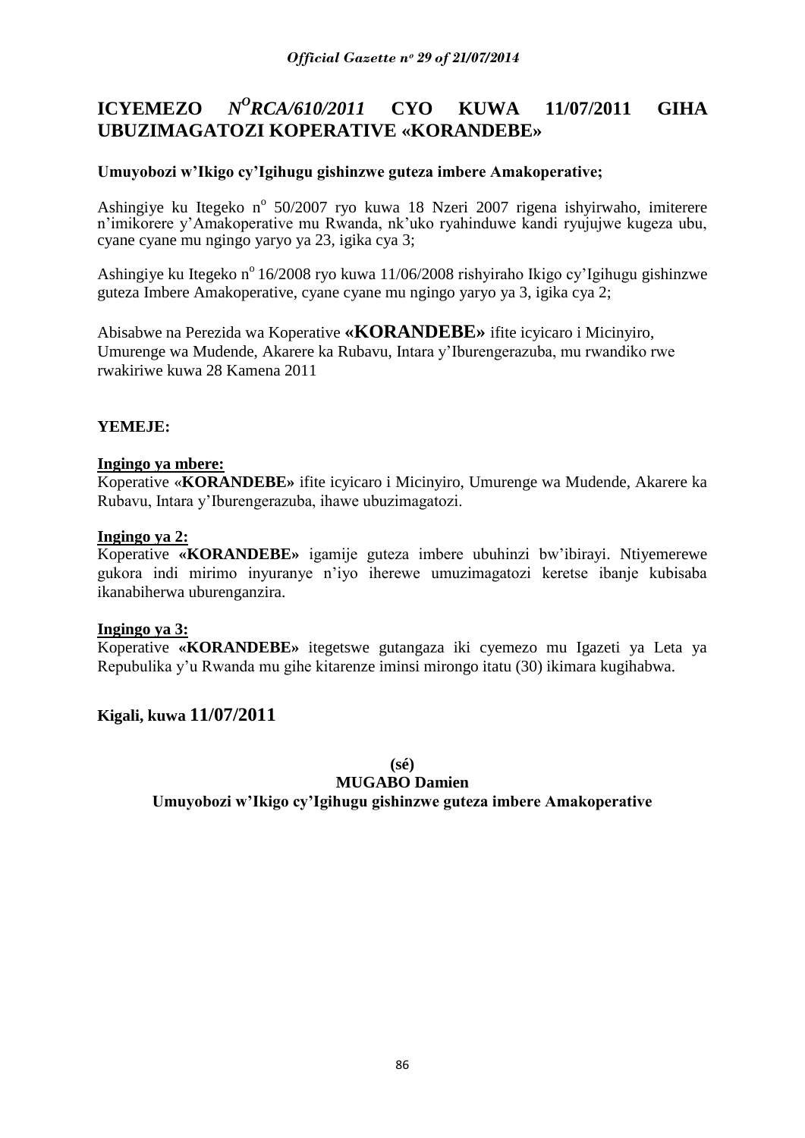#### **ICYEMEZO** *N <sup>O</sup>RCA/610/2011* **CYO KUWA 11/07/2011 GIHA UBUZIMAGATOZI KOPERATIVE «KORANDEBE»**

# **Umuyobozi w'Ikigo cy'Igihugu gishinzwe guteza imbere Amakoperative;**

Ashingiye ku Itegeko nº 50/2007 ryo kuwa 18 Nzeri 2007 rigena ishyirwaho, imiterere n"imikorere y"Amakoperative mu Rwanda, nk"uko ryahinduwe kandi ryujujwe kugeza ubu, cyane cyane mu ngingo yaryo ya 23, igika cya 3;

Ashingiye ku Itegeko nº 16/2008 ryo kuwa 11/06/2008 rishyiraho Ikigo cy'Igihugu gishinzwe guteza Imbere Amakoperative, cyane cyane mu ngingo yaryo ya 3, igika cya 2;

Abisabwe na Perezida wa Koperative **«KORANDEBE»** ifite icyicaro i Micinyiro, Umurenge wa Mudende, Akarere ka Rubavu, Intara y"Iburengerazuba, mu rwandiko rwe rwakiriwe kuwa 28 Kamena 2011

### **YEMEJE:**

#### **Ingingo ya mbere:**

Koperative «**KORANDEBE»** ifite icyicaro i Micinyiro, Umurenge wa Mudende, Akarere ka Rubavu, Intara y"Iburengerazuba, ihawe ubuzimagatozi.

#### **Ingingo ya 2:**

Koperative **«KORANDEBE»** igamije guteza imbere ubuhinzi bw"ibirayi. Ntiyemerewe gukora indi mirimo inyuranye n"iyo iherewe umuzimagatozi keretse ibanje kubisaba ikanabiherwa uburenganzira.

#### **Ingingo ya 3:**

Koperative **«KORANDEBE»** itegetswe gutangaza iki cyemezo mu Igazeti ya Leta ya Repubulika y"u Rwanda mu gihe kitarenze iminsi mirongo itatu (30) ikimara kugihabwa.

#### **Kigali, kuwa 11/07/2011**

**(sé)**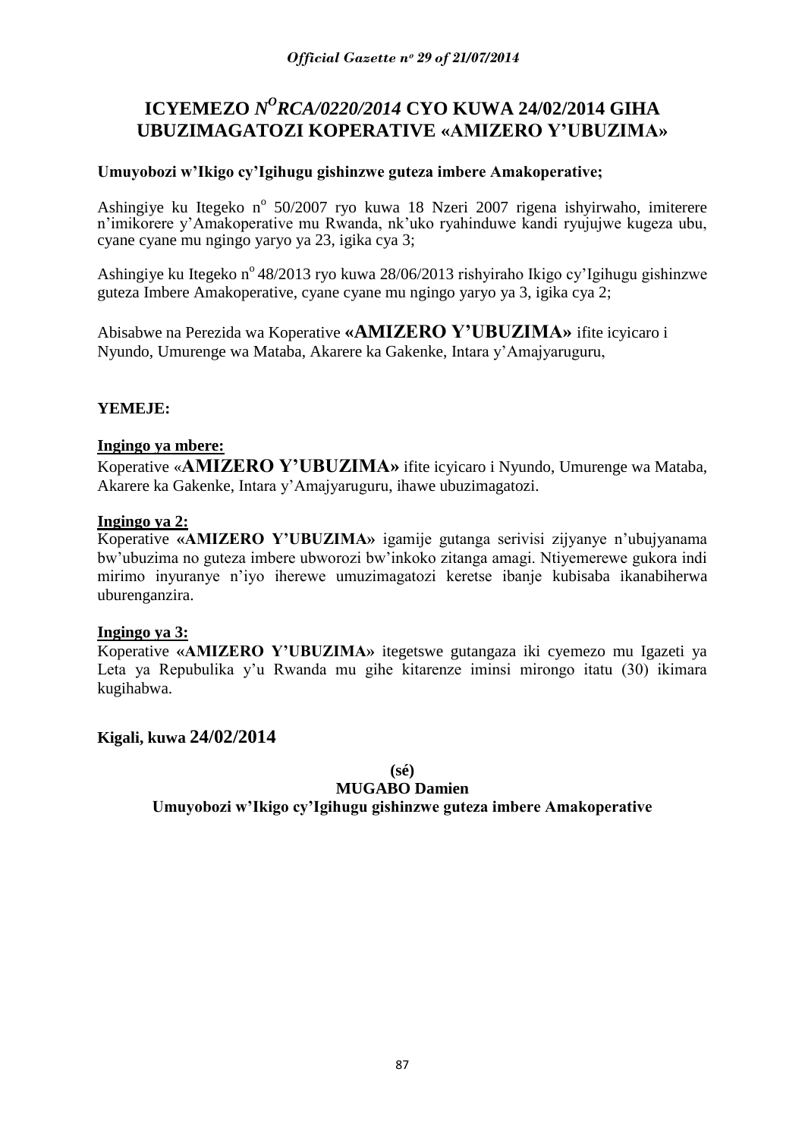# **ICYEMEZO** *N<sup>O</sup>RCA/0220/2014* CYO KUWA 24/02/2014 GIHA **UBUZIMAGATOZI KOPERATIVE «AMIZERO Y'UBUZIMA»**

# **Umuyobozi w'Ikigo cy'Igihugu gishinzwe guteza imbere Amakoperative;**

Ashingiye ku Itegeko nº 50/2007 ryo kuwa 18 Nzeri 2007 rigena ishyirwaho, imiterere n"imikorere y"Amakoperative mu Rwanda, nk"uko ryahinduwe kandi ryujujwe kugeza ubu, cyane cyane mu ngingo yaryo ya 23, igika cya 3;

Ashingiye ku Itegeko nº 48/2013 ryo kuwa 28/06/2013 rishyiraho Ikigo cy'Igihugu gishinzwe guteza Imbere Amakoperative, cyane cyane mu ngingo yaryo ya 3, igika cya 2;

Abisabwe na Perezida wa Koperative **«AMIZERO Y'UBUZIMA»** ifite icyicaro i Nyundo, Umurenge wa Mataba, Akarere ka Gakenke, Intara y"Amajyaruguru,

### **YEMEJE:**

#### **Ingingo ya mbere:**

Koperative «**AMIZERO Y'UBUZIMA»** ifite icyicaro i Nyundo, Umurenge wa Mataba, Akarere ka Gakenke, Intara y"Amajyaruguru, ihawe ubuzimagatozi.

#### **Ingingo ya 2:**

Koperative **«AMIZERO Y'UBUZIMA»** igamije gutanga serivisi zijyanye n"ubujyanama bw"ubuzima no guteza imbere ubworozi bw"inkoko zitanga amagi. Ntiyemerewe gukora indi mirimo inyuranye n"iyo iherewe umuzimagatozi keretse ibanje kubisaba ikanabiherwa uburenganzira.

#### **Ingingo ya 3:**

Koperative **«AMIZERO Y'UBUZIMA»** itegetswe gutangaza iki cyemezo mu Igazeti ya Leta ya Repubulika y'u Rwanda mu gihe kitarenze iminsi mirongo itatu (30) ikimara kugihabwa.

**Kigali, kuwa 24/02/2014**

**(sé)**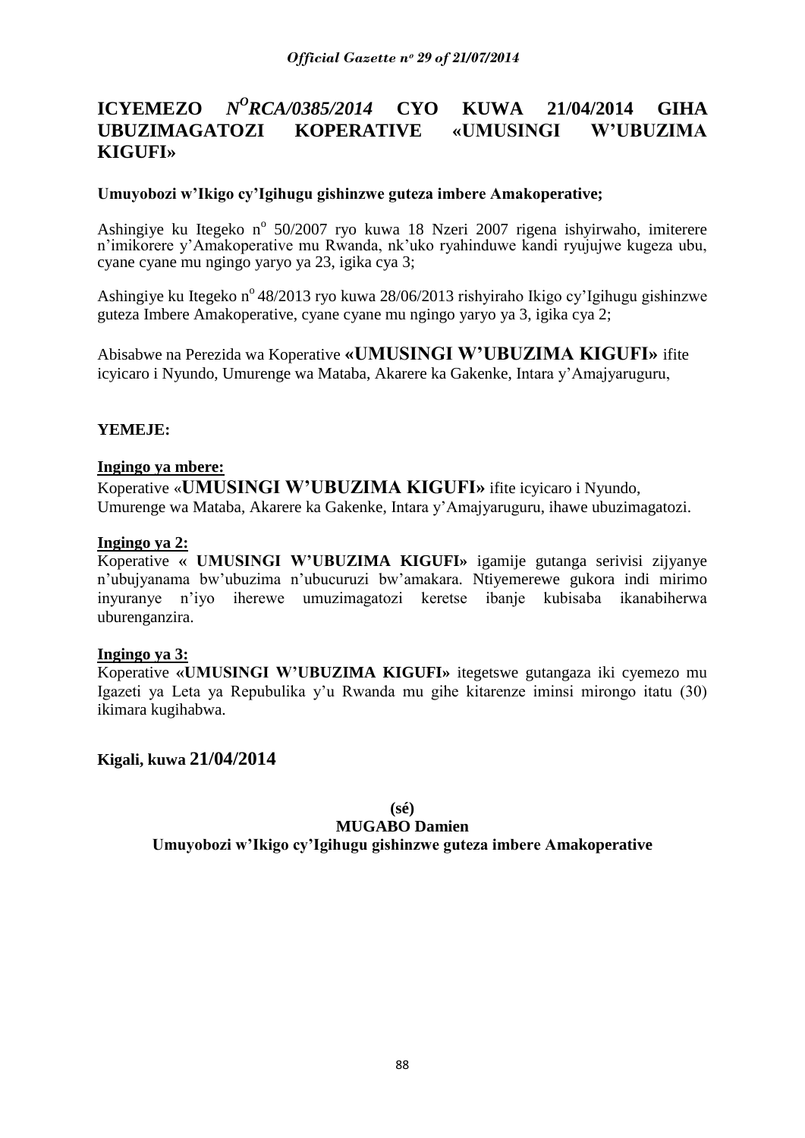# **ICYEMEZO** *N<sup>O</sup>RCA/0385/2014* **CYO KUWA 21/04/2014 GIHA UBUZIMAGATOZI KOPERATIVE «UMUSINGI W'UBUZIMA KIGUFI»**

### **Umuyobozi w'Ikigo cy'Igihugu gishinzwe guteza imbere Amakoperative;**

Ashingiye ku Itegeko nº 50/2007 ryo kuwa 18 Nzeri 2007 rigena ishyirwaho, imiterere n"imikorere y"Amakoperative mu Rwanda, nk"uko ryahinduwe kandi ryujujwe kugeza ubu, cyane cyane mu ngingo yaryo ya 23, igika cya 3;

Ashingiye ku Itegeko n<sup>o</sup> 48/2013 ryo kuwa 28/06/2013 rishyiraho Ikigo cy'Igihugu gishinzwe guteza Imbere Amakoperative, cyane cyane mu ngingo yaryo ya 3, igika cya 2;

Abisabwe na Perezida wa Koperative **«UMUSINGI W'UBUZIMA KIGUFI»** ifite icyicaro i Nyundo, Umurenge wa Mataba, Akarere ka Gakenke, Intara y"Amajyaruguru,

### **YEMEJE:**

#### **Ingingo ya mbere:**

Koperative «**UMUSINGI W'UBUZIMA KIGUFI»** ifite icyicaro i Nyundo, Umurenge wa Mataba, Akarere ka Gakenke, Intara y"Amajyaruguru, ihawe ubuzimagatozi.

#### **Ingingo ya 2:**

Koperative **« UMUSINGI W'UBUZIMA KIGUFI»** igamije gutanga serivisi zijyanye n"ubujyanama bw"ubuzima n"ubucuruzi bw"amakara. Ntiyemerewe gukora indi mirimo inyuranye n"iyo iherewe umuzimagatozi keretse ibanje kubisaba ikanabiherwa uburenganzira.

#### **Ingingo ya 3:**

Koperative **«UMUSINGI W'UBUZIMA KIGUFI»** itegetswe gutangaza iki cyemezo mu Igazeti ya Leta ya Repubulika y"u Rwanda mu gihe kitarenze iminsi mirongo itatu (30) ikimara kugihabwa.

**Kigali, kuwa 21/04/2014**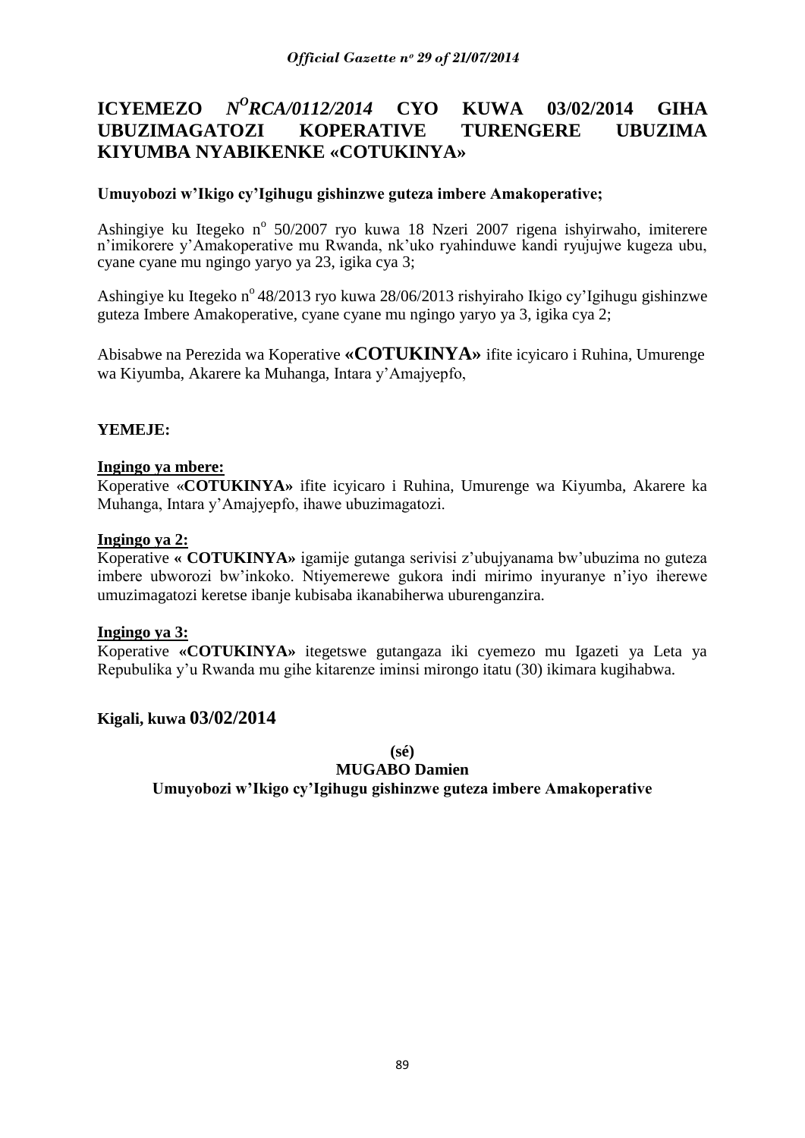#### **ICYEMEZO** *N <sup>O</sup>RCA/0112/2014* **CYO KUWA 03/02/2014 GIHA UBUZIMAGATOZI KOPERATIVE TURENGERE UBUZIMA KIYUMBA NYABIKENKE «COTUKINYA»**

# **Umuyobozi w'Ikigo cy'Igihugu gishinzwe guteza imbere Amakoperative;**

Ashingiye ku Itegeko nº 50/2007 ryo kuwa 18 Nzeri 2007 rigena ishyirwaho, imiterere n"imikorere y"Amakoperative mu Rwanda, nk"uko ryahinduwe kandi ryujujwe kugeza ubu, cyane cyane mu ngingo yaryo ya 23, igika cya 3;

Ashingiye ku Itegeko n<sup>o</sup> 48/2013 ryo kuwa 28/06/2013 rishyiraho Ikigo cy'Igihugu gishinzwe guteza Imbere Amakoperative, cyane cyane mu ngingo yaryo ya 3, igika cya 2;

Abisabwe na Perezida wa Koperative **«COTUKINYA»** ifite icyicaro i Ruhina, Umurenge wa Kiyumba, Akarere ka Muhanga, Intara y"Amajyepfo,

### **YEMEJE:**

#### **Ingingo ya mbere:**

Koperative «**COTUKINYA»** ifite icyicaro i Ruhina, Umurenge wa Kiyumba, Akarere ka Muhanga, Intara y"Amajyepfo, ihawe ubuzimagatozi.

#### **Ingingo ya 2:**

Koperative **« COTUKINYA»** igamije gutanga serivisi z"ubujyanama bw"ubuzima no guteza imbere ubworozi bw"inkoko. Ntiyemerewe gukora indi mirimo inyuranye n"iyo iherewe umuzimagatozi keretse ibanje kubisaba ikanabiherwa uburenganzira.

#### **Ingingo ya 3:**

Koperative **«COTUKINYA»** itegetswe gutangaza iki cyemezo mu Igazeti ya Leta ya Repubulika y"u Rwanda mu gihe kitarenze iminsi mirongo itatu (30) ikimara kugihabwa.

# **Kigali, kuwa 03/02/2014**

**(sé)**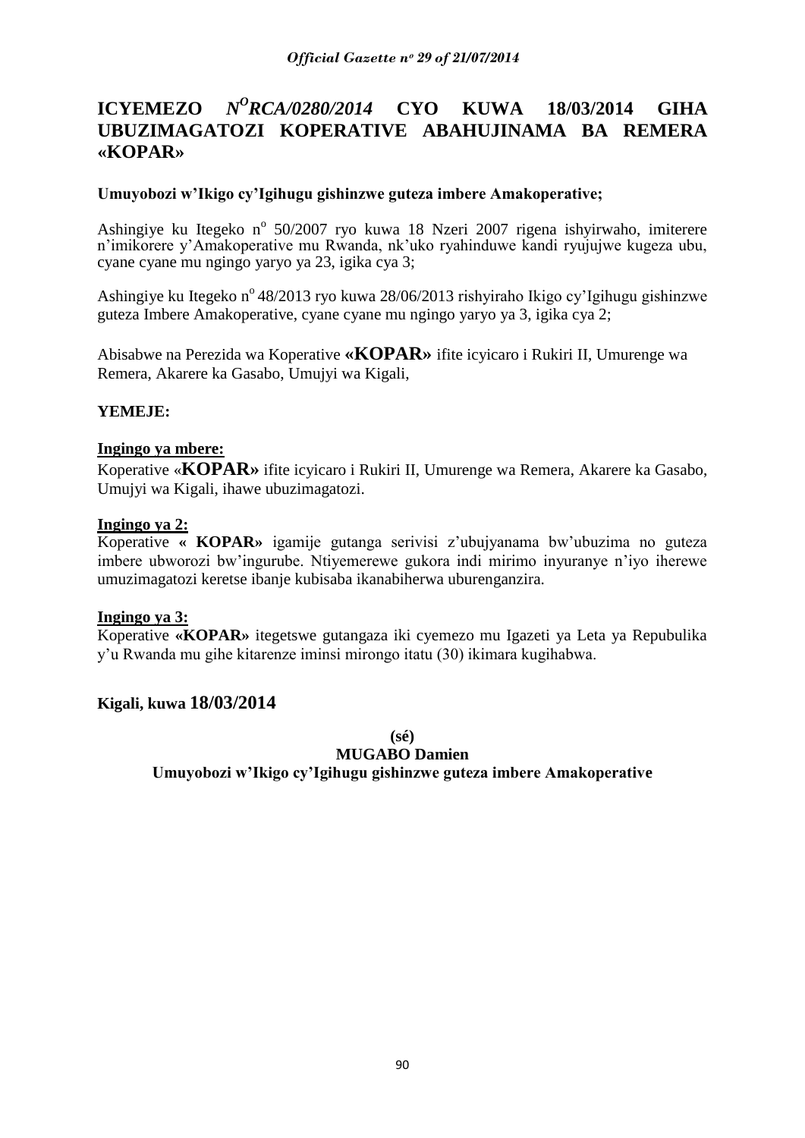#### **ICYEMEZO** *<sup>O</sup>RCA/0280/2014* **CYO KUWA 18/03/2014 GIHA UBUZIMAGATOZI KOPERATIVE ABAHUJINAMA BA REMERA «KOPAR»**

### **Umuyobozi w'Ikigo cy'Igihugu gishinzwe guteza imbere Amakoperative;**

Ashingiye ku Itegeko nº 50/2007 ryo kuwa 18 Nzeri 2007 rigena ishyirwaho, imiterere n"imikorere y"Amakoperative mu Rwanda, nk"uko ryahinduwe kandi ryujujwe kugeza ubu, cyane cyane mu ngingo yaryo ya 23, igika cya 3;

Ashingiye ku Itegeko n<sup>o</sup> 48/2013 ryo kuwa 28/06/2013 rishyiraho Ikigo cy'Igihugu gishinzwe guteza Imbere Amakoperative, cyane cyane mu ngingo yaryo ya 3, igika cya 2;

Abisabwe na Perezida wa Koperative **«KOPAR»** ifite icyicaro i Rukiri II, Umurenge wa Remera, Akarere ka Gasabo, Umujyi wa Kigali,

### **YEMEJE:**

#### **Ingingo ya mbere:**

Koperative «**KOPAR»** ifite icyicaro i Rukiri II, Umurenge wa Remera, Akarere ka Gasabo, Umujyi wa Kigali, ihawe ubuzimagatozi.

#### **Ingingo ya 2:**

Koperative **« KOPAR»** igamije gutanga serivisi z"ubujyanama bw"ubuzima no guteza imbere ubworozi bw"ingurube. Ntiyemerewe gukora indi mirimo inyuranye n"iyo iherewe umuzimagatozi keretse ibanje kubisaba ikanabiherwa uburenganzira.

#### **Ingingo ya 3:**

Koperative **«KOPAR»** itegetswe gutangaza iki cyemezo mu Igazeti ya Leta ya Repubulika y"u Rwanda mu gihe kitarenze iminsi mirongo itatu (30) ikimara kugihabwa.

# **Kigali, kuwa 18/03/2014**

**(sé)**

#### **MUGABO Damien**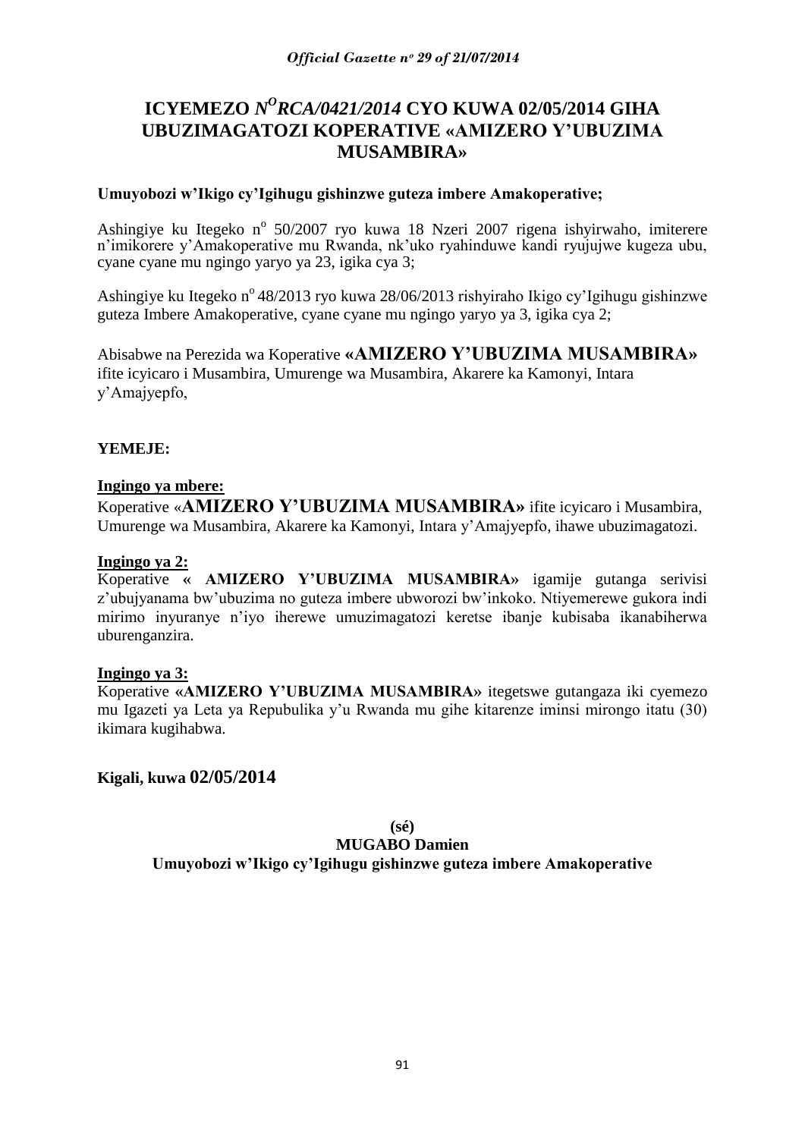# **ICYEMEZO** *N <sup>O</sup>RCA/0421/2014* **CYO KUWA 02/05/2014 GIHA UBUZIMAGATOZI KOPERATIVE «AMIZERO Y'UBUZIMA MUSAMBIRA»**

#### **Umuyobozi w'Ikigo cy'Igihugu gishinzwe guteza imbere Amakoperative;**

Ashingiye ku Itegeko nº 50/2007 ryo kuwa 18 Nzeri 2007 rigena ishyirwaho, imiterere n"imikorere y"Amakoperative mu Rwanda, nk"uko ryahinduwe kandi ryujujwe kugeza ubu, cyane cyane mu ngingo yaryo ya 23, igika cya 3;

Ashingiye ku Itegeko n<sup>o</sup> 48/2013 ryo kuwa 28/06/2013 rishyiraho Ikigo cy'Igihugu gishinzwe guteza Imbere Amakoperative, cyane cyane mu ngingo yaryo ya 3, igika cya 2;

Abisabwe na Perezida wa Koperative **«AMIZERO Y'UBUZIMA MUSAMBIRA»**  ifite icyicaro i Musambira, Umurenge wa Musambira, Akarere ka Kamonyi, Intara y"Amajyepfo,

### **YEMEJE:**

#### **Ingingo ya mbere:**

Koperative «**AMIZERO Y'UBUZIMA MUSAMBIRA»** ifite icyicaro i Musambira, Umurenge wa Musambira, Akarere ka Kamonyi, Intara y"Amajyepfo, ihawe ubuzimagatozi.

## **Ingingo ya 2:**

Koperative **« AMIZERO Y'UBUZIMA MUSAMBIRA»** igamije gutanga serivisi z"ubujyanama bw"ubuzima no guteza imbere ubworozi bw"inkoko. Ntiyemerewe gukora indi mirimo inyuranye n"iyo iherewe umuzimagatozi keretse ibanje kubisaba ikanabiherwa uburenganzira.

#### **Ingingo ya 3:**

Koperative **«AMIZERO Y'UBUZIMA MUSAMBIRA»** itegetswe gutangaza iki cyemezo mu Igazeti ya Leta ya Repubulika y"u Rwanda mu gihe kitarenze iminsi mirongo itatu (30) ikimara kugihabwa.

# **Kigali, kuwa 02/05/2014**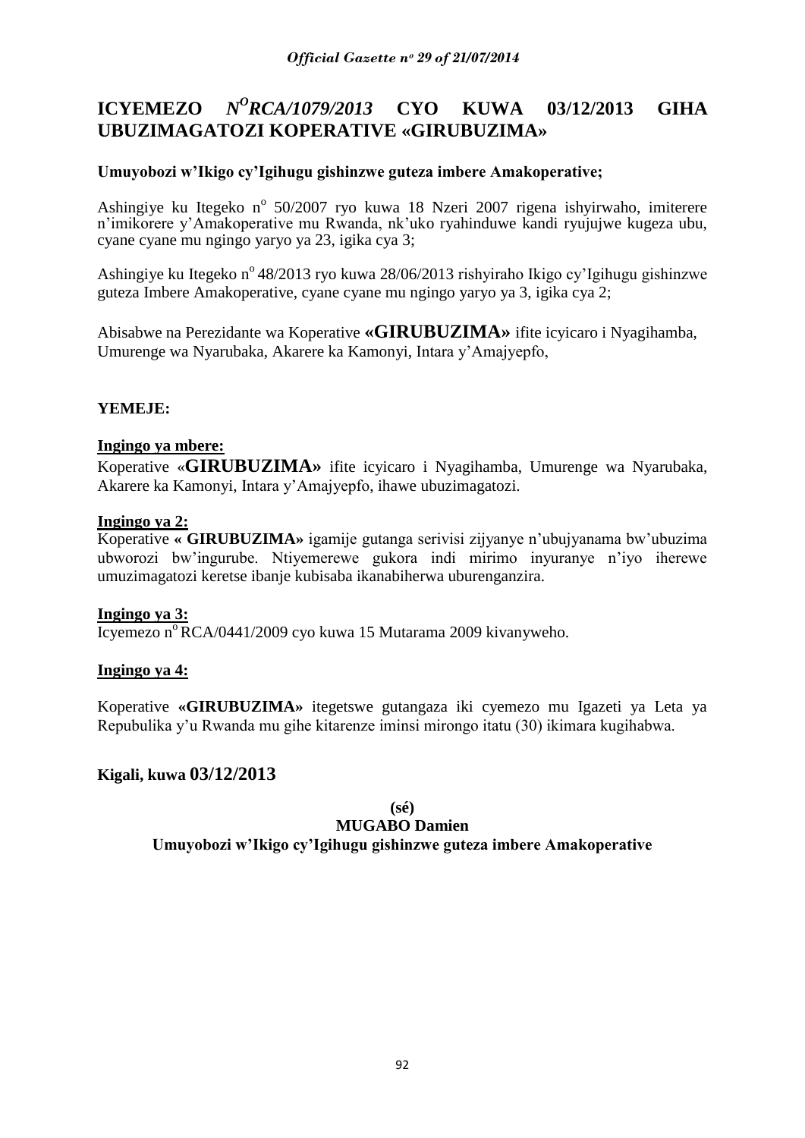# **ICYEMEZO** *N<sup>O</sup>RCA/1079/2013* **CYO KUWA 03/12/2013 GIHA UBUZIMAGATOZI KOPERATIVE «GIRUBUZIMA»**

# **Umuyobozi w'Ikigo cy'Igihugu gishinzwe guteza imbere Amakoperative;**

Ashingiye ku Itegeko nº 50/2007 ryo kuwa 18 Nzeri 2007 rigena ishyirwaho, imiterere n"imikorere y"Amakoperative mu Rwanda, nk"uko ryahinduwe kandi ryujujwe kugeza ubu, cyane cyane mu ngingo yaryo ya 23, igika cya 3;

Ashingiye ku Itegeko nº 48/2013 ryo kuwa 28/06/2013 rishyiraho Ikigo cy'Igihugu gishinzwe guteza Imbere Amakoperative, cyane cyane mu ngingo yaryo ya 3, igika cya 2;

Abisabwe na Perezidante wa Koperative **«GIRUBUZIMA»** ifite icyicaro i Nyagihamba, Umurenge wa Nyarubaka, Akarere ka Kamonyi, Intara y"Amajyepfo,

# **YEMEJE:**

### **Ingingo ya mbere:**

Koperative «**GIRUBUZIMA»** ifite icyicaro i Nyagihamba, Umurenge wa Nyarubaka, Akarere ka Kamonyi, Intara y"Amajyepfo, ihawe ubuzimagatozi.

#### **Ingingo ya 2:**

Koperative **« GIRUBUZIMA»** igamije gutanga serivisi zijyanye n"ubujyanama bw"ubuzima ubworozi bw"ingurube. Ntiyemerewe gukora indi mirimo inyuranye n"iyo iherewe umuzimagatozi keretse ibanje kubisaba ikanabiherwa uburenganzira.

#### **Ingingo ya 3:**

Icyemezo n<sup>o</sup> RCA/0441/2009 cyo kuwa 15 Mutarama 2009 kivanyweho.

#### **Ingingo ya 4:**

Koperative **«GIRUBUZIMA»** itegetswe gutangaza iki cyemezo mu Igazeti ya Leta ya Repubulika y"u Rwanda mu gihe kitarenze iminsi mirongo itatu (30) ikimara kugihabwa.

# **Kigali, kuwa 03/12/2013**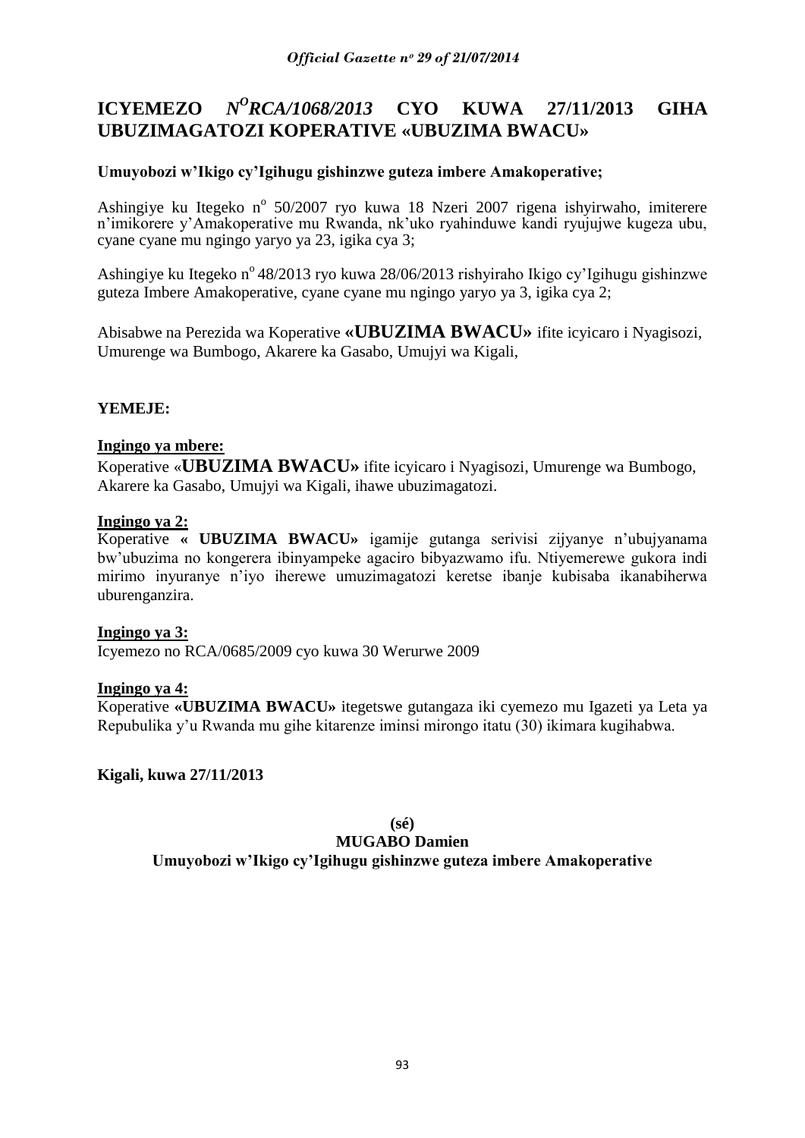#### **ICYEMEZO** *N <sup>O</sup>RCA/1068/2013* **CYO KUWA 27/11/2013 GIHA UBUZIMAGATOZI KOPERATIVE «UBUZIMA BWACU»**

# **Umuyobozi w'Ikigo cy'Igihugu gishinzwe guteza imbere Amakoperative;**

Ashingiye ku Itegeko nº 50/2007 ryo kuwa 18 Nzeri 2007 rigena ishyirwaho, imiterere n"imikorere y"Amakoperative mu Rwanda, nk"uko ryahinduwe kandi ryujujwe kugeza ubu, cyane cyane mu ngingo yaryo ya 23, igika cya 3;

Ashingiye ku Itegeko nº 48/2013 ryo kuwa 28/06/2013 rishyiraho Ikigo cy'Igihugu gishinzwe guteza Imbere Amakoperative, cyane cyane mu ngingo yaryo ya 3, igika cya 2;

Abisabwe na Perezida wa Koperative **«UBUZIMA BWACU»** ifite icyicaro i Nyagisozi, Umurenge wa Bumbogo, Akarere ka Gasabo, Umujyi wa Kigali,

# **YEMEJE:**

### **Ingingo ya mbere:**

Koperative «**UBUZIMA BWACU»** ifite icyicaro i Nyagisozi, Umurenge wa Bumbogo, Akarere ka Gasabo, Umujyi wa Kigali, ihawe ubuzimagatozi.

### **Ingingo ya 2:**

Koperative **« UBUZIMA BWACU»** igamije gutanga serivisi zijyanye n"ubujyanama bw"ubuzima no kongerera ibinyampeke agaciro bibyazwamo ifu. Ntiyemerewe gukora indi mirimo inyuranye n"iyo iherewe umuzimagatozi keretse ibanje kubisaba ikanabiherwa uburenganzira.

#### **Ingingo ya 3:**

Icyemezo no RCA/0685/2009 cyo kuwa 30 Werurwe 2009

#### **Ingingo ya 4:**

Koperative **«UBUZIMA BWACU»** itegetswe gutangaza iki cyemezo mu Igazeti ya Leta ya Repubulika y"u Rwanda mu gihe kitarenze iminsi mirongo itatu (30) ikimara kugihabwa.

**Kigali, kuwa 27/11/2013**

**(sé) MUGABO Damien**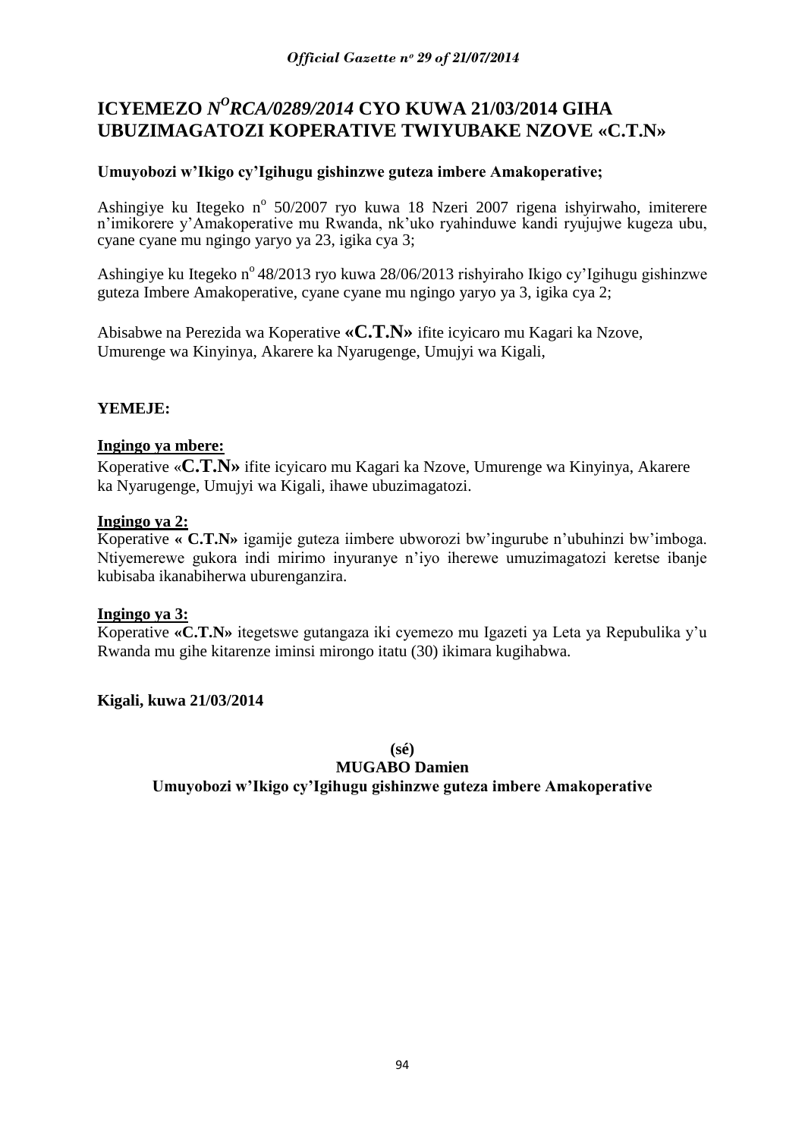# **ICYEMEZO** *N<sup>O</sup>RCA/0289/2014* CYO KUWA 21/03/2014 GIHA **UBUZIMAGATOZI KOPERATIVE TWIYUBAKE NZOVE «C.T.N»**

# **Umuyobozi w'Ikigo cy'Igihugu gishinzwe guteza imbere Amakoperative;**

Ashingiye ku Itegeko nº 50/2007 ryo kuwa 18 Nzeri 2007 rigena ishyirwaho, imiterere n'imikorere y'Amakoperative mu Rwanda, nk'uko ryahinduwe kandi ryujujwe kugeza ubu, cyane cyane mu ngingo yaryo ya 23, igika cya 3;

Ashingiye ku Itegeko nº 48/2013 ryo kuwa 28/06/2013 rishyiraho Ikigo cy'Igihugu gishinzwe guteza Imbere Amakoperative, cyane cyane mu ngingo yaryo ya 3, igika cya 2;

Abisabwe na Perezida wa Koperative **«C.T.N»** ifite icyicaro mu Kagari ka Nzove, Umurenge wa Kinyinya, Akarere ka Nyarugenge, Umujyi wa Kigali,

# **YEMEJE:**

### **Ingingo ya mbere:**

Koperative «**C.T.N»** ifite icyicaro mu Kagari ka Nzove, Umurenge wa Kinyinya, Akarere ka Nyarugenge, Umujyi wa Kigali, ihawe ubuzimagatozi.

### **Ingingo ya 2:**

Koperative **« C.T.N»** igamije guteza iimbere ubworozi bw"ingurube n"ubuhinzi bw"imboga. Ntiyemerewe gukora indi mirimo inyuranye n"iyo iherewe umuzimagatozi keretse ibanje kubisaba ikanabiherwa uburenganzira.

#### **Ingingo ya 3:**

Koperative **«C.T.N»** itegetswe gutangaza iki cyemezo mu Igazeti ya Leta ya Repubulika y"u Rwanda mu gihe kitarenze iminsi mirongo itatu (30) ikimara kugihabwa.

# **Kigali, kuwa 21/03/2014**

**(sé)**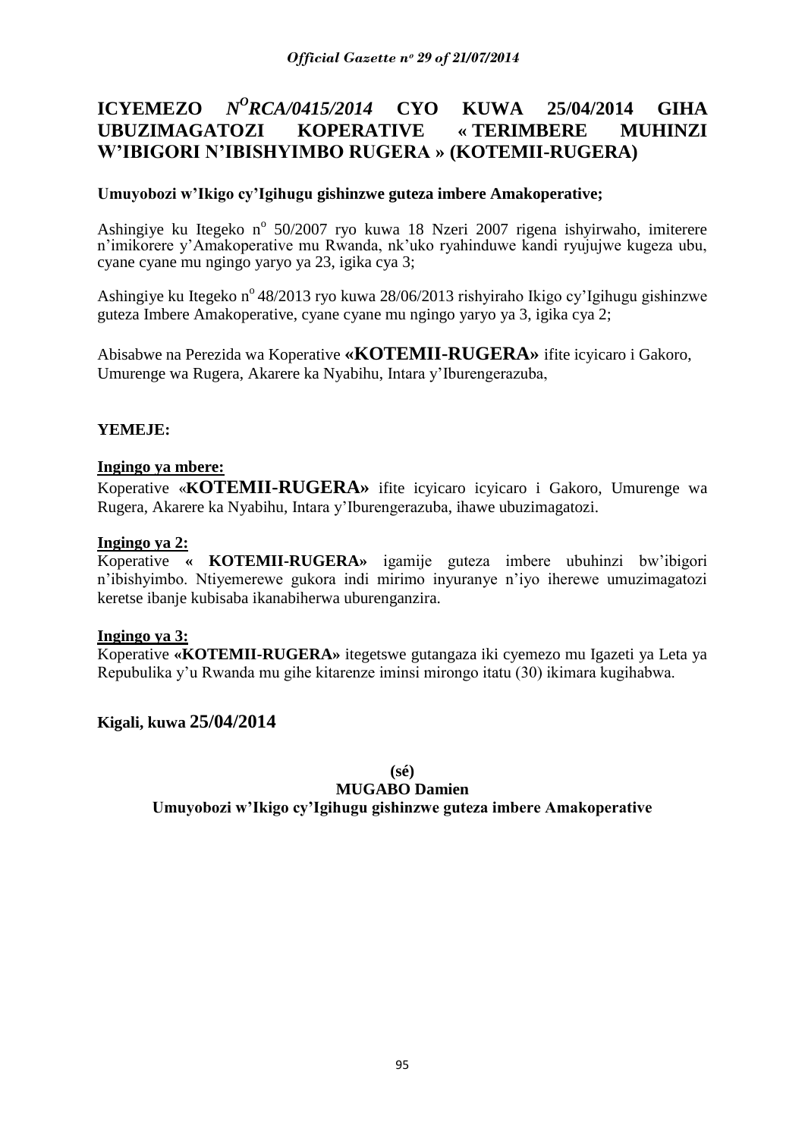# **ICYEMEZO** *N<sup>O</sup>RCA/0415/2014* **CYO KUWA 25/04/2014 GIHA UBUZIMAGATOZI KOPERATIVE « TERIMBERE MUHINZI W'IBIGORI N'IBISHYIMBO RUGERA » (KOTEMII-RUGERA)**

# **Umuyobozi w'Ikigo cy'Igihugu gishinzwe guteza imbere Amakoperative;**

Ashingiye ku Itegeko nº 50/2007 ryo kuwa 18 Nzeri 2007 rigena ishyirwaho, imiterere n"imikorere y"Amakoperative mu Rwanda, nk"uko ryahinduwe kandi ryujujwe kugeza ubu, cyane cyane mu ngingo yaryo ya 23, igika cya 3;

Ashingiye ku Itegeko n<sup>o</sup> 48/2013 ryo kuwa 28/06/2013 rishyiraho Ikigo cy'Igihugu gishinzwe guteza Imbere Amakoperative, cyane cyane mu ngingo yaryo ya 3, igika cya 2;

Abisabwe na Perezida wa Koperative **«KOTEMII-RUGERA»** ifite icyicaro i Gakoro, Umurenge wa Rugera, Akarere ka Nyabihu, Intara y"Iburengerazuba,

### **YEMEJE:**

#### **Ingingo ya mbere:**

Koperative «**KOTEMII-RUGERA»** ifite icyicaro icyicaro i Gakoro, Umurenge wa Rugera, Akarere ka Nyabihu, Intara y"Iburengerazuba, ihawe ubuzimagatozi.

#### **Ingingo ya 2:**

Koperative **« KOTEMII-RUGERA»** igamije guteza imbere ubuhinzi bw"ibigori n"ibishyimbo. Ntiyemerewe gukora indi mirimo inyuranye n"iyo iherewe umuzimagatozi keretse ibanje kubisaba ikanabiherwa uburenganzira.

#### **Ingingo ya 3:**

Koperative **«KOTEMII-RUGERA»** itegetswe gutangaza iki cyemezo mu Igazeti ya Leta ya Repubulika y"u Rwanda mu gihe kitarenze iminsi mirongo itatu (30) ikimara kugihabwa.

# **Kigali, kuwa 25/04/2014**

**(sé)**